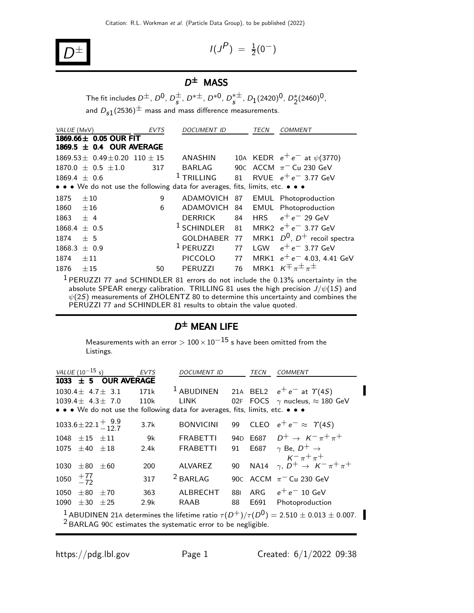$$
D^{\pm} \qquad \qquad I(J)
$$

$$
I(J^P) = \frac{1}{2}(0^-)
$$

### $D^{\pm}$  MASS

The fit includes  $D^{\pm}$ ,  $D^0$ ,  $D^{\pm}_{\bf s}$ ,  $D^{*\pm}$ ,  $D^{*0}$ ,  $D^{*\pm}_{\bf s}$ ,  $D_1(2420)^0$ ,  $D^*_2(2460)^0$ , and  $D_{s1}(2536)^{\pm}$  mass and mass difference measurements.

| VALUE (MeV)    |                                                                               | <b>EVTS</b> | <b>DOCUMENT ID</b>     |    | TECN       | <b>COMMENT</b>                                                                              |
|----------------|-------------------------------------------------------------------------------|-------------|------------------------|----|------------|---------------------------------------------------------------------------------------------|
|                | 1869.66 $\pm$ 0.05 OUR FIT                                                    |             |                        |    |            |                                                                                             |
|                | 1869.5 $\pm$ 0.4 OUR AVERAGE                                                  |             |                        |    |            |                                                                                             |
|                | $1869.53 \pm 0.49 \pm 0.20$ 110 $\pm$ 15                                      |             | <b>ANASHIN</b>         |    |            | 10A KEDR $e^+e^-$ at $\psi$ (3770)                                                          |
|                | $1870.0 \pm 0.5 \pm 1.0$                                                      | 317         | <b>BARLAG</b>          |    |            | 90C ACCM $\pi$ <sup>-</sup> Cu 230 GeV                                                      |
| $1869.4 + 0.6$ |                                                                               |             | $1$ TRILLING           | 81 |            | RVUE $e^+e^-$ 3.77 GeV                                                                      |
|                | • • • We do not use the following data for averages, fits, limits, etc. • • • |             |                        |    |            |                                                                                             |
| 1875           | $\pm 10$                                                                      | 9           | ADAMOVICH 87           |    |            | <b>EMUL</b> Photoproduction                                                                 |
| 1860           | ±16                                                                           | 6           | ADAMOVICH              | 84 |            | EMUL Photoproduction                                                                        |
| 1863           | $+4$                                                                          |             | <b>DERRICK</b>         | 84 | <b>HRS</b> | $e^+e^-$ 29 GeV                                                                             |
| 1868.4         | $+ 0.5$                                                                       |             | <sup>1</sup> SCHINDLER | 81 |            | MRK2 $e^+e^-$ 3.77 GeV                                                                      |
| 1874           | ± 5                                                                           |             | GOLDHABER 77           |    |            | MRK1 $D^0$ , $D^+$ recoil spectra                                                           |
| 1868.3         | $\pm$ 0.9                                                                     |             | <sup>1</sup> PERUZZI   | 77 | I GW       | $e^+e^-$ 3.77 GeV                                                                           |
| 1874           | $\pm 11$                                                                      |             | <b>PICCOLO</b>         | 77 |            | MRK1 $e^+e^-$ 4.03, 4.41 GeV                                                                |
| 1876           | ±15                                                                           | 50          | <b>PERUZZI</b>         | 76 |            | MRK1 $K^{\pm} \pi^{\pm} \pi^{\pm}$                                                          |
|                |                                                                               |             |                        |    |            | <sup>1</sup> PERUZZI 77 and SCHINDLER 81 errors do not include the 0.13% uncertainty in the |

absolute SPEAR energy calibration. <code>TRILLING</code> 81 uses the high precision  $J/\psi(1S)$  and  $\psi(2S)$  measurements of ZHOLENTZ 80 to determine this uncertainty and combines the PERUZZI 77 and SCHINDLER 81 results to obtain the value quoted.

#### $D^{\pm}$  Mean life

Measurements with an error  $> 100 \times 10^{-15}$  s have been omitted from the Listings.

|      | <i>VALUE</i> (10 <sup>-15</sup> s)                                                                                                                                                      |                           | <b>EVTS</b> | <i>DOCUMENT ID</i>                                                                                                    |     | TECN | <i>COMMENT</i>                                                               |  |
|------|-----------------------------------------------------------------------------------------------------------------------------------------------------------------------------------------|---------------------------|-------------|-----------------------------------------------------------------------------------------------------------------------|-----|------|------------------------------------------------------------------------------|--|
|      |                                                                                                                                                                                         | 1033 $\pm$ 5 OUR AVERAGE  |             |                                                                                                                       |     |      |                                                                              |  |
|      |                                                                                                                                                                                         | $1030.4 \pm 4.7 \pm 3.1$  | 171k        |                                                                                                                       |     |      | <sup>1</sup> ABUDINEN 21A BEL2 $e^+e^-$ at $\Upsilon(4S)$                    |  |
|      |                                                                                                                                                                                         | $1039.4 \pm 4.3 \pm 7.0$  | 110k        | <b>LINK</b>                                                                                                           |     |      | 02F FOCS $\gamma$ nucleus, $\approx$ 180 GeV                                 |  |
|      |                                                                                                                                                                                         |                           |             | $\bullet \bullet \bullet$ We do not use the following data for averages, fits, limits, etc. $\bullet \bullet \bullet$ |     |      |                                                                              |  |
|      |                                                                                                                                                                                         | $1033.6 \pm 22.1 \pm 9.9$ | 3.7k        | <b>BONVICINI</b>                                                                                                      |     |      | 99 CLEO $e^+e^- \approx \Upsilon(45)$                                        |  |
|      | $1048 \pm 15 \pm 11$                                                                                                                                                                    |                           | 9k          | <b>FRABETTI</b>                                                                                                       |     |      | 94D E687 $D^+ \to K^- \pi^+ \pi^+$                                           |  |
| 1075 | $\pm 40 \pm 18$                                                                                                                                                                         |                           | 2.4k        | <b>FRABETTI</b>                                                                                                       | 91  |      | E687 $\gamma$ Be, $D^+ \rightarrow$                                          |  |
| 1030 | $\pm80$                                                                                                                                                                                 | $+60$                     | 200         | ALVAREZ                                                                                                               | 90  |      | $K^{-} \pi^{+} \pi^{+}$<br>NA14 $\gamma$ , $D^+ \rightarrow K^- \pi^+ \pi^+$ |  |
|      |                                                                                                                                                                                         |                           |             |                                                                                                                       |     |      |                                                                              |  |
| 1050 | $^{+77}_{-72}$                                                                                                                                                                          |                           | 317         | $2$ BARLAG                                                                                                            |     |      | 90C ACCM $\pi$ <sup>-</sup> Cu 230 GeV                                       |  |
| 1050 | $\pm 80$                                                                                                                                                                                | $+70$                     | 363         | ALBRECHT                                                                                                              | 881 |      | ARG $e^+e^-$ 10 GeV                                                          |  |
| 1090 | $\pm 30$                                                                                                                                                                                | $+25$                     | 2.9k        | RAAB                                                                                                                  | 88  | E691 | Photoproduction                                                              |  |
|      | <sup>1</sup> ABUDINEN 21A determines the lifetime ratio $\tau(D^+)/\tau(D^0) = 2.510 \pm 0.013 \pm 0.007$ .<br><sup>2</sup> BARLAG 90C estimates the systematic error to be negligible. |                           |             |                                                                                                                       |     |      |                                                                              |  |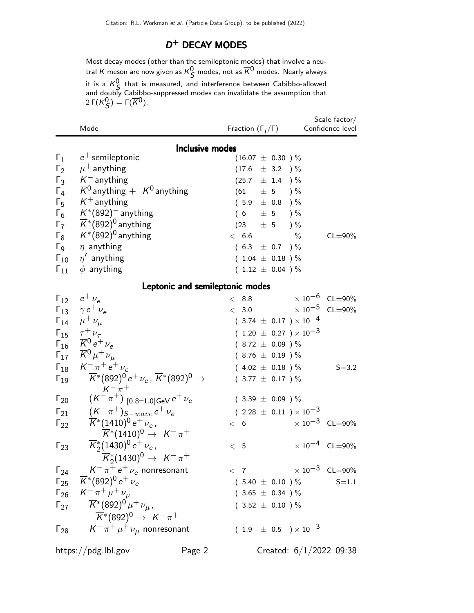### D<sup>+</sup> DECAY MODES

Most decay modes (other than the semileptonic modes) that involve a neutral  $K$  meson are now given as  $\kappa^0_{\mathcal{S}}$  modes, not as  $\overline{\kappa}{}^0$  modes. Nearly always it is a  $K^0_S$  that is measured, and interference between Cabibbo-allowed and doubly Cabibbo-suppressed modes can invalidate the assumption that 2 Γ $(K_S^0) = \Gamma(\overline{K}^0)$ .

|                        | Mode                                                                                   |                                 | Fraction $(\Gamma_i/\Gamma)$     | Scale factor $/$<br>Confidence level |
|------------------------|----------------------------------------------------------------------------------------|---------------------------------|----------------------------------|--------------------------------------|
|                        |                                                                                        | <b>Inclusive modes</b>          |                                  |                                      |
| $\Gamma_1$             | $e^+$ semileptonic                                                                     |                                 | $(16.07 \pm 0.30)$ %             |                                      |
| $\Gamma_2$             | $\mu^+$ anything                                                                       |                                 | $(17.6 \pm 3.2)$ %               |                                      |
| $\Gamma_3$             | $K^-$ anything                                                                         |                                 | $(25.7 \pm 1.4)$ %               |                                      |
| $\Gamma_4$             | $\overline{K}{}^0$ anything $+$ K <sup>0</sup> anything                                |                                 | $(61 \pm 5) \%$                  |                                      |
| $\Gamma_5$             | $K^+$ anything                                                                         |                                 | $(5.9 \pm 0.8)$ %                |                                      |
| $\Gamma_6$             | $K^*(892)^-$ anything                                                                  |                                 | $(6 \pm 5) \%$                   |                                      |
| $\Gamma_7$             | $\overline{\mathsf{K}}^*(892)^0$ anything                                              |                                 | $(23 + 5)$ %                     |                                      |
| $\Gamma_8$             | $\mathcal{K}^*(892)^0$ anything                                                        | < 6.6                           | $\%$                             | $CL = 90\%$                          |
| $\Gamma$ <sub>9</sub>  | $\eta$ anything                                                                        |                                 | $(6.3 \pm 0.7)$ %                |                                      |
|                        | $\Gamma_{10}$ $\eta'$ anything                                                         |                                 | $(1.04 \pm 0.18)$ %              |                                      |
| $\Gamma_{11}$          | $\phi$ anything                                                                        |                                 | $(1.12 \pm 0.04) \%$             |                                      |
|                        |                                                                                        |                                 |                                  |                                      |
|                        |                                                                                        | Leptonic and semileptonic modes |                                  |                                      |
|                        | $\Gamma_{12}$ $e^+ \nu_e$                                                              | $<$ 8.8                         |                                  | $\times 10^{-6}$ CL=90%              |
|                        | $\Gamma_{13}$ $\gamma e^+ \nu_e$                                                       |                                 |                                  | $< 3.0$ $\times 10^{-5}$ CL=90%      |
|                        | $\Gamma_{14}$ $\mu^+ \nu_\mu$                                                          |                                 | $(3.74 \pm 0.17) \times 10^{-4}$ |                                      |
| $\Gamma_{15}$          | $rac{\tau^+ \nu_\tau}{K^0 e^+ \nu_e}$                                                  |                                 | $(1.20 \pm 0.27) \times 10^{-3}$ |                                      |
| $\mathsf{\Gamma}_{16}$ |                                                                                        |                                 | $(8.72 \pm 0.09)$ %              |                                      |
| $\Gamma_{17}$          | $\overline{K}{}^0 \mu^+ \nu_\mu$                                                       |                                 | $(8.76 \pm 0.19)$ %              |                                      |
| $\Gamma_{18}$          | $K^{-} \pi^{+} e^{+} \nu_{e}$                                                          |                                 | $(4.02 \pm 0.18) \%$             | $S = 3.2$                            |
| $\Gamma_{19}$          | $\overline{K}^*(892)^0 e^+ \nu_e$ , $\overline{K}^*(892)^0 \rightarrow$<br>$K^- \pi^+$ |                                 | $(3.77 \pm 0.17)$ %              |                                      |
| $\Gamma_{20}$          | $(\mathcal{K}^-\pi^+)$ [0.8–1.0]GeV $e^+\nu_e$                                         |                                 | $(3.39 \pm 0.09)$ %              |                                      |
| $\Gamma_{21}$          | $(K^-\pi^+)_{S-wave} e^+\nu_e$                                                         |                                 | $(2.28 \pm 0.11) \times 10^{-3}$ |                                      |
| $\Gamma_{22}$          | $\overline{K}^*(1410)^0 e^+ \nu_e$ ,                                                   | < 6                             |                                  | $\times 10^{-3}$ CL=90%              |
|                        | $\overline{K}^*(1410)^0 \rightarrow K^-\pi^+$                                          |                                 |                                  |                                      |
| $\Gamma_{23}$          | $\overline{K}_{2}^{*}(1430)^{0}e^{+}\nu_{e}$                                           | < 5                             |                                  | $\times 10^{-4}$ CL=90%              |
|                        | $\overline{K}_{2}^{*}(1430)^{0} \rightarrow K^{-} \pi^{+}$                             |                                 |                                  |                                      |
|                        | $\Gamma_{24}$ $K^-\pi^+e^+\nu_e$ nonresonant                                           |                                 |                                  | $< 7$ $\times 10^{-3}$ CL=90%        |
|                        | $\Gamma_{25}$ $\overline{K}$ *(892) <sup>0</sup> e <sup>+</sup> $\nu_e$                |                                 | $(5.40 \pm 0.10) \%$             | $S = 1.1$                            |
|                        | $\Gamma_{26}$ $K^- \pi^+ \mu^+ \nu_\mu$                                                |                                 | $(3.65 \pm 0.34)$ %              |                                      |
| $\Gamma_{27}$          | $\overline{K}{}^*(892)^0\,\mu^+\,\nu_{\mu}$ ,                                          |                                 | $(3.52 \pm 0.10) \%$             |                                      |
|                        | $\overline{\mathsf{K}}^{*}(892)^{0} \rightarrow \ \mathsf{K}^{-}\pi^{+}$               |                                 |                                  |                                      |
| $\Gamma_{28}$          | $\mathcal{K}^-\, \pi^+\, \mu^+\, \nu_{\mu}$ nonresonant                                |                                 | $(1.9 \pm 0.5) \times 10^{-3}$   |                                      |
|                        | https://pdg.lbl.gov                                                                    | Page 2                          |                                  | Created: $6/1/2022$ 09:38            |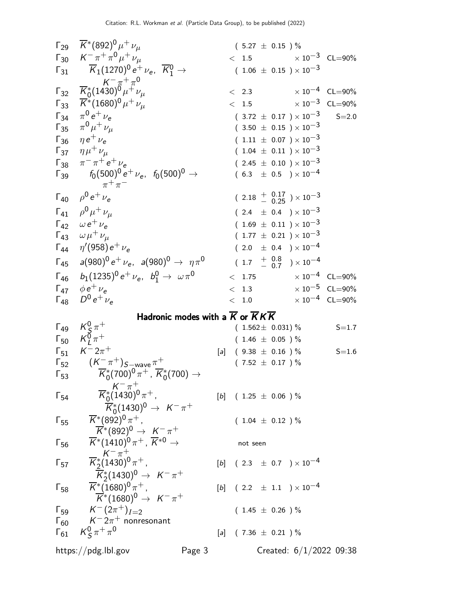$$
F_{29} R^*(892)^0 μ^+ νμ
$$
\n
$$
F_{30} R^-(74) θ^+ν_μ
$$
\n
$$
F_{31} R^*(1430)^0 e^+ ν_μ
$$
\n
$$
F_{32} R^*(1680)^0 μ^+ ν_μ
$$
\n
$$
F_{33} R^*(1660)^0 μ^+ ν_μ
$$
\n
$$
F_{34} R^0 (1430)^0 e^+ ν_μ
$$
\n
$$
F_{35} R^*(1660)^0 μ^+ ν_μ
$$
\n
$$
F_{36} R^*(1660)^0 μ^+ ν_μ
$$
\n
$$
F_{37} R^*(1660)^0 μ^+ ν_μ
$$
\n
$$
F_{38} R^0 + ν_μ
$$
\n
$$
F_{39} R^*(160)^0 e^+ ν_μ
$$
\n
$$
F_{30} R^*(160)^0 e^+ ν_μ
$$
\n
$$
F_{31} R^*(160)^0 e^+ ν_μ
$$
\n
$$
F_{32} R^*(160)^0 e^+ ν_μ
$$
\n
$$
F_{33} R^*(160)^0 e^+ ν_μ
$$
\n
$$
F_{34} R^*(120)^0 e^+ ν_μ
$$
\n
$$
F_{35} R^*(120)^0 e^+ ν_μ
$$
\n
$$
F_{36} R^*(120)^0 e^+ ν_μ
$$
\n
$$
F_{37} R^*(120)^0 e^+ ν_μ
$$
\n
$$
F_{38} R^*(120)^0 e^+ ν_μ
$$
\n
$$
F_{39} R^*(120)^0 e^+ ν_μ
$$
\n
$$
F_{30} R^*(120)^0 e^+ ν_μ
$$
\n
$$
F_{31} R^*(120)^0 e^+ ν_μ
$$
\n
$$
F_{32} R^*(120)^0 e^+ ν_μ
$$
\n
$$
F_{33} R^*(120)^0 e^+ ν_μ
$$
\n
$$
F_{34} R^*(120)^0 e^+ ν_μ
$$
\n
$$
F_{35
$$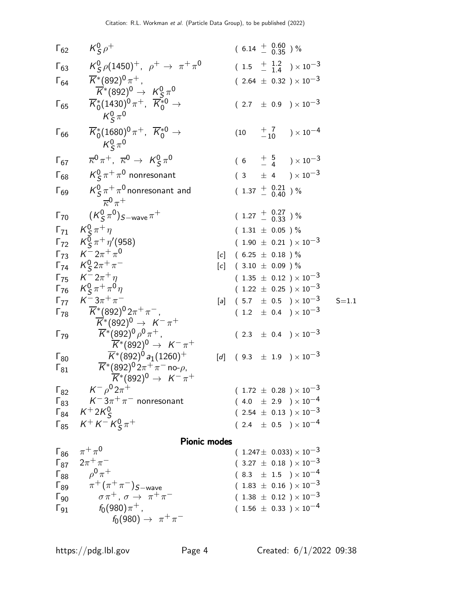Γ<sup>62</sup> K 0 S ρ <sup>+</sup> ( 6.<sup>14</sup> + 0.<sup>60</sup> <sup>−</sup> <sup>0</sup>.<sup>35</sup> ) % Γ<sup>63</sup> K 0 S ρ(1450)+, ρ <sup>+</sup> → π <sup>+</sup> π 0 ( 1.5 + 1.2 − 1.4 ) <sup>×</sup> <sup>10</sup>−<sup>3</sup> Γ<sup>64</sup> K ∗ (892)<sup>0</sup> π + , K ∗ (892)<sup>0</sup> → K 0 S π 0 ( 2.<sup>64</sup> <sup>±</sup> <sup>0</sup>.32 ) <sup>×</sup> <sup>10</sup>−<sup>3</sup> Γ<sup>65</sup> K ∗ 0 (1430)<sup>0</sup> π <sup>+</sup>, K ∗0 <sup>0</sup> <sup>→</sup> K 0 S π 0 ( 2.<sup>7</sup> <sup>±</sup> <sup>0</sup>.9 ) <sup>×</sup> <sup>10</sup>−<sup>3</sup> Γ<sup>66</sup> K ∗ 0 (1680)<sup>0</sup> π <sup>+</sup>, K ∗0 <sup>0</sup> <sup>→</sup> K 0 S π 0 (10 + 7 <sup>−</sup><sup>10</sup> ) <sup>×</sup> <sup>10</sup>−<sup>4</sup> Γ<sup>67</sup> κ 0 π <sup>+</sup>, κ <sup>0</sup> → K 0 S π 0 ( 6 + 5 − 4 ) <sup>×</sup> <sup>10</sup>−<sup>3</sup> Γ<sup>68</sup> K 0 S π <sup>+</sup> π <sup>0</sup> nonresonant ( 3 <sup>±</sup> 4 ) <sup>×</sup> <sup>10</sup>−<sup>3</sup> Γ<sup>69</sup> K 0 S π <sup>+</sup> π <sup>0</sup> nonresonant and κ 0 π + ( 1.<sup>37</sup> + 0.<sup>21</sup> <sup>−</sup> <sup>0</sup>.<sup>40</sup> ) % Γ<sup>70</sup> (K 0 S π 0 )S−waveπ <sup>+</sup> ( 1.<sup>27</sup> + 0.<sup>27</sup> <sup>−</sup> <sup>0</sup>.<sup>33</sup> ) % Γ<sup>71</sup> K 0 S π <sup>+</sup> η ( 1.<sup>31</sup> <sup>±</sup> <sup>0</sup>.05 ) % Γ<sup>72</sup> K 0 S π <sup>+</sup> η ′ (958) ( 1.<sup>90</sup> <sup>±</sup> <sup>0</sup>.21 ) <sup>×</sup> <sup>10</sup>−<sup>3</sup> Γ<sup>73</sup> K − 2π <sup>+</sup> π 0 [c] ( 6.25 ± 0.18 ) % Γ<sup>74</sup> K 0 S 2π <sup>+</sup> π <sup>−</sup> [c] ( 3.<sup>10</sup> <sup>±</sup> <sup>0</sup>.09 ) % Γ<sup>75</sup> K − 2π <sup>+</sup> η ( 1.<sup>35</sup> <sup>±</sup> <sup>0</sup>.12 ) <sup>×</sup> <sup>10</sup>−<sup>3</sup> Γ<sup>76</sup> K 0 S π <sup>+</sup> π <sup>0</sup> η ( 1.<sup>22</sup> <sup>±</sup> <sup>0</sup>.25 ) <sup>×</sup> <sup>10</sup>−<sup>3</sup> Γ<sup>77</sup> K − 3π <sup>+</sup> π <sup>−</sup> [a] ( 5.<sup>7</sup> <sup>±</sup> <sup>0</sup>.5 ) <sup>×</sup> <sup>10</sup>−<sup>3</sup> S=1.1 Γ<sup>78</sup> K ∗ (892)<sup>0</sup> 2π <sup>+</sup> π − , K ∗ (892)<sup>0</sup> → K − π + ( 1.<sup>2</sup> <sup>±</sup> <sup>0</sup>.4 ) <sup>×</sup> <sup>10</sup>−<sup>3</sup> Γ<sup>79</sup> K ∗ (892)<sup>0</sup> ρ 0 π + , K ∗ (892)<sup>0</sup> → K − π + ( 2.<sup>3</sup> <sup>±</sup> <sup>0</sup>.4 ) <sup>×</sup> <sup>10</sup>−<sup>3</sup> Γ<sup>80</sup> K ∗ (892)<sup>0</sup> a1(1260)<sup>+</sup> [d] ( 9.<sup>3</sup> <sup>±</sup> <sup>1</sup>.9 ) <sup>×</sup> <sup>10</sup>−<sup>3</sup> Γ<sup>81</sup> K ∗ (892)<sup>0</sup> 2π <sup>+</sup> π − no-ρ, K ∗ (892)<sup>0</sup> → K − π + Γ<sup>82</sup> K − ρ <sup>0</sup> 2π <sup>+</sup> ( 1.<sup>72</sup> <sup>±</sup> <sup>0</sup>.28 ) <sup>×</sup> <sup>10</sup>−<sup>3</sup> Γ<sup>83</sup> K − 3π <sup>+</sup> π <sup>−</sup> nonresonant ( 4.<sup>0</sup> <sup>±</sup> <sup>2</sup>.9 ) <sup>×</sup> <sup>10</sup>−<sup>4</sup> Γ<sup>84</sup> K <sup>+</sup> 2K 0 S ( 2.<sup>54</sup> <sup>±</sup> <sup>0</sup>.13 ) <sup>×</sup> <sup>10</sup>−<sup>3</sup> Γ<sup>85</sup> K <sup>+</sup> K − K 0 S π <sup>+</sup> ( 2.<sup>4</sup> <sup>±</sup> <sup>0</sup>.5 ) <sup>×</sup> <sup>10</sup>−<sup>4</sup> Pionic modes Γ<sup>86</sup> π <sup>+</sup> π 0 ( 1.247<sup>±</sup> <sup>0</sup>.033) <sup>×</sup> <sup>10</sup>−<sup>3</sup> Γ<sup>87</sup> 2π <sup>+</sup> π <sup>−</sup> ( 3.<sup>27</sup> <sup>±</sup> <sup>0</sup>.18 ) <sup>×</sup> <sup>10</sup>−<sup>3</sup> Γ<sup>88</sup> ρ 0 π <sup>+</sup> ( 8.<sup>3</sup> <sup>±</sup> <sup>1</sup>.5 ) <sup>×</sup> <sup>10</sup>−<sup>4</sup> Γ<sup>89</sup> π <sup>+</sup> (π <sup>+</sup> π <sup>−</sup>)S−wave ( 1.<sup>83</sup> <sup>±</sup> <sup>0</sup>.16 ) <sup>×</sup> <sup>10</sup>−<sup>3</sup> Γ<sup>90</sup> σ π<sup>+</sup> , σ → π <sup>+</sup> π <sup>−</sup> ( 1.<sup>38</sup> <sup>±</sup> <sup>0</sup>.12 ) <sup>×</sup> <sup>10</sup>−<sup>3</sup> Γ<sup>91</sup> f0(980)π + , ( 1.<sup>56</sup> <sup>±</sup> <sup>0</sup>.33 ) <sup>×</sup> <sup>10</sup>−<sup>4</sup>

 $f_0(980) \to \pi^+ \pi^-$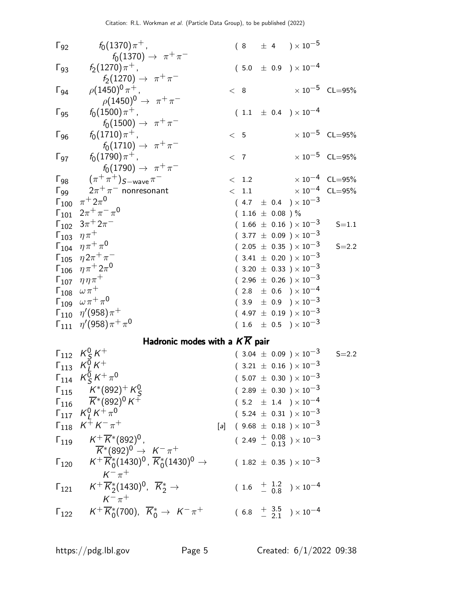| $\Gamma_{92}$  | $f_0(1370)\pi^+$ ,<br>$f_0(1370) \to \pi^+\pi^-$                                                                                    |       |     |                     |  | $(8 \pm 4) \times 10^{-5}$                                                                   |                                  |
|----------------|-------------------------------------------------------------------------------------------------------------------------------------|-------|-----|---------------------|--|----------------------------------------------------------------------------------------------|----------------------------------|
| $\Gamma_{93}$  | $f_2(1270)\pi^+$ ,<br>$f_2(1270) \to \pi^+ \pi^-$                                                                                   |       |     |                     |  | $(5.0 \pm 0.9) \times 10^{-4}$                                                               |                                  |
| $\Gamma_{94}$  | $\rho (1450)^0 \pi^+$ ,<br>$\rho(1450)^0 \to \pi^+ \pi^-$                                                                           |       | < 8 |                     |  |                                                                                              | $\times 10^{-5}$ CL=95%          |
| $\Gamma_{95}$  | $f_0(1500)\pi^+$ ,<br>$f_0(1500) \to \pi^+\pi^-$                                                                                    |       |     |                     |  | $(1.1 \pm 0.4) \times 10^{-4}$                                                               |                                  |
| $\Gamma_{96}$  | $f_0(1710)\pi^+$ ,<br>$f_0(1710) \to \pi^+ \pi^-$                                                                                   |       |     | < 5                 |  |                                                                                              | $\times 10^{-5}$ CL=95%          |
| $\Gamma_{97}$  | $f_0(1790)\pi^+$ ,<br>$f_0(1790) \to \pi^+\pi^-$                                                                                    |       |     | < 7                 |  |                                                                                              | $\times 10^{-5}$ CL=95%          |
|                | $\Gamma_{98}$ $(\pi^+\pi^+)_{S-wave}\pi^-$                                                                                          |       |     | < 1.2               |  |                                                                                              | $\times$ 10 <sup>-4</sup> CL=95% |
| $\Gamma_{99}$  | $2\pi^+\pi^-$ nonresonant                                                                                                           |       |     | < 1.1               |  |                                                                                              | $\times 10^{-4}$ CL=95%          |
|                | $\Gamma_{100}$ $\pi^{+}2\pi^{0}$                                                                                                    |       |     |                     |  | $(4.7 \pm 0.4) \times 10^{-3}$                                                               |                                  |
|                | $\Gamma_{101}$ $2\pi^+\pi^-\pi^0$                                                                                                   |       |     | $(1.16 \pm 0.08)$ % |  |                                                                                              |                                  |
|                | $\Gamma_{102}$ $3\pi$ <sup>+</sup> $2\pi$ <sup>-</sup>                                                                              |       |     |                     |  | $(1.66 \pm 0.16) \times 10^{-3}$                                                             | $S = 1.1$                        |
|                | $\Gamma_{103}$ $\eta \pi^+$                                                                                                         |       |     |                     |  | $(3.77 \pm 0.09) \times 10^{-3}$                                                             |                                  |
|                | $\Gamma_{104}$ $\eta \pi^+ \pi^0$                                                                                                   |       |     |                     |  | $(2.05 \pm 0.35) \times 10^{-3}$                                                             | $S = 2.2$                        |
|                | $\Gamma_{105}$ $\eta 2\pi^+\pi^-$                                                                                                   |       |     |                     |  | $(3.41 \pm 0.20) \times 10^{-3}$                                                             |                                  |
|                | $\Gamma_{106}$ $\eta \pi^+ 2\pi^0$                                                                                                  |       |     |                     |  | $(3.20 \pm 0.33) \times 10^{-3}$                                                             |                                  |
|                | $\Gamma_{107}$ $\eta\eta\pi^+$                                                                                                      |       |     |                     |  | $(2.96 \pm 0.26) \times 10^{-3}$                                                             |                                  |
|                | $\Gamma_{108}$ $\omega \pi^+$                                                                                                       |       |     |                     |  | $(2.8 \pm 0.6) \times 10^{-4}$                                                               |                                  |
|                | $\Gamma_{109} \hspace{0.2cm} \omega \hspace{0.05cm} \pi^+ \hspace{0.05cm} \pi^0$                                                    |       |     |                     |  | $(3.9 \pm 0.9) \times 10^{-3}$                                                               |                                  |
|                | $\Gamma_{110}$ $\eta'(958)\pi^+$                                                                                                    |       |     |                     |  | $(4.97 \pm 0.19) \times 10^{-3}$                                                             |                                  |
|                | $\Gamma_{111}$ $\eta'(958)\pi^{+}\pi^{0}$                                                                                           |       |     |                     |  | $(1.6 \pm 0.5) \times 10^{-3}$                                                               |                                  |
|                | Hadronic modes with a $K\overline{K}$ pair                                                                                          |       |     |                     |  |                                                                                              |                                  |
|                | $\begin{array}{ccc} \Gamma_{112} & K_S^0 \, K^+ \\ \Gamma_{113} & K_L^0 \, K^+ \\ \Gamma_{114} & K_S^0 \, K^+ \, \pi^0 \end{array}$ |       |     |                     |  | $(3.04 \pm 0.09) \times 10^{-3}$                                                             | $S = 2.2$                        |
|                |                                                                                                                                     |       |     |                     |  | $(3.21 \pm 0.16) \times 10^{-3}$                                                             |                                  |
|                |                                                                                                                                     |       |     |                     |  | $(5.07 \pm 0.30) \times 10^{-3}$                                                             |                                  |
| $\Gamma_{115}$ | $K^*(892)^+K^0_S$                                                                                                                   |       |     |                     |  | $(2.89 \pm 0.30) \times 10^{-3}$                                                             |                                  |
|                | $\sqrt{116}$ $\overline{K}$ <sup>*</sup> (892) <sup>0</sup> K <sup>+</sup>                                                          |       |     |                     |  | $(\begin{array}{cc} 5.2 & \pm \end{array} \begin{array}{cc} 1.4 \end{array}) \times 10^{-4}$ |                                  |
|                | $\Gamma_{117}$ $K^0_L K^+ \pi^0$                                                                                                    |       |     |                     |  | $(5.24 \pm 0.31) \times 10^{-3}$                                                             |                                  |
|                | $\Gamma_{118}$ $K^+ K^- \pi^+$                                                                                                      | $[a]$ |     |                     |  | $($ 9.68 $\pm$ 0.18 $)\times 10^{-3}$                                                        |                                  |
| $\Gamma_{119}$ | $K^+\overline{K}{}^*(892)^0$ ,<br>$\overline{K}^*(892)^0 \rightarrow K^-\pi^+$                                                      |       |     |                     |  | $(2.49 + \begin{array}{c} 0.08 \\ - 0.13 \end{array}) \times 10^{-3}$                        |                                  |
| $\Gamma_{120}$ | $K^+ \overline{K}^*_0 (1430)^0$ , $\overline{K}^*_0 (1430)^0 \rightarrow$                                                           |       |     |                     |  | $(1.82 \pm 0.35) \times 10^{-3}$                                                             |                                  |
| $\Gamma_{121}$ | $K^{-} \pi^{+}$<br>$K^+\overline{K}_2^*(1430)^0$ , $\overline{K}_2^*\rightarrow$<br>$K^{-}$ $\pi^{+}$                               |       |     |                     |  | $(1.6 + \frac{1.2}{0.8}) \times 10^{-4}$                                                     |                                  |
| $\Gamma_{122}$ | $K^+ \overline{K}^*_0(700)$ , $\overline{K}^*_0 \rightarrow K^- \pi^+$                                                              |       |     |                     |  | $(6.8 + \frac{3.5}{2.1}) \times 10^{-4}$                                                     |                                  |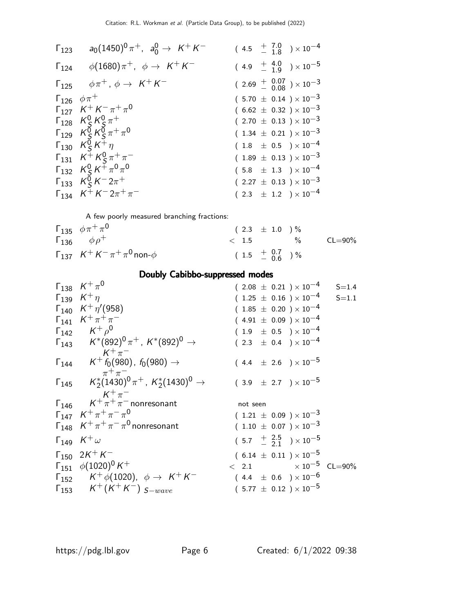|                             | $\Gamma_{123}$ $a_0(1450)^0 \pi^+$ , $a_0^0 \rightarrow K^+ K^-$ | $(4.5 \tfrac{+}{-} \tfrac{7.0}{1.8}) \times 10^{-4}$                |
|-----------------------------|------------------------------------------------------------------|---------------------------------------------------------------------|
|                             | $\Gamma_{124}$ $\phi(1680)\pi^+$ , $\phi \to K^+K^-$             | $(4.9 + \frac{4.0}{1.9}) \times 10^{-5}$                            |
|                             | $\Gamma_{125}$ $\phi \pi^+$ , $\phi \rightarrow K^+ K^-$         | $(2.69 + \begin{array}{c} 0.07 \\ 0.08 \end{array}) \times 10^{-3}$ |
| $\Gamma_{126}$ $\phi \pi^+$ |                                                                  | $(5.70 \pm 0.14) \times 10^{-3}$                                    |
|                             | $\Gamma_{127}$ $K^+ K^- \pi^+ \pi^0$                             | $(6.62 \pm 0.32) \times 10^{-3}$                                    |
|                             | $\Gamma_{128}$ $K_S^0 K_S^0 \pi^+$                               | $(2.70 \pm 0.13) \times 10^{-3}$                                    |
|                             | $\Gamma_{129}$ $K_S^0 K_S^{\bar{0}} \pi^+ \pi^0$                 | $(1.34 \pm 0.21) \times 10^{-3}$                                    |
|                             | $\Gamma_{130}$ $K_S^0 K^+ \eta$                                  | $(1.8 \pm 0.5) \times 10^{-4}$                                      |
|                             | $\Gamma_{131}$ $K^+ K^0_s \pi^+ \pi^-$                           | $(1.89 \pm 0.13) \times 10^{-3}$                                    |
|                             | $\Gamma_{132}$ $K_S^0 K^{\dagger} \pi^0 \pi^0$                   | $(5.8 \pm 1.3) \times 10^{-4}$                                      |
|                             | $\Gamma_{133}$ $K_S^0 K^- 2\pi^+$                                | $(2.27 \pm 0.13) \times 10^{-3}$                                    |
|                             | $\Gamma_{134}$ $K^+ K^- 2\pi^+ \pi^-$                            | $(2.3 \pm 1.2) \times 10^{-4}$                                      |

A few poorly measured branching fractions:

| $\Gamma_{135}$ $\phi \pi^+ \pi^0$                | $(2.3 \pm 1.0) \%$      |             |
|--------------------------------------------------|-------------------------|-------------|
| $\Gamma_{136}$ $\phi \rho^+$                     | $\langle 1.5 \rangle$ % | $CL = 90\%$ |
| $\Gamma_{137}$ $K^+ K^- \pi^+ \pi^0$ non- $\phi$ | $(1.5 + 0.7) %$         |             |

### Doubly Cabibbo-suppressed modes

| $\Gamma_{138}$ $K^+\pi^0$                                                                        | $(2.08 \pm 0.21) \times 10^{-4}$                     | $S = 1.4$ |
|--------------------------------------------------------------------------------------------------|------------------------------------------------------|-----------|
| $Γ139 K+ η$                                                                                      | $(1.25 \pm 0.16) \times 10^{-4}$                     | $S = 1.1$ |
| $\Gamma_{140}$ $K^+ \eta' (958)$                                                                 | $(1.85 \pm 0.20) \times 10^{-4}$                     |           |
| $\Gamma_{141}$ $K^+\pi^+\pi^-$                                                                   | $(4.91 \pm 0.09) \times 10^{-4}$                     |           |
| $\Gamma_{142}$ $K^+$ $\rho^0$                                                                    | $(1.9 \pm 0.5) \times 10^{-4}$                       |           |
| $\Gamma_{143}$ $K^*(892)^0 \pi^+$ , $K^*(892)^0 \rightarrow$                                     | $(2.3 \pm 0.4) \times 10^{-4}$                       |           |
| $K^+\pi^-$                                                                                       |                                                      |           |
| $\Gamma_{144}$ $K^+ f_0(980)$ , $f_0(980) \rightarrow$                                           | $(4.4 \pm 2.6) \times 10^{-5}$                       |           |
| $\pi^+\pi^-$<br>$\Gamma_{145}$ $K_2^*(1430)^0 \pi^+$ , $K_2^*(1430)^0 \rightarrow$<br>$K^+\pi^-$ | $(3.9 \pm 2.7) \times 10^{-5}$                       |           |
| $\Gamma_{146}$ $K^+\pi^+\pi^-$ nonresonant                                                       | not seen                                             |           |
| $\Gamma_{147}$ $K^+\pi^+\pi^-\pi^0$                                                              | $(1.21 \pm 0.09) \times 10^{-3}$                     |           |
| $\Gamma_{148}$ $K^+\pi^+\pi^-\pi^0$ nonresonant                                                  | $(1.10 \pm 0.07) \times 10^{-3}$                     |           |
| $\Gamma_{149}$ $K^+\omega$                                                                       | $(5.7 \tfrac{+}{2} \tfrac{2.5}{2.1}) \times 10^{-5}$ |           |
| $\Gamma_{150}$ $2K^{+}K^{-}$                                                                     | $(6.14 \pm 0.11) \times 10^{-5}$                     |           |
| $\Gamma_{151}$ $\phi(1020)^0 K^+$                                                                | $< 2.1$ $\times 10^{-5}$ CL=90%                      |           |
| $\Gamma_{152}$ $K^+ \phi(1020)$ , $\phi \to K^+ K^-$                                             | $(4.4 \pm 0.6) \times 10^{-6}$                       |           |
| $\Gamma_{153}$ $K^+(K^+K^-)$ $_{S-wave}$                                                         | $(5.77 \pm 0.12) \times 10^{-5}$                     |           |

 $\overline{\phantom{0}}$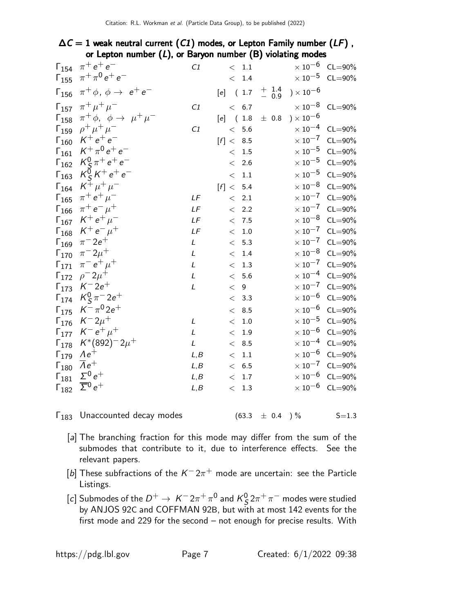#### $\Delta C = 1$  weak neutral current (C1) modes, or Lepton Family number (LF), or Lepton number  $(L)$ , or Baryon number  $(B)$  violating modes

|                | $\Gamma_{154}$ $\pi^+e^+e^-$                                 | C1   |             | $\rm <~1.1$       |                  |                       | $\times$ 10 <sup>-6</sup> CL=90% |
|----------------|--------------------------------------------------------------|------|-------------|-------------------|------------------|-----------------------|----------------------------------|
|                | $\Gamma_{155}$ $\pi^{+}\pi^{0}e^{+}e^{-}$                    |      |             | < 1.4             |                  |                       | $\times$ 10 <sup>-5</sup> CL=90% |
|                | $\Gamma_{156}$ $\pi^{+}\phi$ , $\phi \rightarrow e^{+}e^{-}$ |      | $[e]$ (1.7) |                   | $+$ 1.4<br>- 0.9 | ) $\times$ 10 $^{-6}$ |                                  |
|                | $\Gamma_{157}$ $\pi^{+}\mu^{+}\mu^{-}$                       | C1   |             | < 6.7             |                  |                       | $\times$ 10 <sup>-8</sup> CL=90% |
|                | $\Gamma_{158}$ $\pi^{+}\phi$ , $\phi \to \mu^{+}\mu^{-}$     |      | $[e]$ (1.8) |                   | $\pm$ 0.8        | ) $\times$ $10^{-6}$  |                                  |
|                | $\Gamma_{159}$ $\rho^+ \mu^+ \mu^-$                          | C1   |             | < 5.6             |                  |                       | $\times$ 10 <sup>-4</sup> CL=90% |
|                | $\Gamma_{160}$ $K^+e^+e^-$                                   |      | [f] < 8.5   |                   |                  |                       | $\times$ 10 <sup>-7</sup> CL=90% |
|                | $\Gamma_{161}$ $K^+\pi^0e^+e^-$                              |      |             | $\rm <~1.5$       |                  |                       | $\times$ 10 <sup>-5</sup> CL=90% |
| $\Gamma_{162}$ | $K_{\mathsf{S}}^{0} \pi^{+} e^{+} e^{-}$                     |      |             | $\rm <$ 2.6       |                  | $\times$ 10 $^{-5}$   | $CL = 90\%$                      |
|                | $\Gamma_{163}$ $K_S^0 K^+ e^+ e^-$                           |      |             | $\rm <~1.1$       |                  |                       | $\times$ 10 <sup>-5</sup> CL=90% |
|                | $\Gamma_{164}$ $K^+ \mu^+ \mu^-$                             |      | [f] < 5.4   |                   |                  |                       | $\times$ 10 <sup>-8</sup> CL=90% |
|                | $\Gamma_{165}$ $\pi^+ e^+ \mu^-$                             | LF   |             | $< 2.1$           |                  |                       | $\times 10^{-7}$ CL=90%          |
| $\Gamma_{166}$ | $\pi^+ e^- \mu^+$                                            | LF   |             | $< 2.2$           |                  |                       | $\times 10^{-7}$ CL=90%          |
|                | $\Gamma_{167}$ $K^+e^+\mu^-$                                 | LF   |             | < 7.5             |                  |                       | $\times$ 10 <sup>-8</sup> CL=90% |
|                | $\Gamma_{168}$ $K^+e^-\mu^+$                                 | LF   |             | $\rm <~1.0$       |                  | $\times$ 10 $^{-7}$   | $CL = 90\%$                      |
|                | $\Gamma_{169}$ $\pi^- 2e^+$                                  | L    |             | < 5.3             |                  |                       | $\times 10^{-7}$ CL=90%          |
|                | $\Gamma_{170}$ $\pi^- 2\mu^+$                                | L    |             | $<\phantom{0}1.4$ |                  | $\times$ 10 $^{-8}$   | $CL = 90\%$                      |
| $\Gamma_{171}$ | $\pi^{-} e^{+} \mu^{+}$                                      | L    |             | $< 1.3$           |                  |                       | $\times$ 10 <sup>-7</sup> CL=90% |
|                | $\Gamma_{172}$ $\rho^- 2\mu^+$                               | L    |             | $<\;$ 5.6 $\;$    |                  |                       | $\times 10^{-4}$ CL=90%          |
|                | $\Gamma_{173}$ $K^-2e^+$                                     | L    |             | < 9               |                  |                       | $\times 10^{-7}$ CL=90%          |
|                | $\Gamma_{174}$ $K_S^0 \pi^- 2e^+$                            |      |             | < 3.3             |                  |                       | $\times$ 10 <sup>-6</sup> CL=90% |
|                | $\Gamma_{175}$ $K^{-} \pi^{0} 2e^{+}$                        |      |             | < 8.5             |                  | $\times$ 10 $^{-6}$   | $CL = 90\%$                      |
|                | $\Gamma_{176}$ $K^-2\mu^+$                                   | L    |             | $<\phantom{0}1.0$ |                  | $\times$ 10 $^{-5}$   | $CL = 90\%$                      |
|                | $\Gamma_{177}$ $K^-e^+\mu^+$                                 | L    |             | $\rm <$ $1.9$     |                  | $\times$ 10 $^{-6}$   | $CL = 90\%$                      |
|                | $\Gamma_{178}$ $K^*(892)^-2\mu^+$                            | L    |             | < 8.5             |                  |                       | $\times 10^{-4}$ CL=90%          |
|                | $\Gamma_{179}$ $Ae^+$                                        | L,B  |             | $\rm <~1.1$       |                  | $\times$ 10 $^{-6}$   | $CL = 90\%$                      |
|                | $\Gamma_{180}$ $\overline{A}e^{+}$                           | L, B |             | $<$ $~6.5$        |                  |                       | $\times 10^{-7}$ CL=90%          |
| $\Gamma_{181}$ | $\Sigma^0 e^+$                                               | L, B |             | < 1.7             |                  |                       | $\times 10^{-6}$ CL=90%          |
| $\Gamma_{182}$ | $\overline{\Sigma}^0 e^+$                                    | L, B |             | $\rm <~1.3$       |                  |                       | $\times 10^{-6}$ CL=90%          |
|                |                                                              |      |             |                   |                  |                       |                                  |

 $\Gamma_{183}$  Unaccounted decay modes (63.3  $\pm$  0.4 ) % S=1.3

- [a] The branching fraction for this mode may differ from the sum of the submodes that contribute to it, due to interference effects. See the relevant papers.
- [b] These subfractions of the  $K^- 2\pi^+$  mode are uncertain: see the Particle Listings.
- [c] Submodes of the  $D^+ \rightarrow \ K^- 2\pi^+ \pi^0$  and  $K^0_S$  $\frac{0}{S} 2\pi^+\pi^-$  modes were studied by ANJOS 92C and COFFMAN 92B, but with at most 142 events for the first mode and 229 for the second – not enough for precise results. With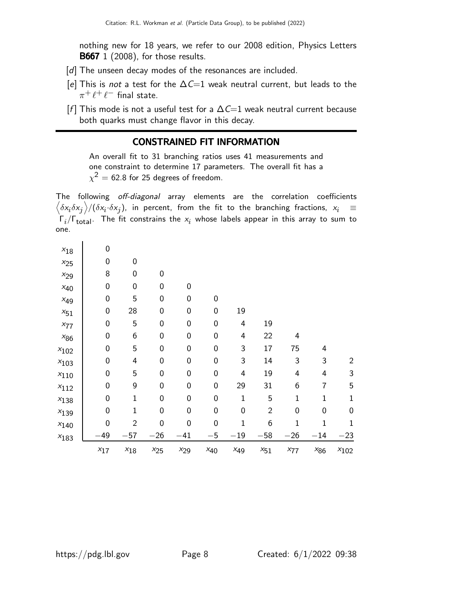nothing new for 18 years, we refer to our 2008 edition, Physics Letters **B667** 1 (2008), for those results.

- [d] The unseen decay modes of the resonances are included.
- [e] This is not a test for the  $\Delta C=1$  weak neutral current, but leads to the  $\pi^+ \, \ell^+ \, \ell^-$  final state.
- [f] This mode is not a useful test for a  $\Delta C=1$  weak neutral current because both quarks must change flavor in this decay.

#### CONSTRAINED FIT INFORMATION

An overall fit to 31 branching ratios uses 41 measurements and one constraint to determine 17 parameters. The overall fit has a  $\chi^2=$  62.8 for 25 degrees of freedom.

The following off-diagonal array elements are the correlation coefficients  $\left<\delta x_i\delta x_j\right>$ / $(\delta x_i\cdot\delta x_j)$ , in percent, from the fit to the branching fractions,  $x_i$   $\;\equiv$  $\mathsf{\Gamma}_i/\mathsf{\Gamma}_{\mathsf{total}}$ . The fit constrains the  $\mathsf{x}_i$  whose labels appear in this array to sum to one.

| $x_{18}$  | $\mathbf 0$      |                |                  |             |                  |                  |              |              |              |                |
|-----------|------------------|----------------|------------------|-------------|------------------|------------------|--------------|--------------|--------------|----------------|
| $x_{25}$  | 0                | $\mathbf 0$    |                  |             |                  |                  |              |              |              |                |
| $x_{29}$  | 8                | 0              | 0                |             |                  |                  |              |              |              |                |
| $x_{40}$  | $\pmb{0}$        | $\mathbf 0$    | $\boldsymbol{0}$ | 0           |                  |                  |              |              |              |                |
| $x_{49}$  | $\mathbf 0$      | 5              | $\boldsymbol{0}$ | 0           | $\boldsymbol{0}$ |                  |              |              |              |                |
| $x_{51}$  | $\boldsymbol{0}$ | 28             | 0                | 0           | $\boldsymbol{0}$ | 19               |              |              |              |                |
| $x_{77}$  | $\mathbf 0$      | 5              | 0                | 0           | $\boldsymbol{0}$ | 4                | 19           |              |              |                |
| $x_{86}$  | $\boldsymbol{0}$ | 6              | $\boldsymbol{0}$ | 0           | $\boldsymbol{0}$ | 4                | 22           | 4            |              |                |
| $x_{102}$ | 0                | 5              | $\boldsymbol{0}$ | 0           | $\boldsymbol{0}$ | 3                | 17           | 75           | 4            |                |
| $x_{103}$ | $\mathbf 0$      | 4              | 0                | 0           | $\boldsymbol{0}$ | 3                | 14           | 3            | 3            | $\overline{2}$ |
| $x_{110}$ | $\mathbf 0$      | 5              | $\boldsymbol{0}$ | 0           | $\boldsymbol{0}$ | 4                | 19           | 4            | 4            | 3              |
| $x_{112}$ | $\mathbf 0$      | 9              | 0                | 0           | $\boldsymbol{0}$ | 29               | 31           | 6            | 7            | 5              |
| $x_{138}$ | $\mathbf 0$      | 1              | 0                | $\mathbf 0$ | $\boldsymbol{0}$ | $\mathbf 1$      | 5            | $\mathbf{1}$ | $\mathbf 1$  | $\mathbf{1}$   |
| $x_{139}$ | 0                | 1              | $\boldsymbol{0}$ | 0           | $\boldsymbol{0}$ | $\boldsymbol{0}$ | $\mathbf{2}$ | 0            | 0            | $\mathbf 0$    |
| $x_{140}$ | $\mathbf 0$      | $\overline{2}$ | 0                | 0           | $\boldsymbol{0}$ | $\mathbf 1$      | 6            | $\mathbf 1$  | $\mathbf{1}$ | 1              |
| $x_{183}$ | 49               | $-57$          | $-26$            | $-41$       | $-5$             | $-19$            | $-58$        | $-26$        | $-14$        | $-23$          |
|           | $x_{17}$         | $x_{18}$       | $x_{25}$         | $x_{29}$    | $x_{40}$         | $x_{49}$         | $x_{51}$     | $x_{77}$     | $x_{86}$     | $x_{102}$      |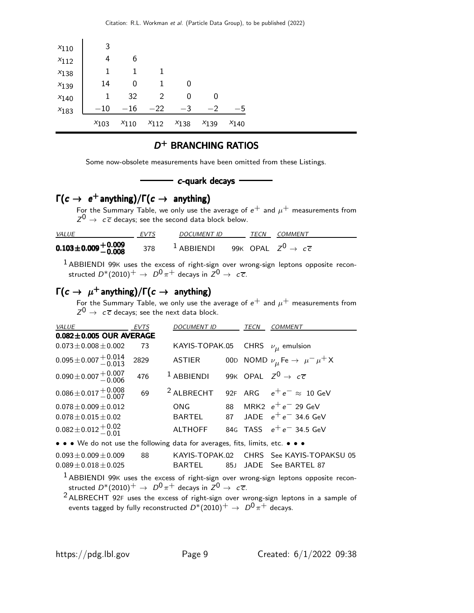| $x_{110}$ | 3         |           |           |           |           |           |
|-----------|-----------|-----------|-----------|-----------|-----------|-----------|
| $x_{112}$ | 4         | 6         |           |           |           |           |
| $x_{138}$ | 1         | 1         | 1         |           |           |           |
| $x_{139}$ | 14        | 0         | 1         | 0         |           |           |
| $x_{140}$ | 1         | 32        | 2         | 0         | 0         |           |
| $x_{183}$ | $^{-10}$  | $-16$     | $-22$     | $-3$      | $-2$      | – ხ       |
|           | $x_{103}$ | $x_{110}$ | $x_{112}$ | $x_{138}$ | $x_{139}$ | $x_{140}$ |

#### D<sup>+</sup> BRANCHING RATIOS

Some now-obsolete measurements have been omitted from these Listings.

#### - c-quark decays -

### $\Gamma(c \rightarrow e^+$  anything)/ $\Gamma(c \rightarrow a$ nything)

For the Summary Table, we only use the average of  $e^+$  and  $\mu^+$  measurements from  $Z^0 \rightarrow c\overline{c}$  decays; see the second data block below.

| <i>VALUE</i>                             | <b>EVTS</b> | DOCUMENT ID                                           | TECN | COMMENT |
|------------------------------------------|-------------|-------------------------------------------------------|------|---------|
| $0.103\!\pm\!0.009\frac{+0.009}{-0.008}$ | 378         | $^1$ ABBIENDI 99K OPAL $Z^0\rightarrow~c\overline{c}$ |      |         |

 $1$  ABBIENDI 99K uses the excess of right-sign over wrong-sign leptons opposite reconstructed  $D^*(2010)^+$   $\rightarrow$   $\ D^0 \pi^+$  decays in  $Z^0 \rightarrow \ c \overline{c}$ .

## $\Gamma(c \to \mu^+$  anything)/ $\Gamma(c \to \text{anything})$

For the Summary Table, we only use the average of  $e^+$  and  $\mu^+$  measurements from  $Z^0 \rightarrow c\overline{c}$  decays; see the next data block.

| <i><b>VALUE</b></i>                                                           | <b>EVTS</b> | <b>DOCUMENT ID</b>                       |      | TECN | <b>COMMENT</b>                                                                                  |
|-------------------------------------------------------------------------------|-------------|------------------------------------------|------|------|-------------------------------------------------------------------------------------------------|
| $0.082 \pm 0.005$ OUR AVERAGE                                                 |             |                                          |      |      |                                                                                                 |
| $0.073 \pm 0.008 \pm 0.002$                                                   | 73          | KAYIS-TOPAK.05 CHRS $\nu_{\mu}$ emulsion |      |      |                                                                                                 |
| $0.095 \pm 0.007 \begin{array}{c} +0.014 \\ -0.013 \end{array}$               | 2829        | ASTIER                                   |      |      | 00D NOMD $\nu_{\mu}$ Fe $\rightarrow \mu^{-} \mu^{+} X$                                         |
| $0.090 \pm 0.007 \begin{array}{c} +0.007 \\ -0.006 \end{array}$               | 476         | $1$ ABBIENDI                             |      |      | 99K OPAL $Z^0\,\rightarrow\,c\,\overline c$                                                     |
| $0.086 \pm 0.017 \begin{array}{c} +0.008 \\ -0.007 \end{array}$               | 69          |                                          |      |      | <sup>2</sup> ALBRECHT 92F ARG $e^+e^- \approx 10$ GeV                                           |
| $0.078 \pm 0.009 \pm 0.012$                                                   |             | ONG                                      | 88   |      | MRK2 $e^+e^-$ 29 GeV                                                                            |
| $0.078 \pm 0.015 \pm 0.02$                                                    |             | BARTEL                                   | 87   |      | JADE $e^+e^-$ 34.6 GeV                                                                          |
| $0.082 \pm 0.012 \pm 0.02$                                                    |             | <b>ALTHOFF</b>                           |      |      | 84G TASS $e^+e^-$ 34.5 GeV                                                                      |
| • • • We do not use the following data for averages, fits, limits, etc. • • • |             |                                          |      |      |                                                                                                 |
| $0.093 \pm 0.009 \pm 0.009$<br>$0.089 \pm 0.018 \pm 0.025$                    | 88          | KAYIS-TOPAK.02<br>BARTEL                 | 85.1 |      | CHRS See KAYIS-TOPAKSU 05<br>JADE See BARTEL 87                                                 |
|                                                                               |             |                                          |      |      | <sup>1</sup> ABBIENDI 99K uses the excess of right-sign over wrong-sign leptons opposite recon- |

structed  $D^*(2010)^+$   $\rightarrow$   $\ D^0 \pi^+$  decays in  $Z^0 \rightarrow \ c \overline{c}$ .

 $2$  ALBRECHT 92F uses the excess of right-sign over wrong-sign leptons in a sample of events tagged by fully reconstructed  $D^*(2010)^+$   $\rightarrow$   $D^0 \pi^+$  decays.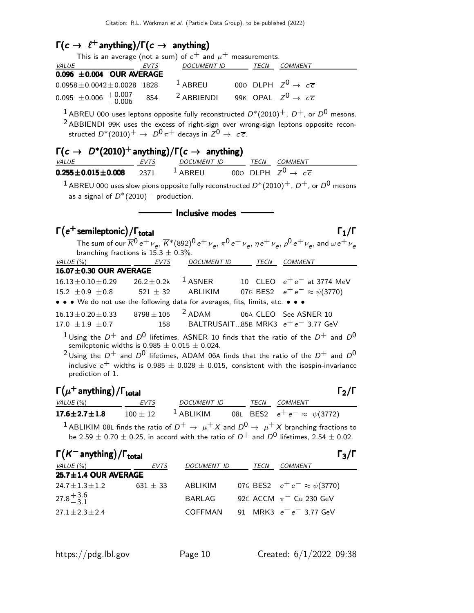### $\Gamma(c \to \ell^+$  anything)/ $\Gamma(c \to \alpha)$  anything)

|                                                                                                                                                 |             | This is an average (not a sum) of $e^+$ and $\mu^+$ measurements. |  |  |                                                                                                                                                                                                              |  |  |
|-------------------------------------------------------------------------------------------------------------------------------------------------|-------------|-------------------------------------------------------------------|--|--|--------------------------------------------------------------------------------------------------------------------------------------------------------------------------------------------------------------|--|--|
| VALUE                                                                                                                                           | EVTS        | DOCUMENT ID TECN COMMENT                                          |  |  |                                                                                                                                                                                                              |  |  |
| 0.096 ±0.004 OUR AVERAGE                                                                                                                        |             |                                                                   |  |  |                                                                                                                                                                                                              |  |  |
| $0.0958 \pm 0.0042 \pm 0.0028$ 1828                                                                                                             |             | <sup>1</sup> ABREU 000 DLPH $Z^0 \rightarrow c\overline{c}$       |  |  |                                                                                                                                                                                                              |  |  |
| $0.095 \pm 0.006 + 0.007$                                                                                                                       | 854         | <sup>2</sup> ABBIENDI                                             |  |  | 99K OPAL $Z^0\,\rightarrow\, \,c\, \overline c$                                                                                                                                                              |  |  |
| structed $D^*(2010)^+$ $\rightarrow$ $D^0 \pi^+$ decays in $Z^0 \rightarrow c\overline{c}$ .                                                    |             |                                                                   |  |  | <sup>1</sup> ABREU 000 uses leptons opposite fully reconstructed $D^*(2010)^+$ , $D^+$ , or $D^0$ mesons.<br><sup>2</sup> ABBIENDI 99K uses the excess of right-sign over wrong-sign leptons opposite recon- |  |  |
| $\Gamma(c \to D^*(2010)^+$ anything)/ $\Gamma(c \to \text{anything})$                                                                           |             |                                                                   |  |  |                                                                                                                                                                                                              |  |  |
| <i>VALUE</i>                                                                                                                                    |             | <u>EVTS DOCUMENT ID TECN COMMENT</u>                              |  |  |                                                                                                                                                                                                              |  |  |
| $0.255 \pm 0.015 \pm 0.008$                                                                                                                     | 2371        | <sup>1</sup> ABREU 000 DLPH $Z^0 \rightarrow c\overline{c}$       |  |  |                                                                                                                                                                                                              |  |  |
| $^1$ ABREU 000 uses slow pions opposite fully reconstructed $D^*(2010)^+$ , $D^+$ , or $D^0$ mesons<br>as a signal of $D^*(2010)^-$ production. |             |                                                                   |  |  |                                                                                                                                                                                                              |  |  |
| Inclusive modes                                                                                                                                 |             |                                                                   |  |  |                                                                                                                                                                                                              |  |  |
|                                                                                                                                                 |             |                                                                   |  |  |                                                                                                                                                                                                              |  |  |
|                                                                                                                                                 |             |                                                                   |  |  | $\Gamma_1/\Gamma$                                                                                                                                                                                            |  |  |
| $\Gamma(e^+$ semileptonic) / $\Gamma_{total}$                                                                                                   |             |                                                                   |  |  | The sum of our $\overline{K}^0 e^+ \nu_e$ , $\overline{K}^*(892)^0 e^+ \nu_e$ , $\pi^0 e^+ \nu_e$ , $\eta e^+ \nu_e$ , $\rho^0 e^+ \nu_e$ , and $\omega e^+ \nu_e$                                           |  |  |
| branching fractions is $15.3 \pm 0.3\%$ .                                                                                                       |             |                                                                   |  |  |                                                                                                                                                                                                              |  |  |
| VALUE (%)                                                                                                                                       | <b>EVTS</b> | DOCUMENT ID                                                       |  |  | TECN COMMENT                                                                                                                                                                                                 |  |  |
| 16.07±0.30 OUR AVERAGE                                                                                                                          |             |                                                                   |  |  |                                                                                                                                                                                                              |  |  |
| $16.13 \pm 0.10 \pm 0.29$                                                                                                                       |             | $26.2 \pm 0.2$ k $^{-1}$ ASNER                                    |  |  | 10 CLEO $e^+e^-$ at 3774 MeV                                                                                                                                                                                 |  |  |
| 15.2 $\pm$ 0.9 $\pm$ 0.8 521 $\pm$ 32 ABLIKIM 07G BES2 $e^+e^- \approx \psi(3770)$                                                              |             |                                                                   |  |  |                                                                                                                                                                                                              |  |  |
| • • • We do not use the following data for averages, fits, limits, etc. • • •                                                                   |             |                                                                   |  |  |                                                                                                                                                                                                              |  |  |
| $16.13 \pm 0.20 \pm 0.33$ 8798 $\pm$ 105 <sup>2</sup> ADAM                                                                                      |             |                                                                   |  |  | 06A CLEO See ASNER 10                                                                                                                                                                                        |  |  |
| $17.0 \pm 1.9 \pm 0.7$                                                                                                                          |             | 158                                                               |  |  | BALTRUSAIT85B MRK3 $e^+e^-$ 3.77 GeV                                                                                                                                                                         |  |  |

 $^2$ Using the  $D^+$  and  $D^0$  lifetimes, ADAM 06A finds that the ratio of the  $D^+$  and  $D^0$ inclusive  $e^+$  widths is 0.985  $\pm$  0.028  $\pm$  0.015, consistent with the isospin-invariance prediction of 1.

# $\Gamma(\mu^+$  anything) / Γ<sub>total</sub> 2 (περιλαμβάνει 2012) - 2 (περιλαμβάνει 2012) - 2 (περι

| VALUE (%)                | EVTS         | DOCUMENT ID |  | <i>TECN COMMENT</i>                  |  |
|--------------------------|--------------|-------------|--|--------------------------------------|--|
| 17.6 $\pm$ 2.7 $\pm$ 1.8 | $100 \pm 12$ | $1$ ABLIKIM |  | 08L BES2 $e^+e^- \approx \psi(3772)$ |  |

 $1$  ABLIKIM 08L finds the ratio of  $D^+ \rightarrow \mu^+ X$  and  $D^0 \rightarrow \mu^+ X$  branching fractions to be 2.59  $\pm$  0.70  $\pm$  0.25, in accord with the ratio of  $D^+$  and  $D^0$  lifetimes, 2.54  $\pm$  0.02.

|              |                                                                                |      | $\Gamma_3/\Gamma$                      |
|--------------|--------------------------------------------------------------------------------|------|----------------------------------------|
| <b>EVTS</b>  | <b>DOCUMENT ID</b>                                                             | TECN | COMMENT                                |
|              |                                                                                |      |                                        |
| $631 \pm 33$ | ABLIKIM                                                                        |      | 07G BES2 $e^+e^- \approx \psi(3770)$   |
|              | BARLAG                                                                         |      | 92C ACCM $\pi$ <sup>-</sup> Cu 230 GeV |
|              | COFFMAN                                                                        |      | 91 MRK3 $e^+e^-$ 3.77 GeV              |
|              | $\Gamma(K^-$ anything) / $\Gamma_{\text{total}}$<br>$25.7 \pm 1.4$ OUR AVERAGE |      |                                        |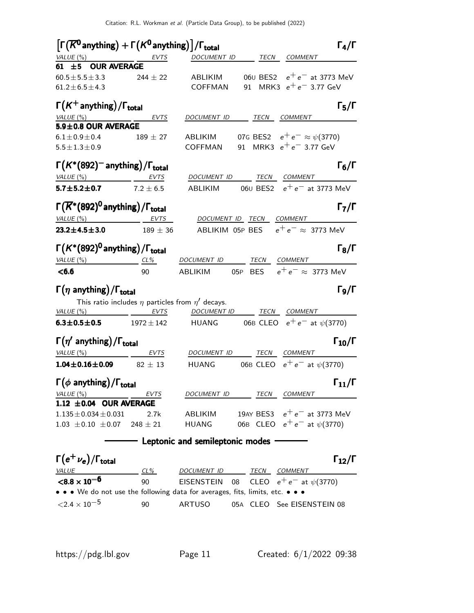| $\left[\Gamma(\overline{K^0}$ anything) + $\Gamma(K^0$ anything) $\left] / \Gamma_\mathrm{total} \right]$ |                |                                                                                  | $\Gamma_4/\Gamma$        |
|-----------------------------------------------------------------------------------------------------------|----------------|----------------------------------------------------------------------------------|--------------------------|
| VALUE (%) EVTS                                                                                            |                | DOCUMENT ID TECN COMMENT                                                         |                          |
| 61 ±5 OUR AVERAGE                                                                                         |                |                                                                                  |                          |
| $60.5 \pm 5.5 \pm 3.3$                                                                                    | $244 \pm 22$   | 060 BES2 $e^+e^-$ at 3773 MeV<br>ABLIKIM                                         |                          |
| $61.2 \pm 6.5 \pm 4.3$                                                                                    |                | 91 MRK3 $e^+e^-$ 3.77 GeV<br><b>COFFMAN</b>                                      |                          |
| $\Gamma(K^+$ anything)/ $\Gamma_{\text{total}}$                                                           |                |                                                                                  | $\Gamma_5/\Gamma$        |
| VALUE $(\%)$                                                                                              | EVTS           | DOCUMENT ID TECN COMMENT                                                         |                          |
| 5.9±0.8 OUR AVERAGE                                                                                       |                |                                                                                  |                          |
| $6.1 \pm 0.9 \pm 0.4$                                                                                     | $189 \pm 27$   | 07G BES2 $e^+e^- \approx \psi(3770)$<br>ABLIKIM                                  |                          |
| $5.5 \pm 1.3 \pm 0.9$                                                                                     |                | 91 MRK3 $e^+e^-$ 3.77 GeV<br>COFFMAN                                             |                          |
| $\Gamma(K^*(892)^-$ anything)/ $\Gamma_{\text{total}}$                                                    |                |                                                                                  | $\Gamma_6/\Gamma$        |
| $VALUE(%)$ EVTS                                                                                           |                | DOCUMENT ID TECN COMMENT                                                         |                          |
| 5.7 $\pm$ 5.2 $\pm$ 0.7 7.2 $\pm$ 6.5                                                                     |                | 06 $\scriptstyle\rm U$ BES2 $\scriptstyle\rm e^+e^-$ at 3773 MeV<br>ABLIKIM      |                          |
| $\Gamma(\overline{K}^*(892)^0)$ anything) / $\Gamma_{\rm total}$                                          |                |                                                                                  | $\Gamma_7/\Gamma$        |
| $VALUE (%)$ EVTS                                                                                          |                | DOCUMENT ID TECN COMMENT                                                         |                          |
| $23.2 \pm 4.5 \pm 3.0$                                                                                    | $189\pm36$     | ABLIKIM 05P BES $e^+e^- \approx 3773$ MeV                                        |                          |
| $\Gamma(K^*(892)^0)$ anything) / $\Gamma_{\text{total}}$                                                  |                |                                                                                  | $\Gamma_8/\Gamma$        |
| VALUE $(\%)$<br>$CL\%$                                                                                    |                | DOCUMENT ID<br><b>TECN COMMENT</b>                                               |                          |
|                                                                                                           |                |                                                                                  |                          |
| < 6.6                                                                                                     | 90             | 05P BES $e^+e^- \approx$ 3773 MeV<br>ABLIKIM                                     |                          |
| $\Gamma(\eta \text{ anything})/\Gamma_{\text{total}}$                                                     |                |                                                                                  | $\Gamma$ <sub>9</sub> /Γ |
|                                                                                                           |                | This ratio includes $\eta$ particles from $\eta'$ decays.                        |                          |
| VALUE(%)                                                                                                  | EVTS           | DOCUMENT ID TECN COMMENT                                                         |                          |
| $6.3 \pm 0.5 \pm 0.5$                                                                                     | $1972 \pm 142$ | HUANG 06B CLEO $e^+e^-$ at $\psi(3770)$                                          |                          |
|                                                                                                           |                |                                                                                  |                          |
| $\Gamma(\eta'$ anything)/ $\Gamma_{\text{total}}$                                                         |                | DOCUMENT ID TECN COMMENT                                                         | $\Gamma_{10}/\Gamma$     |
| $VALUE(%)$ EVTS<br>$1.04 \pm 0.16 \pm 0.09$ 82 $\pm$ 13                                                   |                | HUANG 06B CLEO $e^+e^-$ at $\psi(3770)$                                          |                          |
|                                                                                                           |                |                                                                                  |                          |
| $\Gamma(\phi$ anything)/ $\Gamma_{\text{total}}$                                                          |                | $\Gamma_{11}/\Gamma$                                                             |                          |
| VALUE(%)                                                                                                  | EVTS           | DOCUMENT ID<br>TECN<br><b>COMMENT</b>                                            |                          |
| 1.12 $\pm$ 0.04 OUR AVERAGE<br>$1.135 \pm 0.034 \pm 0.031$                                                | 2.7k           | 19AY BES3 $e^+e^-$ at 3773 MeV<br>ABLIKIM                                        |                          |
| $1.03 \pm 0.10 \pm 0.07$                                                                                  | $248 \pm 21$   | 06B CLEO $e^+e^-$ at $\psi$ (3770)<br><b>HUANG</b>                               |                          |
|                                                                                                           |                | Leptonic and semileptonic modes                                                  |                          |
|                                                                                                           |                |                                                                                  |                          |
| $\Gamma(e^+\nu_e)/\Gamma_{\rm total}$<br><i>VALUE</i>                                                     |                |                                                                                  | $\Gamma_{12}/\Gamma$     |
| ${<}8.8\times10^{-6}$                                                                                     | CL%<br>90      | TECN COMMENT<br>DOCUMENT ID<br>CLEO $e^+e^-$ at $\psi(3770)$<br>EISENSTEIN<br>08 |                          |

 $<$ 2.4  $\times$  10<sup>-5</sup> 90 ARTUSO 05A CLEO See EISENSTEIN 08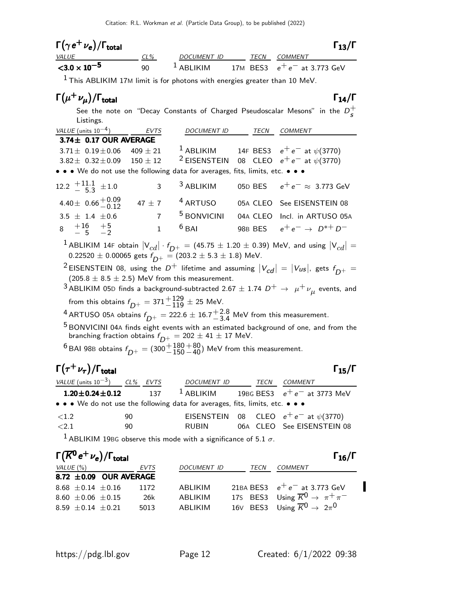| $\Gamma(\gamma e^+ \nu_e)/\Gamma_{\rm total}$                                                       |                |                                                                         |    | $\Gamma_{13}/\Gamma$                                                                                                                                                                                                                  |
|-----------------------------------------------------------------------------------------------------|----------------|-------------------------------------------------------------------------|----|---------------------------------------------------------------------------------------------------------------------------------------------------------------------------------------------------------------------------------------|
| <i>VALUE</i>                                                                                        | $CL\%$         | DOCUMENT ID TECN COMMENT                                                |    |                                                                                                                                                                                                                                       |
| $<$ 3.0 $\times$ 10 <sup>-5</sup>                                                                   | 90             | $1$ ABLIKIM                                                             |    | 17M BES3 $e^+e^-$ at 3.773 GeV                                                                                                                                                                                                        |
| $1$ This ABLIKIM 17M limit is for photons with energies greater than 10 MeV.                        |                |                                                                         |    |                                                                                                                                                                                                                                       |
| $\Gamma(\mu^+\nu_{\mu})/\Gamma_{\rm total}$                                                         |                |                                                                         |    | $\Gamma_{14}/\Gamma$                                                                                                                                                                                                                  |
| Listings.                                                                                           |                |                                                                         |    | See the note on "Decay Constants of Charged Pseudoscalar Mesons" in the $D_{\epsilon}^{+}$                                                                                                                                            |
| VALUE (units $10^{-4}$ ) EVTS                                                                       |                | DOCUMENT ID TECN COMMENT                                                |    |                                                                                                                                                                                                                                       |
| 3.74± 0.17 OUR AVERAGE                                                                              |                |                                                                         |    |                                                                                                                                                                                                                                       |
| $3.71 \pm 0.19 \pm 0.06$                                                                            | 409 $\pm$ 21   |                                                                         |    | <sup>1</sup> ABLIKIM 14F BES3 $e^+e^-$ at $\psi(3770)$                                                                                                                                                                                |
| $3.82 \pm 0.32 \pm 0.09$                                                                            | $150 \pm 12$   |                                                                         |    | <sup>2</sup> EISENSTEIN 08 CLEO $e^+e^-$ at $\psi(3770)$                                                                                                                                                                              |
| • • • We do not use the following data for averages, fits, limits, etc. • • •                       |                |                                                                         |    |                                                                                                                                                                                                                                       |
| 12.2 $+11.1$ $\pm 1.0$                                                                              | 3              | <sup>3</sup> ABLIKIM                                                    |    | 05D BES $e^+e^- \approx 3.773$ GeV                                                                                                                                                                                                    |
| 4.40 ± $0.66 + 0.09$<br>-0.12                                                                       | 47 $\pm$ 7     | $4$ ARTUSO                                                              |    | 05A CLEO See EISENSTEIN 08                                                                                                                                                                                                            |
| $3.5 \pm 1.4 \pm 0.6$                                                                               | $\overline{7}$ | <sup>5</sup> BONVICINI                                                  |    | 04A CLEO Incl. in ARTUSO 05A                                                                                                                                                                                                          |
| $8 +16 +5$<br>-5 -2                                                                                 | $\mathbf{1}$   | $6$ BAI                                                                 |    | 98B BES $e^+e^- \rightarrow D^{*+}D^-$                                                                                                                                                                                                |
|                                                                                                     |                | 0.22520 $\pm$ 0.00065 gets $f_{D^+}$ = (203.2 $\pm$ 5.3 $\pm$ 1.8) MeV. |    | $^1$ ABLIKIM 14F obtain $ {\mathsf V}_{cd}  \cdot f_{D^+} = (45.75 \pm 1.20 \pm 0.39)$ MeV, and using $ {\mathsf V}_{cd}  =$                                                                                                          |
|                                                                                                     |                | $(205.8 \pm 8.5 \pm 2.5)$ MeV from this measurement.                    |    | <sup>2</sup> EISENSTEIN 08, using the D <sup>+</sup> lifetime and assuming $ V_{cd}  =  V_{us} $ , gets $f_{D^+} =$<br>$^3$ ABLIKIM 05D finds a background-subtracted 2.67 $\pm$ 1.74 $D^+$ $\rightarrow$ $\mu^+ \nu_\mu$ events, and |
|                                                                                                     |                |                                                                         |    |                                                                                                                                                                                                                                       |
| from this obtains $f_{D^+} = 371^{+129}_{-119} \pm 25$ MeV.                                         |                |                                                                         |    |                                                                                                                                                                                                                                       |
| <sup>4</sup> ARTUSO 05A obtains $f_{D^+} = 222.6 \pm 16.7^{+2.8}_{-3.4}$ MeV from this measurement. |                |                                                                         |    |                                                                                                                                                                                                                                       |
|                                                                                                     |                | branching fraction obtains $f_{D^+} = 202 \pm 41 \pm 17$ MeV.           |    | <sup>5</sup> BONVICINI 04A finds eight events with an estimated background of one, and from the                                                                                                                                       |
| <sup>6</sup> BAI 98B obtains $f_{D^+} = (300^{+180}_{-150} + 80)$ MeV from this measurement.        |                |                                                                         |    |                                                                                                                                                                                                                                       |
| $\Gamma(\tau^+\nu_\tau)/\Gamma_{\rm total}$                                                         |                |                                                                         |    | $\Gamma_{15}/\Gamma$                                                                                                                                                                                                                  |
| <u>VALUE (units 10<math>^{-3}</math>) CL% EVTS DOCUMENT ID TECN COMMENT</u>                         |                |                                                                         |    |                                                                                                                                                                                                                                       |
| $1.20 \pm 0.24 \pm 0.12$                                                                            | 137            | <sup>1</sup> ABLIKIM                                                    |    | 19BG BES3 $e^+e^-$ at 3773 MeV                                                                                                                                                                                                        |
| • • • We do not use the following data for averages, fits, limits, etc. • • •                       |                |                                                                         |    |                                                                                                                                                                                                                                       |
| ${<}1.2$                                                                                            | 90             | EISENSTEIN                                                              | 08 | CLEO $e^+e^-$ at $\psi(3770)$                                                                                                                                                                                                         |
| ${<}2.1$                                                                                            | 90             | <b>RUBIN</b>                                                            |    | 06A CLEO See EISENSTEIN 08                                                                                                                                                                                                            |
| <sup>1</sup> ABLIKIM 19BG observe this mode with a significance of 5.1 $\sigma$ .                   |                |                                                                         |    |                                                                                                                                                                                                                                       |

 $\Gamma(\overline{K^0}e^+\nu_e)/\Gamma_{\rm total}$  Γ<sub>16</sub>/Γ VALUE (%) **EVTS** DOCUMENT ID TECN COMMENT **8.72**  $\pm$ **0.09 OUR AVERAGE** 8.68  $\pm$ 0.14  $\pm$ 0.16 1172 I 8.68  $\pm$  0.14  $\pm$  0.16 1172 ABLIKIM 21BA BES3  $e^+e^-$  at 3.773 GeV 8.60  $\pm$  0.06  $\pm$  0.15 26k ABLIKIM 17s BES3 Using  $\overline{K}^0 \rightarrow \pi^+ \pi^ 8.59 \pm 0.14 \pm 0.21$  5013 ABLIKIM 16 $\lor$  BES3 Using  $\overline{K}^0 \rightarrow 2\pi^0$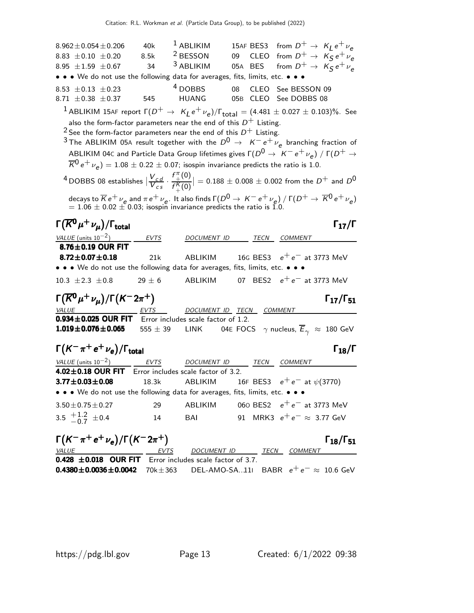$8.962 \pm 0.054 \pm 0.206$  40k 1 ABLIKIM 15AF BES3 from  $D^+ \rightarrow K_L e^+ \nu_e$ 8.83  $\pm$  0.10  $\pm$  0.20 8.5k <sup>2</sup> BESSON 09 CLEO from  $D^+ \rightarrow K_S^+ e^+ \nu_e$ 8.95  $\pm$ 1.59  $\pm$ 0.67 34 <sup>3</sup> ABLIKIM 05A BES from  $D^+ \rightarrow K_S^+ e^+ \nu_e^-$ • • • We do not use the following data for averages, fits, limits, etc. • • •  $8.53 \pm 0.13 \pm 0.23$   $4$  DOBBS 08 CLEO See BESSON 09<br>  $8.71 \pm 0.38 \pm 0.37$  545 HUANG 05B CLEO See DOBBS 08 05B CLEO See DOBBS 08  $^1$  ABLIKIM 15AF report  $\Gamma(D^+ \to~$  K<sub>L</sub> e<sup>+</sup>  $\nu_e$ )/ $\Gamma_{\rm total} = (4.481 \pm 0.027 \pm 0.103)\%$ . See also the form-factor parameters near the end of this  $D^+$  Listing.  $^2$  See the form-factor parameters near the end of this  $D^+$  Listing.  $^3$ The ABLIKIM 05A result together with the  $D^0 \rightarrow \ K^- e^+ \nu_e$  branching fraction of ABLIKIM 04C and Particle Data Group lifetimes gives  $\Gamma(D^0 \rightarrow \left| K^- \, e^+ \, \nu_e \right\rangle$  /  $\Gamma(D^+ \rightarrow$  $\overline{\cal K}^0\,e^+\,\nu_e) = 1.08\pm 0.22\pm 0.07;$  isospin invariance predicts the ratio is  $1.0.1$ <sup>4</sup> DOBBS 08 establishes  $|\frac{V_{cd}}{V_{cs}}|$  $\overline{V_{cs}}^{\epsilon s}$ .  $f^{\pi}$  $^{\pi}_{+}(0)$  $f_{\perp}^{K}(0)$ decays to  $\overline{K}e^+$  ν<sub>e</sub> and  $\pi e^+$  ν<sub>e</sub>. It also finds  $\Gamma(D^0 \rightarrow K^-e^+\nu_e) / \Gamma(D^+ \rightarrow \overline{K}^0e^+\nu_e)$  $\vert = 0.188 \pm 0.008 \pm 0.002$  from the  $D^+$  and  $D^0$  $= 1.06 \pm 0.02 \pm 0.03$ ; isospin invariance predicts the ratio is 1.0. Γ $(\overline{K^0} \mu^+ \nu_{\mu})/\Gamma_{\rm total}$ Γ VALUE (units  $10^{-2}$ ) EVTS DOCUMENT ID TECN COMMENT  $8.76\pm0.19$  OUR FIT **8.72±0.07±0.18** 21k ABLIKIM 16G BES3  $e^+e^-$  at 3773 MeV • • • We do not use the following data for averages, fits, limits, etc.  $10.3 \pm 2.3 \pm 0.8$  29  $\pm$  6 ABLIKIM 07 BES2  $e^+e^-$  at 3773 MeV  $\Gamma(\overline{K^0}\mu^+\nu_{\mu})/\Gamma(K^-2\pi^+)$  Γ<sub>17</sub>/Γ<sub>51</sub>  $\Gamma_{17}/\Gamma_{51}$ DOCUMENT ID TECN COMMENT **0.934±0.025 OUR FIT** Error includes scale factor of 1.2.<br>**1.019±0.076±0.065** 555 ± 39 LINK 04E FOO 04E FOCS  $\gamma$  nucleus,  $\overline{E}_{\gamma}$   $\approx$  180 GeV  $\Gamma(K^-\pi^+e^+\nu_e)/\Gamma_{\rm total}$ VALUE (units  $10^{-2}$ ) EVTS DOCUMENT ID TECN COMMENT **4.02** $\pm$ **0.18 OUR FIT** Error includes scale factor of 3.2.<br>**3.77** $\pm$ **0.03** $\pm$ **0.08** 18.3k ABLIKIM 1 16F BES3  $e^+e^-$  at  $\psi$ (3770) • • • We do not use the following data for averages, fits, limits, etc. • • •  $3.50 \pm 0.75 \pm 0.27$  29 ABLIKIM 060 BES2  $e^+ e^-$  at 3773 MeV 3.5  $\pm$  1.2  $-0.7$  $14$  BAI 91 MRK3  $e^+e^- \approx 3.77$  GeV  $\Gamma(K^-\pi^+e^+\nu_e)/\Gamma(K^-2\pi^+)$  Γ<sub>18</sub>/Γ<sub>51</sub>  $\Gamma_{18}/\Gamma_{51}$ VALUE **EVTS** DOCUMENT ID TECN COMMENT **0.428**  $\pm$ **0.018 OUR FIT** Error includes scale factor of 3.7. **0.4380±0.0036±0.0042** 70k±363 DEL-AMO-SA..11I BABR  $e^+e^- \approx 10.6$  GeV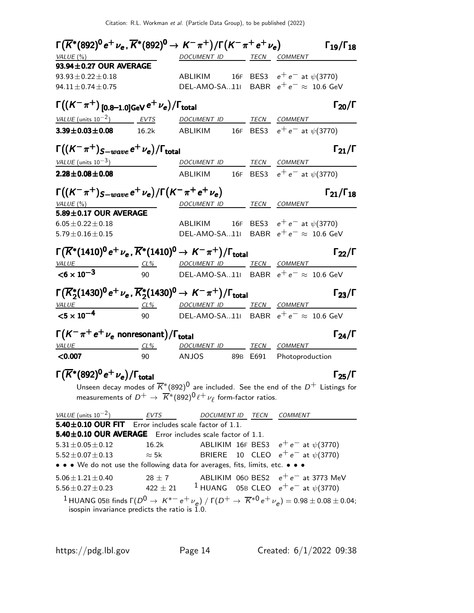| $\Gamma(\overline{K}^*(892)^0 e^+ \nu_e, \overline{K}^*(892)^0 \to K^-\pi^+) / \Gamma(K^-\pi^+ e^+ \nu_e)$                                                                              |              |                                                                                                         |  |                                            | $\Gamma_{19}/\Gamma_{18}$ |
|-----------------------------------------------------------------------------------------------------------------------------------------------------------------------------------------|--------------|---------------------------------------------------------------------------------------------------------|--|--------------------------------------------|---------------------------|
| VALUE $(\%)$                                                                                                                                                                            |              | DOCUMENT ID TECN COMMENT                                                                                |  |                                            |                           |
| 93.94±0.27 OUR AVERAGE                                                                                                                                                                  |              |                                                                                                         |  |                                            |                           |
| $93.93 \pm 0.22 \pm 0.18$                                                                                                                                                               |              | ABLIKIM 16F BES3 $e^+e^-$ at $\psi(3770)$                                                               |  |                                            |                           |
| $94.11 \pm 0.74 \pm 0.75$                                                                                                                                                               |              | DEL-AMO-SA11 BABR $e^+e^- \approx 10.6$ GeV                                                             |  |                                            |                           |
| $\Gamma((K^-\pi^+)$ [0.8–1.0]GeV $e^+\nu_e)/\Gamma_{\rm total}$                                                                                                                         |              |                                                                                                         |  |                                            | $\Gamma_{20}/\Gamma$      |
| VALUE (units $10^{-2}$ ) EVTS                                                                                                                                                           |              | DOCUMENT ID TECN COMMENT                                                                                |  |                                            |                           |
| $3.39 \pm 0.03 \pm 0.08$ 16.2k                                                                                                                                                          |              | ABLIKIM 16F BES3 $e^+e^-$ at $\psi(3770)$                                                               |  |                                            |                           |
| $\Gamma((K^-\pi^+)_{S-wave}e^+\nu_e)/\Gamma_{\rm total}$                                                                                                                                |              |                                                                                                         |  |                                            | $\Gamma_{21}/\Gamma$      |
| $VALUE$ (units $10^{-3}$ )                                                                                                                                                              |              | DOCUMENT ID TECN COMMENT                                                                                |  |                                            |                           |
| $2.28 \pm 0.08 \pm 0.08$                                                                                                                                                                |              | ABLIKIM 16F BES3 $e^+e^-$ at $\psi(3770)$                                                               |  |                                            |                           |
| $\Gamma((K^-\pi^+)_{S-wave}e^+\nu_e)/\Gamma(K^-\pi^+e^+\nu_e)$                                                                                                                          |              |                                                                                                         |  |                                            | $\Gamma_{21}/\Gamma_{18}$ |
| VALUE $(\%)$                                                                                                                                                                            |              | DOCUMENT ID                                                                                             |  | TECN COMMENT                               |                           |
| 5.89±0.17 OUR AVERAGE                                                                                                                                                                   |              |                                                                                                         |  |                                            |                           |
| $6.05 \pm 0.22 \pm 0.18$                                                                                                                                                                |              | ABLIKIM 16F BES3 $e^+e^-$ at $\psi(3770)$                                                               |  |                                            |                           |
| $5.79 \pm 0.16 \pm 0.15$                                                                                                                                                                |              | DEL-AMO-SA11 BABR $e^+e^- \approx 10.6$ GeV                                                             |  |                                            |                           |
| $\Gamma(\overline{K}^*(1410)^0 e^+ \nu_e, \overline{K}^*(1410)^0 \to K^-\pi^+) / \Gamma_{\text{total}}$                                                                                 |              |                                                                                                         |  |                                            | $\Gamma_{22}/\Gamma$      |
| $VALU E$ CL%                                                                                                                                                                            |              | DOCUMENT ID TECN COMMENT                                                                                |  |                                            |                           |
| $<$ 6 $\times$ 10 <sup>-3</sup>                                                                                                                                                         | 90           | $\textsf{DEL-AMO-SA11l}$ $\textsf{BABR}$ $\textsf{e}^+\textsf{e}^-\approx\textsf{10.6}$ GeV             |  |                                            |                           |
| $\Gamma(\overline{K}_2^*(1430)^0 \,\mathrm{e}^+\,\nu_{\mathrm{e}}$ , $\overline{K}_2^*(1430)^0 \to K^-\pi^+)/\Gamma_{\mathrm{total}}$                                                   |              |                                                                                                         |  |                                            | $\Gamma_{23}/\Gamma$      |
| <u>VALUE</u>                                                                                                                                                                            |              | <u>CL% DOCUMENT ID TECN COMMENT</u>                                                                     |  |                                            |                           |
| $<$ 5 $\times$ 10 <sup>-4</sup>                                                                                                                                                         | 90           | <code>DEL-AMO-SA<math>11</math></code> <code>BABR</code> $e^+e^- \approx 10.6$ GeV                      |  |                                            |                           |
| $\Gamma(K^-\pi^+e^+\nu_e$ nonresonant)/ $\Gamma_{\rm total}$                                                                                                                            |              |                                                                                                         |  |                                            | $\Gamma_{24}/\Gamma$      |
| $VALUE$ $CL\%$                                                                                                                                                                          |              | DOCUMENT ID TECN COMMENT                                                                                |  |                                            |                           |
| $<$ 0.007                                                                                                                                                                               | 90           | ANJOS 89B E691 Photoproduction                                                                          |  |                                            |                           |
| $\Gamma(\overline{K}^*(892)^0 e^+ \nu_e)/\Gamma_{\rm total}$                                                                                                                            |              |                                                                                                         |  |                                            | $\Gamma_{25}/\Gamma$      |
|                                                                                                                                                                                         |              | Unseen decay modes of $\overline{K}^{*}(892)^{0}$ are included. See the end of the $D^{+}$ Listings for |  |                                            |                           |
|                                                                                                                                                                                         |              | measurements of $D^+ \to \overline{K}^*(892)^0 \ell^+ \nu_\ell$ form-factor ratios.                     |  |                                            |                           |
| VALUE (units $10^{-2}$ )                                                                                                                                                                | EVTS         |                                                                                                         |  | DOCUMENT ID TECN COMMENT                   |                           |
| 5.40±0.10 OUR FIT Error includes scale factor of 1.1.                                                                                                                                   |              |                                                                                                         |  |                                            |                           |
| 5.40±0.10 OUR AVERAGE Error includes scale factor of 1.1.                                                                                                                               |              |                                                                                                         |  |                                            |                           |
| $5.31 \pm 0.05 \pm 0.12$                                                                                                                                                                | 16.2k        |                                                                                                         |  | ABLIKIM 16F BES3 $e^+e^-$ at $\psi$ (3770) |                           |
| $5.52 \pm 0.07 \pm 0.13$<br>• • • We do not use the following data for averages, fits, limits, etc. • • •                                                                               | $\approx$ 5k |                                                                                                         |  | BRIERE 10 CLEO $e^+e^-$ at $\psi(3770)$    |                           |
|                                                                                                                                                                                         |              |                                                                                                         |  |                                            |                           |
| $5.06 \pm 1.21 \pm 0.40$                                                                                                                                                                |              | $28 \pm 7$ ABLIKIM 060 BES2 $e^+e^-$ at 3773 MeV                                                        |  |                                            |                           |
| $5.56 \pm 0.27 \pm 0.23$                                                                                                                                                                |              | 422 ± 21 $1$ HUANG 05B CLEO $e^+e^-$ at $\psi(3770)$                                                    |  |                                            |                           |
| <sup>1</sup> HUANG 05B finds $\Gamma(D^0 \to K^{*-}e^+\nu_e) / \Gamma(D^+ \to \overline{K}^{*0}e^+\nu_e) = 0.98 \pm 0.08 \pm 0.04;$<br>isospin invariance predicts the ratio is $1.0$ . |              |                                                                                                         |  |                                            |                           |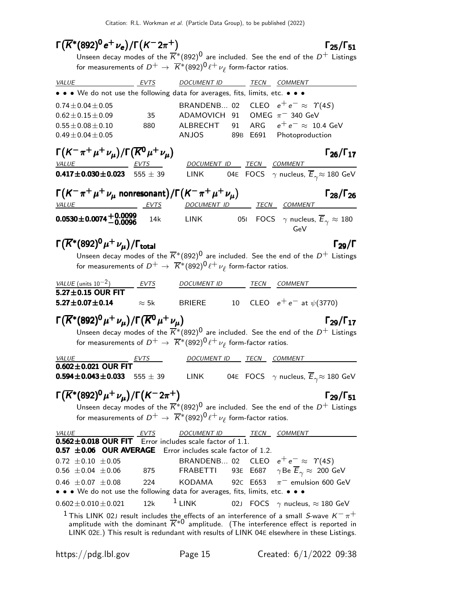# $\Gamma(\overline{K}^*(892)^0 e^+ \nu_e)/\Gamma(K^- 2\pi^+)$  Γ<sub>25</sub>/Γ<sub>51</sub>

Unseen decay modes of the  $\overline{K}^{*}(892)^{0}$  are included. See the end of the  $D^{+}$  Listings for measurements of  $D^+ \rightarrow~\overline{K}{}^*(892)^{\text{O}} \ell^+\,\nu_\ell$  form-factor ratios.

| <u>EVTS</u><br><i>VALUE</i>                                                        |              | DOCUMENT ID TECN COMMENT                                                                                                                                                                                                                                                                               |
|------------------------------------------------------------------------------------|--------------|--------------------------------------------------------------------------------------------------------------------------------------------------------------------------------------------------------------------------------------------------------------------------------------------------------|
|                                                                                    |              | • • • We do not use the following data for averages, fits, limits, etc. • • •                                                                                                                                                                                                                          |
| $0.74 \pm 0.04 \pm 0.05$                                                           |              | BRANDENB 02 CLEO $e^+e^- \approx \Upsilon(4S)$                                                                                                                                                                                                                                                         |
| $0.62 \pm 0.15 \pm 0.09$                                                           | 35           | ADAMOVICH 91 OMEG $\pi$ <sup>-</sup> 340 GeV                                                                                                                                                                                                                                                           |
| $0.55 \pm 0.08 \pm 0.10$                                                           | 880          | ARG $e^+e^- \approx 10.4$ GeV<br>ALBRECHT<br>91                                                                                                                                                                                                                                                        |
| $0.49 \pm 0.04 \pm 0.05$                                                           |              | ANJOS<br>89B E691 Photoproduction                                                                                                                                                                                                                                                                      |
| $\Gamma(K^-\pi^+\mu^+\nu_\mu)/\Gamma(\overline{K^0}\mu^+\nu_\mu)$                  |              | $\Gamma_{26}/\Gamma_{17}$                                                                                                                                                                                                                                                                              |
| <u>VALUE EVTS</u>                                                                  |              | DOCUMENT ID TECN COMMENT                                                                                                                                                                                                                                                                               |
| $0.417 \pm 0.030 \pm 0.023$ 555 $\pm$ 39                                           |              | 04E FOCS $\gamma$ nucleus, $\overline{E}_{\gamma} \approx 180 \text{ GeV}$<br><b>LINK</b>                                                                                                                                                                                                              |
| $\Gamma(K^-\pi^+\mu^+\nu_\mu$ nonresonant)/ $\Gamma(K^-\pi^+\mu^+\nu_\mu)$         |              | $\Gamma_{28}/\Gamma_{26}$                                                                                                                                                                                                                                                                              |
| VALUE                                                                              | <b>EVTS</b>  | DOCUMENT ID TECN COMMENT                                                                                                                                                                                                                                                                               |
| $0.0530 \pm 0.0074 \pm 0.0099$                                                     | 14k          | LINK 051 FOCS $\gamma$ nucleus, $\overline{E}_{\gamma} \approx 180$<br>GeV                                                                                                                                                                                                                             |
| $\Gamma(\overline{K}^*(892)^0 \mu^+ \nu_\mu)/\Gamma_{\rm total}$                   |              | $\Gamma_{29}/\Gamma$                                                                                                                                                                                                                                                                                   |
|                                                                                    |              | Unseen decay modes of the $\overline{K}^{*}(892)^{0}$ are included. See the end of the $D^{+}$ Listings                                                                                                                                                                                                |
|                                                                                    |              | for measurements of $D^+ \to \overline{K}^*(892)^0 \ell^+ \nu_\ell$ form-factor ratios.                                                                                                                                                                                                                |
| VALUE (units $10^{-2}$ )                                                           |              |                                                                                                                                                                                                                                                                                                        |
| $\overline{5.27}$ ±0.15 OUR FIT                                                    | EVTS         | DOCUMENT ID TECN COMMENT                                                                                                                                                                                                                                                                               |
| $5.27 \pm 0.07 \pm 0.14$                                                           | $\approx$ 5k | 10 CLEO $e^+e^-$ at $\psi(3770)$<br><b>BRIERE</b>                                                                                                                                                                                                                                                      |
|                                                                                    |              |                                                                                                                                                                                                                                                                                                        |
| $\Gamma(\overline{K}^*(892)^0 \mu^+ \nu_\mu)/\Gamma(\overline{K}^0 \mu^+ \nu_\mu)$ |              | $\Gamma_{29}/\Gamma_{17}$                                                                                                                                                                                                                                                                              |
|                                                                                    |              | Unseen decay modes of the $\overline{K}^{*}(892)^{0}$ are included. See the end of the $D^{+}$ Listings<br>for measurements of $D^+ \to \overline{K}^*(892)^0 \ell^+ \nu_\ell$ form-factor ratios.                                                                                                     |
|                                                                                    |              |                                                                                                                                                                                                                                                                                                        |
| <i>VALUE</i><br>$0.602 \pm 0.021$ OUR FIT                                          |              | DOCUMENT ID TECN COMMENT                                                                                                                                                                                                                                                                               |
| 0.594 $\pm$ 0.043 $\pm$ 0.033 555 $\pm$ 39                                         |              | LINK 04E FOCS $\gamma$ nucleus, $\overline{E}_{\gamma} \approx 180 \text{ GeV}$                                                                                                                                                                                                                        |
| $\Gamma(\overline{K}^*(892)^0 \mu^+ \nu_\mu)/\Gamma(K^- 2\pi^+)$                   |              | $\Gamma_{29}/\Gamma_{51}$                                                                                                                                                                                                                                                                              |
|                                                                                    |              | Unseen decay modes of the $\overline{K}^*(892)^0$ are included. See the end of the $D^+$ Listings                                                                                                                                                                                                      |
|                                                                                    |              | for measurements of $D^+ \to \overline{K}^*(892)^0 \ell^+ \nu_\ell$ form-factor ratios.                                                                                                                                                                                                                |
|                                                                                    |              |                                                                                                                                                                                                                                                                                                        |
| <b>VALUE</b><br>$0.562 \pm 0.018$ OUR FIT Error includes scale factor of 1.1.      | EVTS         | DOCUMENT ID TECN COMMENT                                                                                                                                                                                                                                                                               |
| $0.57 \pm 0.06$ OUR AVERAGE                                                        |              | Error includes scale factor of 1.2.                                                                                                                                                                                                                                                                    |
| $0.72 \pm 0.10 \pm 0.05$                                                           |              | CLEO $e^+e^- \approx \Upsilon(4S)$<br>BRANDENB 02                                                                                                                                                                                                                                                      |
| $0.56 \pm 0.04 \pm 0.06$                                                           | 875          | $\gamma$ Be $\overline{E}_{\gamma} \approx 200$ GeV<br><b>FRABETTI</b><br>93E E687                                                                                                                                                                                                                     |
| $0.46 \pm 0.07 \pm 0.08$                                                           | 224          | $\pi^-$ emulsion 600 GeV<br>KODAMA<br>92C E653                                                                                                                                                                                                                                                         |
|                                                                                    |              | • • • We do not use the following data for averages, fits, limits, etc. • • •                                                                                                                                                                                                                          |
| $0.602 \pm 0.010 \pm 0.021$                                                        | 12k          | $1$ LINK<br>02J FOCS $\gamma$ nucleus, $\approx$ 180 GeV                                                                                                                                                                                                                                               |
|                                                                                    |              | $^1$ This LINK 02J result includes the effects of an interference of a small S-wave $\kappa^-\pi^+$<br>amplitude with the dominant $\overline{K}^{*0}$ amplitude. (The interference effect is reported in<br>LINK 02E.) This result is redundant with results of LINK 04E elsewhere in these Listings. |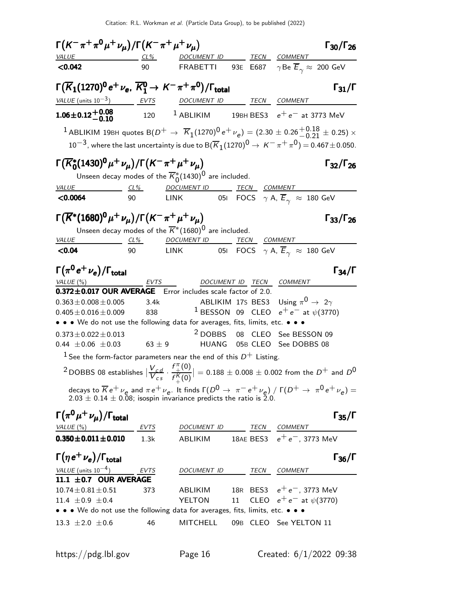| $\Gamma(K^-\pi^+\pi^0\mu^+\nu_\mu)/\Gamma(K^-\pi^+\mu^+\nu_\mu)$                                                                                                 |              |                                                                                                                                                                                                              |        |              |                                                                | $\Gamma_{30}/\Gamma_{26}$                       |
|------------------------------------------------------------------------------------------------------------------------------------------------------------------|--------------|--------------------------------------------------------------------------------------------------------------------------------------------------------------------------------------------------------------|--------|--------------|----------------------------------------------------------------|-------------------------------------------------|
| <b>VALUE</b>                                                                                                                                                     |              | DOCUMENT ID _______ TECN COMMENT                                                                                                                                                                             |        |              |                                                                |                                                 |
| < 0.042                                                                                                                                                          | 90           | FRABETTI 93E E687 $\gamma$ Be $\overline{E}_{\gamma} \approx$ 200 GeV                                                                                                                                        |        |              |                                                                |                                                 |
| $\Gamma(\overline{K}_1(1270)^0 e^+ \nu_e, \overline{K}_1^0 \rightarrow K^- \pi^+ \pi^0)/\Gamma_{\text{total}}$                                                   |              |                                                                                                                                                                                                              |        |              |                                                                | $\Gamma_{31}/\Gamma$                            |
| VALUE (units $10^{-3}$ ) EVTS                                                                                                                                    |              | DOCUMENT ID TECN COMMENT                                                                                                                                                                                     |        |              |                                                                |                                                 |
| $1.06 \pm 0.12 + 0.08$<br>-0.10                                                                                                                                  |              | $120$ $^{-1}$ ABLIKIM $^{-1}$ 19BH BES3 $e^+e^-$ at 3773 MeV                                                                                                                                                 |        |              |                                                                |                                                 |
|                                                                                                                                                                  |              | <sup>1</sup> ABLIKIM 19BH quotes B $(D^+ \to \overline{K}_1 (1270)^0 e^+ \nu_e) = (2.30 \pm 0.26 {+ 0.18 \atop - 0.21} \pm 0.25) \times$                                                                     |        |              |                                                                |                                                 |
|                                                                                                                                                                  |              | $10^{-3}$ , where the last uncertainty is due to ${\cal B}(\overline{K}_1(1270)^0\to\,K^-\,\pi^+\,\pi^0)=0.467\pm0.050.$                                                                                     |        |              |                                                                |                                                 |
| $\Gamma(\overline{K}_{0}^{*}(1430)^{0}\mu^{+}\nu_{\mu})/\Gamma(K^{-}\pi^{+}\mu^{+}\nu_{\mu})$                                                                    |              |                                                                                                                                                                                                              |        |              |                                                                | $\Gamma_{32}/\Gamma_{26}$                       |
|                                                                                                                                                                  |              | Unseen decay modes of the $\overline{K}_{0}^{*}(1430)^{0}$ are included.                                                                                                                                     |        |              |                                                                |                                                 |
| <b>VALUE</b>                                                                                                                                                     | $CL\%$       | <b>DOCUMENT ID</b>                                                                                                                                                                                           |        | TECN COMMENT |                                                                |                                                 |
| < 0.0064                                                                                                                                                         | 90           | <b>LINK</b>                                                                                                                                                                                                  |        |              | 051 FOCS $\gamma$ A, $\overline{E}_{\gamma} \approx 180$ GeV   |                                                 |
| $\Gamma(\overline{K}^*(1680)^0 \mu^+ \nu_{\mu}) / \Gamma(K^- \pi^+ \mu^+ \nu_{\mu})$                                                                             |              |                                                                                                                                                                                                              |        |              |                                                                | $\Gamma$ <sub>33</sub> / $\Gamma$ <sub>26</sub> |
|                                                                                                                                                                  |              | Unseen decay modes of the $\overline{K}^*(1680)^0$ are included.                                                                                                                                             |        |              |                                                                |                                                 |
| VALUE                                                                                                                                                            | CL%          | <b>DOCUMENT ID</b>                                                                                                                                                                                           |        | TECN COMMENT |                                                                |                                                 |
| < 0.04                                                                                                                                                           | 90           | LINK                                                                                                                                                                                                         |        |              | 051 FOCS $\gamma$ A, $\overline{E}_{\gamma}$ $\approx$ 180 GeV |                                                 |
| $\Gamma(\pi^0 e^+ \nu_e)/\Gamma_{\rm total}$                                                                                                                     |              |                                                                                                                                                                                                              |        |              |                                                                | $\Gamma_{34}/\Gamma$                            |
| VALUE $(\%)$                                                                                                                                                     | EVTS         |                                                                                                                                                                                                              |        |              | DOCUMENT ID TECN COMMENT                                       |                                                 |
| 0.372±0.017 OUR AVERAGE Error includes scale factor of 2.0.                                                                                                      |              |                                                                                                                                                                                                              |        |              |                                                                |                                                 |
| $0.363 \pm 0.008 \pm 0.005$                                                                                                                                      | 3.4k         |                                                                                                                                                                                                              |        |              | ABLIKIM 17S BES3 Using $\pi^{0} \rightarrow 2\gamma$           |                                                 |
| $0.405 \pm 0.016 \pm 0.009$<br>• • • We do not use the following data for averages, fits, limits, etc. • • •                                                     | 838          |                                                                                                                                                                                                              |        |              | <sup>1</sup> BESSON 09 CLEO $e^+e^-$ at $\psi(3770)$           |                                                 |
| $0.373 \pm 0.022 \pm 0.013$                                                                                                                                      |              |                                                                                                                                                                                                              |        |              | <sup>2</sup> DOBBS 08 CLEO See BESSON 09                       |                                                 |
| 0.44 $\pm$ 0.06 $\pm$ 0.03                                                                                                                                       | 63 $\pm$ 9   | <b>HUANG</b>                                                                                                                                                                                                 |        |              | 05B CLEO See DOBBS 08                                          |                                                 |
|                                                                                                                                                                  |              | <sup>1</sup> See the form-factor parameters near the end of this $D^+$ Listing.                                                                                                                              |        |              |                                                                |                                                 |
|                                                                                                                                                                  |              | <sup>2</sup> DOBBS 08 establishes $\left \frac{V_{cd}}{V_{cs}}\cdot \frac{f_+^{\pi}(0)}{f_+^{\pi}(0)}\right  = 0.188 \pm 0.008 \pm 0.002$ from the $D^+$ and $D^0$                                           |        |              |                                                                |                                                 |
|                                                                                                                                                                  |              |                                                                                                                                                                                                              |        |              |                                                                |                                                 |
|                                                                                                                                                                  |              | decays to $\overline{K}e^+\nu_e$ and $\pi e^+\nu_e$ . It finds $\Gamma(D^0 \to \pi^-e^+\nu_e)$ / $\Gamma(D^+ \to \pi^0e^+\nu_e)$ = 2.03 $\pm$ 0.14 $\pm$ 0.08; isospin invariance predicts the ratio is 2.0. |        |              |                                                                |                                                 |
|                                                                                                                                                                  |              |                                                                                                                                                                                                              |        |              |                                                                |                                                 |
| $\Gamma(\pi^0\mu^+\nu_{\mu})/\Gamma_{\rm total}$                                                                                                                 |              |                                                                                                                                                                                                              |        |              |                                                                | $\Gamma_{35}/\Gamma$                            |
| VALUE (%)<br>$0.350 \pm 0.011 \pm 0.010$                                                                                                                         | EVTS<br>1.3k | DOCUMENT ID<br>ABLIKIM                                                                                                                                                                                       |        | TECN         | <b>COMMENT</b><br>18AE BES3 $e^+e^-$ , 3773 MeV                |                                                 |
|                                                                                                                                                                  |              |                                                                                                                                                                                                              |        |              |                                                                |                                                 |
| $\Gamma(\eta e^+ \nu_e)/\Gamma_{\rm total}$                                                                                                                      |              |                                                                                                                                                                                                              |        |              |                                                                | $\Gamma_{36}/\Gamma$                            |
| VALUE (units $10^{-4}$ )                                                                                                                                         | EVTS         | DOCUMENT ID                                                                                                                                                                                                  |        | TECN         | <b>COMMENT</b>                                                 |                                                 |
| 11.1 $\pm$ 0.7 OUR AVERAGE                                                                                                                                       |              |                                                                                                                                                                                                              |        |              |                                                                |                                                 |
| $10.74 \pm 0.81 \pm 0.51$                                                                                                                                        | 373          | ABLIKIM                                                                                                                                                                                                      | $11\,$ |              | 18R BES3 $e^+e^-$ , 3773 MeV<br>CLEO $e^+e^-$ at $\psi(3770)$  |                                                 |
| 11.4 $\pm$ 0.9 $\pm$ 0.4<br>$\bullet\,\bullet\,\bullet\,$ We do not use the following data for averages, fits, limits, etc. $\bullet\,\bullet\,\bullet\,\bullet$ |              | YELTON                                                                                                                                                                                                       |        |              |                                                                |                                                 |
| 13.3 $\pm 2.0 \pm 0.6$                                                                                                                                           | 46           | <b>MITCHELL</b>                                                                                                                                                                                              |        |              | 09B CLEO See YELTON 11                                         |                                                 |
|                                                                                                                                                                  |              |                                                                                                                                                                                                              |        |              |                                                                |                                                 |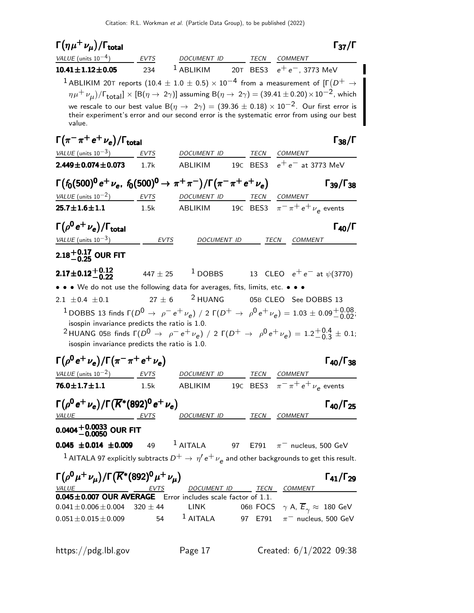#### $\Gamma(\eta \mu^+ \nu_{\mu})/\Gamma_{\text{total}}$  Γ<sub>37</sub>/Γ total37 VALUE (units  $10^{-4}$ ) EVTS DOCUMENT ID TECN COMMENT **10.41±1.12±0.05** 234 <sup>1</sup> ABLIKIM 20T BES3  $e^+e^-$ , 3773 MeV  $^{\text{1}}$  ABLIKIM 20T reports  $(10.4 \pm 1.0 \pm 0.5) \times 10^{-4}$  from a measurement of [Г $\left(D^+ \to$  $\eta\mu^+\,\nu_{\mu})$ / $\Gamma_{\rm total}] \times$  [B $(\eta \to\ 2\gamma)$ ] assuming B $(\eta \to\ 2\gamma)$   $=$  (39.41  $\pm$  0.20) $\times$   $10^{-2}$ , which we rescale to our best value B( $\eta \to 2\gamma$ ) = (39.36 ± 0.18) × 10<sup>-2</sup>. Our first error is their experiment's error and our second error is the systematic error from using our best value.  $\Gamma(\pi^-\pi^+e^+\nu_e)/\Gamma_{\rm total}$  Γ<sub>38</sub>/Γ total and the set of the set of the set of the set of the set of the set of the set of the set of the set of t VALUE (units  $10^{-3}$ ) EVTS DOCUMENT ID TECN COMMENT **2.449±0.074±0.073** 1.7k ABLIKIM 19C BES3  $e^+e^-$  at 3773 MeV  $\Gamma(f_0(500)^0 e^+ \nu_e, f_0(500)^0 \to \pi^+ \pi^-)/\Gamma(\pi^- \pi^+ e^+ \nu_e)$  Γ39/Γ38  $\Gamma_{39}/\Gamma_{38}$ VALUE (units  $10^{-2}$ ) EVTS DOCUMENT ID TECN COMMENT **25.7** $\pm$ **1.6** $\pm$ **1.1** 1.5k ABLIKIM 19c BES3  $\pi^{-} \pi^{+} e^{+} \nu_{e}$  events  $\Gamma(\rho^0 e^+ \nu_e)/\Gamma_{\rm total}$  Γ<sub>40</sub>/Γ total and the contract of the contract of the contract of the contract of the contract of the contract of the c VALUE (units  $10^{-3}$ ) EVTS DOCUMENT ID TECN COMMENT  $2.18^{+0.17}_{-0.25}$  OUR FIT  $2.17\pm0.12{+0.12\atop-0.22}$  $447 \pm 25$  1 DOBBS 13 CLEO  $e^+ e^-$  at  $\psi(3770)$ • • • We do not use the following data for averages, fits, limits, etc. • • •  $\frac{1}{2}$  2.1 + 0.4 + 0.1  $\frac{1}{2}$  + 6  $\frac{2}{2}$  HUANG 05B CLEO See 2.1  $\pm$  0.4  $\pm$  0.1 27  $\pm$  6 05B CLEO See DOBBS 13 <sup>1</sup>DOBBS 13 finds  $\Gamma(D^0 \rightarrow \rho^- e^+ \nu_e)$  / 2  $\Gamma(D^+ \rightarrow \rho^0 e^+ \nu_e) = 1.03 \pm 0.09^{+0.08}_{-0.02}$ ; isospin invariance predicts the ratio is 1.0.  $^2$ HUANG 05B finds Γ $(D^0 \rightarrow \ \rho^- e^+ \nu_e)$  / 2 Γ $(D^+ \rightarrow \ \rho^0 e^+ \nu_e) = 1.2 {+0.4 \atop -0.3}$  $^{+0.4}_{-0.3}$   $\pm$  0.1; isospin invariance predicts the ratio is 1.0. Γ(ρ<sup>0</sup> e<sup>+</sup> ν<sub>e</sub>)/Γ(π<sup>-</sup> π<sup>+</sup> e<sup>+</sup> ν<sub>e</sub>) Γ<sub>40</sub>/Γ<sub>38</sub>  $\Gamma_{40}/\Gamma_{38}$ VALUE (units  $10^{-2}$ ) EVTS DOCUMENT ID TECN COMMENT **76.0** $\pm$ **1.7** $\pm$ **1.1** 1.5k ABLIKIM 19c BES3  $\pi^-\pi^+e^+\nu_e$  events Γ(ρ<sup>0</sup> e<sup>+</sup> ν<sub>e</sub>)/Γ( $\overline{K}$ \*(892)<sup>0</sup> e<sup>+</sup> ν<sub>e</sub>) Γ<sub>40</sub>/Γ<sub>25</sub>  $\Gamma_{40}/\Gamma_{25}$ DOCUMENT ID TECN COMMENT  $0.0404^{+0.0033}_{-0.0050}$  OUR FIT **0.045 ±0.014 ±0.009** 49 <sup>1</sup> AITALA 97 E791  $\pi^-$  nucleus, 500 GeV  $^1$  AITALA 97 explicitly subtracts  $D^+ \rightarrow \, \eta' \, e^+ \, \nu_{\bm e}$  and other backgrounds to get this result. Γ $(\rho^{0}\mu^{+}\nu_{\mu})/\Gamma(\overline{K}^{*}(892)^{0}\mu^{+}\nu_{\mu})$  Γ<sub>41</sub>/Γ<sub>29</sub>  $\Gamma_{41}/\Gamma_{29}$ DOCUMENT ID TECN COMMENT **0.045±0.007 OUR AVERAGE** Error includes scale factor of 1.1.<br>0.041±0.006±0.004 320 ± 44 LINK 06B FOCS LINK 06B FOCS  $\gamma$  A,  $\overline{E}_{\gamma} \approx 180$  GeV<br>
<sup>1</sup> AITALA 97 E791  $\pi^-$  nucleus. 500 GeV  $0.051 \pm 0.015 \pm 0.009$  54 1 AITALA 97 E791  $\pi^-$  nucleus, 500 GeV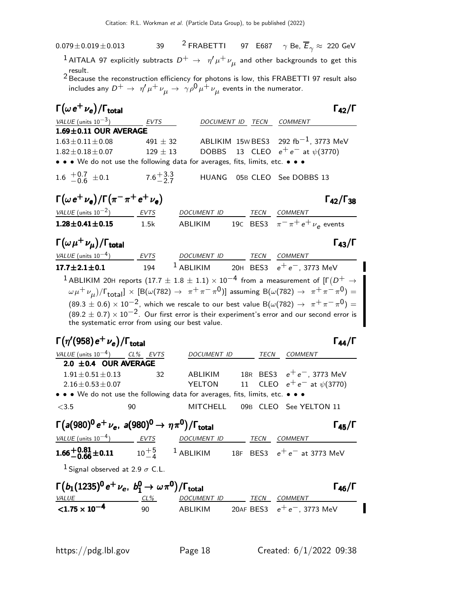$0.079 \pm 0.019 \pm 0.013$  39 <sup>2</sup> FRABETTI 97 E687  $\gamma$  Be,  $\overline{E}_{\gamma} \approx 220$  GeV

 $^{\text{1}}$  AITALA 97 explicitly subtracts  $D^+ \, \rightarrow \, \, \eta' \mu^+ \nu_{\mu}$  and other backgrounds to get this

result. 2 Because the reconstruction efficiency for photons is low, this FRABETTI 97 result also includes any  $D^+ \to~\eta' \mu^+ \nu_\mu^{} \to~\gamma \rho^0 \mu^+ \nu_\mu^{}$  events in the numerator.

| $\Gamma(\omega e^+ \nu_e)/\Gamma_{\rm total}$                                       |                                                 |                          |                  | $\Gamma_{42}/\Gamma$                                                                                                                            |
|-------------------------------------------------------------------------------------|-------------------------------------------------|--------------------------|------------------|-------------------------------------------------------------------------------------------------------------------------------------------------|
| VALUE (units $10^{-3}$ )                                                            | EVTS                                            |                          | DOCUMENT ID TECN | COMMENT                                                                                                                                         |
| 1.69±0.11 OUR AVERAGE                                                               |                                                 |                          |                  |                                                                                                                                                 |
| $1.63 \pm 0.11 \pm 0.08$                                                            | 491 $\pm$ 32                                    |                          |                  | ABLIKIM 15w BES3 292 fb <sup>-1</sup> , 3773 MeV                                                                                                |
| $1.82 \pm 0.18 \pm 0.07$                                                            | $129 \pm 13$                                    | <b>DOBBS</b>             |                  | 13 CLEO $e^+e^-$ at $\psi$ (3770)                                                                                                               |
| • • • We do not use the following data for averages, fits, limits, etc. • • •       |                                                 |                          |                  |                                                                                                                                                 |
| 1.6 $^{+0.7}_{-0.6}$ $\pm$ 0.1                                                      | $7.6 + 3.3$                                     | <b>HUANG</b>             |                  | 05B CLEO See DOBBS 13                                                                                                                           |
| $\Gamma(\omega e^+ \nu_e)/\Gamma(\pi^-\pi^+e^+\nu_e)$                               |                                                 |                          |                  | $\Gamma_{42}/\Gamma_{38}$                                                                                                                       |
| $VALUE$ (units $10^{-2}$ ) EVTS                                                     |                                                 | DOCUMENT ID              |                  | TECN COMMENT                                                                                                                                    |
| $1.28 \pm 0.41 \pm 0.15$                                                            | 1.5k                                            | ABLIKIM                  |                  | 19C BES3 $\pi^{-} \pi^{+} e^{+} \nu_{\rho}$ events                                                                                              |
| $\Gamma(\omega \mu^+ \nu_{\mu})/\Gamma_{\rm total}$                                 |                                                 |                          |                  | $\Gamma_{43}/\Gamma$                                                                                                                            |
| VALUE (units $10^{-4}$ ) EVTS                                                       |                                                 | DOCUMENT ID TECN COMMENT |                  |                                                                                                                                                 |
| $17.7 + 2.1 + 0.1$                                                                  | 194                                             |                          |                  | <sup>1</sup> ABLIKIM 20H BES3 $e^+e^-$ , 3773 MeV                                                                                               |
|                                                                                     |                                                 |                          |                  | $^{\text{1}}$ ABLIKIM 20H reports (17.7 $\pm$ 1.8 $\pm$ 1.1) $\times$ 10 $^{-4}$ from a measurement of [F( $D^+$ $\rightarrow$                  |
|                                                                                     |                                                 |                          |                  | $(\omega \mu^+ \nu_\mu)/\Gamma_{\text{total}}] \times [B(\omega(782) \to \pi^+ \pi^- \pi^0)]$ assuming $B(\omega(782) \to \pi^+ \pi^- \pi^0) =$ |
|                                                                                     |                                                 |                          |                  | $(89.3 \pm 0.6) \times 10^{-2}$ , which we rescale to our best value B( $\omega(782) \rightarrow \pi^{+}\pi^{-}\pi^{0}) =$                      |
|                                                                                     |                                                 |                          |                  | $(89.2 \pm 0.7) \times 10^{-2}$ . Our first error is their experiment's error and our second error is                                           |
|                                                                                     | the systematic error from using our best value. |                          |                  |                                                                                                                                                 |
|                                                                                     |                                                 |                          |                  |                                                                                                                                                 |
| $\Gamma(\eta'(958)\,\mathrm{e}^+\,\nu_\mathrm{e})/\Gamma_\mathrm{total}$            |                                                 |                          |                  | $\Gamma_{44}/\Gamma$                                                                                                                            |
| VALUE (units $10^{-4}$ ) CL% EVTS                                                   |                                                 | DOCUMENT ID              | TECN             | <b>COMMENT</b>                                                                                                                                  |
| 2.0 $\pm$ 0.4 OUR AVERAGE                                                           |                                                 |                          |                  |                                                                                                                                                 |
| $1.91 \pm 0.51 \pm 0.13$                                                            | 32                                              | ABLIKIM                  |                  | 18R BES3 $e^+e^-$ , 3773 MeV                                                                                                                    |
| $2.16 \pm 0.53 \pm 0.07$                                                            |                                                 | YELTON                   | 11               | CLEO $e^+e^-$ at $\psi(3770)$                                                                                                                   |
| • • We do not use the following data for averages, fits, limits, etc. • • •         |                                                 |                          |                  |                                                                                                                                                 |
| < 3.5                                                                               | 90                                              | MITCHELL                 |                  | 09B CLEO See YELTON 11                                                                                                                          |
| $\Gamma(a(980)^0 e^+ \nu_e$ , $a(980)^0 \rightarrow \eta \pi^0)/\Gamma_{\rm total}$ |                                                 |                          |                  | $\Gamma_{45}/\Gamma$                                                                                                                            |
| VALUE (units $10^{-4}$ ) EVTS                                                       |                                                 | DOCUMENT ID TECN COMMENT |                  |                                                                                                                                                 |
|                                                                                     |                                                 |                          |                  | <b>1.66<sup>+0.81</sup> ±0.11</b> 10 <sup>+5</sup> 1 ABLIKIM 18F BES3 $e^+e^-$ at 3773 MeV                                                      |
| <sup>1</sup> Signal observed at 2.9 $\sigma$ C.L.                                   |                                                 |                          |                  |                                                                                                                                                 |

| $\Gamma(b_1(1235)^0 e^+ \nu_e, b_1^0 \to \omega \pi^0)/\Gamma_{\text{total}}$ |     |             |      | $\Gamma_{46}/\Gamma$          |
|-------------------------------------------------------------------------------|-----|-------------|------|-------------------------------|
| <i>VALUE</i>                                                                  | CL% | DOCUMENT ID | TFCN | COMMENT                       |
| $<$ 1.75 $\times$ 10 <sup>-4</sup>                                            | 90  | ABI IKIM    |      | 20AF BES3 $e^+e^-$ , 3773 MeV |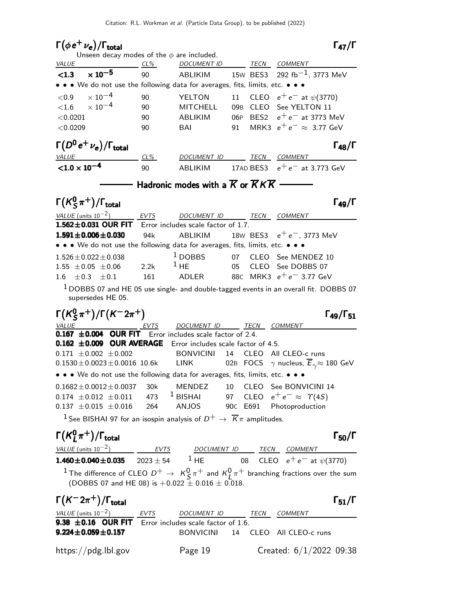# $\Gamma(\phi e^+ \nu_e)/\Gamma_{\rm total}$  Γ<sub>47</sub>/Γ

# $\Gamma_{47}/\Gamma$

|                                                                                                                                                                                                           |        | Unseen decay modes of the $\phi$ are included.                        |    |                                                                                                              |
|-----------------------------------------------------------------------------------------------------------------------------------------------------------------------------------------------------------|--------|-----------------------------------------------------------------------|----|--------------------------------------------------------------------------------------------------------------|
| <b>VALUE</b><br>$CL\%$                                                                                                                                                                                    |        | DOCUMENT ID TECN COMMENT                                              |    |                                                                                                              |
| $\times$ 10 <sup>-5</sup><br>< 1.3                                                                                                                                                                        | 90     |                                                                       |    | ABLIKIM $15$ W BES3 292 fb $^{-1}$ , 3773 MeV                                                                |
| • • • We do not use the following data for averages, fits, limits, etc. • • •                                                                                                                             |        |                                                                       |    |                                                                                                              |
| $\times$ 10 $^{-4}$<br>${<}0.9$                                                                                                                                                                           | 90     | YELTON                                                                |    | 11 CLEO $e^+e^-$ at $\psi(3770)$                                                                             |
| $<$ 1.6 $\times$ 10 $^{-4}$                                                                                                                                                                               | 90     | <b>MITCHELL</b>                                                       |    | 09B CLEO See YELTON 11                                                                                       |
| < 0.0201                                                                                                                                                                                                  | 90     | ABLIKIM                                                               |    | 06P BES2 $e^+e^-$ at 3773 MeV                                                                                |
| < 0.0209                                                                                                                                                                                                  | 90     | BAI                                                                   | 91 | MRK3 $e^+e^- \approx 3.77$ GeV                                                                               |
| $\Gamma\big(D^0\,\mathrm{e}^+\,\nu_\mathrm{e}\big)/\Gamma_\mathrm{total}$                                                                                                                                 |        |                                                                       |    | $\Gamma_{48}/\Gamma$                                                                                         |
| <b>VALUE</b>                                                                                                                                                                                              | $CL\%$ | DOCUMENT ID TECN COMMENT                                              |    |                                                                                                              |
| $< 1.0 \times 10^{-4}$                                                                                                                                                                                    | 90     |                                                                       |    | ABLIKIM 17AD BES3 $e^+e^-$ at 3.773 GeV                                                                      |
|                                                                                                                                                                                                           |        | Hadronic modes with a $\overline{K}$ or $\overline{K}K\overline{K}$ - |    |                                                                                                              |
| $\Gamma(K_S^0\pi^+)$ / $\Gamma_{\text{total}}$                                                                                                                                                            |        |                                                                       |    | $\Gamma_{49}/\Gamma$                                                                                         |
| VALUE (units $10^{-2}$ )                                                                                                                                                                                  |        | EVTS DOCUMENT ID TECN COMMENT                                         |    |                                                                                                              |
| $1.562 \pm 0.031$ OUR FIT                                                                                                                                                                                 |        | Error includes scale factor of 1.7.                                   |    |                                                                                                              |
| $1.591 \pm 0.006 \pm 0.030$                                                                                                                                                                               | 94k    | ABLIKIM                                                               |    | 18W BES3 $e^+e^-$ , 3773 MeV                                                                                 |
| • • • We do not use the following data for averages, fits, limits, etc. • • •                                                                                                                             |        |                                                                       |    |                                                                                                              |
| $1.526 \pm 0.022 \pm 0.038$                                                                                                                                                                               |        | $1$ DOBBS                                                             |    | 07 CLEO See MENDEZ 10                                                                                        |
| $1.55 \pm 0.05 \pm 0.06$                                                                                                                                                                                  | 2.2k   | $1$ HE                                                                |    | 05 CLEO See DOBBS 07                                                                                         |
| 1.6 $\pm 0.3$ $\pm 0.1$                                                                                                                                                                                   | 161    | ADLER                                                                 |    | 88C MRK3 $e^+e^-$ 3.77 GeV                                                                                   |
| supersedes HE 05.                                                                                                                                                                                         |        |                                                                       |    | $1$ DOBBS 07 and HE 05 use single- and double-tagged events in an overall fit. DOBBS 07                      |
|                                                                                                                                                                                                           |        |                                                                       |    |                                                                                                              |
| $\Gamma(K_S^0 \pi^+)/\Gamma(K^- 2\pi^+)$                                                                                                                                                                  |        |                                                                       |    | $\Gamma_{49}/\Gamma_{51}$                                                                                    |
| VALUE <u>EVTS</u>                                                                                                                                                                                         |        | DOCUMENT ID TECN COMMENT                                              |    |                                                                                                              |
| 0.167 ±0.004 OUR FIT Error includes scale factor of 2.4.                                                                                                                                                  |        |                                                                       |    |                                                                                                              |
| 0.162 ±0.009 OUR AVERAGE Error includes scale factor of 4.5.                                                                                                                                              |        |                                                                       |    |                                                                                                              |
| $0.171 \pm 0.002 \pm 0.002$                                                                                                                                                                               |        | <b>BONVICINI</b>                                                      |    | 14 CLEO All CLEO-c runs                                                                                      |
| $0.1530 \pm 0.0023 \pm 0.0016$ 10.6k LINK                                                                                                                                                                 |        |                                                                       |    | 02B FOCS $\gamma$ nucleus, $\overline{E}_{\gamma} \approx 180$ GeV                                           |
| • • • We do not use the following data for averages, fits, limits, etc. • • •                                                                                                                             |        |                                                                       |    |                                                                                                              |
| $0.1682 \pm 0.0012 \pm 0.0037$                                                                                                                                                                            | 30k    | MENDEZ                                                                | 10 | CLEO See BONVICINI 14                                                                                        |
| $0.174 \pm 0.012 \pm 0.011$                                                                                                                                                                               | 473    |                                                                       |    | <sup>1</sup> BISHAI 97 CLEO $e^+e^- \approx \Upsilon(4S)$                                                    |
| $0.137 \pm 0.015 \pm 0.016$ 264 ANJOS 90C E691 Photoproduction                                                                                                                                            |        |                                                                       |    |                                                                                                              |
| <sup>1</sup> See BISHAI 97 for an isospin analysis of $D^+ \rightarrow \overline{K} \pi$ amplitudes.                                                                                                      |        |                                                                       |    |                                                                                                              |
| $\Gamma(K^0_I\pi^+)/\Gamma_{\text{total}}$                                                                                                                                                                |        |                                                                       |    | $\Gamma_{50}/\Gamma$                                                                                         |
|                                                                                                                                                                                                           |        |                                                                       |    |                                                                                                              |
|                                                                                                                                                                                                           |        |                                                                       |    |                                                                                                              |
| $\frac{VALUE \text{ (units 10}^{-2})}{1.460 \pm 0.040 \pm 0.035}$ $\frac{EVTS}{2023 \pm 54}$ $\frac{DOCUMENT \text{ ID}}{1 \text{ HE}}$ $\frac{TECN}{08}$ $\frac{COMMENT}{CLEO}$ $e^+e^-$ at $\psi(3770)$ |        |                                                                       |    |                                                                                                              |
| (DOBBS 07 and HE 08) is $+0.022 \pm 0.016 \pm 0.018$ .                                                                                                                                                    |        |                                                                       |    | $^1$ The difference of CLEO $D^+ \rightarrow K_S^0 \pi^+$ and $K_L^0 \pi^+$ branching fractions over the sum |
| $\Gamma(K^-2\pi^+)/\Gamma_{\rm total}$                                                                                                                                                                    |        |                                                                       |    | $\Gamma_{51}/\Gamma$                                                                                         |
|                                                                                                                                                                                                           |        |                                                                       |    |                                                                                                              |
| $\frac{VALUE \text{ (units 10}^{-2})}{9.38 \pm 0.16}$ OUR FIT Error includes scale factor of 1.6. TECN COMMENT<br>$9.224 \pm 0.059 \pm 0.157$                                                             |        |                                                                       |    | BONVICINI 14 CLEO All CLEO-c runs                                                                            |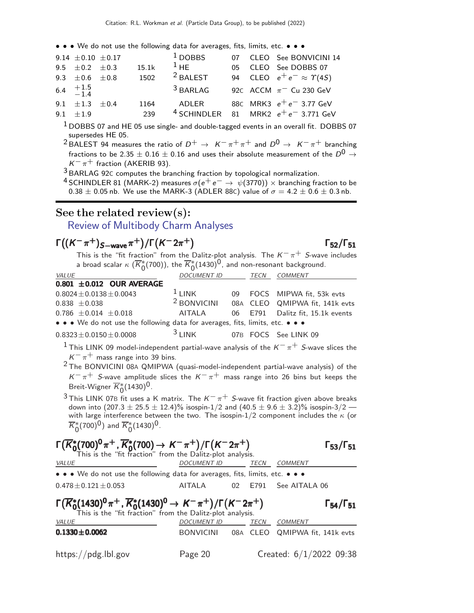• • • We do not use the following data for averages, fits, limits, etc. • • •

| 9.14 $\pm$ 0.10 $\pm$ 0.17                       |             | $1$ DOBBS           |     | 07 CLEO See BONVICINI 14                                                        |
|--------------------------------------------------|-------------|---------------------|-----|---------------------------------------------------------------------------------|
| 9.5 $\pm$ 0.2 $\pm$ 0.3                          | 15.1k       | $1$ HF              | 05. | CLEO See DOBBS 07                                                               |
| 9.3 $\pm$ 0.6 $\pm$ 0.8                          | 1502        | <sup>2</sup> BALEST |     | 94 CLEO $e^+e^- \approx \Upsilon(45)$                                           |
| 6.4 $\begin{array}{cc} +1.5 \\ -1.4 \end{array}$ |             | $3$ BARLAG          |     | 92c ACCM $\pi$ <sup>-</sup> Cu 230 GeV                                          |
| 9.1 $\pm 1.3$ $\pm 0.4$<br>$9.1 + 1.9$           | 1164<br>239 | ADI FR              |     | 88C MRK3 $e^+e^-$ 3.77 GeV<br><sup>4</sup> SCHINDLER 81 MRK2 $e^+e^-$ 3.771 GeV |

<sup>1</sup> DOBBS 07 and HE 05 use single- and double-tagged events in an overall fit. DOBBS 07 supersedes HE 05.

<sup>2</sup> BALEST 94 measures the ratio of  $D^+ \rightarrow K^-\pi^+\pi^+$  and  $D^0 \rightarrow K^-\pi^+$  branching fractions to be 2.35  $\pm$  0.16  $\pm$  0.16 and uses their absolute measurement of the  $D^0 \rightarrow$  $K^-\pi^+$  fraction (AKERIB 93).

3 BARLAG 92<sup>C</sup> computes the branching fraction by topological normalization.

<sup>4</sup> SCHINDLER 81 (MARK-2) measures  $\sigma(e^+e^-\rightarrow \psi(3770))\times$  branching fraction to be  $0.38 \pm 0.05$  nb. We use the MARK-3 (ADLER 88C) value of  $\sigma = 4.2 \pm 0.6 \pm 0.3$  nb.

#### See the related review(s):

[Review of Multibody Charm Analyses](http://pdg.lbl.gov/2022/reviews/rpp2021-rev-d-meson-dalitz-plot-analyses.pdf)

# $\Gamma((K^-\pi^+)_{S-\text{wave}}\pi^+)/\Gamma(K^-2\pi^+)$  Γ<sub>52</sub>/Γ<sub>51</sub>

This is the "fit fraction" from the Dalitz-plot analysis. The  $K^-\pi^+$  S-wave includes a broad scalar  $\kappa\;(\overline{K}_0^*(700)),$  the  $\overline{K}_0^*(1430)^0,$  and non-resonant background.

| $\alpha$ b. began beginn $\alpha$ ( $\alpha$ ) ( $\alpha$ b)), end $\alpha$ ) ( $\alpha$ $\alpha$ ) , and non-security babiles barrar |                          |  |                                  |
|---------------------------------------------------------------------------------------------------------------------------------------|--------------------------|--|----------------------------------|
| <i>VALUE</i>                                                                                                                          | DOCUMENT ID TECN COMMENT |  |                                  |
| $0.801 \pm 0.012$ OUR AVERAGE                                                                                                         |                          |  |                                  |
| $0.8024 \pm 0.0138 \pm 0.0043$                                                                                                        | $1$ LINK                 |  | 09 FOCS MIPWA fit, 53k evts      |
| $0.838 \pm 0.038$                                                                                                                     | <sup>2</sup> BONVICINI   |  | 08A CLEO QMIPWA fit, 141k evts   |
| $0.786 \pm 0.014 \pm 0.018$                                                                                                           | AITALA                   |  | 06 E791 Dalitz fit, 15.1k events |
| • • • We do not use the following data for averages, fits, limits, etc. • • •                                                         |                          |  |                                  |
| $0.8323 \pm 0.0150 \pm 0.0008$                                                                                                        | $3$ LINK                 |  | 07B FOCS See LINK 09             |
|                                                                                                                                       |                          |  |                                  |

<sup>1</sup> This LINK 09 model-independent partial-wave analysis of the  $K^-\pi^+$  S-wave slices the  $K^-\pi^+$  mass range into 39 bins.

 $2$  The BONVICINI 08A QMIPWA (quasi-model-independent partial-wave analysis) of the  $K^-\pi^+$  S-wave amplitude slices the  $K^-\pi^+$  mass range into 26 bins but keeps the Breit-Wigner  $\overline{K}_0^*(1430)^0$ .

 $3$  This LINK 07B fit uses a K matrix. The  $K^-\pi^+$  S-wave fit fraction given above breaks down into  $(207.3 \pm 25.5 \pm 12.4)\%$  isospin-1/2 and  $(40.5 \pm 9.6 \pm 3.2)\%$  isospin-3/2 with large interference between the two. The isospin-1/2 component includes the  $\kappa$  (or  $\overline{K}_0^*(700)^0$ ) and  $\overline{K}_0^*(1430)^0$ .

| $\Gamma(\overline{K}_{0}^{*}(700)^{0}\pi^{+}, \overline{K}_{0}^{*}(700) \rightarrow K^{-}\pi^{+})/\Gamma(K^{-}2\pi^{+})$<br>This is the "fit fraction" from the Dalitz-plot analysis. |                    |    |      |                | $\Gamma_{53}/\Gamma_{51}$ |
|---------------------------------------------------------------------------------------------------------------------------------------------------------------------------------------|--------------------|----|------|----------------|---------------------------|
| <b>VALUE</b>                                                                                                                                                                          | <b>DOCUMENT ID</b> |    | TECN | COMMENT        |                           |
| • • • We do not use the following data for averages, fits, limits, etc. • • •                                                                                                         |                    |    |      |                |                           |
| $0.478 \pm 0.121 \pm 0.053$                                                                                                                                                           | AITALA             | 02 | E791 | See AITALA 06  |                           |
|                                                                                                                                                                                       |                    |    |      |                | $\Gamma_{54}/\Gamma_{51}$ |
| $\Gamma(\overline{K}_0^*(1430)^0 \pi^+, \overline{K}_0^*(1430)^0 \to K^- \pi^+)/\Gamma(K^- 2\pi^+)$<br>This is the "fit fraction" from the Dalitz-plot analysis.                      |                    |    |      |                |                           |
| VALUE                                                                                                                                                                                 | <b>DOCUMENT ID</b> |    | TECN | <b>COMMENT</b> |                           |

 $\Gamma_{52}/\Gamma_{51}$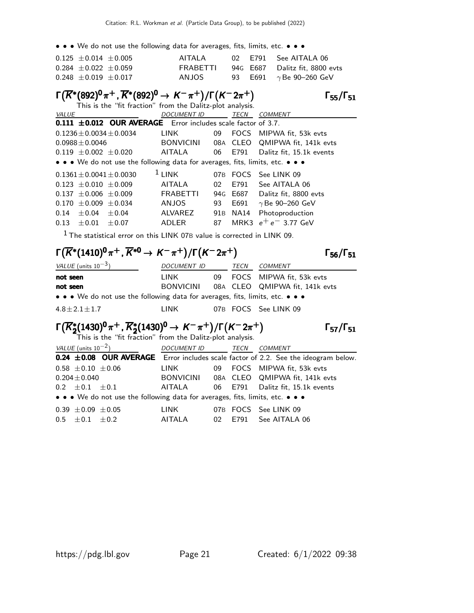• • • We do not use the following data for averages, fits, limits, etc. • • •

| $0.125 \pm 0.014 \pm 0.005$ | AITAI A  |  | 02 E791 See AITALA 06          |
|-----------------------------|----------|--|--------------------------------|
| $0.284 \pm 0.022 \pm 0.059$ | FRABETTI |  | 94G E687 Dalitz fit. 8800 evts |
| $0.248 \pm 0.019 \pm 0.017$ | ANJOS.   |  | 93 E691 $\gamma$ Be 90–260 GeV |

# $\Gamma(\overline{K^*}(892)^0 \pi^+, \overline{K^*}(892)^0 \to K^- \pi^+) / \Gamma(K^- 2\pi^+)$  Γ<sub>55</sub>/Γ<sub>51</sub>

 $Γ_{55}/Γ_{51}$ 

|                                                                               |         | This is the "fit fraction" from the Dalitz-plot analysis. |                 |             |                          |
|-------------------------------------------------------------------------------|---------|-----------------------------------------------------------|-----------------|-------------|--------------------------|
| <b>VALUE</b>                                                                  |         | <b>DOCUMENT ID</b>                                        |                 | <b>TECN</b> | <b>COMMENT</b>           |
| $0.111 \pm 0.012$ OUR AVERAGE Error includes scale factor of 3.7.             |         |                                                           |                 |             |                          |
| $0.1236 \pm 0.0034 \pm 0.0034$                                                |         | LINK                                                      | 09              |             | FOCS MIPWA fit. 53k evts |
| $0.0988 \pm 0.0046$                                                           |         | BONVICINI                                                 |                 | 08A CLEO    | QMIPWA fit, 141k evts    |
| $0.119 \pm 0.002 \pm 0.020$                                                   |         | AITALA                                                    | 06              | E791        | Dalitz fit, 15.1k events |
| • • • We do not use the following data for averages, fits, limits, etc. • • • |         |                                                           |                 |             |                          |
| $0.1361 + 0.0041 + 0.0030$                                                    |         | $1$ LINK                                                  | 07 <sub>B</sub> | FOCS        | See LINK 09              |
| $0.123 + 0.010 + 0.009$                                                       |         | AITALA                                                    | 02              | F791        | See AITALA 06            |
| $0.137 \pm 0.006 \pm 0.009$                                                   |         | <b>FRABETTI</b>                                           |                 | 94G E687    | Dalitz fit, 8800 evts    |
| $0.170 \pm 0.009 \pm 0.034$                                                   |         | <b>ANJOS</b>                                              | 93              | E691        | $\gamma$ Be 90-260 GeV   |
| $+0.04$<br>0.14                                                               | $+0.04$ | ALVAREZ                                                   | 91 B            | NA14        | Photoproduction          |
| 0.13<br>$+0.01$                                                               | $+0.07$ | ADLER                                                     | 87              | MRK3        | $e^+e^-$ 3.77 GeV        |
|                                                                               |         |                                                           |                 |             |                          |

 $1$  The statistical error on this LINK 07B value is corrected in LINK 09.

# $\Gamma(\overline{K^*}(1410)^0 \pi^+, \overline{K^*}^0 \to K^- \pi^+) / \Gamma(K^- 2 \pi^+)$  Γ<sub>56</sub>/Γ<sub>51</sub>

Γ<sub>56</sub>/Γ<sub>51</sub>

 $\Gamma_{57}/\Gamma_{51}$ 

| <i>VALUE</i> (units $10^{-3}$ )                                               | DOCUMENT ID      | TECN | COMMENT                        |
|-------------------------------------------------------------------------------|------------------|------|--------------------------------|
| not seen                                                                      | LINK             |      | 09 FOCS MIPWA fit. 53k eyts    |
| not seen                                                                      | <b>BONVICINI</b> |      | 08A CLEO QMIPWA fit, 141k evts |
| • • • We do not use the following data for averages, fits, limits, etc. • • • |                  |      |                                |
| $4.8 \pm 2.1 \pm 1.7$                                                         | I INK            |      | 07B FOCS See LINK 09           |

# $\Gamma(\overline{K}_2^*(1430)^0 \pi^+, \overline{K}_2^*(1430)^0 \to K^- \pi^+) / \Gamma(K^- 2\pi^+)$   $\Gamma_{57}/\Gamma_{51}$

This is the "fit fraction" from the Dalitz-plot analysis.

| VALUE (units $10^{-2}$ ) |                                                                               | <b>DOCUMENT ID</b> |     | TECN    | COMMENT                                                                            |
|--------------------------|-------------------------------------------------------------------------------|--------------------|-----|---------|------------------------------------------------------------------------------------|
|                          |                                                                               |                    |     |         | 0.24 ±0.08 OUR AVERAGE Error includes scale factor of 2.2. See the ideogram below. |
| $0.58 \pm 0.10 \pm 0.06$ |                                                                               | LINK               | 09  |         | FOCS MIPWA fit, 53k evts                                                           |
| $0.204 \pm 0.040$        |                                                                               | <b>BONVICINI</b>   |     |         | 08A CLEO QMIPWA fit, 141k evts                                                     |
| $0.2 \pm 0.1 \pm 0.1$    |                                                                               | AITALA             |     | 06 E791 | Dalitz fit, 15.1k events                                                           |
|                          | • • • We do not use the following data for averages, fits, limits, etc. • • • |                    |     |         |                                                                                    |
| $0.39 \pm 0.09 \pm 0.05$ |                                                                               | LINK               |     |         | 07B FOCS See LINK 09                                                               |
| $0.5 \pm 0.1 \pm 0.2$    |                                                                               | <b>AITALA</b>      | -02 | E791    | See AITALA 06                                                                      |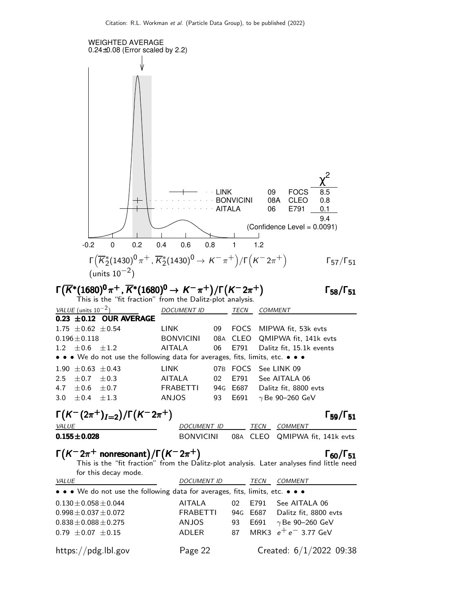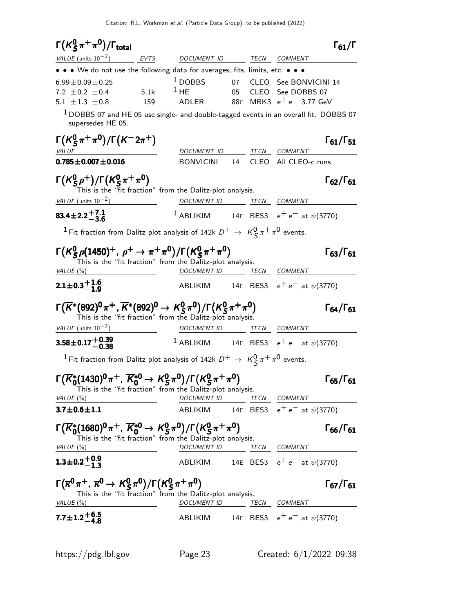| $\Gamma(K_S^0\pi^+\pi^0)/\Gamma_{\rm total}$                                                                                                                                                                                                                                                                                       |                                                                                    |  |                      | $\Gamma_{61}/\Gamma$      |
|------------------------------------------------------------------------------------------------------------------------------------------------------------------------------------------------------------------------------------------------------------------------------------------------------------------------------------|------------------------------------------------------------------------------------|--|----------------------|---------------------------|
| VALUE (units $10^{-2}$ ) EVTS DOCUMENT ID TECN COMMENT                                                                                                                                                                                                                                                                             |                                                                                    |  |                      |                           |
| • • • We do not use the following data for averages, fits, limits, etc. • • •                                                                                                                                                                                                                                                      |                                                                                    |  |                      |                           |
| $6.99 \pm 0.09 \pm 0.25$                                                                                                                                                                                                                                                                                                           | <sup>1</sup> DOBBS 07 CLEO See BONVICINI 14                                        |  |                      |                           |
| 7.2 $\pm$ 0.2 $\pm$ 0.4<br>5.1k                                                                                                                                                                                                                                                                                                    | $^1$ HE                                                                            |  | 05 CLEO See DOBBS 07 |                           |
| 5.1 $\pm 1.3$ $\pm 0.8$<br>159                                                                                                                                                                                                                                                                                                     | ADLER 88C MRK3 $e^+e^-$ 3.77 GeV                                                   |  |                      |                           |
| $1$ DOBBS 07 and HE 05 use single- and double-tagged events in an overall fit. DOBBS 07<br>supersedes HE 05.                                                                                                                                                                                                                       |                                                                                    |  |                      |                           |
| $\Gamma(K_S^0 \pi^+ \pi^0)/\Gamma(K^- 2\pi^+)$                                                                                                                                                                                                                                                                                     |                                                                                    |  |                      | $\Gamma_{61}/\Gamma_{51}$ |
| <b>VALUE</b><br>$0.785 \pm 0.007 \pm 0.016$                                                                                                                                                                                                                                                                                        | DOCUMENT ID TECN COMMENT<br>BONVICINI 14 CLEO All CLEO-c runs                      |  |                      |                           |
| $\Gamma(K_{\rm S}^0\rho^+)/\Gamma(K_{\rm S}^0\pi^+\pi^0)$<br>This is the "fit fraction" from the Dalitz-plot analysis.                                                                                                                                                                                                             |                                                                                    |  |                      | $\Gamma_{62}/\Gamma_{61}$ |
| $VALUE$ (units $10^{-2}$ )                                                                                                                                                                                                                                                                                                         | DOCUMENT ID _______ TECN ___ COMMENT                                               |  |                      |                           |
| $83.4 \pm 2.2 + 7.1$                                                                                                                                                                                                                                                                                                               | <sup>1</sup> ABLIKIM 14E BES3 $e^+e^-$ at $\psi(3770)$                             |  |                      |                           |
| <sup>1</sup> Fit fraction from Dalitz plot analysis of 142k $D^+ \to K^0_S \pi^+ \pi^0$ events.                                                                                                                                                                                                                                    |                                                                                    |  |                      |                           |
| $\Gamma(K_S^0 \rho (1450)^+, \rho^+ \to \pi^+ \pi^0)/\Gamma(K_S^0 \pi^+ \pi^0)$                                                                                                                                                                                                                                                    |                                                                                    |  |                      | $\Gamma_{63}/\Gamma_{61}$ |
| This is the "fit fraction" from the Dalitz-plot analysis.                                                                                                                                                                                                                                                                          |                                                                                    |  |                      |                           |
|                                                                                                                                                                                                                                                                                                                                    | DOCUMENT ID TECN COMMENT                                                           |  |                      |                           |
|                                                                                                                                                                                                                                                                                                                                    | ABLIKIM 14E BES3 $e^+e^-$ at $\psi(3770)$                                          |  |                      |                           |
|                                                                                                                                                                                                                                                                                                                                    |                                                                                    |  |                      | $\Gamma_{64}/\Gamma_{61}$ |
| This is the "fit fraction" from the Dalitz-plot analysis.                                                                                                                                                                                                                                                                          |                                                                                    |  |                      |                           |
|                                                                                                                                                                                                                                                                                                                                    | DOCUMENT ID TECN COMMENT<br><sup>1</sup> ABLIKIM 14E BES3 $e^+e^-$ at $\psi(3770)$ |  |                      |                           |
| VALUE (%)<br>$2.1 \pm 0.3 \stackrel{+}{-} 1.6$<br>$\Gamma(\overline{K}^*(892)^0 \pi^+, \overline{K}^*(892)^0 \to K^0_S \pi^0)/\Gamma(K^0_S \pi^+ \pi^0)$<br>VALUE (units $10^{-2}$ )<br>$3.58 \pm 0.17 \pm 0.39$<br>$^1$ Fit fraction from Dalitz plot analysis of 142k $D^+ \rightarrow \ \textit{K}^0_S\, \pi^+\, \pi^0$ events. |                                                                                    |  |                      |                           |
| This is the "fit fraction" from the Dalitz-plot analysis.                                                                                                                                                                                                                                                                          |                                                                                    |  |                      | $\Gamma_{65}/\Gamma_{61}$ |
| $\Gamma(\overline{K}_0^*(1430)^0 \pi^+, \overline{K}_0^{*0} \to K_S^0 \pi^0)/\Gamma(K_S^0 \pi^+ \pi^0)$<br>VALUE(%)                                                                                                                                                                                                                | DOCUMENT ID TECN COMMENT                                                           |  |                      |                           |
| $3.7 \pm 0.6 \pm 1.1$                                                                                                                                                                                                                                                                                                              | ABLIKIM 14E BES3 $e^+e^-$ at $\psi(3770)$                                          |  |                      |                           |
|                                                                                                                                                                                                                                                                                                                                    |                                                                                    |  |                      | $\Gamma_{66}/\Gamma_{61}$ |
| $\Gamma(\overline{K}_0^*(1680)^0 \pi^+, \overline{K}_0^{*0} \to K_S^0 \pi^0)/\Gamma(K_S^0 \pi^+ \pi^0)$<br>This is the "fit fraction" from the Dalitz-plot analysis.<br>VALUE $(\%)$                                                                                                                                               |                                                                                    |  |                      |                           |
| $1.3 \pm 0.2 \begin{array}{c} +0.9 \\ -1.3 \end{array}$                                                                                                                                                                                                                                                                            | DOCUMENT ID TECN COMMENT<br>ABLIKIM 14E BES3 $e^+e^-$ at $\psi(3770)$              |  |                      |                           |
| $\Gamma(\overline{\kappa}^0\pi^+, \overline{\kappa}^0 \to K_S^0\pi^0)/\Gamma(K_S^0\pi^+\pi^0)$<br>This is the "fit fraction" from the Dalitz-plot analysis.<br>VALUE $(\%)$<br><u> 1989 - Andrea Station Barbara, amerikan per</u>                                                                                                 | DOCUMENT ID TECN COMMENT                                                           |  |                      | $\Gamma_{67}/\Gamma_{61}$ |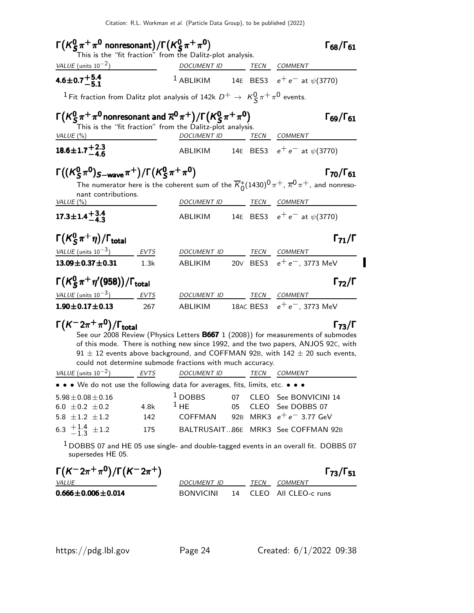| $\Gamma(K_S^0 \pi^+ \pi^0$ nonresonant)/ $\Gamma(K_S^0 \pi^+ \pi^0)$<br>This is the "fit fraction" from the Dalitz-plot analysis. |                                                                                                                                                                                                                                      |                                                           |  | $\Gamma_{68}/\Gamma_{61}$                                                                                                               |
|-----------------------------------------------------------------------------------------------------------------------------------|--------------------------------------------------------------------------------------------------------------------------------------------------------------------------------------------------------------------------------------|-----------------------------------------------------------|--|-----------------------------------------------------------------------------------------------------------------------------------------|
| VALUE (units $10^{-2}$ )                                                                                                          | <u>and the state of the state of the state of the state of the state of the state of the state of the state of the state of the state of the state of the state of the state of the state of the state of the state of the state</u> | DOCUMENT ID TECN COMMENT                                  |  |                                                                                                                                         |
| 4.6 ± 0.7 $^{+5.4}_{-5.1}$                                                                                                        |                                                                                                                                                                                                                                      |                                                           |  | <sup>1</sup> ABLIKIM 14E BES3 $e^+e^-$ at $\psi$ (3770)                                                                                 |
| $^1$ Fit fraction from Dalitz plot analysis of 142k $D^+ \rightarrow \; \, \mathcal{K}^0_S \, \pi^+ \, \pi^0$ events.             |                                                                                                                                                                                                                                      |                                                           |  |                                                                                                                                         |
| $\Gamma(K^0_S\pi^+\pi^0$ nonresonant and $\overline{\kappa}^0\pi^+)/\Gamma(K^0_S\pi^+\pi^0)$                                      |                                                                                                                                                                                                                                      | This is the "fit fraction" from the Dalitz-plot analysis. |  | $\Gamma_{69}/\Gamma_{61}$                                                                                                               |
| VALUE $(\%)$                                                                                                                      |                                                                                                                                                                                                                                      |                                                           |  | DOCUMENT ID TECN COMMENT                                                                                                                |
| $18.6 \pm 1.7 \pm 2.3$                                                                                                            |                                                                                                                                                                                                                                      |                                                           |  | ABLIKIM 14E BES3 $e^+e^-$ at $\psi(3770)$                                                                                               |
| $\Gamma((K_5^0 \pi^0)_{S-wave} \pi^+)/\Gamma(K_5^0 \pi^+ \pi^0)$                                                                  |                                                                                                                                                                                                                                      |                                                           |  | $\Gamma_{70}/\Gamma_{61}$                                                                                                               |
| nant contributions.                                                                                                               |                                                                                                                                                                                                                                      |                                                           |  | The numerator here is the coherent sum of the $\overline{K}_{0}^{*}(1430)^{0} \pi^{+}$ , $\overline{\kappa}^{0} \pi^{+}$ , and nonreso- |
| VALUE $(\%)$                                                                                                                      |                                                                                                                                                                                                                                      | DOCUMENT ID TECN COMMENT                                  |  |                                                                                                                                         |
| $17.3 \pm 1.4 + \frac{3.4}{4.2}$                                                                                                  |                                                                                                                                                                                                                                      |                                                           |  | ABLIKIM 14E BES3 $e^+e^-$ at $\psi(3770)$                                                                                               |
| $\Gamma(K_S^0\pi^+\eta)/\Gamma_{\rm total}$                                                                                       |                                                                                                                                                                                                                                      |                                                           |  | $\Gamma_{71}/\Gamma$                                                                                                                    |
| VALUE $(\text{units } 10^{-3})$ EVTS                                                                                              |                                                                                                                                                                                                                                      | DOCUMENT ID TECN COMMENT                                  |  |                                                                                                                                         |
| $13.09 \pm 0.37 \pm 0.31$ 1.3k                                                                                                    |                                                                                                                                                                                                                                      |                                                           |  | ABLIKIM 20V BES3 $e^+e^-$ , 3773 MeV                                                                                                    |
| $\Gamma(K_S^0 \pi^+ \eta'(958))/\Gamma_{\text{total}}$                                                                            |                                                                                                                                                                                                                                      |                                                           |  | $\Gamma_{72}/\Gamma$                                                                                                                    |
| $VALUE$ (units $10^{-3}$ ) EVTS                                                                                                   |                                                                                                                                                                                                                                      | DOCUMENT ID TECN COMMENT                                  |  |                                                                                                                                         |
| $1.90 \pm 0.17 \pm 0.13$                                                                                                          | 267                                                                                                                                                                                                                                  |                                                           |  | ABLIKIM 18AC BES3 $e^+e^-$ , 3773 MeV                                                                                                   |
| $\Gamma(K^-2\pi^+\pi^0)/\Gamma_{\rm total}$                                                                                       |                                                                                                                                                                                                                                      |                                                           |  | $\Gamma_{73}/\Gamma$                                                                                                                    |

See our 2008 Review (Physics Letters **B667** 1 (2008)) for measurements of submodes of this mode. There is nothing new since 1992, and the two papers, ANJOS 92C, with  $91 \pm 12$  events above background, and COFFMAN 92B, with  $142 \pm 20$  such events, could not determine submode fractions with much accuracy.

| VALUE (units $10^{-2}$ )                                                                        | EVTS               | <b>DOCUMENT ID</b>             |          | <i>TECN</i> | <i>COMMENT</i>                                                                                                 |
|-------------------------------------------------------------------------------------------------|--------------------|--------------------------------|----------|-------------|----------------------------------------------------------------------------------------------------------------|
| • • • We do not use the following data for averages, fits, limits, etc. • • •                   |                    |                                |          |             |                                                                                                                |
| $5.98 + 0.08 + 0.16$<br>$6.0 + 0.2 + 0.2$<br>$5.8 + 1.2 + 1.2$<br>6.3 $\frac{+1.4}{-1.3}$ ± 1.2 | 4.8k<br>142<br>175 | $1$ DOBBS<br>$1$ HF<br>COFFMAN | 07<br>05 |             | CLEO See BONVICINI 14<br>CLEO See DOBBS 07<br>92B MRK3 $e^+e^-$ 3.77 GeV<br>BALTRUSAIT86E MRK3 See COFFMAN 92B |

 $1$  DOBBS 07 and HE 05 use single- and double-tagged events in an overall fit. DOBBS 07 supersedes HE 05.

| $\Gamma(K^- 2\pi^+\pi^0)/\Gamma(K^- 2\pi^+)$ |             |             | $\Gamma_{73}/\Gamma_{51}$ |
|----------------------------------------------|-------------|-------------|---------------------------|
| <i>VALUE</i>                                 | DOCUMENT ID | <b>TFCN</b> | COMMENT                   |
| $0.666 \pm 0.006 \pm 0.014$                  | BONVICINI   |             | 14 CLEO All CLEO-c runs   |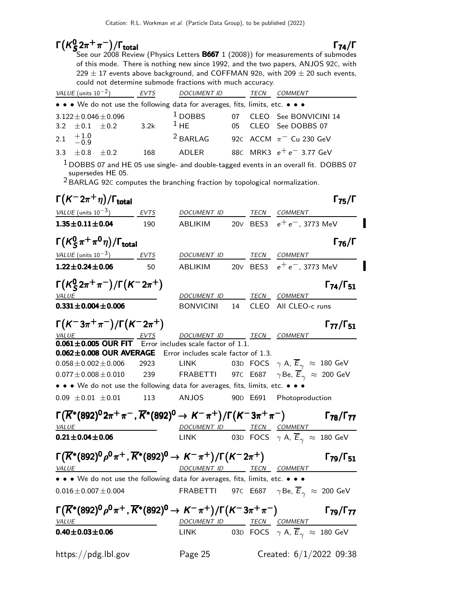#### $\mathsf{\Gamma}(\mathsf{K}^0_\mathsf{S})$  $\Gamma(K^0_{\mathcal{S}_2}\pi^+\pi^-)/\Gamma_{\text{total}}$  (b) to the RECT (2000))  $\Gamma_{\text{total}}$   $\Gamma_{\text{74}}/\Gamma$

 $(K_{S}^{0}2\pi^{+}\pi^{-})/\Gamma_{\text{total}}$  Γ<sub>74</sub>/Γ See our 2008 Review (Physics Letters **B667** 1 (2008)) for measurements of submodes of this mode. There is nothing new since 1992, and the two papers, ANJOS 92C, with  $229 \pm 17$  events above background, and COFFMAN 92B, with 209  $\pm$  20 such events, could not determine submode fractions with much accuracy.

| VALUE (units $10^{-2}$ ) |                             | <b>EVTS</b> | <b>DOCUMENT ID</b>                                                            |     | <i>TECN</i> | <b>COMMENT</b>                         |
|--------------------------|-----------------------------|-------------|-------------------------------------------------------------------------------|-----|-------------|----------------------------------------|
|                          |                             |             | • • • We do not use the following data for averages, fits, limits, etc. • • • |     |             |                                        |
|                          | $3.122 \pm 0.046 \pm 0.096$ |             | $1$ DOBBS                                                                     | 07  |             | CLEO See BONVICINI 14                  |
| 3.2 $\pm$ 0.1 $\pm$ 0.2  |                             | 3.2k        | $1$ HF                                                                        | 05. |             | CLEO See DOBBS 07                      |
| 2.1 $+1.0$<br>-0.9       |                             |             | $2$ BARLAG                                                                    |     |             | 92C ACCM $\pi$ <sup>-</sup> Cu 230 GeV |
| 3.3 $\pm 0.8$            | $+0.2$                      | 168         | ADI FR                                                                        |     |             | 88C MRK3 $e^+e^-$ 3.77 GeV             |
|                          |                             |             |                                                                               |     |             |                                        |

 $1$  DOBBS 07 and HE 05 use single- and double-tagged events in an overall fit. DOBBS 07 supersedes HE 05.

 $2$  BARLAG 92C computes the branching fraction by topological normalization.

| $\Gamma(K^-2\pi^+\eta)/\Gamma_{\rm total}$                                                            |             |                                 |    | $\Gamma_{75}/\Gamma$                                                                                                                      |
|-------------------------------------------------------------------------------------------------------|-------------|---------------------------------|----|-------------------------------------------------------------------------------------------------------------------------------------------|
| <u>VALUE</u> (units $10^{-3}$ )                                                                       | EVTS        | DOCUMENT ID TECN COMMENT        |    |                                                                                                                                           |
| $1.35 \pm 0.11 \pm 0.04$                                                                              | 190         |                                 |    | ABLIKIM 20V BES3 $e^+e^-$ , 3773 MeV                                                                                                      |
| $\Gamma(K_S^0\pi^+\pi^0\eta)/\Gamma_{\rm total}$                                                      |             |                                 |    | $\Gamma_{76}/\Gamma$                                                                                                                      |
| VALUE (units $10^{-3}$ )                                                                              | <b>EVTS</b> | DOCUMENT ID                     |    | TECN COMMENT                                                                                                                              |
| $1.22 \pm 0.24 \pm 0.06$                                                                              | 50          | ABLIKIM                         |    | 20V BES3 $e^+e^-$ , 3773 MeV                                                                                                              |
| $\Gamma(K_S^0 2\pi^+\pi^-)/\Gamma(K^- 2\pi^+)$                                                        |             |                                 |    | $\Gamma_{74}/\Gamma_{51}$                                                                                                                 |
| <b>VALUE</b><br>$0.331 \pm 0.004 \pm 0.006$                                                           |             | DOCUMENT ID<br><b>BONVICINI</b> | 14 | <i>TECN COMMENT</i><br>CLEO All CLEO-c runs                                                                                               |
|                                                                                                       |             |                                 |    |                                                                                                                                           |
| $\Gamma(K^-3\pi^+\pi^-)/\Gamma(K^-2\pi^+)$                                                            |             |                                 |    | $\Gamma_{77}/\Gamma_{51}$                                                                                                                 |
| VALUE EVTS DOCUMENT ID<br><b>0.061±0.005 OUR FIT</b> Error includes scale factor of 1.1.              |             | DOCUMENT ID TECN COMMENT        |    |                                                                                                                                           |
|                                                                                                       |             |                                 |    |                                                                                                                                           |
| 0.062±0.008 OUR AVERAGE Error includes scale factor of 1.3.                                           |             |                                 |    |                                                                                                                                           |
| $0.058 \pm 0.002 \pm 0.006$ 2923                                                                      |             | LINK                            |    | 03D FOCS $\gamma$ A, $\overline{E}_{\gamma} \approx 180$ GeV                                                                              |
| $0.077 \pm 0.008 \pm 0.010$ 239                                                                       |             |                                 |    | <b>FRABETTI</b> 97C E687 $\gamma$ Be, $\overline{E}_{\gamma} \approx 200$ GeV                                                             |
| . . We do not use the following data for averages, fits, limits, etc.                                 |             |                                 |    |                                                                                                                                           |
| $0.09 \pm 0.01 \pm 0.01$ 113 ANJOS 90D E691 Photoproduction                                           |             |                                 |    |                                                                                                                                           |
|                                                                                                       |             |                                 |    | $\Gamma(\overline{K}^*(892)^0 2\pi^+ \pi^-$ , $\overline{K}^*(892)^0 \to K^- \pi^+) / \Gamma(K^- 3\pi^+ \pi^-)$ $\Gamma_{78}/\Gamma_{77}$ |
| <i>VALUE</i>                                                                                          |             | DOCUMENT ID TECN COMMENT        |    |                                                                                                                                           |
| $0.21 \pm 0.04 \pm 0.06$                                                                              |             |                                 |    | LINK 03D FOCS $\gamma$ A, $\overline{E}_{\gamma} \approx 180 \text{ GeV}$                                                                 |
| $\Gamma(\overline{K}^*(892)^0\rho^0\pi^+, \overline{K}^*(892)^0 \to K^-\pi^+)/\Gamma(K^-2\pi^+)$      |             |                                 |    | $\Gamma_{79}/\Gamma_{51}$                                                                                                                 |
| <b>VALUE</b>                                                                                          |             | DOCUMENT ID TECN COMMENT        |    |                                                                                                                                           |
| • • • We do not use the following data for averages, fits, limits, etc. • • •                         |             |                                 |    |                                                                                                                                           |
| $0.016 \pm 0.007 \pm 0.004$                                                                           |             |                                 |    | FRABETTI 97C E687 $\gamma$ Be, $\overline{E}_{\gamma} \approx 200$ GeV                                                                    |
| $\Gamma(\overline{K}^*(892)^0\rho^0\pi^+, \overline{K}^*(892)^0 \to K^-\pi^+)/\Gamma(K^-3\pi^+\pi^-)$ |             |                                 |    | $\Gamma$ <sub>79</sub> / $\Gamma$ <sub>77</sub>                                                                                           |
| <b>VALUE</b>                                                                                          |             | DOCUMENT ID TECN COMMENT        |    |                                                                                                                                           |
| $0.40 \pm 0.03 \pm 0.06$                                                                              |             | <b>LINK</b>                     |    | 03D FOCS $\gamma$ A, $\overline{E}_{\gamma} \approx 180$ GeV                                                                              |
| https://pdg.lbl.gov                                                                                   |             | Page 25                         |    | Created: $6/1/2022$ 09:38                                                                                                                 |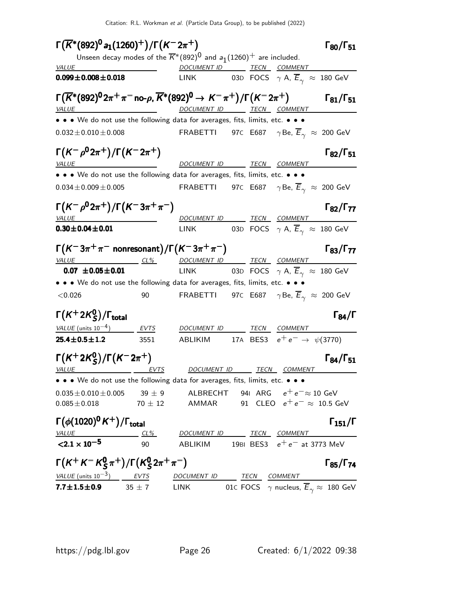Citation: R.L. Workman et al. (Particle Data Group), to be published (2022)

| $\Gamma(\overline{K}^*(892)^0a_1(1260)^+)/\Gamma(K^-2\pi^+)$                                                                        |            |                                                                                                     |  |                                                                | $\Gamma_{80}/\Gamma_{51}$ |
|-------------------------------------------------------------------------------------------------------------------------------------|------------|-----------------------------------------------------------------------------------------------------|--|----------------------------------------------------------------|---------------------------|
|                                                                                                                                     |            | Unseen decay modes of the $\overline{K}^*(892)^0$ and $a_1(1260)^+$ are included.                   |  |                                                                |                           |
| $\frac{VALUE}{0.000 + 0.008 + 0.018}$ $\frac{DOCUMENT ID}{1.111/L}$ $\frac{TECN}{0.25}$ $\frac{CDC}{EOCSE}$ $\frac{COMMENT}{1.012}$ |            |                                                                                                     |  |                                                                |                           |
| $0.099 \pm 0.008 \pm 0.018$                                                                                                         |            | LINK 03D FOCS $\gamma$ A, $\overline{E}_{\gamma} \approx 180$ GeV                                   |  |                                                                |                           |
| $\Gamma(\overline{K}^*(892)^0 2\pi^+\pi^-$ no- $\rho$ , $\overline{K}^*(892)^0 \to K^-\pi^+)/\Gamma(K^- 2\pi^+)$<br><u>VALUE</u>    |            | DOCUMENT ID TECN COMMENT                                                                            |  |                                                                | $\Gamma_{81}/\Gamma_{51}$ |
| • • • We do not use the following data for averages, fits, limits, etc. • • •                                                       |            |                                                                                                     |  |                                                                |                           |
| $0.032 \pm 0.010 \pm 0.008$                                                                                                         |            | FRABETTI       97 $\in$ E687 $\gamma$ Be, $\overline{\mathsf{E}}_{\gamma}$ $\approx$ 200  GeV       |  |                                                                |                           |
| $\Gamma(K^-\rho^0 2\pi^+)/\Gamma(K^- 2\pi^+)$                                                                                       |            |                                                                                                     |  |                                                                | $\Gamma_{82}/\Gamma_{51}$ |
| <i>VALUE</i>                                                                                                                        |            | DOCUMENT ID TECN COMMENT                                                                            |  |                                                                |                           |
| • • • We do not use the following data for averages, fits, limits, etc. • • •                                                       |            |                                                                                                     |  |                                                                |                           |
| $0.034 \pm 0.009 \pm 0.005$                                                                                                         |            | <code>FRABETTI 97</code> c E687 $\gamma$ Be, $\overline{E}_\gamma$ $\approx$ 200 GeV                |  |                                                                |                           |
| $\Gamma(K^-\rho^0 2\pi^+)/\Gamma(K^-3\pi^+\pi^-)$                                                                                   |            |                                                                                                     |  |                                                                | $\Gamma_{82}/\Gamma_{77}$ |
| <u>VALUE</u><br>$0.30 \pm 0.04 \pm 0.01$                                                                                            |            | DOCUMENT ID TECN COMMENT<br><b>LINK</b>                                                             |  | 03D FOCS $\gamma$ A, $\overline{E}_{\gamma}$ $\approx$ 180 GeV |                           |
|                                                                                                                                     |            |                                                                                                     |  |                                                                |                           |
| $\Gamma(K^-3\pi^+\pi^-$ nonresonant)/ $\Gamma(K^-3\pi^+\pi^-)$                                                                      |            |                                                                                                     |  |                                                                | $\Gamma_{83}/\Gamma_{77}$ |
| <u>VALUE CL% DOCUMENT ID TECN COMMENT</u><br>$0.07 \pm 0.05 \pm 0.01$                                                               |            | LINK 03D FOCS $\gamma$ A, $\overline{E}_{\gamma}$ $\approx$ 180 GeV                                 |  |                                                                |                           |
| • • • We do not use the following data for averages, fits, limits, etc. • • •                                                       |            |                                                                                                     |  |                                                                |                           |
| < 0.026                                                                                                                             | 90         | <code>FRABETTI 97</code> c E687 $\gamma$ Be, $\overline{E}_{\gamma}$ $\approx$ 200 GeV              |  |                                                                |                           |
| $\Gamma(K^+2\mathcal{K}^0_S)/\Gamma_{\text{total}}$                                                                                 |            |                                                                                                     |  |                                                                | $\Gamma_{84}/\Gamma$      |
| VALUE (units $10^{-4}$ ) EVTS                                                                                                       |            | DOCUMENT ID TECN COMMENT                                                                            |  |                                                                |                           |
| $25.4 \pm 0.5 \pm 1.2$                                                                                                              | 3551       | ABLIKIM 17A BES3 $e^+e^- \rightarrow \psi(3770)$                                                    |  |                                                                |                           |
| $\Gamma(K^+ 2K_S^0)/\Gamma(K^- 2\pi^+)$                                                                                             |            | DOCUMENT ID TECN COMMENT                                                                            |  |                                                                | $\Gamma_{84}/\Gamma_{51}$ |
| VALUE EVTS<br>• • • We do not use the following data for averages, fits, limits, etc. • • •                                         |            |                                                                                                     |  |                                                                |                           |
| $0.035 \pm 0.010 \pm 0.005$<br>$0.085 \pm 0.018$                                                                                    | $39 \pm 9$ | ALBRECHT 941 ARG $e^+e^-\approx 10$ GeV<br>$70\pm12$ AMMAR 91 CLEO $e^+ \, e^- \approx \,$ 10.5 GeV |  |                                                                |                           |
| $\Gamma(\phi(1020)^0 K^+) / \Gamma_{\text{total}}$<br>VALUE                                                                         | <u>CL%</u> | DOCUMENT ID TECN COMMENT                                                                            |  |                                                                | $\Gamma_{151}/\Gamma$     |
| $< 2.1 \times 10^{-5}$                                                                                                              | 90         | ABLIKIM 19BI BES3 $e^+e^-$ at 3773 MeV                                                              |  |                                                                |                           |
| $\Gamma(K^+K^-K^0_S\pi^+)/\Gamma(K^0_S2\pi^+\pi^-)$                                                                                 |            |                                                                                                     |  |                                                                | $\Gamma_{85}/\Gamma_{74}$ |
| $VALUE (units 10-3)$ <i>EVTS DOCUMENT ID TECN COMMENT</i>                                                                           |            |                                                                                                     |  |                                                                |                           |
| <b>7.7±1.5±0.9</b> 35 ± 7 LINK 01C FOCS $\gamma$ nucleus, $\overline{E}_{\gamma} \approx 180$ GeV                                   |            |                                                                                                     |  |                                                                |                           |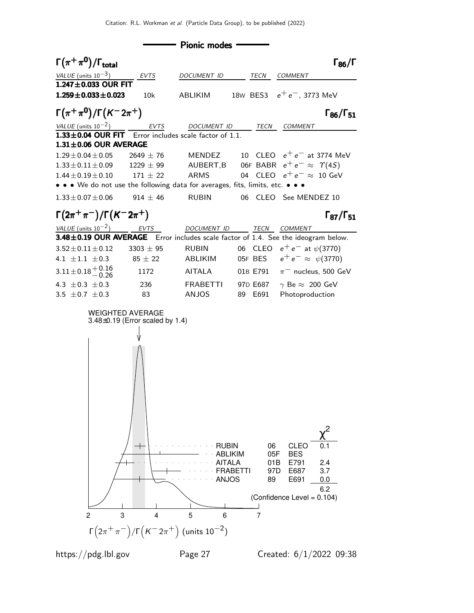Pionic modes

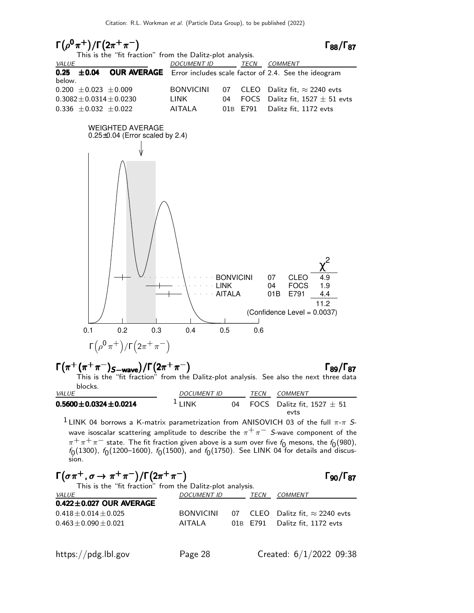

# Γ π <sup>+</sup> (π <sup>+</sup> π <sup>−</sup>)S−wave /Γ 2π <sup>+</sup> π − Γ89/Γ<sup>87</sup> ++−S−wave +− Γ <sup>+</sup> (π <sup>+</sup>π )S−wave /Γ 2π<sup>+</sup> <sup>−</sup> Γ89/Γ ++S−wave +−

This is the "fit fraction" from the Dalitz-plot analysis. See also the next three data blocks.

| <i>VALUE</i>                   | <b>DOCUMENT ID</b> |    | TECN | COMMENT                        |
|--------------------------------|--------------------|----|------|--------------------------------|
| $0.5600 \pm 0.0324 \pm 0.0214$ | $1$ I INK          | 04 |      | FOCS Dalitz fit. 1527 $\pm$ 51 |
|                                |                    |    |      | evts                           |

<sup>1</sup> LINK 04 borrows a K-matrix parametrization from ANISOVICH 03 of the full  $\pi$ - $\pi$  Swave isoscalar scattering amplitude to describe the  $\pi^+\pi^-$  S-wave component of the  $\pi^+ \pi^+ \pi^-$  state. The fit fraction given above is a sum over five  $f_0$  mesons, the  $f_0(980)$ ,  $f_{\rm 0}(1300)$ ,  $f_{\rm 0}(1200\text{--}1600)$ ,  $f_{\rm 0}(1500)$ , and  $f_{\rm 0}(1750)$ . See LINK 04 for details and discussion.

$$
\begin{array}{ll}\n\Gamma(\sigma \pi^+, \sigma \to \pi^+ \pi^-)/\Gamma(2\pi^+ \pi^-) & \Gamma_{90}/\Gamma_{87} \\
\text{This is the "fit fraction" from the Dalitz-plot analysis.} \\
\frac{VALUE}{0.422 \pm 0.027 \text{ OUR AVERAGE}} & \frac{DOCUMENT ID}{TECN} & \frac{COMMENT}{TECN} \\
0.418 \pm 0.014 \pm 0.025 & \text{BONVICINI} & 07 \text{ CLEO Dalitz fit, } \approx 2240 \text{ evts} \\
0.463 \pm 0.090 \pm 0.021 & \text{AITALA} & 01B E791 \text{ Dalitz fit, } 1172 \text{ evts}\n\end{array}
$$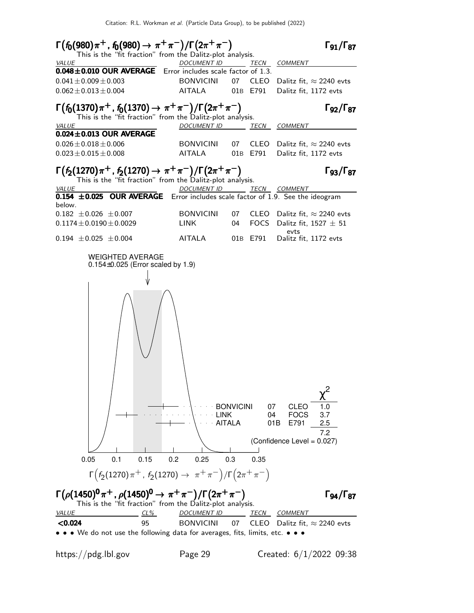

https://pdg.lbl.gov Page 29 Created: 6/1/2022 09:38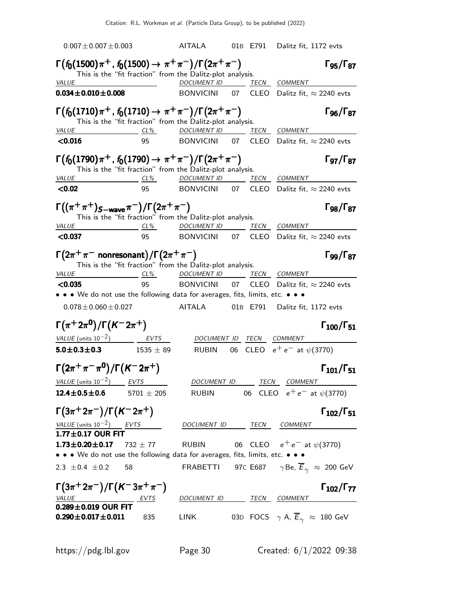$0.007\pm0.007\pm0.003$  AITALA 01B E791 Dalitz fit, 1172 evts  $\Gamma(f_0(1500)\pi^+$ ,  $f_0(1500) \to \pi^+\pi^-)/\Gamma(2\pi^+\pi^-)$  Γg5/Γ87 This is the "fit fraction" from the Dalitz-plot analysis.<br>DOCUMENT ID T. DOCUMENT ID TECN COMMENT  $0.034 \pm 0.010 \pm 0.008$  BONVICINI 07 CLEO Dalitz fit,  $\approx 2240$  evts Γ f0(1710)π <sup>+</sup> , f0(1710) → π <sup>+</sup> π − /Γ 2π <sup>+</sup> π − Γ Γ96/Γ<sup>87</sup> f (1710)π <sup>+</sup> , f (1710) π <sup>+</sup> π − /Γ2π <sup>+</sup> π − Γ Γ96/Γ87 (1710)π <sup>+</sup>, f0(1710) → π<sup>+</sup> π<sup>−</sup> /Γ 2π<sup>+</sup> π<sup>−</sup> Γ Γ96/Γ(1710)π <sup>+</sup>, f (1710) π<sup>+</sup> π<sup>−</sup> /Γ2π<sup>+</sup> π<sup>−</sup> Γ<sub>96</sub>/Γ<sub>87</sub> This is the "fit fraction" from the Dalitz-plot analysis. VALUE CL% DOCUMENT ID TECN COMMENT  $\langle 0.016$  95 BONVICINI 07 CLEO Dalitz fit,  $\approx 2240$  evts  $\Gamma(f_0(1790)\pi^+$  ,  $f_0(1790) \to \pi^+\pi^-)/\Gamma(2\pi^+\pi^-)$  Γ της Γ $_{97}/\Gamma_{87}$ Γ97/Γ This is the "fit fraction" from the Dalitz-plot analysis. VALUE CL<sup>%</sup> DOCUMENT ID TECN COMMENT  $\langle 0.02$  95 BONVICINI 07 CLEO Dalitz fit,  $\approx 2240$  evts  $\Gamma((\pi^+\pi^+)_{S-wave}\pi^-)/\Gamma(2\pi^+\pi^-)$   $\Gamma_{98}/\Gamma_{87}$ Γορ/Γεγ This is the "fit fraction" from the Dalitz-plot analysis. VALUE CL<sup>%</sup> DOCUMENT ID TECN COMMENT  $\langle 0.037$  95 BONVICINI 07 CLEO Dalitz fit,  $\approx 2240$  evts  $\Gamma(2\pi^+\pi^-$  nonresonant)/ $\Gamma(2\pi^+\pi^-)$  Γgg/Γ $_{87}$ Γ99/Γ87 This is the "fit fraction" from the Dalitz-plot analysis. VALUE CL<sup>%</sup> DOCUMENT ID TECN COMMENT  $\langle 0.035$  95 BONVICINI 07 CLEO Dalitz fit,  $\approx 2240$  evts • • • We do not use the following data for averages, fits, limits, etc. • • •  $0.078\pm0.060\pm0.027$  AITALA 01B E791 Dalitz fit, 1172 evts Γ $(\pi^+ 2\pi^0)/\Gamma(K^- 2\pi^+)$  Γ $_{100}/\Gamma_{51}$  $\Gamma_{100}/\Gamma_{51}$  $VALUE$  (units  $10^{-2}$ ) EVTS DOCUMENT ID TECN COMMENT **5.0±0.3±0.3** 1535 ± 89 RUBIN 06 CLEO  $e^+e^-$  at  $\psi(3770)$ Γ $(2\pi^+\pi^-\pi^0)/\Gamma(K^-2\pi^+)$  Γ $_{101}/\Gamma_{51}$  $Γ_{101}/Γ_{51}$ VALUE (units  $10^{-2}$ ) EVTS DOCUMENT ID TECN COMMENT **12.4±0.5±0.6** 5701 ± 205 RUBIN 06 CLEO  $e^+e^-$  at  $\psi(3770)$ Γ $(3\pi^+ 2\pi^-)/\Gamma(K^- 2\pi^+)$  Γ $_{102}/\Gamma_{51}$  $\Gamma_{102}/\Gamma_{51}$ VALUE (units  $10^{-2}$ ) ) EVTS DOCUMENT ID TECN COMMENT  $1.77 \pm 0.17$  OUR FIT **1.73±0.20±0.17** 732 ± 77 RUBIN 06 CLEO  $e^+e^-$  at  $\psi(3770)$ • • • We do not use the following data for averages, fits, limits, etc. • • • 2.3  $\pm$ 0.4  $\pm$ 0.2 58 FRABETTI 97C E687  $\gamma$ Be,  $\overline{E}_{\gamma} \approx 200$  GeV  $\Gamma(3\pi^+ 2\pi^-)/\Gamma(K^- 3\pi^+ \pi^-)$  Γ102/Γ77  $\Gamma_{102}/\Gamma_{77}$ DOCUMENT ID TECN COMMENT  $0.289 \pm 0.019$  OUR FIT<br> $0.290 \pm 0.017 \pm 0.011$ 835 LINK 03D FOCS  $\gamma$  A,  $\overline{E}_{\gamma} \approx 180$  GeV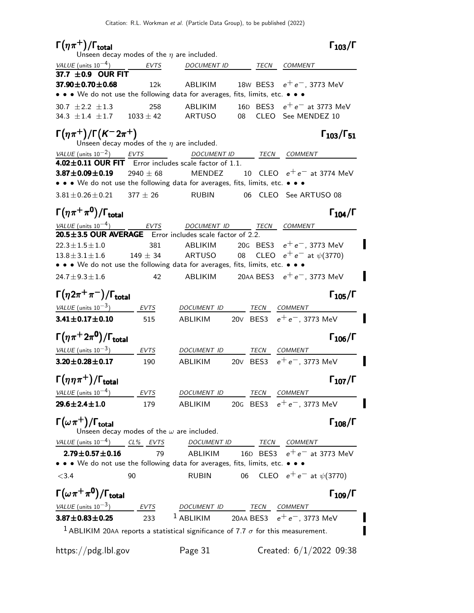| $\Gamma(\eta\pi^+)$ / $\Gamma_{\text{total}}$                                      |                      | Unseen decay modes of the $\eta$ are included.   | $\Gamma_{103}/\Gamma$                                                                                          |
|------------------------------------------------------------------------------------|----------------------|--------------------------------------------------|----------------------------------------------------------------------------------------------------------------|
| VALUE (units $10^{-4}$ )                                                           | <b>EVTS</b>          | <b>DOCUMENT ID</b>                               | TECN<br>COMMENT                                                                                                |
| 37.7 $\pm$ 0.9 OUR FIT                                                             |                      |                                                  |                                                                                                                |
| $37.90 \pm 0.70 \pm 0.68$                                                          | 12k                  | ABLIKIM                                          | 18W BES3 $e^+e^-$ , 3773 MeV<br>• • • We do not use the following data for averages, fits, limits, etc. • • •  |
| 30.7 $\pm 2.2$ $\pm 1.3$<br>34.3 $\pm$ 1.4 $\pm$ 1.7                               | 258<br>$1033 \pm 42$ | ABLIKIM<br><b>ARTUSO</b>                         | 16D BES3 $e^+e^-$ at 3773 MeV<br>08<br><b>CLEO</b><br>See MENDEZ 10                                            |
| $\Gamma(\eta \pi^+) / \Gamma(K^- 2\pi^+)$                                          |                      | Unseen decay modes of the $\eta$ are included.   | $\Gamma_{103}/\Gamma_{51}$                                                                                     |
| VALUE (units $10^{-2}$ ) EVTS                                                      |                      |                                                  | DOCUMENT ID TECN COMMENT                                                                                       |
| 4.02±0.11 OUR FIT Error includes scale factor of 1.1.                              |                      |                                                  |                                                                                                                |
| $3.87 \pm 0.09 \pm 0.19$                                                           | 2940 $\pm$ 68        | <b>MENDEZ</b>                                    | 10 CLEO $e^+e^-$ at 3774 MeV<br>• • • We do not use the following data for averages, fits, limits, etc. • • •  |
| $3.81 \pm 0.26 \pm 0.21$                                                           | $377 \pm 26$         | <b>RUBIN</b>                                     | 06 CLEO See ARTUSO 08                                                                                          |
| $\Gamma(\eta \pi^+ \pi^0)/\Gamma_{\rm total}$                                      |                      |                                                  | $\Gamma_{104}/\Gamma$                                                                                          |
| VALUE (units $10^{-4}$ )                                                           | EVTS                 | DOCUMENT ID                                      | TECN COMMENT                                                                                                   |
| 20.5±3.5 OUR AVERAGE Error includes scale factor of 2.2.<br>$22.3 \pm 1.5 \pm 1.0$ | 381                  | ABLIKIM                                          | 20G BES3 $e^+e^-$ , 3773 MeV                                                                                   |
| $13.8 \pm 3.1 \pm 1.6$                                                             | $149 \pm 34$         | ARTUSO                                           | 08 CLEO $e^+e^-$ at $\psi$ (3770)                                                                              |
|                                                                                    |                      |                                                  | • • • We do not use the following data for averages, fits, limits, etc. • • •                                  |
| $24.7 \pm 9.3 \pm 1.6$                                                             | 42                   | ABLIKIM                                          | 20AA BES3 $e^+e^-$ , 3773 MeV                                                                                  |
| $\Gamma(\eta 2\pi^+\pi^-)/\Gamma_{\rm total}$                                      |                      |                                                  | $\Gamma_{105}/\Gamma$                                                                                          |
| <i>VALUE</i> (units $10^{-3}$ )                                                    | EVTS                 | <i>DOCUMENT ID</i>                               | TECN COMMENT                                                                                                   |
| $3.41 \pm 0.17 \pm 0.10$                                                           | 515                  | <b>ABLIKIM</b>                                   | 20V BES3 $e^+e^-$ , 3773 MeV                                                                                   |
| $\Gamma(\eta\pi^+2\pi^0)/\Gamma_{\rm total}$                                       |                      |                                                  | $\Gamma_{106}/\Gamma$                                                                                          |
| VALUE (units $10^{-3}$ )                                                           | EVTS                 | DOCUMENT ID                                      | TECN<br>COMMENT                                                                                                |
| $3.20 \pm 0.28 \pm 0.17$                                                           | 190                  | <b>ABLIKIM</b>                                   | $e^+e^-$ , 3773 MeV<br>20V BES3                                                                                |
| $\Gamma(\eta\eta\pi^+)/\Gamma_{\rm total}$                                         |                      |                                                  | $\Gamma_{107}/\Gamma$                                                                                          |
| VALUE (units $10^{-4}$ ) EVTS                                                      |                      |                                                  | DOCUMENT ID TECN COMMENT                                                                                       |
| $29.6 \pm 2.4 \pm 1.0$                                                             | 179                  | ABLIKIM                                          | 20G BES3 $e^+e^-$ , 3773 MeV                                                                                   |
| $\Gamma(\omega\pi^+)$ / $\Gamma_{\rm total}$                                       |                      | Unseen decay modes of the $\omega$ are included. | $\Gamma_{108}/\Gamma$                                                                                          |
| VALUE (units $10^{-4}$ ) CL% EVTS                                                  |                      |                                                  | DOCUMENT ID TECN COMMENT                                                                                       |
| $2.79 \pm 0.57 \pm 0.16$                                                           | 79                   | ABLIKIM                                          | 16D BES3 $e^+e^-$ at 3773 MeV<br>• • • We do not use the following data for averages, fits, limits, etc. • • • |
| < 3.4                                                                              | 90                   | <b>RUBIN</b>                                     | CLEO $e^+e^-$ at $\psi(3770)$<br>06                                                                            |
| $\Gamma(\omega \pi^+ \pi^0)/\Gamma_{\rm total}$                                    |                      |                                                  | $\Gamma_{109}/\Gamma$                                                                                          |
| VALUE (units $10^{-3}$ ) EVTS                                                      |                      |                                                  | DOCUMENT ID TECN COMMENT                                                                                       |
| $3.87 \pm 0.83 \pm 0.25$                                                           | 233                  |                                                  | <sup>1</sup> ABLIKIM 20AA BES3 $e^+e^-$ , 3773 MeV                                                             |
|                                                                                    |                      |                                                  | <sup>1</sup> ABLIKIM 20AA reports a statistical significance of 7.7 $\sigma$ for this measurement.             |
| https://pdg.lbl.gov                                                                |                      | Page 31                                          | Created: $6/1/2022$ 09:38                                                                                      |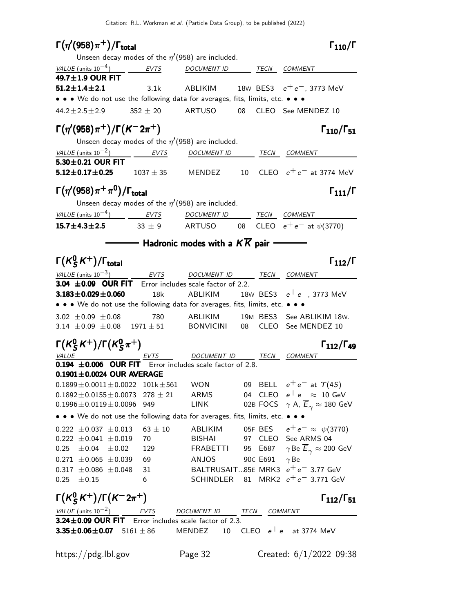| $\Gamma(\eta'(958)\pi^+)$ / $\Gamma_{\rm total}$                                                                                    |              |                                                      |          | $\Gamma_{110}/\Gamma$                                        |
|-------------------------------------------------------------------------------------------------------------------------------------|--------------|------------------------------------------------------|----------|--------------------------------------------------------------|
|                                                                                                                                     |              | Unseen decay modes of the $\eta'(958)$ are included. |          |                                                              |
| VALUE (units $10^{-4}$ )                                                                                                            | <b>EVTS</b>  | DOCUMENT ID TECN COMMENT                             |          |                                                              |
| 49.7±1.9 OUR FIT                                                                                                                    |              |                                                      |          |                                                              |
| $51.2 \pm 1.4 \pm 2.1$                                                                                                              | 3.1k         |                                                      |          | ABLIKIM 18W BES3 $e^+e^-$ , 3773 MeV                         |
| • • • We do not use the following data for averages, fits, limits, etc. • • •                                                       |              |                                                      |          |                                                              |
| $44.2 \pm 2.5 \pm 2.9$                                                                                                              | $352 \pm 20$ | ARTUSO 08                                            |          | CLEO See MENDEZ 10                                           |
| $\Gamma(\eta'(958)\pi^+) / \Gamma(K^-2\pi^+)$                                                                                       |              |                                                      |          | $\Gamma_{110}/\Gamma_{51}$                                   |
|                                                                                                                                     |              | Unseen decay modes of the $\eta'(958)$ are included. |          |                                                              |
| VALUE (units $10^{-2}$ )                                                                                                            | <b>EVTS</b>  | DOCUMENT ID TECN COMMENT                             |          |                                                              |
| 5.30±0.21 OUR FIT                                                                                                                   |              |                                                      |          |                                                              |
| <b>5.12±0.17±0.25</b> $1037 \pm 35$                                                                                                 |              |                                                      |          | MENDEZ $10$ CLEO $e^+e^-$ at 3774 MeV                        |
| $\Gamma(\eta'(958)\pi^+\pi^0)/\Gamma_{\rm total}$                                                                                   |              |                                                      |          | $\Gamma_{111}/\Gamma$                                        |
|                                                                                                                                     |              | Unseen decay modes of the $\eta'(958)$ are included. |          |                                                              |
| $VALUE$ (units $10^{-4}$ ) $EVTS$ DOCUMENT ID TECN COMMENT                                                                          |              |                                                      |          |                                                              |
| <b>15.7±4.3±2.5</b> 33 ± 9 ARTUSO 08 CLEO $e^+e^-$ at $\psi(3770)$                                                                  |              |                                                      |          |                                                              |
|                                                                                                                                     |              |                                                      |          |                                                              |
| $\Gamma(K_S^0K^+) / \Gamma_{\text{total}}$                                                                                          |              |                                                      |          | $\Gamma_{112}/\Gamma$                                        |
| VALUE (units $10^{-3}$ ) EVTS DOCUMENT ID TECN COMMENT                                                                              |              |                                                      |          |                                                              |
| 3.04 $\pm$ 0.09 OUR FIT Error includes scale factor of 2.2.                                                                         |              |                                                      |          |                                                              |
| $3.183 \pm 0.029 \pm 0.060$                                                                                                         | 18k          | ABLIKIM                                              |          | 18W BES3 $e^+e^-$ , 3773 MeV                                 |
| • • • We do not use the following data for averages, fits, limits, etc. • • •                                                       |              |                                                      |          |                                                              |
| 3.02 $\pm$ 0.09 $\pm$ 0.08                                                                                                          | 780          | ABLIKIM                                              |          | 19M BES3 See ABLIKIM 18W.                                    |
| 3.14 $\pm$ 0.09 $\pm$ 0.08 1971 $\pm$ 51 BONVICINI 08                                                                               |              |                                                      |          | CLEO See MENDEZ 10                                           |
| $\Gamma(K_S^0 K^+)/\Gamma(K_S^0 \pi^+)$                                                                                             |              |                                                      |          | $\Gamma_{112}/\Gamma_{49}$                                   |
| $\underbrace{VALU E}$<br><b>0.194 ±0.006 OUR FIT</b> Error includes scale factor of 2.8.                                            |              | DOCUMENT ID _____ TECN COMMENT                       |          |                                                              |
|                                                                                                                                     |              |                                                      |          |                                                              |
| $0.1901 \pm 0.0024$ OUR AVERAGE                                                                                                     |              |                                                      |          |                                                              |
| $0.1899 \pm 0.0011 \pm 0.0022$ 101k $\pm 561$ WON 09 BELL $e^+e^-$ at $\Upsilon(4S)$<br>$0.1892 \pm 0.0155 \pm 0.0073$ 278 $\pm$ 21 |              | <b>ARMS</b>                                          |          | 04 CLEO $e^+e^- \approx 10$ GeV                              |
| $0.1996\pm0.0119\pm0.0096$                                                                                                          | 949          | LINK                                                 |          | 02B FOCS $\gamma$ A, $\overline{E}_{\gamma} \approx 180$ GeV |
| • • • We do not use the following data for averages, fits, limits, etc. • • •                                                       |              |                                                      |          |                                                              |
| $0.222 \pm 0.037 \pm 0.013$                                                                                                         | $63 \pm 10$  | ABLIKIM                                              |          | 05F BES $e^+e^- \approx \psi(3770)$                          |
| $0.222 \pm 0.041 \pm 0.019$                                                                                                         | 70           | <b>BISHAI</b>                                        |          | 97 CLEO See ARMS 04                                          |
| $0.25 \pm 0.04 \pm 0.02$                                                                                                            | 129          | FRABETTI                                             |          | 95 E687 $\gamma$ Be $\overline{E}_{\gamma} \approx 200$ GeV  |
| $0.271 \pm 0.065 \pm 0.039$                                                                                                         | 69           | ANJOS                                                | 90C E691 | $\gamma$ Be                                                  |
| $0.317 \pm 0.086 \pm 0.048$                                                                                                         | 31           |                                                      |          | BALTRUSAIT85E MRK3 $e^+e^-$ 3.77 GeV                         |
| $0.25 \pm 0.15$                                                                                                                     | 6            |                                                      |          | SCHINDLER 81 MRK2 $e^+e^-$ 3.771 GeV                         |
| $\Gamma(K_S^0 K^+)/\Gamma(K^- 2\pi^+)$                                                                                              |              |                                                      |          | $\Gamma_{112}/\Gamma_{51}$                                   |
| VALUE (units $10^{-2}$ ) EVTS                                                                                                       |              | DOCUMENT ID TECN                                     |          | COMMENT                                                      |
| 3.24±0.09 OUR FIT Error includes scale factor of 2.3.                                                                               |              |                                                      |          |                                                              |
| 3.35 $\pm$ 0.06 $\pm$ 0.07 5161 $\pm$ 86                                                                                            |              |                                                      |          | MENDEZ 10 CLEO $e^+e^-$ at 3774 MeV                          |
| https://pdg.lbl.gov                                                                                                                 |              | Page 32                                              |          | Created: $6/1/2022$ 09:38                                    |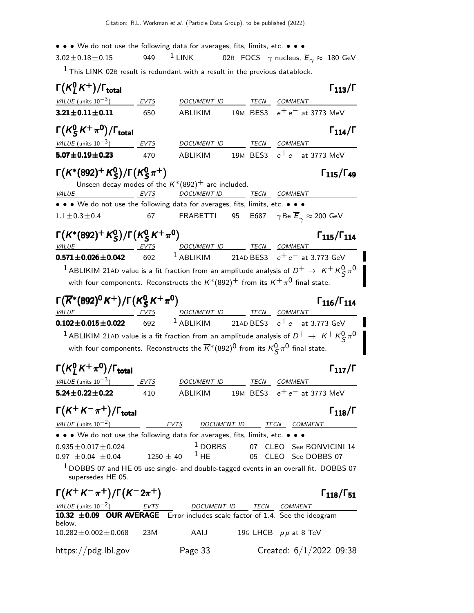Citation: R.L. Workman et al. (Particle Data Group), to be published (2022) • • • We do not use the following data for averages, fits, limits, etc. • • •  $\frac{3.02 \pm 0.18 \pm 0.15}{20}$  =  $\frac{1}{2}$  LINK = 02B FOCS  $\gamma$  nucleus.  $3.02\pm0.18\pm0.15$  949 <sup>1</sup> LINK 02B FOCS  $\gamma$  nucleus,  $\overline{E}_{\gamma} \approx 180$  GeV  $<sup>1</sup>$  This LINK 02B result is redundant with a result in the previous datablock.</sup>  $\mathsf{\Gamma}(\mathsf{K}^0_T)$  $\Gamma(K^0_L K^+) / \Gamma_{\text{total}}$  Γ<sub>113</sub>/Γ VALUE (units  $10^{-3}$ ) ) EVTS DOCUMENT ID TECN COMMENT **3.21±0.11±0.11** 650 ABLIKIM 19M BES3  $e^+e^-$  at 3773 MeV Γ $(\mathcal{K}^{0}_{\mathcal{S}}% )$  $\Gamma(K_S^0 K^+\pi^0)/\Gamma_{\rm total}$  Γ<sub>114</sub>/Γ VALUE (units  $10^{-3}$ ) EVTS DOCUMENT ID TECN COMMENT **5.07±0.19±0.23** 470 ABLIKIM 19M BES3  $e^+e^-$  at 3773 MeV Γ $(\mathcal{K}^*(892)^+$   $\mathcal{K}^0_S$  $_{\rm S}^{\rm 0}$ )/Γ(K $_{\rm S}^{\rm 0}$ Γ(K\*(892)<sup>+</sup> K<sup>0</sup><sub>S</sub>)/Γ(K<sup>0</sup><sub>S</sub> $\pi$ <sup>+</sup>) Γ<sub>115</sub>/Γ<sub>49</sub>  $\zeta \pi$  ) and  $\zeta$  115/1 49 Unseen decay modes of the  $K^*(892)^+$  are included. VALUE **EVTS** DOCUMENT ID TECN COMMENT • • • We do not use the following data for averages, fits, limits, etc. • • •  $1.1 \pm 0.3 \pm 0.4$  67 FRABETTI 95 E687  $\gamma$ Be  $\overline{E}_{\gamma} \approx 200$  GeV Γ $(K^*(892)^+ K^0_S)$  $_{\mathsf{S}}^{0})$ /Γ $(\mathsf{K}_{\mathsf{S}}^{0}% ,\mathsf{S}_{\mathsf{S}}^{0})$  $\Gamma(K^*(892)^+ K_S^0)/\Gamma(K_S^0 K^+\pi^0)$  Γ<sub>115</sub>/Γ<sub>114</sub> Γ115/Γ<sup>114</sup> VALUE EVTS DOCUMENT ID TECN COMMENT **0.571±0.026±0.042** 692 <sup>1</sup> ABLIKIM 21AD BES3  $e^+e^-$  at 3.773 GeV  $^1$  ABLIKIM 21AD value is a fit fraction from an amplitude analysis of  $D^+ \rightarrow\ K^+ \, K^0_S\, \pi^0$ with four components. Reconstructs the  $\mathsf{K}^*(892)^+$  from its  $\mathsf{K}^+\pi^0$  final state. Γ $(\overline{K}^*(892)^0$  K $^+)$ /Γ $(\overline{K}^0_S$ Γ( $\overline{K}^*(892)^0 K^+)/\Gamma(K_S^0 K^+\pi^0)$  Γ<sub>116</sub>/Γ<sub>114</sub> Γ( $\overline{K}^*(892)^0 K^+$ )/Γ( $\overline{K}^0_S K^+ \pi^0$ ) Γ<sub>116</sub>/Γ<sub>114</sub> Γ116/Γ<sup>114</sup> VALUE EVTS DOCUMENT ID TECN COMMENT **0.102±0.015±0.022** 692 <sup>1</sup> ABLIKIM 21AD BES3  $e^+e^-$  at 3.773 GeV  $^1$  ABLIKIM 21AD value is a fit fraction from an amplitude analysis of  $D^+ \rightarrow\ K^+ K^0_S\, \pi^0$ with four components. Reconstructs the  $\overline{K}^*(892)^0$  from its  $\mathcal{K}^0_\mathcal{S}\pi^0$  final state.  $\mathsf{\Gamma}(\mathsf{K}^0_I$  $\Gamma(K_L^0 K^+\pi^0)/\Gamma_{\rm total}$  Γ<sub>117</sub>/Γ VALUE (units  $10^{-3}$ ) EVTS DOCUMENT ID TECN COMMENT **5.24±0.22±0.22** 410 ABLIKIM 19M BES3  $e^+e^-$  at 3773 MeV  $\Gamma(K^+ K^- \pi^+) / \Gamma_{\text{total}}$  Γ<sub>118</sub>/Γ )/Γ $_{\rm total}$ Γ VALUE (units  $10^{-2}$ ) EVTS DOCUMENT ID TECN COMMENT • • • We do not use the following data for averages, fits, limits, etc. • • •  $0.935 \pm 0.017 \pm 0.024$   $1$  DOBBS 07 CLEO See BONVICINI 14<br>0.97  $\pm$  0.04  $\pm$  1250  $\pm$  40  $^{-1}$  HE 05 CLEO See DOBBS 07 05 CLEO See DOBBS 07  $1$  DOBBS 07 and HE 05 use single- and double-tagged events in an overall fit. DOBBS 07 supersedes HE 05.

 $\Gamma(K^+ K^- \pi^+) / \Gamma(K^- 2\pi^+)$  Γ<sub>118</sub>/Γ<sub>51</sub>

VALUE (units  $10^{-2}$ ) EVTS DOCUMENT ID TECN COMMENT 10.32  $\pm$ 0.09 OUR AVERAGE Error includes scale factor of 1.4. See the ideogram below.  $10.282 \pm 0.002 \pm 0.068$  23M AAIJ 19G LHCB pp at 8 TeV https://pdg.lbl.gov Page 33 Created: 6/1/2022 09:38

 $\Gamma_{118}/\Gamma_{51}$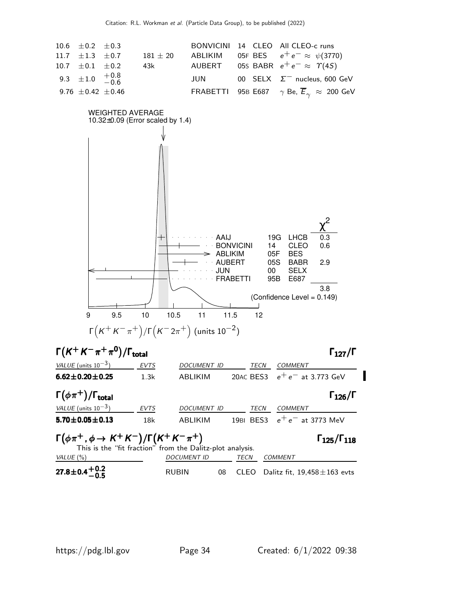



 $\substack{27.8 \pm 0.4\, +0.2 \ -0.5}$  $27.8\pm0.4\genfrac{}{}{0pt}{}{+0.2}{-0.5}$ RUBIN  $08$  CLEO Dalitz fit,  $19,458 \pm 163$  evts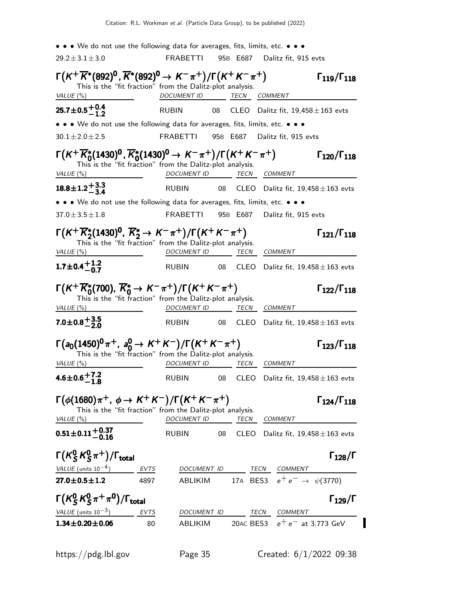• • • We do not use the following data for averages, fits, limits, etc. • • •  $29.2 \pm 3.1 \pm 3.0$  FRABETTI 95B E687 Dalitz fit, 915 evts  $\Gamma(K^+\overline{K}^*(892)^0, \overline{K}^*(892)^0 \to K^-\pi^+) / \Gamma(K^+K^-\pi^+)$   $\Gamma_{119} / \Gamma_{118}$ Γ119/Γ<sup>118</sup> This is the "fit fraction" from the Dalitz-plot analysis. VALUE (%) DOCUMENT ID TECN COMMENT  $\substack{25.7\pm0.5,+0.4\-1.2}$  $25.7\pm0.5\genfrac{}{}{0pt}{}{+0.4}{-1.2}$  $-1.2$ RUBIN 08 CLEO Dalitz fit,  $19,458 \pm 163$  evts • • • We do not use the following data for averages, fits, limits, etc. • • •  $30.1 \pm 2.0 \pm 2.5$  FRABETTI 95B E687 Dalitz fit, 915 evts  $\Gamma(K^+\overline{K}{}^*_0(1430)^0, \overline{K}{}^*_0(1430)^0 \to K^-\pi^+) / \Gamma(K^+K^-\pi^+)$   $\Gamma_{120}/\Gamma_{118}$ Γ120/Γ<sup>118</sup> This is the "fit fraction" from the Dalitz-plot analysis. VALUE (%) DOCUMENT ID TECN COMMENT  $18.8\!\pm\!1.2\genfrac{}{}{0pt}{}{+3.3}{-3.4}$  $18.8 \pm 1.2 + 3.3 \atop -3.4$  $-3.4$ RUBIN  $08$  CLEO Dalitz fit, 19,458 $\pm$ 163 evts • • • We do not use the following data for averages, fits, limits, etc. • • •  $37.0 \pm 3.5 \pm 1.8$  FRABETTI 95B E687 Dalitz fit. 915 evts  $\Gamma(K^+\overline{K}_2^*(1430))^0$ ,  $\overline{K}_2^*$  →  $K^-\pi^+$ )/ $\Gamma(K^+K^-\pi^+)$  Γ<sub>121</sub>/Γ<sub>118</sub> Γ121/Γ<sup>118</sup> This is the "fit fraction" from the Dalitz-plot analysis. VALUE (%) DOCUMENT ID TECN COMMENT  $1.7\!\pm\!0.4\genfrac{}{}{0pt}{}{+1.2}{-0.7}$  $1.7\pm0.4^{+1.2}_{-0.7}$  $RUBIN$  08  $CLEO$  Dalitz fit, 19,458 $\pm$ 163 evts  $\Gamma(K+\overline{K}^*_0(700), \overline{K}^*_0 \rightarrow K^-\pi^+)/\Gamma(K^+K^-\pi^+)$  Γ<sub>122</sub>/Γ<sub>118</sub> Γ122/Γ<sup>118</sup> This is the "fit fraction" from the Dalitz-plot analysis. VALUE (%)  $DOCUMENT$  ID TECN COMMENT  $\mathbf{7.0} \!\pm\! 0.8 \genfrac{}{}{0pt}{}{+ 3.5}{- 2.0}$  $7.0\pm0.8^{+\,3.5}_{-\,2.0}$  $RUBIN$  08  $CLEO$  Dalitz fit, 19,458 $\pm$ 163 evts  $\Gamma(a_0(1450)^0 \pi^+, a_0^0 \to K^+ K^-)/\Gamma(K^+ K^- \pi^+)$   $\Gamma_{123}/\Gamma_{118}$  $\Gamma_{123}/\Gamma_{118}$ This is the "fit fraction" from the Dalitz-plot analysis. VALUE (%) DOCUMENT ID TECN COMMENT 4.6 $\pm$ 0.6 $^{+7.2}_{-1.8}$  $-1.8$ <br>4.6±0.6<sup>+7.2</sup>  $RUBIN$  08  $CLEO$  Dalitz fit, 19,458 $\pm$ 163 evts  $\Gamma(\phi(1680)\pi^+$ ,  $\phi \to K^+K^-)/\Gamma(K^+K^-\pi^+)$  Γ124/Γ118 Γ124/Γ<sup>118</sup> This is the "fit fraction" from the Dalitz-plot analysis. VALUE (%) DOCUMENT ID TECN COMMENT  $0.51\!\pm\!0.11\frac{+0.37}{-0.16}$  $RUBIN$  08  $CLEO$  Dalitz fit, 19,458 $\pm$ 163 evts Γ $(\mathcal{K}^{0}_{S}% )^{L}=\mathcal{K}^{0}_{S}$  $^0_S\,$ K $^0_S$  $\Gamma(K_S^0 K_S^0 \pi^+) / \Gamma_{\text{total}}$  Γ<sub>128</sub>/Γ /Γ $_{\rm total}$  Γ $_{128}/$  Γ VALUE (units  $10^{-4}$ ) ) EVTS DOCUMENT ID TECN COMMENT **27.0±0.5±1.2** 4897 ABLIKIM 17A BES3  $e^+e^- \to \psi(3770)$  $\mathsf{\Gamma}(\mathsf{K}^0_\mathsf{S})$  $^0_S$ K $^0_S$  $\Gamma(K_S^0 K_S^0 \pi^+ \pi^0)/\Gamma_{\text{total}}$  Γ<sub>129</sub>/Γ /Γ $_{\rm total}$  Γ $_{129}$ /Γ VALUE (units 10<sup>-3</sup>) EVTS DOCUMENT ID TECN COMMENT **1.34±0.20±0.06** 80 ABLIKIM 20AC BES3  $e^+e^-$  at 3.773 GeV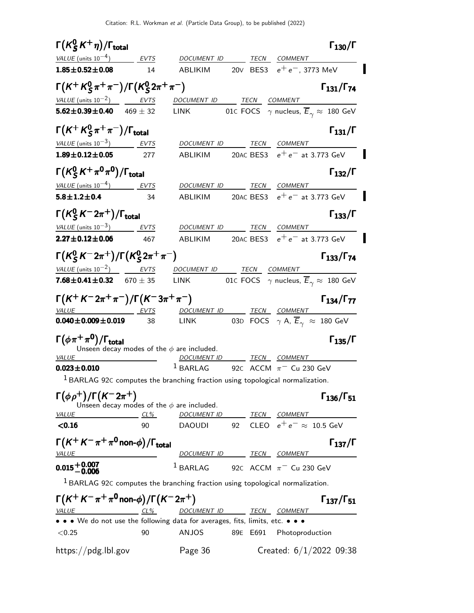$\mathsf{\Gamma}(\mathsf{K}^0_\mathsf{S})$  $(K_S^0 K^+ \eta)/\Gamma_{\text{total}}$  Γ<sub>130</sub>/Γ S Γ( $\kappa_S^0$ K<sup>+</sup>η)/Γ<sub>total</sub> Γ<sub>130</sub>/Γ total 130 VALUE (units  $10^{-4}$ ) EVTS DOCUMENT ID TECN COMMENT **1.85±0.52±0.08** 14 ABLIKIM 20∨ BES3  $e^+e^-$ , 3773 MeV Γ $(\mathcal{K}^+$   $\mathcal{K}^0_S$  $_S^0 \pi^+ \pi^-)/\mathsf{\Gamma}({\mathcal{K}}_{S}^{0})$  $\Gamma(K^+ K^0_S \pi^+ \pi^-)/\Gamma(K^0_S 2\pi^+ \pi^-)$  Γ<sub>131</sub>/Γ<sub>74</sub>  $Γ_{131}/Γ_{74}$ VALUE (units  $10^{-2}$ ) EVTS DOCUMENT ID TECN COMMENT **5.62±0.39±0.40** 469 ± 32 LINK 01C FOCS  $\gamma$  nucleus,  $\overline{E}_{\gamma} \approx 180$  GeV Γ $(\mathcal{K}^+ \mathcal{K}^0_S$  $(K + K_S^0 \pi^+ \pi^-)/\Gamma_{\text{total}}$  Γ<sub>131</sub>/Γ  $\Gamma(K^+ K^0_S \pi^+ \pi^-)/\Gamma_{\text{total}}$  Γ<sub>131</sub>/Γ VALUE (units  $10^{-3}$ ) EVTS DOCUMENT ID TECN COMMENT **1.89±0.12±0.05** 277 ABLIKIM 20AC BES3  $e^+e^-$  at 3.773 GeV Γ $(\mathcal{K}^{0}_{\mathcal{S}}% )$ Γ( $\kappa_S^0 \kappa^+ \pi^0 \pi^0$ )/Γ<sub>total</sub> Γ<sub>132</sub>/Γ total and 132/1 VALUE (units  $10^{-4}$ ) EVTS DOCUMENT ID TECN COMMENT **5.8±1.2±0.4** 34 ABLIKIM 20AC BES3  $e^+e^-$  at 3.773 GeV  $\mathsf{\Gamma}(\mathsf{K}^0_\mathsf{S})$  $\Gamma(K_S^0 K^- 2\pi^+) / \Gamma_{\text{total}}$  Γ<sub>133</sub>/Γ VALUE (units  $10^{-3}$ ) ) EVTS DOCUMENT ID TECN COMMENT **2.27±0.12±0.06** 467 ABLIKIM 20AC BES3  $e^+e^-$  at 3.773 GeV Γ $(\mathcal{K}^{0}_{S}% )^{L}=\mathcal{K}^{0}_{S}$  $^0_S$  K  $^-$  2π  $^+$  ) / Γ ( K $^0_S$  $\Gamma(K_S^0 K^- 2\pi^+) / \Gamma(K_S^0 2\pi^+ \pi^-)$  Γ<sub>133</sub>/Γ<sub>74</sub> Γ133/Γ  $VALU E$  (units 10<sup>-2</sup>)  $EVTS$  DOCUMENT ID TECN COMMENT **7.68±0.41±0.32** 670 ± 35 LINK 01C FOCS  $\gamma$  nucleus,  $\overline{E}_{\gamma} \approx 180$  GeV  $\Gamma(K^+ K^- 2\pi^+ \pi^-)/\Gamma(K^- 3\pi^+ \pi^-)$  Γ<sub>134</sub>/Γ<sub>77</sub> Γ134/Γ VALUE EVTS DOCUMENT ID TECN COMMENT **0.040±0.009±0.019** 38 LINK 03D FOCS  $\gamma$  A,  $\overline{E}_{\gamma} \approx 180$  GeV  $\Gamma(\phi \pi^+ \pi^0)/\Gamma_{\rm total}$ Γ<sub>135</sub>/Γ Unseen decay modes of the  $\phi$  are included.<br>VALUE DOCUMENT II DOCUMENT ID TECN COMMENT **0.023±0.010** <sup>1</sup> BARLAG 92C ACCM  $\pi$ <sup>-</sup> Cu 230 GeV 1 BARLAG 92<sup>C</sup> computes the branching fraction using topological normalization. Γ $(\phi \rho^+)$ /Γ $(K^- 2\pi^+)$  Γ<sub>136</sub>/Γ<sub>51</sub>  $Γ<sub>136</sub>/Γ<sub>51</sub>$ Unseen decay modes of the  $\phi$  are included. VALUE CL% DOCUMENT ID TECN COMMENT  $\leq$ 0.16 90 DAOUDI 92 CLEO  $e^+e^- \approx 10.5$  GeV  $\Gamma(K^+ K^-\pi^+\pi^0$ non- $\phi$ )/Γ<sub>total</sub> Γ<sub>137</sub>/Γ VALUE **DOCUMENT ID TECN COMMENT**  $0.015 + 0.007$ <br> $-0.006$  $1$  BARLAG 92C ACCM  $\pi$ <sup>-</sup> Cu 230 GeV  $1$  BARLAG 92C computes the branching fraction using topological normalization.  $\Gamma(K^+K^-\pi^+\pi^0$ non- $\phi)/\Gamma(K^-2\pi^+)$  Γ<sub>137</sub>/Γ<sub>51</sub>  $\Gamma_{137}/\Gamma_{51}$ VALUE CL<sup>%</sup> DOCUMENT ID TECN COMMENT • • • We do not use the following data for averages, fits, limits, etc. • • • <0.25 90 ANJOS 89E E691 Photoproduction https://pdg.lbl.gov Page 36 Created: 6/1/2022 09:38

I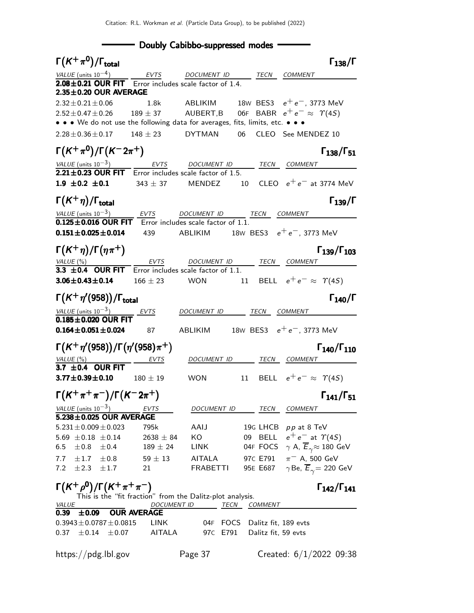**Doubly Cabibbo-suppressed modes** 

| $\Gamma(K^+\pi^0)/\Gamma_{\rm total}$                                                                                                                                                                                |                    |                                                    |          |                |                                       | $\Gamma_{138}/\Gamma$                          |
|----------------------------------------------------------------------------------------------------------------------------------------------------------------------------------------------------------------------|--------------------|----------------------------------------------------|----------|----------------|---------------------------------------|------------------------------------------------|
|                                                                                                                                                                                                                      |                    |                                                    |          |                |                                       |                                                |
| $\frac{VALUE \text{ (units 10}^{-4})}{2.08 \pm 0.21 \text{ OUR FIT}}$ $\frac{EVTS}{Error}$ $\frac{DOCUMENT \text{ ID}}{DOCUMENT \text{ ID}}$ $\frac{TECN}{E}$ $\frac{COMMENT}{Error}$<br>$2.35 \pm 0.20$ OUR AVERAGE |                    |                                                    |          |                |                                       |                                                |
| $2.32 \pm 0.21 \pm 0.06$                                                                                                                                                                                             | 1.8k               | ABLIKIM 18W BES3 $e^+e^-$ , 3773 MeV               |          |                |                                       |                                                |
| $2.52 \pm 0.47 \pm 0.26$                                                                                                                                                                                             | $189\pm37$         | AUBERT,B 06F BABR $e^+e^- \approx \; \Upsilon(4S)$ |          |                |                                       |                                                |
| • • • We do not use the following data for averages, fits, limits, etc. • • •                                                                                                                                        |                    |                                                    |          |                |                                       |                                                |
| $2.28 \pm 0.36 \pm 0.17$ $148 \pm 23$ DYTMAN  06  CLEO See MENDEZ 10                                                                                                                                                 |                    |                                                    |          |                |                                       |                                                |
| $\Gamma(K^+\pi^0)/\Gamma(K^-2\pi^+)$                                                                                                                                                                                 |                    |                                                    |          |                |                                       | $\Gamma_{138}/\Gamma_{51}$                     |
| $\frac{VALUE \text{ (units 10}^{-3})}{2.21 \pm 0.23 \text{ OUR FIT}}$ Error includes scale factor of 1.5. TECN COMMENT                                                                                               |                    |                                                    |          |                |                                       |                                                |
|                                                                                                                                                                                                                      |                    |                                                    |          |                |                                       |                                                |
| <b>1.9 ±0.2 ±0.1</b> 343 ± 37 MENDEZ 10 CLEO $e^+e^-$ at 3774 MeV                                                                                                                                                    |                    |                                                    |          |                |                                       |                                                |
| $\Gamma(K^+\eta)/\Gamma_{\rm total}$                                                                                                                                                                                 |                    |                                                    |          |                |                                       | $\Gamma_{139}/\Gamma$                          |
| $\frac{VALUE \text{ (units 10}^{-3})}{0.125 \pm 0.016 \text{ OUR FIT}}$ EVTS DOCUMENT ID TECN COMMENT COMMENT                                                                                                        |                    |                                                    |          |                |                                       |                                                |
| $0.151 \pm 0.025 \pm 0.014$                                                                                                                                                                                          | 439                | ABLIKIM $18W$ BES3 $e^+e^-, 3773$ MeV              |          |                |                                       |                                                |
| $\Gamma(K^+\eta)/\Gamma(\eta\pi^+)$                                                                                                                                                                                  |                    |                                                    |          |                |                                       | $\Gamma_{139}/\Gamma_{103}$                    |
|                                                                                                                                                                                                                      |                    |                                                    |          |                |                                       |                                                |
| $\frac{VALUE(%)}{3.3 \pm 0.4}$ OUR FIT Error includes scale factor of 1.1. TECN COMMENT                                                                                                                              |                    |                                                    |          |                |                                       |                                                |
| $3.06 \pm 0.43 \pm 0.14$ $166 \pm 23$ WON                                                                                                                                                                            |                    |                                                    |          |                | 11 BELL $e^+e^- \approx \Upsilon(4S)$ |                                                |
| $\Gamma(K^+\eta'(958))/\Gamma_{\rm total}$                                                                                                                                                                           |                    |                                                    |          |                |                                       | $\Gamma_{140}/\Gamma$                          |
| $\frac{\text{VALUE (units 10}^{-3})}{\text{0.185} \pm \text{0.020}} \frac{\text{EVTS}}{\text{O}}$                                                                                                                    |                    | DOCUMENT ID TECN COMMENT                           |          |                |                                       |                                                |
|                                                                                                                                                                                                                      |                    |                                                    |          |                |                                       |                                                |
| $0.164 \pm 0.051 \pm 0.024$ 87                                                                                                                                                                                       |                    | ABLIKIM 18W BES3 $e^+e^-$ , 3773 MeV               |          |                |                                       |                                                |
| $\Gamma(K^+\eta'(958))/\Gamma(\eta'(958)\pi^+)$                                                                                                                                                                      |                    |                                                    |          |                |                                       | $\Gamma_{140}/\Gamma_{110}$                    |
|                                                                                                                                                                                                                      | EVTS               |                                                    |          |                | DOCUMENT ID TECN COMMENT              |                                                |
| $\frac{VALUE(%)}{3.7 \pm 0.4}$ OUR FIT                                                                                                                                                                               |                    |                                                    |          |                |                                       |                                                |
| $3.77 \pm 0.39 \pm 0.10$                                                                                                                                                                                             | $180\pm19$         | <b>WON</b>                                         |          |                | 11 BELL $e^+e^- \approx \Upsilon(45)$ |                                                |
| $\Gamma(K^+\pi^+\pi^-)/\Gamma(K^-2\pi^+)$                                                                                                                                                                            |                    |                                                    |          |                |                                       | $\Gamma_{141}/\Gamma_{51}$                     |
| VALUE (units $10^{-3}$ )<br>$5.238 \pm 0.025$ OUR AVERAGE                                                                                                                                                            | EVTS               | DOCUMENT ID                                        |          | TECN           | COMMENT                               |                                                |
|                                                                                                                                                                                                                      |                    |                                                    |          |                | 19G LHCB pp at 8 TeV                  |                                                |
| $5.231 \pm 0.009 \pm 0.023$                                                                                                                                                                                          | 795k               | AAIJ                                               |          |                |                                       |                                                |
| 5.69 $\pm$ 0.18 $\pm$ 0.14                                                                                                                                                                                           | $2638 \pm 84$      | KO                                                 |          |                | 09 BELL $e^+e^-$ at $\Upsilon(4S)$    |                                                |
| 6.5<br>$\pm 0.8 \pm 0.4$                                                                                                                                                                                             | $189 \pm 24$       | LINK                                               |          | 04F FOCS       |                                       | $\gamma$ A, $\overline{E}_{\gamma}$ a 180 GeV  |
| $\pm 0.8$<br>7.7<br>$\pm 1.7$                                                                                                                                                                                        | $59 \pm 13$        | <b>AITALA</b>                                      |          | 97C E791       | $\pi^-$ A, 500 GeV                    |                                                |
| 7.2 $\pm 2.3$<br>$\pm 1.7$                                                                                                                                                                                           | 21                 | FRABETTI                                           |          | 95E E687       |                                       | $\gamma$ Be, $\overline{E}_{\gamma}$ = 220 GeV |
| $\Gamma(K^+\rho^0)/\Gamma(K^+\pi^+\pi^-)$<br>This is the "fit fraction" from the Dalitz-plot analysis.                                                                                                               |                    |                                                    |          |                |                                       | $\Gamma_{142}/\Gamma_{141}$                    |
| <b>VALUE</b>                                                                                                                                                                                                         |                    | DOCUMENT ID TECN                                   |          | <b>COMMENT</b> |                                       |                                                |
| ±0.09<br>0.39                                                                                                                                                                                                        | <b>OUR AVERAGE</b> |                                                    |          |                |                                       |                                                |
| $0.3943 \pm 0.0787 \pm 0.0815$                                                                                                                                                                                       | LINK               |                                                    | 04F FOCS |                | Dalitz fit, 189 evts                  |                                                |
| ±0.07<br>0.37<br>$\pm 0.14$                                                                                                                                                                                          | AITALA             |                                                    | 97C E791 |                | Dalitz fit, 59 evts                   |                                                |
| https://pdg.lbl.gov                                                                                                                                                                                                  |                    | Page 37                                            |          |                |                                       | Created: $6/1/2022$ 09:38                      |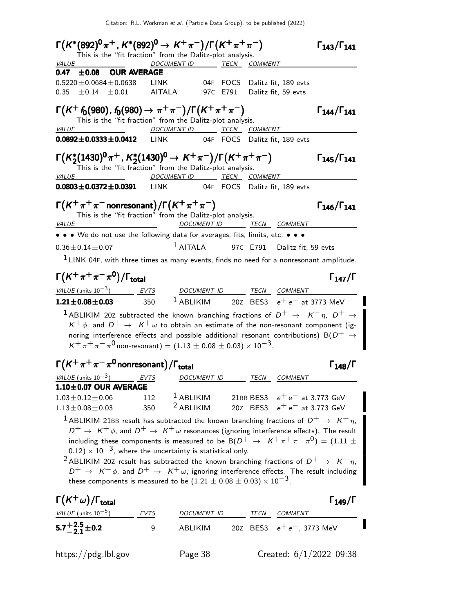| $\Gamma(K^*(892)^0 \pi^+, K^*(892)^0 \to K^+ \pi^-)/\Gamma(K^+ \pi^+ \pi^-)$                                                                                                                                                                                                                                                                                                                                                       |            |                                     |  |                                                                   | $\Gamma_{143}/\Gamma_{141}$ |
|------------------------------------------------------------------------------------------------------------------------------------------------------------------------------------------------------------------------------------------------------------------------------------------------------------------------------------------------------------------------------------------------------------------------------------|------------|-------------------------------------|--|-------------------------------------------------------------------|-----------------------------|
| This is the "fit fraction" from the Dalitz-plot analysis.<br><i>VALUE</i>                                                                                                                                                                                                                                                                                                                                                          |            | DOCUMENT ID TECN COMMENT            |  |                                                                   |                             |
| 0.47 $\pm$ 0.08 OUR AVERAGE                                                                                                                                                                                                                                                                                                                                                                                                        |            |                                     |  |                                                                   |                             |
| $0.5220 \pm 0.0684 \pm 0.0638$ LINK 04F FOCS Dalitz fit, 189 evts                                                                                                                                                                                                                                                                                                                                                                  |            |                                     |  |                                                                   |                             |
| 0.35 $\pm$ 0.14 $\pm$ 0.01 AITALA 97C E791 Dalitz fit, 59 evts                                                                                                                                                                                                                                                                                                                                                                     |            |                                     |  |                                                                   |                             |
| $\Gamma(K^+ f_0(980), f_0(980) \to \pi^+ \pi^-)/\Gamma(K^+ \pi^+ \pi^-)$<br>This is the "fit fraction" from the Dalitz-plot analysis.                                                                                                                                                                                                                                                                                              |            |                                     |  |                                                                   | $\Gamma_{144}/\Gamma_{141}$ |
| <i>VALUE</i>                                                                                                                                                                                                                                                                                                                                                                                                                       |            | DOCUMENT ID TECN COMMENT            |  |                                                                   |                             |
| $0.0892 \pm 0.0333 \pm 0.0412$ LINK 04F FOCS Dalitz fit, 189 evts                                                                                                                                                                                                                                                                                                                                                                  |            |                                     |  |                                                                   |                             |
| $\Gamma(K_2^*(1430)^0\pi^+, K_2^*(1430)^0 \to K^+\pi^-)/\Gamma(K^+\pi^+\pi^-)$<br>This is the "fit fraction" from the Dalitz-plot analysis.                                                                                                                                                                                                                                                                                        |            |                                     |  |                                                                   | $\Gamma_{145}/\Gamma_{141}$ |
| <u>VALUE</u>                                                                                                                                                                                                                                                                                                                                                                                                                       |            | DOCUMENT ID TECN COMMENT            |  |                                                                   |                             |
| 0.0803±0.0372±0.0391 LINK 04F FOCS Dalitz fit, 189 evts                                                                                                                                                                                                                                                                                                                                                                            |            |                                     |  |                                                                   |                             |
| $\Gamma(K^+\pi^+\pi^-$ nonresonant) / $\Gamma(K^+\pi^+\pi^-)$<br>This is the "fit fraction" from the Dalitz-plot analysis.<br>VALUE                                                                                                                                                                                                                                                                                                |            |                                     |  | DOCUMENT ID TECN COMMENT                                          | $\Gamma_{146}/\Gamma_{141}$ |
| • • • We do not use the following data for averages, fits, limits, etc. • • •                                                                                                                                                                                                                                                                                                                                                      |            |                                     |  |                                                                   |                             |
| $0.36 + 0.14 + 0.07$                                                                                                                                                                                                                                                                                                                                                                                                               |            |                                     |  | $1$ AITALA 97C E791 Dalitz fit, 59 evts                           |                             |
| <sup>1</sup> LINK 04F, with three times as many events, finds no need for a nonresonant amplitude.                                                                                                                                                                                                                                                                                                                                 |            |                                     |  |                                                                   |                             |
| $\Gamma(K^+\pi^+\pi^-\pi^0)/\Gamma_{\rm total}$                                                                                                                                                                                                                                                                                                                                                                                    |            |                                     |  |                                                                   | $\Gamma_{147}/\Gamma$       |
| $VALU E$ (units $10^{-3}$ ) EVTS DOCUMENT ID TECN COMMENT                                                                                                                                                                                                                                                                                                                                                                          |            |                                     |  |                                                                   |                             |
| <b>1.21±0.08±0.03</b> 350 <sup>1</sup> ABLIKIM 20Z BES3 $e^+e^-$ at 3773 MeV                                                                                                                                                                                                                                                                                                                                                       |            |                                     |  |                                                                   |                             |
| <sup>1</sup> ABLIKIM 20Z subtracted the known branching fractions of $D^+$ $\rightarrow$ $K^+ \eta$ , $D^+$ $\rightarrow$<br>$K^+ \phi$ , and $D^+ \to K^+ \omega$ to obtain an estimate of the non-resonant component (ig-<br>noring interference effects and possible additional resonant contributions) B( $D^+$ $\rightarrow$<br>$K^+\pi^+\pi^-\pi^0$ non-resonant) = (1.13 $\pm$ 0.08 $\pm$ 0.03) $\times$ 10 <sup>-3</sup> . |            |                                     |  |                                                                   |                             |
| $\Gamma(K^+\pi^+\pi^-\pi^0)$ nonresonant) / $\Gamma_{total}$                                                                                                                                                                                                                                                                                                                                                                       |            |                                     |  |                                                                   | $\Gamma_{148}/\Gamma$       |
|                                                                                                                                                                                                                                                                                                                                                                                                                                    |            | DOCUMENT ID TECN COMMENT            |  |                                                                   |                             |
| $\frac{\text{VALUE (units 10}^{-3})}{\text{1.10} \pm \text{0.07}} \frac{\text{EVTS}}{\text{DUR} \cdot \text{AVERAGE}}$                                                                                                                                                                                                                                                                                                             |            |                                     |  |                                                                   |                             |
| $1.03 \pm 0.12 \pm 0.06$<br>$1.13 \pm 0.08 \pm 0.03$                                                                                                                                                                                                                                                                                                                                                                               | 112<br>350 | $1$ ABLIKIM<br><sup>2</sup> ABLIKIM |  | 21BB BES3 $e^+e^-$ at 3.773 GeV<br>20Z BES3 $e^+e^-$ at 3.773 GeV |                             |
| <sup>1</sup> ABLIKIM 21BB result has subtracted the known branching fractions of $D^+ \rightarrow K^+ \eta$ ,<br>$D^+ \to K^+ \phi$ , and $D^+ \to K^+ \omega$ resonances (ignoring interference effects). The result<br>including these components is measured to be B( $D^+ \rightarrow K^+ \pi^+ \pi^- \pi^0) = (1.11 \pm 1.0)$<br>$(0.12) \times 10^{-3}$ , where the uncertainty is statistical only.                         |            |                                     |  |                                                                   |                             |
| <sup>2</sup> ABLIKIM 20Z result has subtracted the known branching fractions of $D^+ \rightarrow K^+ \eta$ ,<br>$D^+ \rightarrow K^+ \phi$ , and $D^+ \rightarrow K^+ \omega$ , ignoring interference effects. The result including<br>these components is measured to be $(1.21 \pm 0.08 \pm 0.03) \times 10^{-3}$ .                                                                                                              |            |                                     |  |                                                                   |                             |
| $\Gamma(K^+\omega)/\Gamma_{\rm total}$                                                                                                                                                                                                                                                                                                                                                                                             |            |                                     |  |                                                                   | $\Gamma_{149}/\Gamma$       |
| VALUE (units $10^{-5}$ )                                                                                                                                                                                                                                                                                                                                                                                                           | EVTS       | DOCUMENT ID TECN COMMENT            |  |                                                                   |                             |
| $5.7^{+2.5}_{-2.1}$ ± 0.2                                                                                                                                                                                                                                                                                                                                                                                                          | 9          | ABLIKIM                             |  | 20Z BES3 $e^+e^-$ , 3773 MeV                                      |                             |
| https://pdg.lbl.gov                                                                                                                                                                                                                                                                                                                                                                                                                |            | Page 38                             |  |                                                                   | Created: $6/1/2022$ 09:38   |

|<br>|<br>|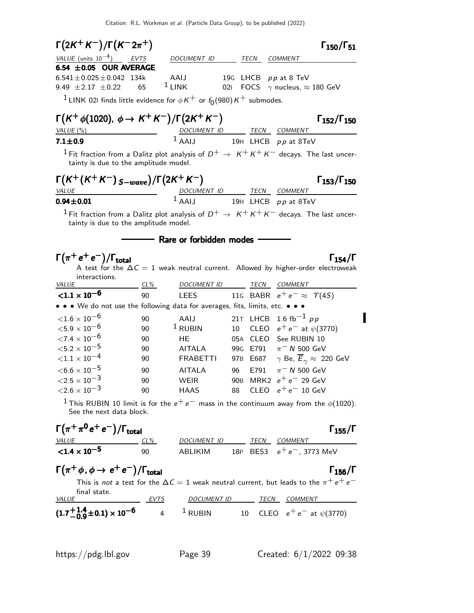| $\Gamma(2K^+K^-)/\Gamma(K^-2\pi^+)$                                                   |             |                                                                            |                 |      | $\Gamma_{150}/\Gamma_{51}$                                                                                                |
|---------------------------------------------------------------------------------------|-------------|----------------------------------------------------------------------------|-----------------|------|---------------------------------------------------------------------------------------------------------------------------|
| VALUE (units $10^{-4}$ ) EVTS                                                         |             | DOCUMENT ID                                                                |                 | TECN | <b>COMMENT</b>                                                                                                            |
| 6.54 $\pm$ 0.05 OUR AVERAGE                                                           |             |                                                                            |                 |      |                                                                                                                           |
| $6.541 \pm 0.025 \pm 0.042$ 134k                                                      |             | AAIJ                                                                       |                 |      | 19G LHCB pp at 8 TeV                                                                                                      |
| 9.49 $\pm 2.17$ $\pm 0.22$                                                            | 65          | $1$ LINK                                                                   | 021             |      | FOCS $\gamma$ nucleus, $\approx$ 180 GeV                                                                                  |
| <sup>1</sup> LINK 021 finds little evidence for $\phi K^+$ or $f_0(980)K^+$ submodes. |             |                                                                            |                 |      |                                                                                                                           |
| $\Gamma(K^+ \phi(1020), \phi \to K^+ K^-)/\Gamma(2K^+ K^-)$                           |             |                                                                            |                 |      | $\Gamma_{152}/\Gamma_{150}$                                                                                               |
| VALUE (%)                                                                             |             | $\frac{DOCUMENT ID}{1 \text{ AAIJ}} \frac{TECN}{19H} \frac{COMMENT}{LHCB}$ |                 |      |                                                                                                                           |
| $7.1 \pm 0.9$                                                                         |             |                                                                            |                 |      | 19H LHCB pp at 8TeV                                                                                                       |
| tainty is due to the amplitude model.                                                 |             |                                                                            |                 |      | <sup>1</sup> Fit fraction from a Dalitz plot analysis of $D^+ \rightarrow K^+K^+K^-$ decays. The last uncer-              |
| $\Gamma(K^+(K^+K^-)_{S-wave})/\Gamma(2K^+K^-)$                                        |             |                                                                            |                 |      | $\Gamma_{153}/\Gamma_{150}$                                                                                               |
| VALUE                                                                                 |             | DOCUMENT ID TECN COMMENT<br>$1$ AALI                                       |                 |      |                                                                                                                           |
| $0.94 \pm 0.01$                                                                       |             |                                                                            |                 |      | 19H LHCB pp at 8TeV                                                                                                       |
| tainty is due to the amplitude model.                                                 |             |                                                                            |                 |      | $^1$ Fit fraction from a Dalitz plot analysis of $D^+ \rightarrow K^+K^+K^-$ decays. The last uncer-                      |
|                                                                                       |             | - Rare or forbidden modes                                                  |                 |      |                                                                                                                           |
| $\Gamma(\pi^+e^+e^-)/\Gamma_{\rm total}$<br>interactions.                             |             |                                                                            |                 |      | $\Gamma_{154}/\Gamma$<br>A test for the $\Delta C = 1$ weak neutral current. Allowed by higher-order electroweak          |
| <i>VALUE</i>                                                                          | $CL\%$      | DOCUMENT ID                                                                |                 |      | TECN COMMENT                                                                                                              |
| ${<}1.1 \times 10^{-6}$                                                               | 90          | <b>LEES</b>                                                                |                 |      | 116 BABR $e^+e^- \approx \Upsilon(4S)$                                                                                    |
| • • • We do not use the following data for averages, fits, limits, etc. • • •         |             |                                                                            |                 |      |                                                                                                                           |
| ${<}1.6\times10^{-6}$                                                                 | 90          | AAIJ                                                                       |                 |      | 21T LHCB 1.6 fb <sup>-1</sup> pp                                                                                          |
| ${<}5.9\times10^{-6}$                                                                 | 90          | $1$ RUBIN                                                                  | 10 <sup>1</sup> |      | CLEO $e^+e^-$ at $\psi(3770)$                                                                                             |
| ${<}7.4\times10^{-6}$                                                                 | 90          | <b>HE</b>                                                                  |                 |      | 05A CLEO See RUBIN 10                                                                                                     |
| ${<}5.2\times10^{-5}$                                                                 | 90          | <b>AITALA</b>                                                              |                 |      | 99G E791 $\pi$ <sup>-</sup> N 500 GeV                                                                                     |
| ${<}1.1\times10^{-4}$                                                                 | 90          | <b>FRABETTI</b>                                                            |                 |      | 97B E687 $\gamma$ Be, $\overline{E}_{\gamma} \approx 220$ GeV                                                             |
| $<$ 6.6 $\times$ 10 $^{-5}$                                                           | 90          | <b>AITALA</b>                                                              | 96              | F791 | $\pi$ <sup>-</sup> N 500 GeV                                                                                              |
| ${<}2.5\times10^{-3}$                                                                 | 90          | <b>WEIR</b>                                                                |                 |      | 90B MRK2 $e^+e^-$ 29 GeV                                                                                                  |
| ${<}2.6\times10^{-3}$                                                                 | 90          | <b>HAAS</b>                                                                |                 |      | 88 $\,$ CLEO $\,$ e $^{+}$ e $^{-}$ 10 GeV                                                                                |
| See the next data block.                                                              |             |                                                                            |                 |      | <sup>1</sup> This RUBIN 10 limit is for the $e^+e^-$ mass in the continuum away from the $\phi(1020)$ .                   |
| $\Gamma(\pi^+\pi^0\,e^+\,e^-)/\Gamma_{\rm total}$                                     |             |                                                                            |                 |      | $\Gamma_{155}/\Gamma$                                                                                                     |
| $\frac{VALUE}{<1.4 \times 10^{-5}}$                                                   |             | DOCUMENT ID _______ TECN COMMENT                                           |                 |      |                                                                                                                           |
|                                                                                       | 90          |                                                                            |                 |      | ABLIKIM 18P BES3 $e^+e^-$ , 3773 MeV                                                                                      |
| $\Gamma(\pi^+\phi, \phi \to e^+e^-)/\Gamma_{\text{total}}$                            |             |                                                                            |                 |      | $\Gamma_{156}/\Gamma$<br>This is not a test for the $\Delta C = 1$ weak neutral current, but leads to the $\pi^+ e^+ e^-$ |
| final state.<br><i>VALUE</i>                                                          | <i>EVIS</i> |                                                                            |                 |      | DOCUMENT ID TECN COMMENT                                                                                                  |
| $(1.7 + {}^{1.4}_{-0.9} \pm 0.1) \times 10^{-6}$ 4 <sup>1</sup> RUBIN                 |             |                                                                            |                 |      | 10 CLEO $e^+e^-$ at $\psi(3770)$                                                                                          |

 $\blacksquare$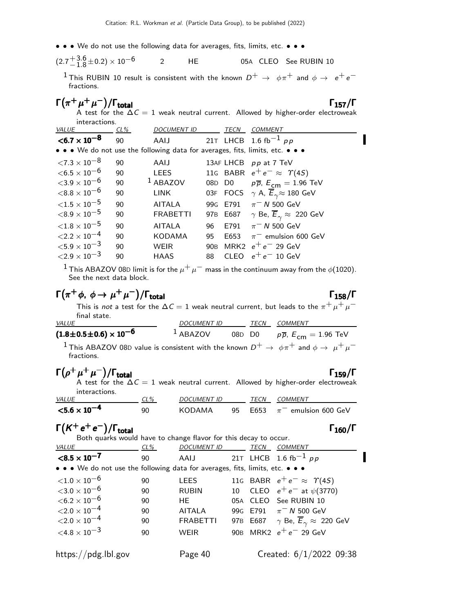• • • We do not use the following data for averages, fits, limits, etc. • • •

$$
(2.7 + 3.6 + 0.2) \times 10^{-6}
$$
 2 HE 05A CLEO See RUBIN 10

<sup>1</sup> This RUBIN 10 result is consistent with the known  $D^+ \rightarrow \phi \pi^+$  and  $\phi \rightarrow e^+ e^$ fractions.

| $\Gamma(\pi^+\mu^+\mu^-)/\Gamma_{\rm total}$                                            | $\Gamma_{157}/\Gamma$ |
|-----------------------------------------------------------------------------------------|-----------------------|
| A test for the $\Delta C = 1$ weak neutral current. Allowed by higher-order electroweak |                       |

| interactions. |                    |                     |             |                                                                                                                                    |
|---------------|--------------------|---------------------|-------------|------------------------------------------------------------------------------------------------------------------------------------|
| $CL\%$        | <b>DOCUMENT ID</b> |                     | <b>TECN</b> | <b>COMMENT</b>                                                                                                                     |
| 90            | AAIJ               |                     |             | 21T LHCB 1.6 fb <sup>-1</sup> pp                                                                                                   |
|               |                    |                     |             |                                                                                                                                    |
| 90            | AAIJ               |                     |             | 13AF LHCB pp at 7 TeV                                                                                                              |
| 90            | <b>LEES</b>        |                     |             | 116 BABR $e^+e^- \approx \Upsilon(4S)$                                                                                             |
| 90            |                    |                     |             | $p\overline{p}$ , $\overline{E}_{cm} = 1.96$ TeV                                                                                   |
| 90            | <b>LINK</b>        |                     |             | 03F FOCS $\gamma$ A, $\overline{E}_{\gamma} \approx 180$ GeV                                                                       |
| 90            | <b>AITALA</b>      |                     |             | $\pi^-$ N 500 GeV                                                                                                                  |
| 90            | <b>FRABETTI</b>    |                     |             | 97B E687 $\gamma$ Be, $\overline{E}_{\gamma} \approx 220$ GeV                                                                      |
| 90            | <b>AITALA</b>      | 96                  | E791        | $\pi$ <sup>-</sup> N 500 GeV                                                                                                       |
| 90            | <b>KODAMA</b>      | 95                  | E653        | $\pi^-$ emulsion 600 GeV                                                                                                           |
| 90            | WEIR               |                     |             | MRK2 $e^+e^-$ 29 GeV                                                                                                               |
| 90            | <b>HAAS</b>        | 88                  | <b>CLEO</b> | $\rm e^+e^-$ 10 GeV                                                                                                                |
|               |                    | <sup>1</sup> ABAZOV |             | • • • We do not use the following data for averages, fits, limits, etc. • • •<br>08D D <sub>0</sub><br>99G E791<br>90 <sub>B</sub> |

<sup>1</sup> This ABAZOV 08D limit is for the  $\mu^+ \mu^-$  mass in the continuum away from the  $\phi$ (1020). See the next data block.

$$
\Gamma(\pi^+ \phi, \phi \to \mu^+ \mu^-)/\Gamma_{\text{total}}
$$

 $\Gamma_{158}/\Gamma$ 

This is not a test for the  $\Delta C = 1$  weak neutral current, but leads to the  $\pi^+ \mu^+ \mu^$ final state.

| <b>VALUE</b>                                                                                                                                  | <i>DOCUMENT ID</i> | TECN   | <i>COMMENT</i>                                   |
|-----------------------------------------------------------------------------------------------------------------------------------------------|--------------------|--------|--------------------------------------------------|
| (1.8 $\pm$ 0.5 $\pm$ 0.6) $\times$ 10 $^{-6}$                                                                                                 | $1$ ABAZOV         | 08D D0 | $p\overline{p}$ , $\overline{E}_{cm} = 1.96$ TeV |
| <sup>1</sup> This ABAZOV 08D value is consistent with the known $D^+ \rightarrow \phi \pi^+$ and $\phi \rightarrow \mu^+ \mu^-$<br>fractions. |                    |        |                                                  |

|              | $\Gamma(\rho^+\mu^+\mu^-)/\Gamma_{\rm total}$                                                              |        |                                       |     |      | $\Gamma_{159}/\Gamma$<br>A test for the $\Delta C = 1$ weak neutral current. Allowed by higher-order electroweak |
|--------------|------------------------------------------------------------------------------------------------------------|--------|---------------------------------------|-----|------|------------------------------------------------------------------------------------------------------------------|
| <i>VALUE</i> | interactions.                                                                                              | $CL\%$ | DOCUMENT ID                           |     | TECN | <b>COMMENT</b>                                                                                                   |
|              | $< 5.6 \times 10^{-4}$                                                                                     | 90     | KODAMA                                | 95  | E653 | $\pi^-$ emulsion 600 GeV                                                                                         |
|              | $\Gamma(K^+e^+e^-)/\Gamma_{\rm total}$<br>Both quarks would have to change flavor for this decay to occur. |        |                                       |     |      | $\Gamma_{160}/\Gamma$                                                                                            |
| VALUE        |                                                                                                            | CL%    | <b>DOCUMENT ID</b>                    |     | TECN | <b>COMMENT</b>                                                                                                   |
|              | $< 8.5 \times 10^{-7}$                                                                                     | 90     | AAIJ 21T LHCB 1.6 fb <sup>-1</sup> pp |     |      |                                                                                                                  |
|              | • • • We do not use the following data for averages, fits, limits, etc. • • •                              |        |                                       |     |      |                                                                                                                  |
|              | ${<}1.0 \times 10^{-6}$                                                                                    | 90     | <b>LEES</b>                           |     |      | 116 BABR $e^+e^- \approx \Upsilon(45)$                                                                           |
|              | ${<}3.0\times10^{-6}$                                                                                      | 90     | RUBIN                                 |     |      | 10 CLEO $e^+e^-$ at $\psi(3770)$                                                                                 |
|              | ${<}6.2\times10^{-6}$                                                                                      | 90     | HE                                    | 05A |      | CLEO See RUBIN 10                                                                                                |
|              | ${<}2.0\times10^{-4}$                                                                                      | 90     | <b>AITALA</b>                         |     |      | 99G E791 $\pi$ <sup>-</sup> N 500 GeV                                                                            |
|              | ${<}2.0\times10^{-4}$                                                                                      | 90     | FRABETTI                              |     |      | 97B E687 $\gamma$ Be, $\overline{E}_{\gamma} \approx 220$ GeV                                                    |

 $<$ 4.8 × 10<sup>-3</sup> 90 WEIR 90B MRK2  $e^+e^-$  29 GeV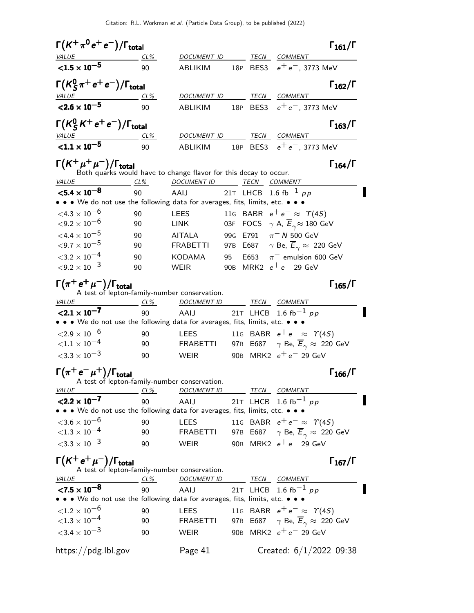| $\Gamma(K^+\pi^0\,e^+\,e^-)/\Gamma_{\rm total}$                                                       |            |                                                                    |    |             |                                                               | $\Gamma_{161}/\Gamma$ |
|-------------------------------------------------------------------------------------------------------|------------|--------------------------------------------------------------------|----|-------------|---------------------------------------------------------------|-----------------------|
| <b>VALUE</b>                                                                                          | $CL\%$     | DOCUMENT ID                                                        |    | TECN        | COMMENT                                                       |                       |
| $< 1.5 \times 10^{-5}$                                                                                | 90         | ABLIKIM                                                            |    |             | 18P BES3 $e^+e^-$ , 3773 MeV                                  |                       |
| $\Gamma(K_S^0\pi^+e^+e^-)/\Gamma_{\rm total}$                                                         |            |                                                                    |    |             |                                                               | $\Gamma_{162}/\Gamma$ |
| <b>VALUE</b>                                                                                          | CL%        | DOCUMENT ID                                                        |    |             | TECN COMMENT                                                  |                       |
| ${<}2.6 \times 10^{-5}$                                                                               | 90         | ABLIKIM                                                            |    |             | 18P BES3 $e^+e^-$ , 3773 MeV                                  |                       |
| $\Gamma(K_S^0 K^+ e^+ e^-)/\Gamma_{\rm total}$                                                        |            |                                                                    |    |             |                                                               | $\Gamma_{163}/\Gamma$ |
| <b>VALUE</b><br>$< 1.1 \times 10^{-5}$                                                                | CL%<br>90  | DOCUMENT ID<br>ABLIKIM                                             |    |             | <b>TECN COMMENT</b><br>18P BES3 $e^+e^-$ , 3773 MeV           |                       |
|                                                                                                       |            |                                                                    |    |             |                                                               |                       |
| $\Gamma(K^+\mu^+\mu^-)/\Gamma_{\rm total}$                                                            |            | Both quarks would have to change flavor for this decay to occur.   |    |             |                                                               | $\Gamma_{164}/\Gamma$ |
| <i>VALUE</i>                                                                                          | $CL\%$     | DOCUMENT ID TECN                                                   |    |             | <u>COMMENT</u>                                                |                       |
| $<$ 5.4 $\times$ 10 <sup>-8</sup>                                                                     | 90         | AAIJ                                                               |    |             | 21T LHCB 1.6 fb <sup>-1</sup> pp                              |                       |
| • • • We do not use the following data for averages, fits, limits, etc. •                             |            |                                                                    |    |             |                                                               |                       |
| ${<}4.3\times10^{-6}$                                                                                 | 90         | LEES                                                               |    |             | 11G BABR $e^+e^- \approx \Upsilon(4S)$                        |                       |
| ${<}9.2\times10^{-6}$                                                                                 | 90         | <b>LINK</b>                                                        |    |             | 03F FOCS $\gamma$ A, $\overline{E}_{\gamma} \approx 180$ GeV  |                       |
| $<\!4.4\times10^{-5}$                                                                                 | 90         | <b>AITALA</b>                                                      |    |             | 99G E791 $\pi$ <sup>-</sup> N 500 GeV                         |                       |
| ${<}9.7\times10^{-5}$                                                                                 | 90         | <b>FRABETTI</b>                                                    |    |             | 97B E687 $\gamma$ Be, $\overline{E}_{\gamma} \approx 220$ GeV |                       |
| ${<}3.2\times10^{-4}$                                                                                 | 90         | KODAMA                                                             | 95 | E653        | $\pi^-$ emulsion 600 GeV                                      |                       |
| ${<}9.2 \times 10^{-3}$                                                                               | 90         | WEIR                                                               |    |             | 90B MRK2 $e^+e^-$ 29 GeV                                      |                       |
| $\Gamma(\pi^+\,e^+\,\mu^-)/\Gamma_{\rm total}$                                                        |            | A test of lepton-family-number conservation.                       |    |             |                                                               | $\Gamma_{165}/\Gamma$ |
| VALUE                                                                                                 | $CL\%$     | DOCUMENT ID                                                        |    | TECN        | <b>COMMENT</b>                                                |                       |
| $< 2.1 \times 10^{-7}$<br>• • • We do not use the following data for averages, fits, limits, etc. • • | 90         | AAIJ                                                               |    |             | 21T LHCB 1.6 fb <sup>-1</sup> pp                              |                       |
| ${<}2.9\times10^{-6}$                                                                                 | 90         | <b>LEES</b>                                                        |    |             | 116 BABR $e^+e^- \approx \Upsilon(4S)$                        |                       |
| ${<}1.1 \times 10^{-4}$                                                                               | 90         | <b>FRABETTI</b>                                                    |    |             | 97B E687 $\gamma$ Be, $\overline{E}_{\gamma} \approx 220$ GeV |                       |
| ${<}3.3\times10^{-3}$                                                                                 | 90         | <b>WEIR</b>                                                        |    |             | 90B MRK2 $e^+e^-$ 29 GeV                                      |                       |
| $\Gamma(\pi^+e^-\mu^+)/\Gamma_{\rm total}$                                                            |            |                                                                    |    |             |                                                               | $\Gamma_{166}/\Gamma$ |
| VALUE                                                                                                 | $CL\%$     | A test of lepton-family-number conservation.<br><u>DOCUMENT ID</u> |    | <b>TECN</b> | <b>COMMENT</b>                                                |                       |
| $<$ 2.2 $\times$ 10 <sup>-7</sup>                                                                     | 90         | AAIJ                                                               |    | 21T LHCB    | $1.6~{\rm fb}^{-1}$ pp                                        |                       |
| • • • We do not use the following data for averages, fits, limits, etc. •                             |            |                                                                    |    |             |                                                               |                       |
| ${<}3.6\times10^{-6}$                                                                                 | 90         | <b>LEES</b>                                                        |    |             | 11G BABR $e^+e^- \approx \Upsilon(4S)$                        |                       |
| ${<}1.3\times10^{-4}$                                                                                 | 90         | <b>FRABETTI</b>                                                    |    |             | 97B E687 $\gamma$ Be, $\overline{E}_{\gamma} \approx 220$ GeV |                       |
| $<$ 3.3 $\times$ 10 <sup>-3</sup>                                                                     | 90         | <b>WEIR</b>                                                        |    |             | 90B MRK2 $e^+e^-$ 29 GeV                                      |                       |
| $\Gamma(K^+e^+\mu^-)/\Gamma_{\text{total}}$<br>A test of lepton-family-number conservation.           |            |                                                                    |    |             |                                                               | $\Gamma_{167}/\Gamma$ |
| <b>VALUE</b>                                                                                          | <u>CL%</u> | <b>DOCUMENT ID</b>                                                 |    | <b>TECN</b> | <b>COMMENT</b>                                                |                       |
| $< 7.5 \times 10^{-8}$                                                                                | 90         | AAIJ                                                               |    |             | 21T LHCB 1.6 fb <sup>-1</sup> pp                              |                       |
| • • We do not use the following data for averages, fits, limits, etc. • • •                           |            |                                                                    |    |             |                                                               |                       |
| ${<}1.2\times10^{-6}$                                                                                 | 90         | LEES                                                               |    |             | 116 BABR $e^+e^- \approx \Upsilon(4S)$                        |                       |
| ${<}1.3\times10^{-4}$                                                                                 | 90         | <b>FRABETTI</b>                                                    |    |             | 97B E687 $\gamma$ Be, $\overline{E}_{\gamma} \approx 220$ GeV |                       |
| ${<}3.4 \times 10^{-3}$                                                                               | 90         | <b>WEIR</b>                                                        |    |             | 90B MRK2 $e^+e^-$ 29 GeV                                      |                       |
| https://pdg.lbl.gov                                                                                   |            | Page 41                                                            |    |             | Created: $6/1/2022$ 09:38                                     |                       |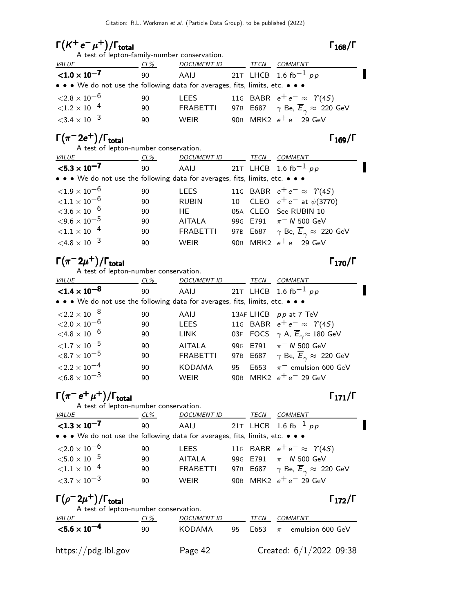# $\Gamma(K^+e^-\mu^+)/\Gamma_{\text{total}}$  Γ<sub>168</sub>/Γ

| A test of lepton-family-number conservation.                                  |     |                                       |  |      |                                                               |  |  |  |
|-------------------------------------------------------------------------------|-----|---------------------------------------|--|------|---------------------------------------------------------------|--|--|--|
| <b>VALUE</b>                                                                  | CL% | <b>DOCUMENT ID</b>                    |  | TECN | <b>COMMENT</b>                                                |  |  |  |
| $<$ 1.0 $\times$ 10 <sup>-7</sup>                                             | -90 | AAIJ 21T LHCB 1.6 fb <sup>-1</sup> pp |  |      |                                                               |  |  |  |
| • • • We do not use the following data for averages, fits, limits, etc. • • • |     |                                       |  |      |                                                               |  |  |  |
| ${<}2.8\times10^{-6}$                                                         | 90  | <b>LEES</b>                           |  |      | 116 BABR $e^+e^- \approx \Upsilon(45)$                        |  |  |  |
| $\sqrt{1.2 \times 10^{-4}}$                                                   | 90  | FRABETTI                              |  |      | 97B E687 $\gamma$ Be, $\overline{E}_{\gamma} \approx 220$ GeV |  |  |  |
| ${<}3.4\times10^{-3}$                                                         | 90  | <b>WFIR</b>                           |  |      | 90B MRK2 $e^+e^-$ 29 GeV                                      |  |  |  |

# $\Gamma(\pi^- 2e^+) / \Gamma_{\text{total}}$  Γ<sub>169</sub>/Γ

A test of lepton-number conservation.

| <b>VALUE</b>                                                                  | $CL\%$ | <b>DOCUMENT ID</b>                    | TECN | <b>COMMENT</b>                                                |
|-------------------------------------------------------------------------------|--------|---------------------------------------|------|---------------------------------------------------------------|
| $<$ 5.3 $\times$ 10 <sup>-7</sup>                                             | 90     | AAIJ 21T LHCB 1.6 fb <sup>-1</sup> pp |      |                                                               |
| • • • We do not use the following data for averages, fits, limits, etc. • • • |        |                                       |      |                                                               |
| ${<}1.9\times10^{-6}$                                                         | 90     | <b>LEES</b>                           |      | 116 BABR $e^+e^- \approx \Upsilon(4S)$                        |
| ${<}1.1\times10^{-6}$                                                         | 90     | <b>RUBIN</b>                          |      | 10 CLEO $e^+e^-$ at $\psi(3770)$                              |
| ${<}3.6\times10^{-6}$                                                         | 90     | HE -                                  |      | 05A CLEO See RUBIN 10                                         |
| $<$ 9.6 $\times$ 10 $^{-5}$                                                   | 90     | <b>AITALA</b>                         |      | 99G E791 $\pi$ <sup>-</sup> N 500 GeV                         |
| ${<}1.1\times10^{-4}$                                                         | 90     | <b>FRABETTI</b>                       |      | 97B E687 $\gamma$ Be, $\overline{E}_{\gamma} \approx 220$ GeV |
| $\leq 4.8 \times 10^{-3}$                                                     | 90     | <b>WEIR</b>                           |      | 90B MRK2 $e^+e^-$ 29 GeV                                      |

# $\Gamma(\pi^- 2\mu^+)$ /Γ<sub>total</sub> Γ<sub>170</sub>/Γ

A test of lepton-number conservation.

| <b>VALUE</b>                                                                  | CL% | <b>DOCUMENT ID</b> |    | TECN | COMMENT                                                       |
|-------------------------------------------------------------------------------|-----|--------------------|----|------|---------------------------------------------------------------|
| ${<}1.4 \times 10^{-8}$                                                       | 90  | AAIJ               |    |      | 21T LHCB 1.6 fb <sup>-1</sup> pp                              |
| • • • We do not use the following data for averages, fits, limits, etc. • • • |     |                    |    |      |                                                               |
| ${<}2.2\times10^{-8}$                                                         | 90  | AAIJ               |    |      | 13AF LHCB pp at 7 TeV                                         |
| ${<}2.0\times10^{-6}$                                                         | 90  | <b>LEES</b>        |    |      | 116 BABR $e^+e^- \approx \Upsilon(45)$                        |
| ${<}4.8\times10^{-6}$                                                         | 90  | <b>LINK</b>        |    |      | 03F FOCS $\gamma$ A, $\overline{E}_{\gamma} \approx 180$ GeV  |
| ${<}1.7\times10^{-5}$                                                         | 90  | <b>AITALA</b>      |    |      | 99G E791 $\pi$ <sup>-</sup> N 500 GeV                         |
| $<$ 8.7 $\times$ 10 $^{-5}$                                                   | 90  | <b>FRABETTI</b>    |    |      | 97B E687 $\gamma$ Be, $\overline{E}_{\gamma} \approx 220$ GeV |
| ${<}2.2\times10^{-4}$                                                         | 90  | <b>KODAMA</b>      | 95 |      | E653 $\pi^-$ emulsion 600 GeV                                 |
| $<$ 6.8 $\times$ 10 $^{-3}$                                                   | 90  | WEIR               |    |      | 90B MRK2 $e^+e^-$ 29 GeV                                      |
|                                                                               |     |                    |    |      |                                                               |

# $\Gamma(\pi^- e^+ \mu^+) / \Gamma_{\text{total}}$  Γ<sub>171</sub>/Γ

A test of lepton-number conservation. VALUE CL<sup>%</sup> DOCUMENT ID TECN COMMENT  $<$  1.3  $\times 10^{-7}$ 90 AAIJ 21T LHCB 1.6 fb<sup>-1</sup> pp • • • We do not use the following data for averages, fits, limits, etc. • • •  $\leq 2.0 \times 10^{-6}$  90 LEES 11G BABR  $e^+e^ \langle 2.0 \times 10^{-6}$  90 LEES 11G BABR  $e^+e^- \approx \Upsilon(4S)$ <br> $\langle 5.0 \times 10^{-5}$  90 AITALA 99G E791  $\pi^- N$  500 GeV  $<$ 5.0 × 10 $^{-5}$  90 AITALA 99G E791  $\pi$ <sup>-</sup> N 500 GeV<br>  $<$ 1.1 × 10<sup>-4</sup> 90 FRABETTI 97B E687  $\gamma$  Be,  $\overline{E}_{\gamma}$  ≈ 22  $\langle 1.1 \times 10^{-4}$  90 FRABETTI 97B E687  $\gamma$  Be,  $\overline{E}_{\gamma} \approx 220$  GeV<br> $\langle 3.7 \times 10^{-3}$  90 WEIR 90B MRK2  $e^+e^-$  29 GeV 90 WEIR 90B MRK2  $e^+e^-$  29 GeV

# $\Gamma(\rho^- 2\mu^+)$ /Γ<sub>total</sub> Γ<sub>172</sub>/Γ

| A test of lepton-number conservation. |        |                    |     |             |                                          |  |  |  |  |
|---------------------------------------|--------|--------------------|-----|-------------|------------------------------------------|--|--|--|--|
| <i>VALUE</i>                          | $CL\%$ | <b>DOCUMENT ID</b> |     | <i>TECN</i> | <i>COMMENT</i>                           |  |  |  |  |
| $<$ 5.6 $\times$ 10 <sup>-4</sup>     | 90     | KODAMA             | 95. |             | E653 $\pi$ <sup>-</sup> emulsion 600 GeV |  |  |  |  |
| https://pdg.lbl.gov                   |        | Page 42            |     |             | Created: $6/1/2022$ 09:38                |  |  |  |  |

 $\Gamma_{168}/\Gamma$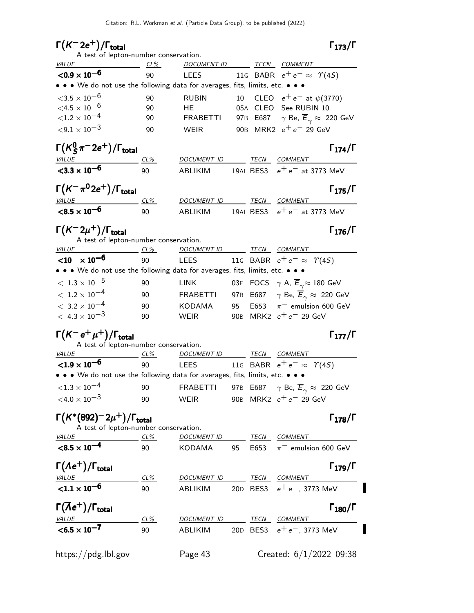# $\Gamma(K^- 2e^+) / \Gamma_{\text{total}}$  Γ<sub>173</sub>/Γ

## $\Gamma_{173}/\Gamma$

 $\blacksquare$ 

| A test of lepton-number conservation.                                                                              |            |                          |    |      |                                                               |
|--------------------------------------------------------------------------------------------------------------------|------------|--------------------------|----|------|---------------------------------------------------------------|
| $\frac{CL\%}{}$<br><u>VALUE</u>                                                                                    |            | DOCUMENT ID TECN COMMENT |    |      |                                                               |
| ${<}0.9 \times 10^{-6}$                                                                                            | 90         |                          |    |      | LEES 11G BABR $e^+e^- \approx \Upsilon(4S)$                   |
| • • • We do not use the following data for averages, fits, limits, etc. • • •                                      |            |                          |    |      |                                                               |
| ${<}3.5\times10^{-6}$                                                                                              | 90         | <b>RUBIN</b>             |    |      | 10 CLEO $e^+e^-$ at $\psi$ (3770)                             |
| $<$ 4.5 $\times$ 10 $^{-6}$                                                                                        | 90         | HE.                      |    |      | 05A CLEO See RUBIN 10                                         |
| ${<}1.2 \times 10^{-4}$                                                                                            | 90         | <b>FRABETTI</b>          |    |      | 97B E687 $\gamma$ Be, $\overline{E}_{\gamma} \approx 220$ GeV |
| ${<}9.1\times10^{-3}$                                                                                              | 90         | WEIR                     |    |      | 90B MRK2 $e^+e^-$ 29 GeV                                      |
| $\Gamma(\mathcal{K}^0_S\pi^-2e^+)/\Gamma_{\text{total}}$                                                           |            |                          |    |      | $\Gamma_{174}/\Gamma$                                         |
| <b>VALUE</b>                                                                                                       | <u>CL%</u> | DOCUMENT ID TECN COMMENT |    |      |                                                               |
| $<$ 3.3 $\times$ 10 <sup>-6</sup>                                                                                  | 90         | ABLIKIM                  |    |      | 19AL BES3 $e^+e^-$ at 3773 MeV                                |
| $\Gamma(K^-\pi^02e^+)/\Gamma_{\rm total}$                                                                          |            |                          |    |      | $\Gamma_{175}/\Gamma$                                         |
| VALUE                                                                                                              | CL%        | DOCUMENT ID TECN COMMENT |    |      |                                                               |
| $< 8.5 \times 10^{-6}$                                                                                             | 90         | ABLIKIM                  |    |      | 19AL BES3 $e^+e^-$ at 3773 MeV                                |
| $\Gamma(K^-2\mu^+)/\Gamma_{\rm total}$<br>A test of lepton-number conservation.                                    |            |                          |    |      | $\Gamma_{176}/\Gamma$                                         |
| $CL\%$<br><i>VALUE</i>                                                                                             |            |                          |    |      | DOCUMENT ID TECN COMMENT                                      |
| $<$ 10 $\times$ 10 <sup>-6</sup>                                                                                   | 90         |                          |    |      | LEES 11G BABR $e^+e^- \approx \Upsilon(4S)$                   |
| • • • We do not use the following data for averages, fits, limits, etc. • •                                        |            |                          |    |      |                                                               |
| $<\,1.3\times10^{-5}$                                                                                              | 90         | LINK                     |    |      | 03F FOCS $\gamma$ A, $\overline{E}_{\gamma} \approx 180$ GeV  |
| $<\,1.2\times10^{-4}$                                                                                              | 90         | <b>FRABETTI</b>          |    |      | 97B E687 $\gamma$ Be, $\overline{E}_{\gamma} \approx 220$ GeV |
| $<\,3.2\times10^{-4}$                                                                                              | 90         | KODAMA                   | 95 |      | E653 $\pi^-$ emulsion 600 GeV                                 |
| $< 4.3 \times 10^{-3}$                                                                                             | 90         | <b>WEIR</b>              |    |      | 90B MRK2 $e^+e^-$ 29 GeV                                      |
| $\Gamma(K^- e^+ \mu^+)/\Gamma_{\rm total}$                                                                         |            |                          |    |      | $\Gamma_{177}/\Gamma$                                         |
| A test of lepton-number conservation.                                                                              |            |                          |    |      |                                                               |
| $VALU E$ CL%                                                                                                       |            | DOCUMENT ID TECN COMMENT |    |      |                                                               |
| $<$ 1.9 $\times$ 10 <sup>-6</sup><br>• • • We do not use the following data for averages, fits, limits, etc. • • • | 90         |                          |    |      | LEES 11G BABR $e^+e^- \approx \Upsilon(4S)$                   |
| ${<}1.3 \times 10^{-4}$                                                                                            |            |                          |    |      |                                                               |
|                                                                                                                    | 90         |                          |    |      |                                                               |
| ${<}4.0\times10^{-3}$                                                                                              | 90 WEIR    |                          |    |      | 90B MRK2 $e^+e^-$ 29 GeV                                      |
| $\Gamma(K^*(892)^-2\mu^+)/\Gamma_{\rm total}$<br>A test of lepton-number conservation.                             |            |                          |    |      | $\Gamma_{178}/\Gamma$                                         |
| <b>VALUE</b><br>$CL\%$                                                                                             |            | DOCUMENT ID TECN COMMENT |    |      |                                                               |
| $< 8.5 \times 10^{-4}$                                                                                             | 90         | KODAMA                   | 95 | E653 | $\pi^-$ emulsion 600 GeV                                      |
| $\Gamma(\Lambda e^+)/\Gamma_{\rm total}$                                                                           |            |                          |    |      | $\Gamma_{179}/\Gamma$                                         |
| <b>VALUE</b>                                                                                                       | CL%        | DOCUMENT ID TECN COMMENT |    |      |                                                               |
| $< 1.1 \times 10^{-6}$                                                                                             | 90         | ABLIKIM                  |    |      | 20D BES3 $e^+e^-$ , 3773 MeV                                  |
| $\Gamma(\overline{\Lambda}e^+)/\Gamma_{\text{total}}$                                                              |            |                          |    |      | $\Gamma_{180}/\Gamma$                                         |
| <b>VALUE</b>                                                                                                       | CL%        | DOCUMENT ID TECN COMMENT |    |      |                                                               |
| $< 6.5 \times 10^{-7}$                                                                                             | 90         | ABLIKIM                  |    |      | 20D BES3 $e^+e^-$ , 3773 MeV                                  |
| https://pdg.lbl.gov                                                                                                |            | Page 43                  |    |      | Created: $6/1/2022$ 09:38                                     |
|                                                                                                                    |            |                          |    |      |                                                               |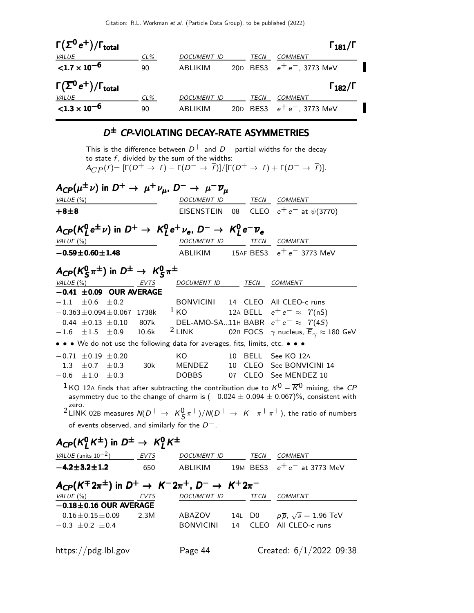| $\Gamma(\Sigma^0 e^+) / \Gamma_{\text{total}}$       |        |                    |      | $\Gamma_{181}/\Gamma$        |  |
|------------------------------------------------------|--------|--------------------|------|------------------------------|--|
| VALUE                                                | $CL\%$ | <b>DOCUMENT ID</b> | TECN | <b>COMMENT</b>               |  |
| ${<}1.7 \times 10^{-6}$                              | 90     | ABI IKIM           |      | 20D BES3 $e^+e^-$ , 3773 MeV |  |
| $\Gamma(\overline{\Sigma}^0 e^+)/\Gamma_{\rm total}$ |        |                    |      | $\Gamma_{182}/\Gamma$        |  |
| <i>VALUE</i>                                         | $CL\%$ | <b>DOCUMENT ID</b> | TECN | COMMENT                      |  |
| ${<}1.3 \times 10^{-6}$                              | 90     | ABLIKIM            |      | 20D BES3 $e^+e^-$ , 3773 MeV |  |

#### D ± CP-VIOLATING DECAY-RATE ASYMMETRIES

This is the difference between  $D^+$  and  $D^-$  partial widths for the decay to state  $f$ , divided by the sum of the widths:  $A_{CP}(f) = [\Gamma(D^+ \rightarrow f) - \Gamma(D^- \rightarrow \overline{f})]/[\Gamma(D^+ \rightarrow f) + \Gamma(D^- \rightarrow \overline{f})].$ 

| $A_{\text{CP}}(\mu^{\pm}\nu)$ in $D^+ \rightarrow \mu^+\nu_{\mu}$ , $D^- \rightarrow \mu^-\overline{\nu}_{\mu}$ |             |                   |     |                |                                                                                                                                                                                                              |  |
|-----------------------------------------------------------------------------------------------------------------|-------------|-------------------|-----|----------------|--------------------------------------------------------------------------------------------------------------------------------------------------------------------------------------------------------------|--|
| VALUE $(\%)$                                                                                                    |             | DOCUMENT ID       |     |                | TECN COMMENT                                                                                                                                                                                                 |  |
| $+8 + 8$                                                                                                        |             | <b>EISENSTEIN</b> | 08  |                | CLEO $e^+e^-$ at $\psi(3770)$                                                                                                                                                                                |  |
| $A_{CP}(K_l^0 e^{\pm} \nu)$ in $D^+ \rightarrow K_l^0 e^+ \nu_e$ , $D^- \rightarrow K_l^0 e^- \overline{\nu}_e$ |             |                   |     |                |                                                                                                                                                                                                              |  |
| VALUE $(\%)$                                                                                                    |             | DOCUMENT ID       |     |                | TECN COMMENT                                                                                                                                                                                                 |  |
| $-0.59 \pm 0.60 \pm 1.48$                                                                                       |             | ABLIKIM           |     |                | 15AF BES3 $e^+e^-$ 3773 MeV                                                                                                                                                                                  |  |
| $A_{CP}(K_S^0 \pi^{\pm})$ in $D^{\pm} \rightarrow K_S^0 \pi^{\pm}$                                              |             |                   |     |                |                                                                                                                                                                                                              |  |
| VALUE (%)                                                                                                       | EVTS        | DOCUMENT ID       |     | TECN           | <b>COMMENT</b>                                                                                                                                                                                               |  |
| $-0.41 \pm 0.09$ OUR AVERAGE                                                                                    |             |                   |     |                |                                                                                                                                                                                                              |  |
| $-1.1$<br>$+0.6$<br>$+0.2$                                                                                      |             | <b>BONVICINI</b>  |     |                | 14 CLEO All CLEO-c runs                                                                                                                                                                                      |  |
| $-0.363 \pm 0.094 \pm 0.067$                                                                                    | 1738k       | 1 <sub>KO</sub>   |     |                | 12A BELL $e^+e^- \approx \Upsilon(nS)$                                                                                                                                                                       |  |
| $-0.44 \pm 0.13 \pm 0.10$                                                                                       | 807k        |                   |     |                | DEL-AMO-SA11H BABR $e^+e^- \approx \gamma(45)$                                                                                                                                                               |  |
| $\pm 1.5$<br>$-1.6$<br>$\pm 0.9$                                                                                | 10.6k       | $2$ LINK          |     | 02B FOCS       | $\gamma$ nucleus, $\overline{E}_{\gamma} \approx 180$ GeV                                                                                                                                                    |  |
| • • • We do not use the following data for averages, fits, limits, etc. • • •                                   |             |                   |     |                |                                                                                                                                                                                                              |  |
| $-0.71 \pm 0.19 \pm 0.20$                                                                                       |             | KO                |     | 10 BELL        | See KO 12A                                                                                                                                                                                                   |  |
| $-1.3$<br>$\pm 0.7$<br>$\pm 0.3$                                                                                | 30k         | <b>MENDEZ</b>     | 10  | CLEO           | See BONVICINI 14                                                                                                                                                                                             |  |
| $-0.6$<br>$\pm 1.0$<br>$\pm 0.3$                                                                                |             | <b>DOBBS</b>      | 07  | <b>CLEO</b>    | See MENDEZ 10                                                                                                                                                                                                |  |
| zero.                                                                                                           |             |                   |     |                | <sup>1</sup> KO 12A finds that after subtracting the contribution due to $K^0 - \overline{K}^0$ mixing, the CP<br>asymmetry due to the change of charm is $(-0.024 \pm 0.094 \pm 0.067)\%$ , consistent with |  |
|                                                                                                                 |             |                   |     |                | <sup>2</sup> LINK 02B measures $N(D^+ \rightarrow K^0_S \pi^+)/N(D^+ \rightarrow K^- \pi^+ \pi^+)$ , the ratio of numbers                                                                                    |  |
| of events observed, and similarly for the $D^-$ .                                                               |             |                   |     |                |                                                                                                                                                                                                              |  |
| $A_{\text{CP}}(K^0_I K^{\pm})$ in $D^{\pm} \rightarrow K^0_I K^{\pm}$                                           |             |                   |     |                |                                                                                                                                                                                                              |  |
| VALUE (units $10^{-2}$ )                                                                                        | <b>EVTS</b> | DOCUMENT ID       |     | <b>TECN</b>    | COMMENT                                                                                                                                                                                                      |  |
| $-4.2 \pm 3.2 \pm 1.2$                                                                                          | 650         | <b>ABLIKIM</b>    |     |                | 19M BES3 $e^+e^-$ at 3773 MeV                                                                                                                                                                                |  |
| $A_{\mathbb{CP}}(K^{\mp}2\pi^{\pm})$ in $D^{+} \rightarrow K^{-}2\pi^{+}$ , $D^{-} \rightarrow K^{+}2\pi^{-}$   |             |                   |     |                |                                                                                                                                                                                                              |  |
| VALUE $(\%)$                                                                                                    | EVTS        | DOCUMENT ID       |     |                | TECN COMMENT                                                                                                                                                                                                 |  |
| $-0.18 \pm 0.16$ OUR AVERAGE                                                                                    |             |                   |     |                |                                                                                                                                                                                                              |  |
| $-0.16 \pm 0.15 \pm 0.09$                                                                                       | 2.3M        | ABAZOV            | 14L | D <sub>0</sub> | $p\overline{p}$ , $\sqrt{s} = 1.96$ TeV                                                                                                                                                                      |  |
| $-0.3 \pm 0.2 \pm 0.4$                                                                                          |             | <b>BONVICINI</b>  | 14  | <b>CLEO</b>    | All CLEO-c runs                                                                                                                                                                                              |  |
|                                                                                                                 |             |                   |     |                |                                                                                                                                                                                                              |  |

https://pdg.lbl.gov Page 44 Created: 6/1/2022 09:38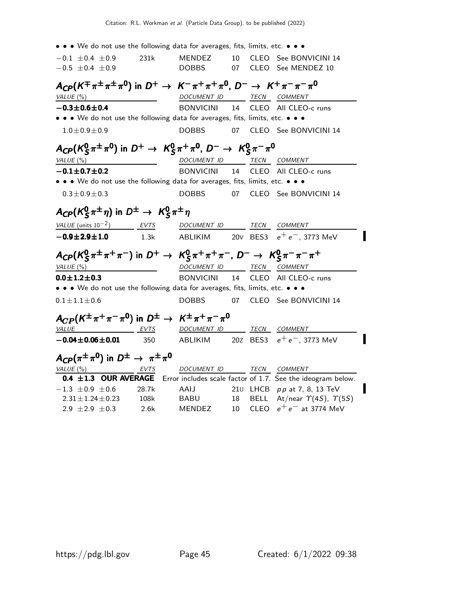| $\bullet \bullet \bullet$ We do not use the following data for averages, fits, limits, etc. $\bullet \bullet \bullet$         |       |                               |          |                                                             |
|-------------------------------------------------------------------------------------------------------------------------------|-------|-------------------------------|----------|-------------------------------------------------------------|
| $-0.1 \pm 0.4 \pm 0.9$<br>$-0.5 \pm 0.4 \pm 0.9$                                                                              | 231k  | <b>MENDEZ</b><br><b>DOBBS</b> | 10<br>07 | CLEO See BONVICINI 14<br>CLEO See MENDEZ 10                 |
| $A_{CP}(K^{\mp}\pi^{\pm}\pi^{\pm}\pi^{0})$ in $D^{+} \to K^{-}\pi^{+}\pi^{+}\pi^{0}$ , $D^{-} \to K^{+}\pi^{-}\pi^{-}\pi^{0}$ |       |                               |          |                                                             |
| VALUE $(\%)$                                                                                                                  |       | DOCUMENT ID TECN COMMENT      |          |                                                             |
| $-0.3 \pm 0.6 \pm 0.4$                                                                                                        |       | <b>BONVICINI</b>              | 14       | CLEO All CLEO-c runs                                        |
| • • • We do not use the following data for averages, fits, limits, etc. • • •                                                 |       |                               |          |                                                             |
| $1.0 \pm 0.9 \pm 0.9$                                                                                                         |       | <b>DOBBS</b>                  | 07       | CLEO See BONVICINI 14                                       |
| $A_{\text{CP}}(K_S^0 \pi^{\pm} \pi^0)$ in $D^+ \rightarrow K_S^0 \pi^+ \pi^0$ , $D^- \rightarrow K_S^0 \pi^- \pi^0$           |       |                               |          |                                                             |
| VALUE $(\%)$                                                                                                                  |       | DOCUMENT ID TECN COMMENT      |          |                                                             |
| $-0.1 \pm 0.7 \pm 0.2$                                                                                                        |       | <b>BONVICINI</b>              | 14       | CLEO All CLEO-c runs                                        |
| • • • We do not use the following data for averages, fits, limits, etc. • • •                                                 |       |                               |          |                                                             |
| $0.3 \pm 0.9 \pm 0.3$                                                                                                         |       |                               |          | DOBBS 07 CLEO See BONVICINI 14                              |
| $A_{CP}(K_S^0 \pi^{\pm} \eta)$ in $D^{\pm} \rightarrow K_S^0 \pi^{\pm} \eta$                                                  |       |                               |          |                                                             |
| VALUE (units $10^{-2}$ ) EVTS                                                                                                 |       | DOCUMENT ID TECN COMMENT      |          |                                                             |
| $-0.9 + 2.9 + 1.0$                                                                                                            | 1.3k  |                               |          | ABLIKIM 20V BES3 $e^+e^-$ , 3773 MeV                        |
| $A_{CP}(K_S^0 \pi^{\pm} \pi^+ \pi^-)$ in $D^+ \to K_S^0 \pi^+ \pi^+ \pi^-$ , $D^- \to K_S^0 \pi^- \pi^- \pi^+$                |       |                               |          |                                                             |
| VALUE $(\%)$                                                                                                                  |       | DOCUMENT ID                   |          | TECN COMMENT                                                |
| $0.0 \pm 1.2 \pm 0.3$                                                                                                         |       | <b>BONVICINI</b>              | 14       | CLEO All CLEO-c runs                                        |
| • • • We do not use the following data for averages, fits, limits, etc. • • •                                                 |       |                               |          |                                                             |
| $0.1 \pm 1.1 \pm 0.6$                                                                                                         |       |                               |          | DOBBS 07 CLEO See BONVICINI 14                              |
| $A_{CP}(K^{\pm}\pi^{+}\pi^{-}\pi^{0})$ in $D^{\pm} \to K^{\pm}\pi^{+}\pi^{-}\pi^{0}$                                          |       |                               |          |                                                             |
| <b>VALUE</b>                                                                                                                  | EVTS  | DOCUMENT ID TECN COMMENT      |          |                                                             |
| $-0.04 \pm 0.06 \pm 0.01$                                                                                                     | 350   |                               |          | ABLIKIM 20Z BES3 $e^+e^-$ , 3773 MeV                        |
| $A_{CP}(\pi^{\pm}\pi^{0})$ in $D^{\pm} \rightarrow \pi^{\pm}\pi^{0}$                                                          |       |                               |          |                                                             |
| VALUE (%)                                                                                                                     | EVTS  | DOCUMENT ID                   |          | TECN COMMENT                                                |
| 0.4 $\pm$ 1.3 OUR AVERAGE                                                                                                     |       |                               |          | Error includes scale factor of 1.7. See the ideogram below. |
| $-1.3 \pm 0.9 \pm 0.6$                                                                                                        | 28.7k | AAIJ                          |          | 210 LHCB $pp$ at 7, 8, 13 TeV                               |
| $2.31 \pm 1.24 \pm 0.23$                                                                                                      | 108k  | <b>BABU</b>                   | 18       | BELL At/near $\Upsilon(4S)$ , $\Upsilon(5S)$                |

 $2.9 \pm 2.9 \pm 0.3$  2.6k MENDEZ 10 CLEO  $e^+e^-$  at 3774 MeV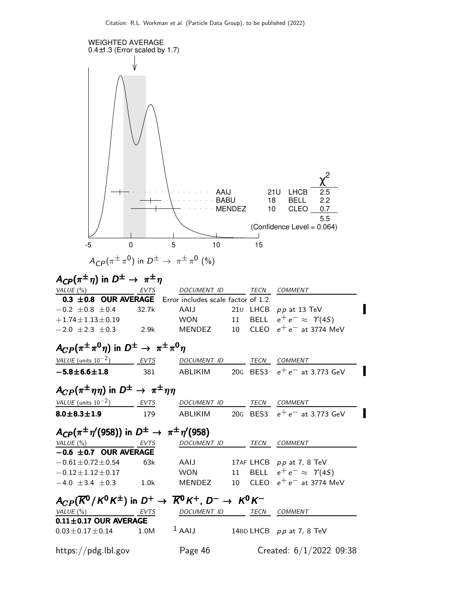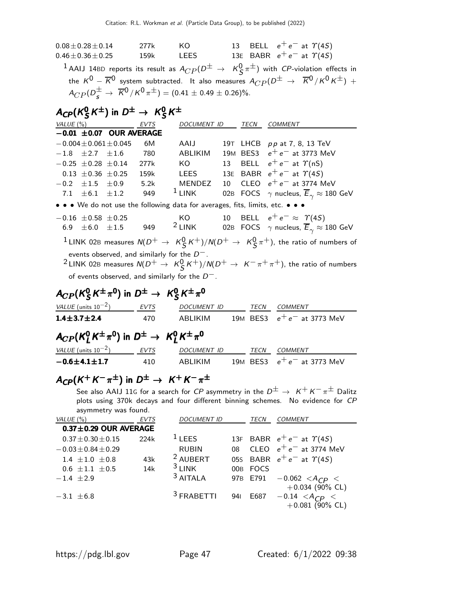$0.08 \pm 0.28 \pm 0.14$  277k KO 13 BELL  $e^+ e^-$  at  $\Upsilon(4S)$  $0.46\pm0.36\pm0.25$  159k LEES 13E BABR  $e^+\,e^-$  at  $\varUpsilon(4S)$  $^1$  AAIJ 14BD reports its result as  $A_{CP} (D^\pm \; \rightarrow \; \; \mathcal{K}^0_S \, \pi^\pm)$  with CP-violation effects in the  $K^0 - \overline{K}^0$  system subtracted. It also measures  $A_{CP} (D^{\pm} \rightarrow \overline{K}^0 / K^0 K^{\pm})$  +  $A_{CP} (D_s^{\pm} \rightarrow \overline{K}^0 / K^0 \pi^{\pm}) = (0.41 \pm 0.49 \pm 0.26)\%.$ 

#### $A_{C\!P}$ (K $^0_S$  $^0_S K^{\pm}$ ) in  $D^{\pm} \rightarrow K^0_S$  $A_{\text{CP}}(K^0_{\mathcal{S}}K^{\pm})$  in  $D^{\pm} \rightarrow K^0_{\mathcal{S}}K^{\pm}$

| VALUE (%)                                                                     | <b>EVTS</b> | <b>DOCUMENT ID</b> |    | <b>TECN</b> | <b>COMMENT</b>                                                     |
|-------------------------------------------------------------------------------|-------------|--------------------|----|-------------|--------------------------------------------------------------------|
| $-0.01 \pm 0.07$ OUR AVERAGE                                                  |             |                    |    |             |                                                                    |
| $-0.004 \pm 0.061 \pm 0.045$                                                  | 6M          | AAIJ               |    |             | 19T LHCB pp at 7, 8, 13 TeV                                        |
| $-1.8$ $\pm 2.7$ $\pm 1.6$                                                    | 780         | <b>ABLIKIM</b>     |    |             | 19M BES3 $e^+e^-$ at 3773 MeV                                      |
| $-0.25 \pm 0.28 \pm 0.14$                                                     | 277k        | KO –               |    |             | 13 BELL $e^+e^-$ at $\gamma$ (nS)                                  |
| $0.13 \pm 0.36 \pm 0.25$                                                      | 159k        | LEES               |    |             | 13E BABR $e^+e^-$ at $\Upsilon(4S)$                                |
| $-0.2$ $\pm 1.5$ $\pm 0.9$                                                    | 5.2k        | MENDEZ             |    |             | 10 CLEO $e^+e^-$ at 3774 MeV                                       |
| 7.1 $\pm 6.1$ $\pm 1.2$                                                       | 949         | $1$ LINK           |    |             | 02B FOCS $\gamma$ nucleus, $\overline{E}_{\gamma} \approx 180$ GeV |
| • • • We do not use the following data for averages, fits, limits, etc. • • • |             |                    |    |             |                                                                    |
| $-0.16 \pm 0.58 \pm 0.25$                                                     |             | KO.                | 10 |             | BELL $e^+e^- \approx \Upsilon(4S)$                                 |
| $6.9$ $\pm6.0$ $\pm1.5$                                                       | 949         | $2$ LINK           |    |             | 02B FOCS $\gamma$ nucleus, $\overline{E}_{\gamma} \approx 180$ GeV |

 $^1$ LINK 02B measures  ${\sf N}(D^+\to\ K^0_S\,K^+)/{\sf N}(D^+\to\ K^0_S\,\pi^+)$ , the ratio of numbers of events observed, and similarly for the  $D^-\,.$ 

 $^2$ LINK 02B measures  $\mathcal{N}(D^+\to~\mathcal{K}^0_S\,\mathcal{K}^+)/\mathcal{N}(D^+\to~\mathcal{K}^-\,\pi^+\,\pi^+)$ , the ratio of numbers of events observed, and similarly for the  $D^-$ .

#### $A_{CP}$ (K $_{\cal S}^0$  $^0_S$ K $^{\pm}$ π $^0$ ) in D $^{\pm}$   $\rightarrow$  K $^0_S$  $A_{CP}$ ( $K^0_S$  $K^{\pm}\pi^0$ ) in  $D^{\pm} \rightarrow K^0_S$  $K^{\pm}\pi^0$

| VALUE (units $10^{-2}$ )                                               | <b>EVTS</b> | <b>DOCUMENT ID</b> | TECN | COMMENT                       |
|------------------------------------------------------------------------|-------------|--------------------|------|-------------------------------|
| $1.4 \pm 3.7 \pm 2.4$                                                  | 470         | ABLIKIM            |      | 19M BES3 $e^+e^-$ at 3773 MeV |
| $A_{CP}(K^0_1K^{\pm}\pi^0)$ in $D^{\pm} \rightarrow K^0_1K^{\pm}\pi^0$ |             |                    |      |                               |
| VALUE (units $10^{-2}$ )                                               | EVTS        | <b>DOCUMENT ID</b> | TECN | <b>COMMENT</b>                |
| $-0.6 \pm 4.1 \pm 1.7$                                                 | 410         | ABLIKIM            |      | 19M BES3 $e^+e^-$ at 3773 MeV |

# $A_\textsf{CP}(K^+K^-\pi^\pm)$  in  $D^\pm\to~K^+K^-\pi^\pm$

See also AAIJ 11G for a search for CP asymmetry in the  $D^{\pm} \rightarrow K^{+} K^{-} \pi^{\pm}$  Dalitz plots using 370k decays and four different binning schemes. No evidence for CP asymmetry was found.

| VALUE $(\%)$                | <b>EVTS</b> | <b>DOCUMENT ID</b>    |     | TECN        | COMMENT                             |
|-----------------------------|-------------|-----------------------|-----|-------------|-------------------------------------|
| $0.37 \pm 0.29$ OUR AVERAGE |             |                       |     |             |                                     |
| $0.37 \pm 0.30 \pm 0.15$    | 224k        | $1$ LEES              |     |             | 13F BABR $e^+e^-$ at $\Upsilon(4S)$ |
| $-0.03 \pm 0.84 \pm 0.29$   |             | <b>RUBIN</b>          | 08  |             | CLEO $e^+e^-$ at 3774 MeV           |
| 1.4 $\pm$ 1.0 $\pm$ 0.8     | 43k         | <sup>2</sup> AUBERT   |     |             | 05s BABR $e^+e^-$ at $\gamma(4S)$   |
| $0.6 \pm 1.1 \pm 0.5$       | 14k         | $3$ LINK              | 00B | <b>FOCS</b> |                                     |
| $-1.4 \pm 2.9$              |             | <sup>3</sup> AITALA   |     | 97B E791    | $-0.062 < A_{CP} <$                 |
|                             |             |                       |     |             | $+0.034$ (90% CL)                   |
| $-3.1 \pm 6.8$              |             | <sup>3</sup> FRABETTI | 941 | E687        | $-0.14 \leq A_{CP}$                 |
|                             |             |                       |     |             | $+0.081$ (90% CL)                   |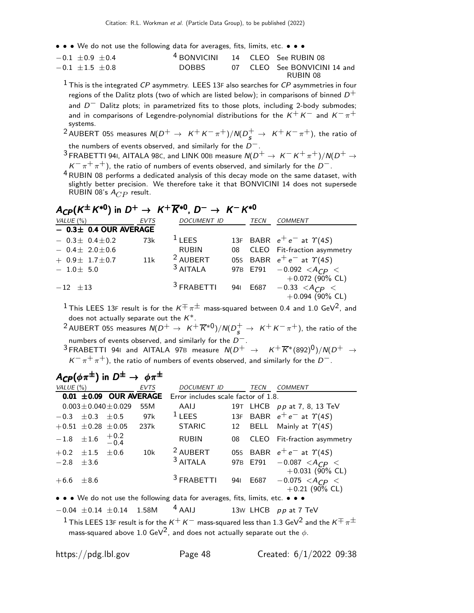• • • We do not use the following data for averages, fits, limits, etc. • • •

| $-0.1 \pm 0.9 \pm 0.4$ | <sup>4</sup> BONVICINI 14 CLEO See RUBIN 08 |  |                              |
|------------------------|---------------------------------------------|--|------------------------------|
| $-0.1 \pm 1.5 \pm 0.8$ | DOBBS                                       |  | 07 CLEO See BONVICINI 14 and |
|                        |                                             |  | RUBIN 08                     |

 $1$  This is the integrated CP asymmetry. LEES 13F also searches for CP asymmetries in four regions of the Dalitz plots (two of which are listed below); in comparisons of binned  $D^+$ and  $D^-$  Dalitz plots; in parametrized fits to those plots, including 2-body submodes; and in comparisons of Legendre-polynomial distributions for the  $K^+ K^-$  and  $K^-\pi^+$ systems.

 $^2$ AUBERT 05S measures  $N(D^+ \rightarrow K^+ K^- \pi^+)/N(D^+_s \rightarrow K^+ K^- \pi^+)$ , the ratio of the numbers of events observed, and similarly for the  $D^-$ .

- <sup>3</sup> FRABETTI 941, AITALA 98C, and LINK 00B measure  $N(D^+ \rightarrow K^- K^+ \pi^+)/N(D^+ \rightarrow$  $K^-\,\pi^+\,\pi^+)$ , the ratio of numbers of events observed, and similarly for the  $D^-.$
- 4RUBIN 08 performs a dedicated analysis of this decay mode on the same dataset, with slightly better precision. We therefore take it that BONVICINI 14 does not supersede RUBIN 08's  $A_{CP}$  result.

# $A_{CP}(K^{\pm}K^{*0})$  in  $D^+\rightarrow K^+\overline{K}^{*0}$ ,  $D^-\rightarrow K^-K^{*0}$

| VALUE (%)                     | <b>EVTS</b> | <b>DOCUMENT ID</b>    | <b>TECN</b> | <b>COMMENT</b>                      |
|-------------------------------|-------------|-----------------------|-------------|-------------------------------------|
| $-$ 0.3 $\pm$ 0.4 OUR AVERAGE |             |                       |             |                                     |
| $-0.3\pm 0.4\pm 0.2$          | 73k         | $1$ LEES              |             | 13F BABR $e^+e^-$ at $\Upsilon(4S)$ |
| $-0.4\pm 2.0\pm 0.6$          |             | <b>RUBIN</b>          |             | 08 CLEO Fit-fraction asymmetry      |
| $+ 0.9 \pm 1.7 \pm 0.7$       | 11k         | <sup>2</sup> AUBERT   |             | 05s BABR $e^+e^-$ at $\Upsilon(4S)$ |
| $-1.0\pm 5.0$                 |             | <sup>3</sup> AITALA   |             | 97B E791 $-0.092 < A_{CP} <$        |
|                               |             |                       |             | $+0.072$ (90% CL)                   |
| $-12$ $\pm 13$                |             | <sup>3</sup> FRABETTI |             | 941 E687 $-0.33 < A_{CP} <$         |
|                               |             |                       |             | $+0.094$ (90% CL)                   |
|                               |             |                       |             |                                     |

<sup>1</sup> This LEES 13F result is for the  $K^{\pm} \pi^{\pm}$  mass-squared between 0.4 and 1.0 GeV<sup>2</sup>, and does not actually separate out the  $K^*$ .

 $^2$ AUBERT 05S measures  $\mathcal{N}(D^+\to~\mathcal{K}^+\overline{\mathcal{K}}^{*0})/\mathcal{N}(D^+_s\to~\mathcal{K}^+\mathcal{K}^-\pi^+)$ , the ratio of the numbers of events observed, and similarly for the  $D^-$ .

<sup>3</sup> FRABETTI 94I and AITALA 97B measure  $N(D^+ \rightarrow K^+ \overline{K}^*(892)^0)/N(D^+ \rightarrow$  $K^-\pi^+\pi^+$ ), the ratio of numbers of events observed, and similarly for the  $D^-$ .

## $A_{CP}(\phi \pi^{\pm})$  in  $D^{\pm} \rightarrow \phi \pi^{\pm}$

| VALUE $(\%)$     |                                 |                             | <b>EVTS</b> | <b>DOCUMENT ID</b>                  |     | TECN | <b>COMMENT</b>                                                    |
|------------------|---------------------------------|-----------------------------|-------------|-------------------------------------|-----|------|-------------------------------------------------------------------|
|                  |                                 | $0.01 \pm 0.09$ OUR AVERAGE |             | Error includes scale factor of 1.8. |     |      |                                                                   |
|                  |                                 | $0.003 \pm 0.040 \pm 0.029$ | 55M         | AAIJ                                |     |      | 19T LHCB pp at 7, 8, 13 TeV                                       |
|                  | $-0.3 \pm 0.3 \pm 0.5$          |                             | 97k         | $1$ LEES                            |     |      | 13F BABR $e^+e^-$ at $\Upsilon(4S)$                               |
|                  | $+0.51 \pm 0.28 \pm 0.05$       |                             | 237k        | STARIC                              |     |      | 12 BELL Mainly at $\Upsilon(4S)$                                  |
|                  | $-1.8$ $\pm 1.6$ $+0.2$<br>-0.4 |                             |             | <b>RUBIN</b>                        |     |      | 08 CLEO Fit-fraction asymmetry                                    |
|                  | $+0.2 \pm 1.5 \pm 0.6$          |                             | 10k         | <sup>2</sup> AUBERT                 |     |      | 05s BABR $e^+e^-$ at $\gamma(4S)$                                 |
| $-2.8$ $\pm 3.6$ |                                 |                             |             | <sup>3</sup> AITALA                 |     |      | 97B E791 $-0.087 < A_{CP} <$                                      |
| $+6.6 \pm 8.6$   |                                 |                             |             | <sup>3</sup> FRABETTI               | 941 |      | $+0.031$ (90% CL)<br>E687 $-0.075 < A_{CP} <$<br>$+0.21$ (90% CL) |
|                  |                                 |                             |             |                                     |     |      |                                                                   |

• • • We do not use the following data for averages, fits, limits, etc. • • •

 $-0.04 \pm 0.14 \pm 0.14$  1.58M  $^4$  AAIJ 13W LHCB pp at 7 TeV

 $^1$  This LEES 13F result is for the  $K^+$   $K^-$  mass-squared less than 1.3 GeV $^2$  and the  $K^{\mp}\pi^{\pm}$ mass-squared above 1.0 GeV<sup>2</sup>, and does not actually separate out the  $\phi$ .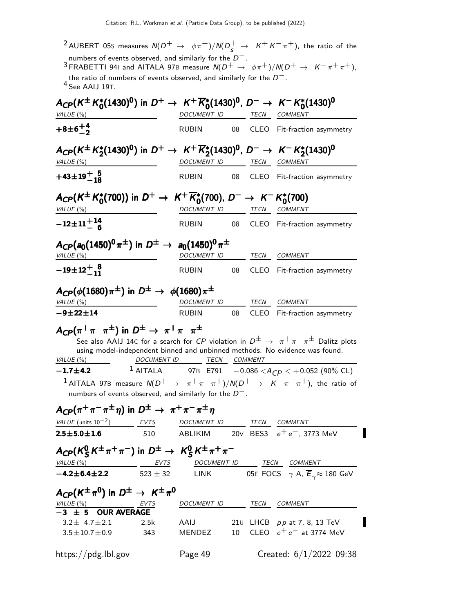|                                                                                                                                                                   |                    |                          |    |      | <sup>2</sup> AUBERT 05s measures $N(D^+ \rightarrow \phi \pi^+)/N(D^+_{\rm s} \rightarrow K^+K^-\pi^+)$ , the ratio of the                                                                     |
|-------------------------------------------------------------------------------------------------------------------------------------------------------------------|--------------------|--------------------------|----|------|------------------------------------------------------------------------------------------------------------------------------------------------------------------------------------------------|
| numbers of events observed, and similarly for the $D^-$ .<br>the ratio of numbers of events observed, and similarly for the $D^-$ .<br><sup>4</sup> See AAIJ 19T. |                    |                          |    |      | <sup>3</sup> FRABETTI 941 and AITALA 97B measure $N(D^+ \rightarrow \phi \pi^+)/N(D^+ \rightarrow K^- \pi^+ \pi^+)$ ,                                                                          |
| $A_{CP}(K^{\pm} K_0^*(1430)^0)$ in $D^+ \to K^+ \overline{K}_0^*(1430)^0$ , $D^- \to K^- K_0^*(1430)^0$<br>VALUE (%)                                              |                    | DOCUMENT ID              |    | TECN | <b>COMMENT</b>                                                                                                                                                                                 |
| $+8\pm 6^{+4}_{-2}$                                                                                                                                               |                    | <b>RUBIN</b>             | 08 |      | CLEO Fit-fraction asymmetry                                                                                                                                                                    |
| $A_{CP}(K^{\pm} K_2^{*}(1430)^{0})$ in $D^{+} \to K^{+} \overline{K}_2^{*}(1430)^{0}$ , $D^{-} \to K^{-} K_2^{*}(1430)^{0}$<br>VALUE $(\%)$                       |                    | DOCUMENT ID              |    | TECN | COMMENT                                                                                                                                                                                        |
| $+43\pm 19^{+}_{-18}$                                                                                                                                             |                    | <b>RUBIN</b>             |    |      | CLEO Fit-fraction asymmetry                                                                                                                                                                    |
| $A_{CP}(K^{\pm} K_0^{*}(700))$ in $D^{+} \to K^{+} \overline{K}_0^{*}(700)$ , $D^{-} \to K^{-} K_0^{*}(700)$<br>VALUE (%)                                         |                    | DOCUMENT ID              |    |      | TECN COMMENT                                                                                                                                                                                   |
| $-12\pm 11\frac{+14}{6}$                                                                                                                                          |                    | <b>RUBIN</b>             | 08 |      | CLEO Fit-fraction asymmetry                                                                                                                                                                    |
| $A_{CP}(a_0(1450)^0 \pi^{\pm})$ in $D^{\pm} \rightarrow a_0(1450)^0 \pi^{\pm}$<br>VALUE (%)                                                                       |                    | DOCUMENT ID              |    |      | TECN COMMENT                                                                                                                                                                                   |
| $-19\pm 12^{+}_{-11}$                                                                                                                                             |                    | <b>RUBIN</b>             | 08 |      | CLEO Fit-fraction asymmetry                                                                                                                                                                    |
| $A_{CP}(\phi(1680)\pi^{\pm})$ in $D^{\pm} \rightarrow \phi(1680)\pi^{\pm}$<br>VALUE $(\%)$                                                                        |                    | DOCUMENT ID TECN COMMENT |    |      |                                                                                                                                                                                                |
| $-9 + 22 + 14$                                                                                                                                                    |                    | <b>RUBIN</b>             | 08 |      | CLEO Fit-fraction asymmetry                                                                                                                                                                    |
| $A_{CP}(\pi^+\pi^-\pi^{\pm})$ in $D^{\pm} \rightarrow \pi^+\pi^-\pi^{\pm}$<br>VALUE (%)                                                                           | <b>DOCUMENT ID</b> | TECN COMMENT             |    |      | See also AAIJ 14C for a search for CP violation in $D^{\pm} \rightarrow \pi^{+} \pi^{-} \pi^{\pm}$ Dalitz plots<br>using model-independent binned and unbinned methods. No evidence was found. |
| $-1.7 \pm 4.2$<br>numbers of events observed, and similarly for the $D^-$ .                                                                                       | $1$ AITALA         |                          |    |      | 97B E791 $-0.086 < A_{CP} < +0.052$ (90% CL)<br><sup>1</sup> AITALA 97B measure $N(D^+ \rightarrow \pi^+\pi^-\pi^+)/N(D^+ \rightarrow K^-\pi^+\pi^+)$ , the ratio of                           |
| $A_{\text{CP}}(\pi^+\pi^-\pi^{\pm}\eta)$ in $D^{\pm} \rightarrow \pi^+\pi^-\pi^{\pm}\eta$                                                                         |                    |                          |    |      |                                                                                                                                                                                                |
| $VALUE$ (units 10 <sup>-2</sup> ) EVTS DOCUMENT ID TECN COMMENT<br>$2.5 \pm 5.0 \pm 1.6$                                                                          |                    |                          |    |      | ABLIKIM 20V BES3 $e^+e^-$ , 3773 MeV                                                                                                                                                           |
| $A_{CP}(K_S^0 K^{\pm} \pi^+ \pi^-)$ in $D^{\pm} \rightarrow K_S^0 K^{\pm} \pi^+ \pi^-$                                                                            | 510                |                          |    |      |                                                                                                                                                                                                |
|                                                                                                                                                                   |                    |                          |    |      | $VALUE (%)$ EVTS DOCUMENT ID TECN COMMENT                                                                                                                                                      |
| $-4.2 \pm 6.4 \pm 2.2$                                                                                                                                            |                    |                          |    |      | $523 \pm 32$ LINK 05E FOCS $\gamma$ A, $\overline{E}_{\gamma} \approx 180$ GeV                                                                                                                 |
| $A_{CP}(K^{\pm}\pi^{0})$ in $D^{\pm}\to K^{\pm}\pi^{0}$                                                                                                           |                    |                          |    |      |                                                                                                                                                                                                |
| $\frac{VALUE \ (\%)}{-3 \pm 5}$ OUR AVERAGE                                                                                                                       |                    | DOCUMENT ID TECN COMMENT |    |      |                                                                                                                                                                                                |
| $-3.2 \pm 4.7 \pm 2.1$<br>$-3.5 \pm 10.7 \pm 0.9$                                                                                                                 | 2.5k<br>343        | AAIJ<br><b>MENDEZ</b>    |    |      | 210 LHCB pp at 7, 8, 13 TeV<br>10 CLEO $e^+e^-$ at 3774 MeV                                                                                                                                    |

https://pdg.lbl.gov Page 49 Created: 6/1/2022 09:38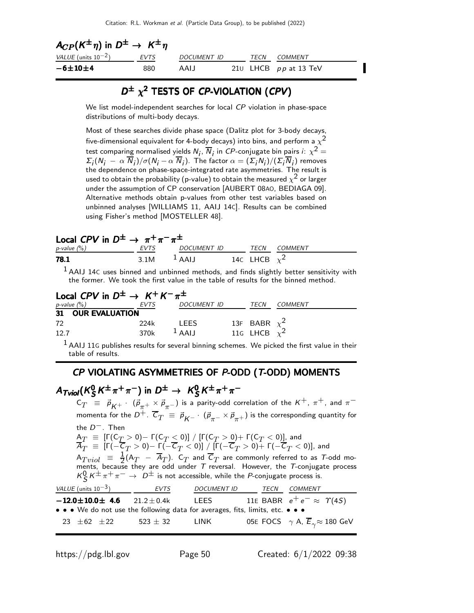| $A_{CP}(K^{\pm}\eta)$ in $D^{\pm} \rightarrow K^{\pm}\eta$ |      |                    |  |      |                         |  |  |  |
|------------------------------------------------------------|------|--------------------|--|------|-------------------------|--|--|--|
| VALUE (units $10^{-2}$ )                                   | EVTS | <i>DOCUMENT ID</i> |  | TECN | <i>COMMENT</i>          |  |  |  |
| $-6\pm10\pm4$                                              | 880  | AALI               |  |      | 210 LHCB $pp$ at 13 TeV |  |  |  |

### $D^{\pm}$   $\chi^2$  TESTS OF CP-VIOLATION (CPV)

We list model-independent searches for local CP violation in phase-space distributions of multi-body decays.

Most of these searches divide phase space (Dalitz plot for 3-body decays, five-dimensional equivalent for 4-body decays) into bins, and perform a  $\chi^2$ test comparing normalised yields  $N_j$ ,  $\overline{N}_j$  in  ${\it CP}$ -conjugate bin pairs  $i\colon \chi^2=1$  $\Sigma_j(N_j-\alpha|\overline{N}_j)/\sigma(N_j-\alpha|\overline{N}_j).$  The factor  $\alpha=(\Sigma_jN_j)/(\Sigma_j|\overline{N}_j)$  removes the dependence on phase-space-integrated rate asymmetries. The result is used to obtain the probability (p-value) to obtain the measured  $\chi^2$  or larger under the assumption of CP conservation [AUBERT 08AO, BEDIAGA 09]. Alternative methods obtain p-values from other test variables based on unbinned analyses [WILLIAMS 11, AAIJ 14C]. Results can be combined using Fisher's method [MOSTELLER 48].

| Local CPV in $D^{\pm} \rightarrow \pi^{+} \pi^{-} \pi^{\pm}$ |                |                  |  |                   |              |  |  |  |
|--------------------------------------------------------------|----------------|------------------|--|-------------------|--------------|--|--|--|
| p-value $(\%)$                                               |                | EVTS DOCUMENT ID |  |                   | TECN COMMENT |  |  |  |
| 78.1                                                         | 3.1M $^1$ AAIJ |                  |  | 14c LHCB $\chi^2$ |              |  |  |  |

 $<sup>1</sup>$ AAIJ 14C uses binned and unbinned methods, and finds slightly better sensitivity with</sup> the former. We took the first value in the table of results for the binned method.

| Local CPV in $D^{\pm} \rightarrow K^{+} K^{-} \pi^{\pm}$ |      |                    |                   |                |
|----------------------------------------------------------|------|--------------------|-------------------|----------------|
| $p$ -value $(\%)$                                        | EVTS | <b>DOCUMENT ID</b> | TECN              | <i>COMMENT</i> |
| 31 OUR EVALUATION                                        |      |                    |                   |                |
| 72                                                       | 224k | <b>LEES</b>        | 13F BABR $\chi^2$ |                |
| 12.7                                                     | 370k | $1$ AAIJ           | 116 LHCB $\chi^2$ |                |

 $<sup>1</sup>$  AAIJ 11G publishes results for several binning schemes. We picked the first value in their</sup> table of results.

#### CP VIOLATING ASYMMETRIES OF P-ODD ( T-ODD) MOMENTS

#### A $_{\mathcal{T}$ viol $(\mathcal{K}^{0}_{\mathcal{S}})$  $\frac{0}{S}K^{\pm}\pi^{+}\pi^{-}$ ) in  $D^{\pm}\to~K^0_S$  $A_{\text{Tviol}}(K_S^0 K^{\pm} \pi^+ \pi^-)$  in  $D^{\pm} \rightarrow K_S^0 K^{\pm} \pi^+ \pi^ A_{\mathcal{T} \mathcal{N} \mathcal{O}}(K^0_S K^{\pm}\pi^+\pi^-)$  in  $D^{\pm} \rightarrow~\mathcal{K}^0_S K^{\pm}\pi^+\pi^-$

 $C_T$  =  $\vec{p}^{\,}_{K^+}$   $\cdot$   $(\vec{p}^{\,}_{\pi^+}\times \vec{p}^{\,}_{\pi^-})$  is a parity-odd correlation of the  $K^+$ ,  $\pi^+$ , and  $\pi^$ momenta for the  $D^+$ .  $\overline{\mathsf{C}}_T \ \equiv \ \vec{\rho}_{\mathsf{K}^-} \cdot \ (\vec{\rho}_{\pi^-} \times \vec{\rho}_{\pi^+})$  is the corresponding quantity for the D−. Then  ${\sf A}_T~\equiv~[{\sf \Gamma}({\sf C}_T>0)-{\sf \Gamma}({\sf C}_T\le 0)]~/~[{\sf \Gamma}({\sf C}_T>0)+{\sf \Gamma}({\sf C}_T< 0)]$  and  $\overline{{\cal A}}_T~\equiv~\left[\Gamma(-\overline{{\cal C}}_T>0)-\Gamma(-\overline{{\cal C}}_T<0)\right]$  /  $\left[\Gamma(-\overline{{\cal C}}_T>0)+\Gamma(-\overline{{\cal C}}_T<0)\right]$ , and  $A_{Tviol}$  =  $\frac{1}{2}(A_T - \overline{A}_T)$ .  $C_T$  and  $\overline{C}_T$  are commonly referred to as  $T$ -odd moments, because they are odd under  $T$  reversal. However, the  $T$ -conjugate process  $\kappa_S^0 \, \kappa^{\pm} \, \pi^+ \, \pi^- \to \, D^{\pm}$  is not accessible, while the *P*-conjugate process is. VALUE (units  $10^{-3}$ ) EVTS DOCUMENT ID TECN COMMENT  $-12.0\pm10.0\pm$  4.6  $21.2\pm0.4$ k LEES 11E BABR  $e^+e^-\approx$   $\Upsilon(4S)$ • • • We do not use the following data for averages, fits, limits, etc. • • •

23  $\pm$ 62  $\pm$ 22 523  $\pm$  32 LINK 05E FOCS  $\gamma$  A,  $\overline{E}_{\gamma}$   $\approx$  180 GeV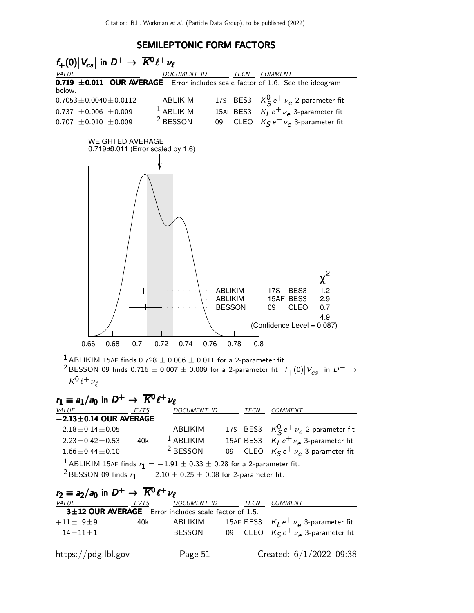#### SEMILEPTONIC FORM FACTORS



| $r_2 \equiv a_2/a_0$ in $D^+ \rightarrow \overline{K^0} \ell^+ \nu_\ell$ |      |                    |      |                                           |
|--------------------------------------------------------------------------|------|--------------------|------|-------------------------------------------|
| <i>VALUE</i>                                                             | EVTS | <b>DOCUMENT ID</b> | TECN | <i>COMMENT</i>                            |
| $-$ 3±12 OUR AVERAGE Error includes scale factor of 1.5.                 |      |                    |      |                                           |
| $+11\pm 9$ ±9                                                            | 40k  | ABLIKIM            |      | 15AF BES3 $K_I e^+ \nu_e$ 3-parameter fit |
| $-14+11+1$                                                               |      | <b>BESSON</b>      |      | 09 CLEO $K_S e^+ \nu_e$ 3-parameter fit   |
| https://pdg.lbl.gov                                                      |      | Page 51            |      | Created: 6/1/2022 09:38                   |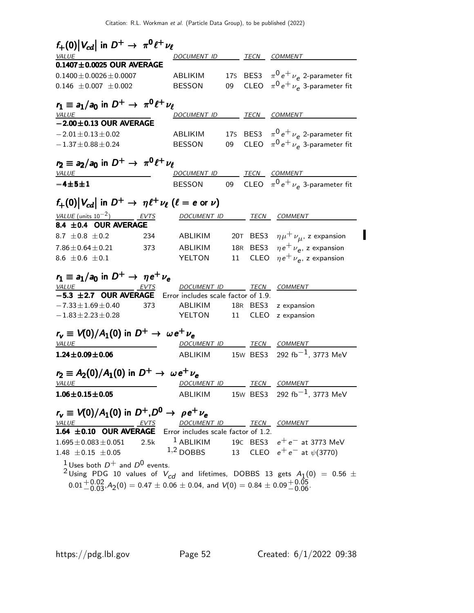| $f_+(0) V_{cd} $ in $D^+ \rightarrow \pi^0 \ell^+ \nu_{\ell}$                                           |                                     |    |          |                                                    |
|---------------------------------------------------------------------------------------------------------|-------------------------------------|----|----------|----------------------------------------------------|
| VALUE                                                                                                   | <u>DOCUMENT ID</u>                  |    |          | TECN COMMENT                                       |
| $0.1407 \pm 0.0025$ OUR AVERAGE                                                                         |                                     |    |          |                                                    |
| $0.1400 \pm 0.0026 \pm 0.0007$                                                                          | ABLIKIM                             |    |          | 175 BES3 $\pi^0 e^+ \nu_e$ 2-parameter fit         |
| $0.146 \pm 0.007 \pm 0.002$                                                                             | <b>BESSON</b>                       | 09 |          | CLEO $\pi^0 e^+ \nu_e$ 3-parameter fit             |
| $r_1 \equiv a_1/a_0$ in $D^+ \rightarrow \pi^0 \ell^+ \nu_\ell$                                         |                                     |    |          |                                                    |
| <b>VALUE</b>                                                                                            | DOCUMENT ID TECN COMMENT            |    |          |                                                    |
| $-2.00 \pm 0.13$ OUR AVERAGE                                                                            |                                     |    |          |                                                    |
| $-2.01 \pm 0.13 \pm 0.02$                                                                               | ABLIKIM                             |    |          | 175 BES3 $\pi^0 e^+ \nu_e$ 2-parameter fit         |
| $-1.37 \pm 0.88 \pm 0.24$                                                                               | <b>BESSON</b>                       |    |          | 09 CLEO $\pi^0 e^+ \nu_e$ 3-parameter fit          |
| $r_2 \equiv a_2/a_0$ in $D^+ \rightarrow \pi^0 \ell^+ \nu_\ell$                                         |                                     |    |          |                                                    |
| <i>VALUE</i>                                                                                            | DOCUMENT ID TECN COMMENT            |    |          |                                                    |
| $-4\pm 5\pm 1$                                                                                          | BESSON                              |    |          | 09 CLEO $\pi^0 e^+ \nu_e$ 3-parameter fit          |
| $f_+(0) V_{cd} $ in $D^+ \to \eta \ell^+ \nu_\ell$ ( $\ell = e$ or $\nu$ )                              |                                     |    |          |                                                    |
| VALUE (units $10^{-2}$ ) EVTS                                                                           |                                     |    |          |                                                    |
| 8.4 ±0.4 OUR AVERAGE                                                                                    | DOCUMENT ID                         |    |          | TECN COMMENT                                       |
| 8.7 $\pm$ 0.8 $\pm$ 0.2<br>234                                                                          | ABLIKIM                             |    | 20T BES3 | $\eta\mu^+\,\nu_{\mu}^{\phantom{0}}$ , z expansion |
| $7.86 \pm 0.64 \pm 0.21$<br>373                                                                         | ABLIKIM                             |    |          | 18R BES3 $\eta e^+ \nu_e$ , z expansion            |
| 8.6 $\pm 0.6 \pm 0.1$                                                                                   | YELTON                              | 11 |          | CLEO $\eta e^+ \nu_e$ , z expansion                |
|                                                                                                         |                                     |    |          |                                                    |
| $r_1 \equiv a_1/a_0$ in $D^+ \rightarrow \eta e^+ \nu_e$                                                |                                     |    |          |                                                    |
| <u>VALUE</u> EVTS                                                                                       | DOCUMENT ID TECN COMMENT            |    |          |                                                    |
| $-5.3 \pm 2.7$ OUR AVERAGE Error includes scale factor of 1.9.                                          |                                     |    |          |                                                    |
| $-7.33 \pm 1.69 \pm 0.40$<br>373                                                                        | ABLIKIM                             |    | 18R BES3 | z expansion                                        |
| $-1.83 \pm 2.23 \pm 0.28$                                                                               | YELTON                              | 11 | CLEO     | z expansion                                        |
| $r_v \equiv V(0)/A_1(0)$ in $D^+ \rightarrow \omega e^+ \nu_e$                                          |                                     |    |          |                                                    |
| <b>VALUE</b>                                                                                            | DOCUMENT ID TECN COMMENT            |    |          |                                                    |
| $1.24 \pm 0.09 \pm 0.06$                                                                                | ABLIKIM                             |    |          | 15W BES3 292 fb <sup>-1</sup> , 3773 MeV           |
|                                                                                                         |                                     |    |          |                                                    |
| $r_2 \equiv A_2(0)/A_1(0)$ in $D^+ \to \omega e^+ \nu_e$                                                |                                     |    |          |                                                    |
| <i>VALUE</i>                                                                                            | DOCUMENT ID                         |    |          | <i>TECN COMMENT</i>                                |
| $1.06 \pm 0.15 \pm 0.05$                                                                                | ABLIKIM                             |    |          | 15W BES3 292 fb <sup>-1</sup> , 3773 MeV           |
| $r_v \equiv V(0)/A_1(0)$ in $D^+, D^0 \rightarrow \rho e^+ \nu_e$                                       |                                     |    |          |                                                    |
| <b>VALUE</b>                                                                                            | DOCUMENT ID                         |    |          | TECN COMMENT                                       |
| 1.64 $\pm$ 0.10 OUR AVERAGE                                                                             | Error includes scale factor of 1.2. |    |          |                                                    |
| 2.5k<br>$1.695 \pm 0.083 \pm 0.051$                                                                     | $1$ ABLIKIM                         |    |          | 19C BES3 $e^+e^-$ at 3773 MeV                      |
| $1.48 \pm 0.15 \pm 0.05$                                                                                | $1,2$ DOBBS                         |    |          | 13 CLEO $e^+e^-$ at $\psi(3770)$                   |
| <sup>1</sup> Uses both $D^+$ and $D^0$ events.                                                          |                                     |    |          |                                                    |
| <sup>2</sup> Using PDG 10 values of $V_{cd}$ and lifetimes, DOBBS 13 gets $A_1(0) = 0.56 \pm 10$        |                                     |    |          |                                                    |
| $0.01^{+0.02}_{-0.03}$ , $A_2(0) = 0.47 \pm 0.06 \pm 0.04$ , and $V(0) = 0.84 \pm 0.09^{+0.05}_{-0.06}$ |                                     |    |          |                                                    |

 $\blacksquare$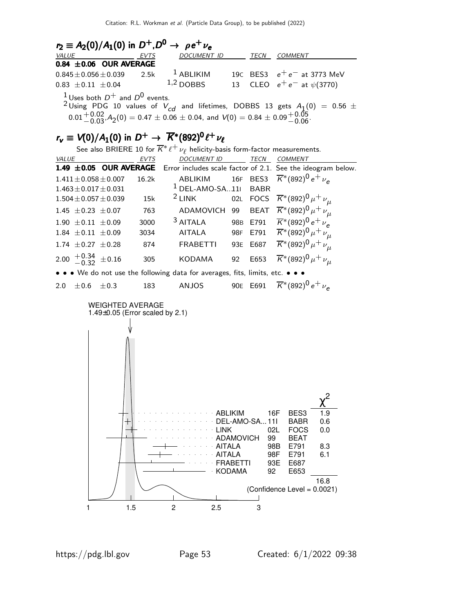| $r_2 = A_2(0)/A_1(0)$ in $D^+, D^0 \rightarrow \rho e^+ \nu_e$                                                                                                                                                                                                     |      |                    |  |             |                                            |  |  |  |  |
|--------------------------------------------------------------------------------------------------------------------------------------------------------------------------------------------------------------------------------------------------------------------|------|--------------------|--|-------------|--------------------------------------------|--|--|--|--|
| <b>VALUE</b>                                                                                                                                                                                                                                                       | EVTS | <b>DOCUMENT ID</b> |  | <b>TECN</b> | COMMENT                                    |  |  |  |  |
| $0.84 \pm 0.06$ OUR AVERAGE                                                                                                                                                                                                                                        |      |                    |  |             |                                            |  |  |  |  |
| $0.845 \pm 0.056 \pm 0.039$ 2.5k <sup>1</sup> ABLIKIM                                                                                                                                                                                                              |      |                    |  |             | 19C BES3 $e^+e^-$ at 3773 MeV              |  |  |  |  |
| $0.83 \pm 0.11 \pm 0.04$                                                                                                                                                                                                                                           |      |                    |  |             | 1,2 DOBBS 13 CLEO $e^+e^-$ at $\psi(3770)$ |  |  |  |  |
| <sup>1</sup> Uses both $D^+$ and $D^0$ events.<br><sup>2</sup> Using PDG 10 values of $V_{cd}$ and lifetimes, DOBBS 13 gets $A_1(0) = 0.56 \pm 0.000$<br>$0.01^{+0.02}_{-0.03}$ , $A_2(0) = 0.47 \pm 0.06 \pm 0.04$ , and $V(0) = 0.84 \pm 0.09^{+0.05}_{-0.06}$ . |      |                    |  |             |                                            |  |  |  |  |

# $r_{\mathsf{v}} \equiv V(0)/A_1(0)$  in  $D^+ \rightarrow \overline{K}^*(892)^0 \ell^+ \nu_{\ell}$

See also BRIERE 10 for  $\overline{K}^*\ell^+\nu_\ell$  helicity-basis form-factor measurements.

| <b>VALUE</b> |                             |           | <b>EVTS</b> | <b>DOCUMENT ID</b>                                                            |    | <b>TECN</b> | <b>COMMENT</b>                                                                                    |
|--------------|-----------------------------|-----------|-------------|-------------------------------------------------------------------------------|----|-------------|---------------------------------------------------------------------------------------------------|
|              |                             |           |             |                                                                               |    |             | 1.49 ±0.05 OUR AVERAGE Error includes scale factor of 2.1. See the ideogram below.                |
|              | $1.411 \pm 0.058 \pm 0.007$ |           | 16.2k       |                                                                               |    |             | ABLIKIM 16F BES3 $\overline{K}$ <sup>*</sup> (892) <sup>0</sup> e <sup>+</sup> $\nu$ <sub>e</sub> |
|              | $1.463 \pm 0.017 \pm 0.031$ |           |             | $1$ DEL-AMO-SA11                                                              |    | <b>BABR</b> |                                                                                                   |
|              | $1.504 \pm 0.057 \pm 0.039$ |           | 15k         | $2$ LINK                                                                      |    |             | 02L FOCS $\overline{K}^*(892)^0 \mu^+ \nu_\mu$                                                    |
|              | $1.45 \pm 0.23 \pm 0.07$    |           | 763         |                                                                               |    |             | ADAMOVICH 99 BEAT $\overline{K}^*(892)^0 \mu^+ \nu_\mu$                                           |
|              | $1.90 \pm 0.11 \pm 0.09$    |           | 3000        | $3$ AITALA                                                                    |    |             | 98B E791 $\overline{K}$ *(892) <sup>0</sup> e <sup>+</sup> $\nu_e$                                |
|              | $1.84 \pm 0.11 \pm 0.09$    |           | 3034        | <b>AITALA</b>                                                                 |    |             | 98F E791 $\overline{K}^*(892)^0 \mu^+ \nu_\mu$                                                    |
|              | 1.74 $\pm$ 0.27 $\pm$ 0.28  |           | 874         | <b>FRABETTI</b>                                                               |    | 93E E687    | $\overline{K}^{*}(892)^{0} \mu^{+} \nu_{\mu}$                                                     |
|              | 2.00 $+0.34$ $\pm 0.16$     |           | 305         | <b>KODAMA</b>                                                                 | 92 | E653        | $\overline{K}^*(892)^0 \mu^+ \nu_{\mu}$                                                           |
|              |                             |           |             | • • • We do not use the following data for averages, fits, limits, etc. • • • |    |             |                                                                                                   |
| 2.0          | $+0.6$                      | $\pm 0.3$ | 183         | ANJOS                                                                         |    | 90E E691    | $\overline{K}$ *(892) <sup>0</sup> e <sup>+</sup> $\nu_e$                                         |
|              |                             |           |             |                                                                               |    |             |                                                                                                   |

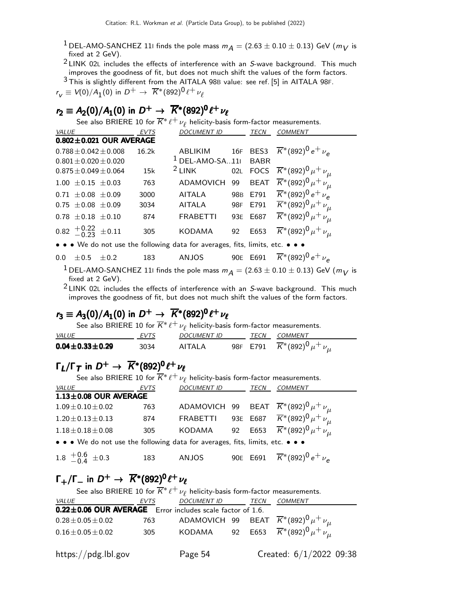- <sup>1</sup> DEL-AMO-SANCHEZ 111 finds the pole mass  $m_A = (2.63 \pm 0.10 \pm 0.13)$  GeV ( $m_V$  is fixed at 2 GeV).
- $2$  LINK 02L includes the effects of interference with an S-wave background. This much improves the goodness of fit, but does not much shift the values of the form factors.

3 This is slightly different from the AITALA 98<sup>B</sup> value: see ref. [5] in AITALA 98F.  $r_V \equiv V\!(0)/A_{\rm 1}(0)$  in  $D^+ \to~\overline{K}{}^*(892)^0 \ell^+\nu_\ell$ 

# $r_2 \equiv A_2(0)/A_1(0)$  in  $D^+ \to \overline{K^*}(892)^0 \ell^+ \nu_{\ell}$

See also BRIERE 10 for  $\overline{K}^*\ell^+\nu_\ell$  helicity-basis form-factor measurements.

| VALUE                                                       | EVTS  | <b>DOCUMENT ID</b> |     | <i>TECN</i> | <b>COMMENT</b>                                                                          |
|-------------------------------------------------------------|-------|--------------------|-----|-------------|-----------------------------------------------------------------------------------------|
| $0.802 \pm 0.021$ OUR AVERAGE                               |       |                    |     |             |                                                                                         |
| $0.788 \pm 0.042 \pm 0.008$                                 | 16.2k |                    |     |             | ABLIKIM 16F BES3 $\overline{K}^*(892)^0 e^+ \nu_e$<br><sup>1</sup> DEL-AMO-SA11I BABR   |
| $0.801 \pm 0.020 \pm 0.020$                                 |       |                    |     |             |                                                                                         |
| $0.875 \pm 0.049 \pm 0.064$                                 | 15k   | $2$ LINK           |     |             | 02L FOCS $\overline{K}^*(892)^0 \mu^+ \nu_\mu$                                          |
| $1.00 \pm 0.15 \pm 0.03$                                    | 763   | ADAMOVICH          | 99  |             | BEAT $\overline{K}^*(892)^0 \mu^+ \nu_\mu$                                              |
| $0.71 \pm 0.08 \pm 0.09$                                    | 3000  | AITALA             |     |             | 98B E791 $\overline{K}$ *(892) <sup>0</sup> e <sup>+</sup> $\nu_e$                      |
| $0.75 \pm 0.08 \pm 0.09$                                    | 3034  | <b>AITALA</b>      | 98F | E791        | $\overline{K}$ *(892) <sup>0</sup> $\mu$ <sup>+</sup> $\nu$ <sub><math>\mu</math></sub> |
| $0.78 \pm 0.18 \pm 0.10$                                    | 874   | <b>FRABETTI</b>    |     | 93E E687    | $\overline{K}^*(892)^0 \mu^+ \nu_\mu$                                                   |
| $0.82 \begin{array}{c} +0.22 \\ -0.23 \end{array} \pm 0.11$ | 305   | <b>KODAMA</b>      | 92  | E653        | $\overline{K}$ *(892) <sup>0</sup> $\mu$ <sup>+</sup> $\nu_{\mu}$                       |

• • • We do not use the following data for averages, fits, limits, etc. • • •

#### 0.0  $\pm$  0.5  $\pm$  0.2 183 ANJOS 90E E691  $\overline{K}^*(892)^0 e^+ \nu_e$

<sup>1</sup> DEL-AMO-SANCHEZ 111 finds the pole mass  $m_A = (2.63 \pm 0.10 \pm 0.13)$  GeV ( $m_V$  is fixed at 2 GeV).

 $2$  LINK 02L includes the effects of interference with an S-wave background. This much improves the goodness of fit, but does not much shift the values of the form factors.

# $r_3 \equiv A_3(0)/A_1(0)$  in  $D^+ \to \overline{K}{}^*(892)^0 \ell^+ \nu_{\ell}$

See also BRIERE 10 for  $\overline{K}^*\ell^+\nu_\ell$  helicity-basis form-factor measurements.

| <i>VALUE</i>             | <b>FVTS</b> | <i>DOCUMENT ID</i> | TECN | COMMENT                                        |
|--------------------------|-------------|--------------------|------|------------------------------------------------|
| $0.04 \pm 0.33 \pm 0.29$ | 3034        | AITAI A            |      | 98F E791 $\overline{K}^*(892)^0 \mu^+ \nu_\mu$ |

# $\Gamma_L/\Gamma_T$  in  $D^+ \to \overline{K}{}^*(892)^0 \ell^+\nu_\ell$

See also BRIERE 10 for  $\overline{K}^*\ell^+\nu_\ell$  helicity-basis form-factor measurements. VALUE EVTS DOCUMENT ID TECN COMMENT  $1.13\pm0.08$  OUR AVERAGE  $1.09 \pm 0.10 \pm 0.02$  763 ADAMOVICH 99 BEAT  $\overline{K}^*(892)^0 \mu^+ \nu_{\mu}$ 1.20 $\pm$ 0.13 $\pm$ 0.13 874 FRABETTI 93E E687  $\overline{K}^*(892)^0\mu^+\nu_{\mu}$  $1.18 \pm 0.18 \pm 0.08$  305 KODAMA 92 E653  $\overline{K}^*(892)^0 \mu^+ \nu_{11}$ • • • We do not use the following data for averages, fits, limits, etc. • • •  $1.8 \t +0.6$  $-0.4$ 183 ANJOS 90E E691  $\overline{K}$ \*(892)<sup>0</sup> e<sup>+</sup>  $\nu_e$ 

# $\Gamma_+/\Gamma_-$  in  $D^+$  →  $\overline{K}^*(892)^0 \ell^+$ νε

| See also BRIERE 10 for $\overline{K}^* \ell^+ \nu_\ell$ helicity-basis form-factor measurements. |      |                          |  |  |                                                               |  |
|--------------------------------------------------------------------------------------------------|------|--------------------------|--|--|---------------------------------------------------------------|--|
| <b>VALUE</b>                                                                                     | EVTS | DOCUMENT ID TECN COMMENT |  |  |                                                               |  |
| 0.22±0.06 OUR AVERAGE Error includes scale factor of 1.6.                                        |      |                          |  |  |                                                               |  |
| $0.28 \pm 0.05 \pm 0.02$                                                                         |      |                          |  |  | 763 - ADAMOVICH 99 BEAT $\overline{K}^*(892)^0 \mu^+ \nu_\mu$ |  |
| $0.16 \pm 0.05 \pm 0.02$                                                                         | 305  |                          |  |  | KODAMA 92 E653 $\overline{K}^*(892)^0 \mu^+ \nu_\mu$          |  |
| https://pdg.lbl.gov                                                                              |      | Page 54                  |  |  | Created: 6/1/2022 09:38                                       |  |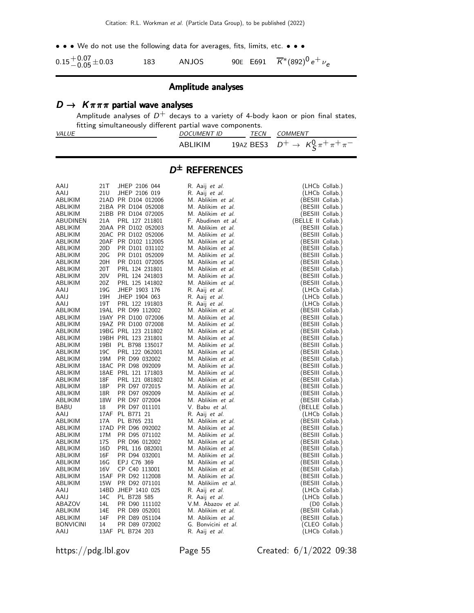• • • We do not use the following data for averages, fits, limits, etc. • • •

| $0.15 + 0.07 + 0.03$ | 183 | ANJOS |  | 90E E691 $\overline{K}^*(892)^0 e^+ \nu_e$ |
|----------------------|-----|-------|--|--------------------------------------------|
|----------------------|-----|-------|--|--------------------------------------------|

#### Amplitude analyses

#### $D \to K \pi \pi \pi$  partial wave analyses

Amplitude analyses of  $D^+$  decays to a variety of 4-body kaon or pion final states, fitting simultaneously different partial wave components.

| VALUE | <b>DOCUMENT ID</b> | TECN | COMMENT                                     |
|-------|--------------------|------|---------------------------------------------|
|       | ABLIKIM            |      | 19AZ BES3 $D^+ \to K^0_c \pi^+ \pi^+ \pi^-$ |

#### D ± REFERENCES

| R. Aaij <i>et al.</i><br>21U<br>JHEP 2106 019<br>AAIJ<br>R. Aaij et al.<br>(LHCb Collab.)<br>ABLIKIM<br>21AD PR D104 012006<br>M. Ablikim et al.<br>(BESIII Collab.)<br>21BA PR D104 052008<br>M. Ablikim et al.<br>(BESIII Collab.)<br>ABLIKIM<br>21BB PR D104 072005<br>ABLIKIM<br>M. Ablikim et al.<br>(BESIII Collab.)<br>PRL 127 211801<br>(BELLE II Collab.)<br>ABUDINEN<br>21A<br>F. Abudinen et al.<br>20AA PR D102 052003<br>M. Ablikim et al.<br>ABLIKIM<br>(BESIII Collab.)<br>20AC PR D102 052006<br>ABLIKIM<br>M. Ablikim et al.<br>(BESIII Collab.)<br>20AF PR D102 112005<br>M. Ablikim et al.<br>(BESIII Collab.)<br>ABLIKIM<br>20 <sub>D</sub><br>PR D101 031102<br>M. Ablikim et al.<br>ABLIKIM<br>(BESIII Collab.)<br>20G<br>PR D101 052009<br>M. Ablikim et al.<br>(BESIII Collab.)<br>ABLIKIM<br>20H<br>PR D101 072005<br>M. Ablikim et al.<br>ABLIKIM<br>(BESIII Collab.)<br>20T<br>PRL 124 231801<br>M. Ablikim et al.<br>ABLIKIM<br>(BESIII Collab.)<br>20V<br>ABLIKIM<br>PRL 124 241803<br>M. Ablikim et al.<br>(BESIII Collab.)<br>ABLIKIM<br>20Z<br>PRL 125 141802<br>M. Ablikim et al.<br>(BESIII Collab.)<br>19G<br>AAIJ<br>JHEP 1903 176<br>R. Aaij et al.<br>(LHCb Collab.)<br>19H<br>JHEP 1904 063<br>R. Aaij et al.<br>(LHCb Collab.)<br>AAIJ<br>19T<br>PRL 122 191803<br>R. Aaij et al.<br>(LHCb Collab.)<br>AAIJ<br>ABLIKIM<br>19AL PR D99 112002<br>M. Ablikim et al.<br>(BESIII Collab.)<br>19AY PR D100 072006<br>M. Ablikim et al.<br>ABLIKIM<br>(BESIII Collab.)<br>ABLIKIM<br>19AZ PR D100 072008<br>M. Ablikim et al.<br>(BESIII Collab.)<br>19BG PRL 123 211802<br>ABLIKIM<br>M. Ablikim et al.<br>(BESIII Collab.)<br>19BH PRL 123 231801<br>M. Ablikim et al.<br>ABLIKIM<br>(BESIII Collab.)<br>19BI<br>PL B798 135017<br>M. Ablikim et al.<br>ABLIKIM<br>(BESIII Collab.)<br>19C<br>ABLIKIM<br>PRL 122 062001<br>M. Ablikim et al.<br>(BESIII Collab.)<br>PR D99 032002<br>M. Ablikim et al.<br>ABLIKIM<br>19M<br>(BESIII Collab.)<br>ABLIKIM<br>18AC PR D98 092009<br>M. Ablikim et al.<br>(BESIII Collab.)<br>18AE PRL 121 171803<br>M. Ablikim et al.<br>(BESIII Collab.)<br>ABLIKIM<br>18F<br>PRL 121 081802<br>M. Ablikim et al.<br>ABLIKIM<br>(BESIII Collab.)<br>18P<br>PR D97 072015<br>M. Ablikim et al.<br>ABLIKIM<br>(BESIII Collab.)<br>ABLIKIM<br>18 <sub>R</sub><br>PR D97 092009<br>M. Ablikim et al.<br>(BESIII Collab.)<br>18W<br>PR D97 072004<br>M. Ablikim et al.<br>(BESIII Collab.)<br>ABLIKIM<br>PR D97 011101<br>V. Babu et al.<br>BABU<br>18<br>(BELLE Collab.)<br>AAIJ<br>17AF PL B771 21<br>R. Aaij et al.<br>(LHCb Collab.)<br>PL B765 231<br>M. Ablikim et al.<br>ABLIKIM<br>17A<br>(BESIII Collab.)<br>17AD PR D96 092002<br>M. Ablikim et al.<br>ABLIKIM<br>(BESIII Collab.)<br>ABLIKIM<br>17M<br>PR D95 071102<br>M. Ablikim et al.<br>(BESIII Collab.)<br>17S<br>ABLIKIM<br>PR D96 012002<br>M. Ablikim et al.<br>(BESIII Collab.)<br>16D<br>PRL 116 082001<br>M. Ablikim et al.<br>ABLIKIM<br>(BESIII Collab.)<br>16F<br>PR D94 032001<br>M. Ablikim et al.<br>ABLIKIM<br>(BESIII Collab.)<br>16G<br>EPJ C76 369<br>M. Ablikim et al.<br>ABLIKIM<br>(BESIII Collab.)<br>16V<br>CP C40 113001<br>ABLIKIM<br>M. Ablikim et al.<br>(BESIII Collab.)<br>ABLIKIM<br>15AF PR D92 112008<br>M. Ablikim et al.<br>(BESIII Collab.)<br>15W<br>PR D92 071101<br>M. Ablikiim et al.<br>ABLIKIM<br>(BESIII Collab.)<br>14BD JHEP 1410 025<br>AAIJ<br>R. Aaij et al.<br>(LHCb Collab.)<br>AAIJ<br>14C<br>PL B728 585<br>R. Aaij et al.<br>(LHCb Collab.)<br>14L<br>ABAZOV<br>PR D90 111102<br>V.M. Abazov et al.<br>(D0 Collab.)<br>M. Ablikim et al.<br>(BESIII Collab.)<br>ABLIKIM<br>14E<br>PR D89 052001<br>ABLIKIM<br>14F<br>PR D89 051104<br>M. Ablikim et al.<br>(BESIII Collab.)<br><b>BONVICINI</b><br>14<br>PR D89 072002<br>G. Bonvicini et al.<br>(CLEO Collab.)<br>13AF PL B724 203<br>R. Aaij et al.<br>(LHCb Collab.)<br>AAIJ |      |     |               |  |                |
|-----------------------------------------------------------------------------------------------------------------------------------------------------------------------------------------------------------------------------------------------------------------------------------------------------------------------------------------------------------------------------------------------------------------------------------------------------------------------------------------------------------------------------------------------------------------------------------------------------------------------------------------------------------------------------------------------------------------------------------------------------------------------------------------------------------------------------------------------------------------------------------------------------------------------------------------------------------------------------------------------------------------------------------------------------------------------------------------------------------------------------------------------------------------------------------------------------------------------------------------------------------------------------------------------------------------------------------------------------------------------------------------------------------------------------------------------------------------------------------------------------------------------------------------------------------------------------------------------------------------------------------------------------------------------------------------------------------------------------------------------------------------------------------------------------------------------------------------------------------------------------------------------------------------------------------------------------------------------------------------------------------------------------------------------------------------------------------------------------------------------------------------------------------------------------------------------------------------------------------------------------------------------------------------------------------------------------------------------------------------------------------------------------------------------------------------------------------------------------------------------------------------------------------------------------------------------------------------------------------------------------------------------------------------------------------------------------------------------------------------------------------------------------------------------------------------------------------------------------------------------------------------------------------------------------------------------------------------------------------------------------------------------------------------------------------------------------------------------------------------------------------------------------------------------------------------------------------------------------------------------------------------------------------------------------------------------------------------------------------------------------------------------------------------------------------------------------------------------------------------------------------------------------------------------------------------------------------------------------------------------------------------------------------------------------------------------------------------------------------------------------------------------------------------------------------------------------------------------------------------------------------------------------------------|------|-----|---------------|--|----------------|
|                                                                                                                                                                                                                                                                                                                                                                                                                                                                                                                                                                                                                                                                                                                                                                                                                                                                                                                                                                                                                                                                                                                                                                                                                                                                                                                                                                                                                                                                                                                                                                                                                                                                                                                                                                                                                                                                                                                                                                                                                                                                                                                                                                                                                                                                                                                                                                                                                                                                                                                                                                                                                                                                                                                                                                                                                                                                                                                                                                                                                                                                                                                                                                                                                                                                                                                                                                                                                                                                                                                                                                                                                                                                                                                                                                                                                                                                                                                 | AAIJ | 21T | JHEP 2106 044 |  | (LHCb Collab.) |
|                                                                                                                                                                                                                                                                                                                                                                                                                                                                                                                                                                                                                                                                                                                                                                                                                                                                                                                                                                                                                                                                                                                                                                                                                                                                                                                                                                                                                                                                                                                                                                                                                                                                                                                                                                                                                                                                                                                                                                                                                                                                                                                                                                                                                                                                                                                                                                                                                                                                                                                                                                                                                                                                                                                                                                                                                                                                                                                                                                                                                                                                                                                                                                                                                                                                                                                                                                                                                                                                                                                                                                                                                                                                                                                                                                                                                                                                                                                 |      |     |               |  |                |
|                                                                                                                                                                                                                                                                                                                                                                                                                                                                                                                                                                                                                                                                                                                                                                                                                                                                                                                                                                                                                                                                                                                                                                                                                                                                                                                                                                                                                                                                                                                                                                                                                                                                                                                                                                                                                                                                                                                                                                                                                                                                                                                                                                                                                                                                                                                                                                                                                                                                                                                                                                                                                                                                                                                                                                                                                                                                                                                                                                                                                                                                                                                                                                                                                                                                                                                                                                                                                                                                                                                                                                                                                                                                                                                                                                                                                                                                                                                 |      |     |               |  |                |
|                                                                                                                                                                                                                                                                                                                                                                                                                                                                                                                                                                                                                                                                                                                                                                                                                                                                                                                                                                                                                                                                                                                                                                                                                                                                                                                                                                                                                                                                                                                                                                                                                                                                                                                                                                                                                                                                                                                                                                                                                                                                                                                                                                                                                                                                                                                                                                                                                                                                                                                                                                                                                                                                                                                                                                                                                                                                                                                                                                                                                                                                                                                                                                                                                                                                                                                                                                                                                                                                                                                                                                                                                                                                                                                                                                                                                                                                                                                 |      |     |               |  |                |
|                                                                                                                                                                                                                                                                                                                                                                                                                                                                                                                                                                                                                                                                                                                                                                                                                                                                                                                                                                                                                                                                                                                                                                                                                                                                                                                                                                                                                                                                                                                                                                                                                                                                                                                                                                                                                                                                                                                                                                                                                                                                                                                                                                                                                                                                                                                                                                                                                                                                                                                                                                                                                                                                                                                                                                                                                                                                                                                                                                                                                                                                                                                                                                                                                                                                                                                                                                                                                                                                                                                                                                                                                                                                                                                                                                                                                                                                                                                 |      |     |               |  |                |
|                                                                                                                                                                                                                                                                                                                                                                                                                                                                                                                                                                                                                                                                                                                                                                                                                                                                                                                                                                                                                                                                                                                                                                                                                                                                                                                                                                                                                                                                                                                                                                                                                                                                                                                                                                                                                                                                                                                                                                                                                                                                                                                                                                                                                                                                                                                                                                                                                                                                                                                                                                                                                                                                                                                                                                                                                                                                                                                                                                                                                                                                                                                                                                                                                                                                                                                                                                                                                                                                                                                                                                                                                                                                                                                                                                                                                                                                                                                 |      |     |               |  |                |
|                                                                                                                                                                                                                                                                                                                                                                                                                                                                                                                                                                                                                                                                                                                                                                                                                                                                                                                                                                                                                                                                                                                                                                                                                                                                                                                                                                                                                                                                                                                                                                                                                                                                                                                                                                                                                                                                                                                                                                                                                                                                                                                                                                                                                                                                                                                                                                                                                                                                                                                                                                                                                                                                                                                                                                                                                                                                                                                                                                                                                                                                                                                                                                                                                                                                                                                                                                                                                                                                                                                                                                                                                                                                                                                                                                                                                                                                                                                 |      |     |               |  |                |
|                                                                                                                                                                                                                                                                                                                                                                                                                                                                                                                                                                                                                                                                                                                                                                                                                                                                                                                                                                                                                                                                                                                                                                                                                                                                                                                                                                                                                                                                                                                                                                                                                                                                                                                                                                                                                                                                                                                                                                                                                                                                                                                                                                                                                                                                                                                                                                                                                                                                                                                                                                                                                                                                                                                                                                                                                                                                                                                                                                                                                                                                                                                                                                                                                                                                                                                                                                                                                                                                                                                                                                                                                                                                                                                                                                                                                                                                                                                 |      |     |               |  |                |
|                                                                                                                                                                                                                                                                                                                                                                                                                                                                                                                                                                                                                                                                                                                                                                                                                                                                                                                                                                                                                                                                                                                                                                                                                                                                                                                                                                                                                                                                                                                                                                                                                                                                                                                                                                                                                                                                                                                                                                                                                                                                                                                                                                                                                                                                                                                                                                                                                                                                                                                                                                                                                                                                                                                                                                                                                                                                                                                                                                                                                                                                                                                                                                                                                                                                                                                                                                                                                                                                                                                                                                                                                                                                                                                                                                                                                                                                                                                 |      |     |               |  |                |
|                                                                                                                                                                                                                                                                                                                                                                                                                                                                                                                                                                                                                                                                                                                                                                                                                                                                                                                                                                                                                                                                                                                                                                                                                                                                                                                                                                                                                                                                                                                                                                                                                                                                                                                                                                                                                                                                                                                                                                                                                                                                                                                                                                                                                                                                                                                                                                                                                                                                                                                                                                                                                                                                                                                                                                                                                                                                                                                                                                                                                                                                                                                                                                                                                                                                                                                                                                                                                                                                                                                                                                                                                                                                                                                                                                                                                                                                                                                 |      |     |               |  |                |
|                                                                                                                                                                                                                                                                                                                                                                                                                                                                                                                                                                                                                                                                                                                                                                                                                                                                                                                                                                                                                                                                                                                                                                                                                                                                                                                                                                                                                                                                                                                                                                                                                                                                                                                                                                                                                                                                                                                                                                                                                                                                                                                                                                                                                                                                                                                                                                                                                                                                                                                                                                                                                                                                                                                                                                                                                                                                                                                                                                                                                                                                                                                                                                                                                                                                                                                                                                                                                                                                                                                                                                                                                                                                                                                                                                                                                                                                                                                 |      |     |               |  |                |
|                                                                                                                                                                                                                                                                                                                                                                                                                                                                                                                                                                                                                                                                                                                                                                                                                                                                                                                                                                                                                                                                                                                                                                                                                                                                                                                                                                                                                                                                                                                                                                                                                                                                                                                                                                                                                                                                                                                                                                                                                                                                                                                                                                                                                                                                                                                                                                                                                                                                                                                                                                                                                                                                                                                                                                                                                                                                                                                                                                                                                                                                                                                                                                                                                                                                                                                                                                                                                                                                                                                                                                                                                                                                                                                                                                                                                                                                                                                 |      |     |               |  |                |
|                                                                                                                                                                                                                                                                                                                                                                                                                                                                                                                                                                                                                                                                                                                                                                                                                                                                                                                                                                                                                                                                                                                                                                                                                                                                                                                                                                                                                                                                                                                                                                                                                                                                                                                                                                                                                                                                                                                                                                                                                                                                                                                                                                                                                                                                                                                                                                                                                                                                                                                                                                                                                                                                                                                                                                                                                                                                                                                                                                                                                                                                                                                                                                                                                                                                                                                                                                                                                                                                                                                                                                                                                                                                                                                                                                                                                                                                                                                 |      |     |               |  |                |
|                                                                                                                                                                                                                                                                                                                                                                                                                                                                                                                                                                                                                                                                                                                                                                                                                                                                                                                                                                                                                                                                                                                                                                                                                                                                                                                                                                                                                                                                                                                                                                                                                                                                                                                                                                                                                                                                                                                                                                                                                                                                                                                                                                                                                                                                                                                                                                                                                                                                                                                                                                                                                                                                                                                                                                                                                                                                                                                                                                                                                                                                                                                                                                                                                                                                                                                                                                                                                                                                                                                                                                                                                                                                                                                                                                                                                                                                                                                 |      |     |               |  |                |
|                                                                                                                                                                                                                                                                                                                                                                                                                                                                                                                                                                                                                                                                                                                                                                                                                                                                                                                                                                                                                                                                                                                                                                                                                                                                                                                                                                                                                                                                                                                                                                                                                                                                                                                                                                                                                                                                                                                                                                                                                                                                                                                                                                                                                                                                                                                                                                                                                                                                                                                                                                                                                                                                                                                                                                                                                                                                                                                                                                                                                                                                                                                                                                                                                                                                                                                                                                                                                                                                                                                                                                                                                                                                                                                                                                                                                                                                                                                 |      |     |               |  |                |
|                                                                                                                                                                                                                                                                                                                                                                                                                                                                                                                                                                                                                                                                                                                                                                                                                                                                                                                                                                                                                                                                                                                                                                                                                                                                                                                                                                                                                                                                                                                                                                                                                                                                                                                                                                                                                                                                                                                                                                                                                                                                                                                                                                                                                                                                                                                                                                                                                                                                                                                                                                                                                                                                                                                                                                                                                                                                                                                                                                                                                                                                                                                                                                                                                                                                                                                                                                                                                                                                                                                                                                                                                                                                                                                                                                                                                                                                                                                 |      |     |               |  |                |
|                                                                                                                                                                                                                                                                                                                                                                                                                                                                                                                                                                                                                                                                                                                                                                                                                                                                                                                                                                                                                                                                                                                                                                                                                                                                                                                                                                                                                                                                                                                                                                                                                                                                                                                                                                                                                                                                                                                                                                                                                                                                                                                                                                                                                                                                                                                                                                                                                                                                                                                                                                                                                                                                                                                                                                                                                                                                                                                                                                                                                                                                                                                                                                                                                                                                                                                                                                                                                                                                                                                                                                                                                                                                                                                                                                                                                                                                                                                 |      |     |               |  |                |
|                                                                                                                                                                                                                                                                                                                                                                                                                                                                                                                                                                                                                                                                                                                                                                                                                                                                                                                                                                                                                                                                                                                                                                                                                                                                                                                                                                                                                                                                                                                                                                                                                                                                                                                                                                                                                                                                                                                                                                                                                                                                                                                                                                                                                                                                                                                                                                                                                                                                                                                                                                                                                                                                                                                                                                                                                                                                                                                                                                                                                                                                                                                                                                                                                                                                                                                                                                                                                                                                                                                                                                                                                                                                                                                                                                                                                                                                                                                 |      |     |               |  |                |
|                                                                                                                                                                                                                                                                                                                                                                                                                                                                                                                                                                                                                                                                                                                                                                                                                                                                                                                                                                                                                                                                                                                                                                                                                                                                                                                                                                                                                                                                                                                                                                                                                                                                                                                                                                                                                                                                                                                                                                                                                                                                                                                                                                                                                                                                                                                                                                                                                                                                                                                                                                                                                                                                                                                                                                                                                                                                                                                                                                                                                                                                                                                                                                                                                                                                                                                                                                                                                                                                                                                                                                                                                                                                                                                                                                                                                                                                                                                 |      |     |               |  |                |
|                                                                                                                                                                                                                                                                                                                                                                                                                                                                                                                                                                                                                                                                                                                                                                                                                                                                                                                                                                                                                                                                                                                                                                                                                                                                                                                                                                                                                                                                                                                                                                                                                                                                                                                                                                                                                                                                                                                                                                                                                                                                                                                                                                                                                                                                                                                                                                                                                                                                                                                                                                                                                                                                                                                                                                                                                                                                                                                                                                                                                                                                                                                                                                                                                                                                                                                                                                                                                                                                                                                                                                                                                                                                                                                                                                                                                                                                                                                 |      |     |               |  |                |
|                                                                                                                                                                                                                                                                                                                                                                                                                                                                                                                                                                                                                                                                                                                                                                                                                                                                                                                                                                                                                                                                                                                                                                                                                                                                                                                                                                                                                                                                                                                                                                                                                                                                                                                                                                                                                                                                                                                                                                                                                                                                                                                                                                                                                                                                                                                                                                                                                                                                                                                                                                                                                                                                                                                                                                                                                                                                                                                                                                                                                                                                                                                                                                                                                                                                                                                                                                                                                                                                                                                                                                                                                                                                                                                                                                                                                                                                                                                 |      |     |               |  |                |
|                                                                                                                                                                                                                                                                                                                                                                                                                                                                                                                                                                                                                                                                                                                                                                                                                                                                                                                                                                                                                                                                                                                                                                                                                                                                                                                                                                                                                                                                                                                                                                                                                                                                                                                                                                                                                                                                                                                                                                                                                                                                                                                                                                                                                                                                                                                                                                                                                                                                                                                                                                                                                                                                                                                                                                                                                                                                                                                                                                                                                                                                                                                                                                                                                                                                                                                                                                                                                                                                                                                                                                                                                                                                                                                                                                                                                                                                                                                 |      |     |               |  |                |
|                                                                                                                                                                                                                                                                                                                                                                                                                                                                                                                                                                                                                                                                                                                                                                                                                                                                                                                                                                                                                                                                                                                                                                                                                                                                                                                                                                                                                                                                                                                                                                                                                                                                                                                                                                                                                                                                                                                                                                                                                                                                                                                                                                                                                                                                                                                                                                                                                                                                                                                                                                                                                                                                                                                                                                                                                                                                                                                                                                                                                                                                                                                                                                                                                                                                                                                                                                                                                                                                                                                                                                                                                                                                                                                                                                                                                                                                                                                 |      |     |               |  |                |
|                                                                                                                                                                                                                                                                                                                                                                                                                                                                                                                                                                                                                                                                                                                                                                                                                                                                                                                                                                                                                                                                                                                                                                                                                                                                                                                                                                                                                                                                                                                                                                                                                                                                                                                                                                                                                                                                                                                                                                                                                                                                                                                                                                                                                                                                                                                                                                                                                                                                                                                                                                                                                                                                                                                                                                                                                                                                                                                                                                                                                                                                                                                                                                                                                                                                                                                                                                                                                                                                                                                                                                                                                                                                                                                                                                                                                                                                                                                 |      |     |               |  |                |
|                                                                                                                                                                                                                                                                                                                                                                                                                                                                                                                                                                                                                                                                                                                                                                                                                                                                                                                                                                                                                                                                                                                                                                                                                                                                                                                                                                                                                                                                                                                                                                                                                                                                                                                                                                                                                                                                                                                                                                                                                                                                                                                                                                                                                                                                                                                                                                                                                                                                                                                                                                                                                                                                                                                                                                                                                                                                                                                                                                                                                                                                                                                                                                                                                                                                                                                                                                                                                                                                                                                                                                                                                                                                                                                                                                                                                                                                                                                 |      |     |               |  |                |
|                                                                                                                                                                                                                                                                                                                                                                                                                                                                                                                                                                                                                                                                                                                                                                                                                                                                                                                                                                                                                                                                                                                                                                                                                                                                                                                                                                                                                                                                                                                                                                                                                                                                                                                                                                                                                                                                                                                                                                                                                                                                                                                                                                                                                                                                                                                                                                                                                                                                                                                                                                                                                                                                                                                                                                                                                                                                                                                                                                                                                                                                                                                                                                                                                                                                                                                                                                                                                                                                                                                                                                                                                                                                                                                                                                                                                                                                                                                 |      |     |               |  |                |
|                                                                                                                                                                                                                                                                                                                                                                                                                                                                                                                                                                                                                                                                                                                                                                                                                                                                                                                                                                                                                                                                                                                                                                                                                                                                                                                                                                                                                                                                                                                                                                                                                                                                                                                                                                                                                                                                                                                                                                                                                                                                                                                                                                                                                                                                                                                                                                                                                                                                                                                                                                                                                                                                                                                                                                                                                                                                                                                                                                                                                                                                                                                                                                                                                                                                                                                                                                                                                                                                                                                                                                                                                                                                                                                                                                                                                                                                                                                 |      |     |               |  |                |
|                                                                                                                                                                                                                                                                                                                                                                                                                                                                                                                                                                                                                                                                                                                                                                                                                                                                                                                                                                                                                                                                                                                                                                                                                                                                                                                                                                                                                                                                                                                                                                                                                                                                                                                                                                                                                                                                                                                                                                                                                                                                                                                                                                                                                                                                                                                                                                                                                                                                                                                                                                                                                                                                                                                                                                                                                                                                                                                                                                                                                                                                                                                                                                                                                                                                                                                                                                                                                                                                                                                                                                                                                                                                                                                                                                                                                                                                                                                 |      |     |               |  |                |
|                                                                                                                                                                                                                                                                                                                                                                                                                                                                                                                                                                                                                                                                                                                                                                                                                                                                                                                                                                                                                                                                                                                                                                                                                                                                                                                                                                                                                                                                                                                                                                                                                                                                                                                                                                                                                                                                                                                                                                                                                                                                                                                                                                                                                                                                                                                                                                                                                                                                                                                                                                                                                                                                                                                                                                                                                                                                                                                                                                                                                                                                                                                                                                                                                                                                                                                                                                                                                                                                                                                                                                                                                                                                                                                                                                                                                                                                                                                 |      |     |               |  |                |
|                                                                                                                                                                                                                                                                                                                                                                                                                                                                                                                                                                                                                                                                                                                                                                                                                                                                                                                                                                                                                                                                                                                                                                                                                                                                                                                                                                                                                                                                                                                                                                                                                                                                                                                                                                                                                                                                                                                                                                                                                                                                                                                                                                                                                                                                                                                                                                                                                                                                                                                                                                                                                                                                                                                                                                                                                                                                                                                                                                                                                                                                                                                                                                                                                                                                                                                                                                                                                                                                                                                                                                                                                                                                                                                                                                                                                                                                                                                 |      |     |               |  |                |
|                                                                                                                                                                                                                                                                                                                                                                                                                                                                                                                                                                                                                                                                                                                                                                                                                                                                                                                                                                                                                                                                                                                                                                                                                                                                                                                                                                                                                                                                                                                                                                                                                                                                                                                                                                                                                                                                                                                                                                                                                                                                                                                                                                                                                                                                                                                                                                                                                                                                                                                                                                                                                                                                                                                                                                                                                                                                                                                                                                                                                                                                                                                                                                                                                                                                                                                                                                                                                                                                                                                                                                                                                                                                                                                                                                                                                                                                                                                 |      |     |               |  |                |
|                                                                                                                                                                                                                                                                                                                                                                                                                                                                                                                                                                                                                                                                                                                                                                                                                                                                                                                                                                                                                                                                                                                                                                                                                                                                                                                                                                                                                                                                                                                                                                                                                                                                                                                                                                                                                                                                                                                                                                                                                                                                                                                                                                                                                                                                                                                                                                                                                                                                                                                                                                                                                                                                                                                                                                                                                                                                                                                                                                                                                                                                                                                                                                                                                                                                                                                                                                                                                                                                                                                                                                                                                                                                                                                                                                                                                                                                                                                 |      |     |               |  |                |
|                                                                                                                                                                                                                                                                                                                                                                                                                                                                                                                                                                                                                                                                                                                                                                                                                                                                                                                                                                                                                                                                                                                                                                                                                                                                                                                                                                                                                                                                                                                                                                                                                                                                                                                                                                                                                                                                                                                                                                                                                                                                                                                                                                                                                                                                                                                                                                                                                                                                                                                                                                                                                                                                                                                                                                                                                                                                                                                                                                                                                                                                                                                                                                                                                                                                                                                                                                                                                                                                                                                                                                                                                                                                                                                                                                                                                                                                                                                 |      |     |               |  |                |
|                                                                                                                                                                                                                                                                                                                                                                                                                                                                                                                                                                                                                                                                                                                                                                                                                                                                                                                                                                                                                                                                                                                                                                                                                                                                                                                                                                                                                                                                                                                                                                                                                                                                                                                                                                                                                                                                                                                                                                                                                                                                                                                                                                                                                                                                                                                                                                                                                                                                                                                                                                                                                                                                                                                                                                                                                                                                                                                                                                                                                                                                                                                                                                                                                                                                                                                                                                                                                                                                                                                                                                                                                                                                                                                                                                                                                                                                                                                 |      |     |               |  |                |
|                                                                                                                                                                                                                                                                                                                                                                                                                                                                                                                                                                                                                                                                                                                                                                                                                                                                                                                                                                                                                                                                                                                                                                                                                                                                                                                                                                                                                                                                                                                                                                                                                                                                                                                                                                                                                                                                                                                                                                                                                                                                                                                                                                                                                                                                                                                                                                                                                                                                                                                                                                                                                                                                                                                                                                                                                                                                                                                                                                                                                                                                                                                                                                                                                                                                                                                                                                                                                                                                                                                                                                                                                                                                                                                                                                                                                                                                                                                 |      |     |               |  |                |
|                                                                                                                                                                                                                                                                                                                                                                                                                                                                                                                                                                                                                                                                                                                                                                                                                                                                                                                                                                                                                                                                                                                                                                                                                                                                                                                                                                                                                                                                                                                                                                                                                                                                                                                                                                                                                                                                                                                                                                                                                                                                                                                                                                                                                                                                                                                                                                                                                                                                                                                                                                                                                                                                                                                                                                                                                                                                                                                                                                                                                                                                                                                                                                                                                                                                                                                                                                                                                                                                                                                                                                                                                                                                                                                                                                                                                                                                                                                 |      |     |               |  |                |
|                                                                                                                                                                                                                                                                                                                                                                                                                                                                                                                                                                                                                                                                                                                                                                                                                                                                                                                                                                                                                                                                                                                                                                                                                                                                                                                                                                                                                                                                                                                                                                                                                                                                                                                                                                                                                                                                                                                                                                                                                                                                                                                                                                                                                                                                                                                                                                                                                                                                                                                                                                                                                                                                                                                                                                                                                                                                                                                                                                                                                                                                                                                                                                                                                                                                                                                                                                                                                                                                                                                                                                                                                                                                                                                                                                                                                                                                                                                 |      |     |               |  |                |
|                                                                                                                                                                                                                                                                                                                                                                                                                                                                                                                                                                                                                                                                                                                                                                                                                                                                                                                                                                                                                                                                                                                                                                                                                                                                                                                                                                                                                                                                                                                                                                                                                                                                                                                                                                                                                                                                                                                                                                                                                                                                                                                                                                                                                                                                                                                                                                                                                                                                                                                                                                                                                                                                                                                                                                                                                                                                                                                                                                                                                                                                                                                                                                                                                                                                                                                                                                                                                                                                                                                                                                                                                                                                                                                                                                                                                                                                                                                 |      |     |               |  |                |
|                                                                                                                                                                                                                                                                                                                                                                                                                                                                                                                                                                                                                                                                                                                                                                                                                                                                                                                                                                                                                                                                                                                                                                                                                                                                                                                                                                                                                                                                                                                                                                                                                                                                                                                                                                                                                                                                                                                                                                                                                                                                                                                                                                                                                                                                                                                                                                                                                                                                                                                                                                                                                                                                                                                                                                                                                                                                                                                                                                                                                                                                                                                                                                                                                                                                                                                                                                                                                                                                                                                                                                                                                                                                                                                                                                                                                                                                                                                 |      |     |               |  |                |
|                                                                                                                                                                                                                                                                                                                                                                                                                                                                                                                                                                                                                                                                                                                                                                                                                                                                                                                                                                                                                                                                                                                                                                                                                                                                                                                                                                                                                                                                                                                                                                                                                                                                                                                                                                                                                                                                                                                                                                                                                                                                                                                                                                                                                                                                                                                                                                                                                                                                                                                                                                                                                                                                                                                                                                                                                                                                                                                                                                                                                                                                                                                                                                                                                                                                                                                                                                                                                                                                                                                                                                                                                                                                                                                                                                                                                                                                                                                 |      |     |               |  |                |
|                                                                                                                                                                                                                                                                                                                                                                                                                                                                                                                                                                                                                                                                                                                                                                                                                                                                                                                                                                                                                                                                                                                                                                                                                                                                                                                                                                                                                                                                                                                                                                                                                                                                                                                                                                                                                                                                                                                                                                                                                                                                                                                                                                                                                                                                                                                                                                                                                                                                                                                                                                                                                                                                                                                                                                                                                                                                                                                                                                                                                                                                                                                                                                                                                                                                                                                                                                                                                                                                                                                                                                                                                                                                                                                                                                                                                                                                                                                 |      |     |               |  |                |
|                                                                                                                                                                                                                                                                                                                                                                                                                                                                                                                                                                                                                                                                                                                                                                                                                                                                                                                                                                                                                                                                                                                                                                                                                                                                                                                                                                                                                                                                                                                                                                                                                                                                                                                                                                                                                                                                                                                                                                                                                                                                                                                                                                                                                                                                                                                                                                                                                                                                                                                                                                                                                                                                                                                                                                                                                                                                                                                                                                                                                                                                                                                                                                                                                                                                                                                                                                                                                                                                                                                                                                                                                                                                                                                                                                                                                                                                                                                 |      |     |               |  |                |
|                                                                                                                                                                                                                                                                                                                                                                                                                                                                                                                                                                                                                                                                                                                                                                                                                                                                                                                                                                                                                                                                                                                                                                                                                                                                                                                                                                                                                                                                                                                                                                                                                                                                                                                                                                                                                                                                                                                                                                                                                                                                                                                                                                                                                                                                                                                                                                                                                                                                                                                                                                                                                                                                                                                                                                                                                                                                                                                                                                                                                                                                                                                                                                                                                                                                                                                                                                                                                                                                                                                                                                                                                                                                                                                                                                                                                                                                                                                 |      |     |               |  |                |
|                                                                                                                                                                                                                                                                                                                                                                                                                                                                                                                                                                                                                                                                                                                                                                                                                                                                                                                                                                                                                                                                                                                                                                                                                                                                                                                                                                                                                                                                                                                                                                                                                                                                                                                                                                                                                                                                                                                                                                                                                                                                                                                                                                                                                                                                                                                                                                                                                                                                                                                                                                                                                                                                                                                                                                                                                                                                                                                                                                                                                                                                                                                                                                                                                                                                                                                                                                                                                                                                                                                                                                                                                                                                                                                                                                                                                                                                                                                 |      |     |               |  |                |
|                                                                                                                                                                                                                                                                                                                                                                                                                                                                                                                                                                                                                                                                                                                                                                                                                                                                                                                                                                                                                                                                                                                                                                                                                                                                                                                                                                                                                                                                                                                                                                                                                                                                                                                                                                                                                                                                                                                                                                                                                                                                                                                                                                                                                                                                                                                                                                                                                                                                                                                                                                                                                                                                                                                                                                                                                                                                                                                                                                                                                                                                                                                                                                                                                                                                                                                                                                                                                                                                                                                                                                                                                                                                                                                                                                                                                                                                                                                 |      |     |               |  |                |
|                                                                                                                                                                                                                                                                                                                                                                                                                                                                                                                                                                                                                                                                                                                                                                                                                                                                                                                                                                                                                                                                                                                                                                                                                                                                                                                                                                                                                                                                                                                                                                                                                                                                                                                                                                                                                                                                                                                                                                                                                                                                                                                                                                                                                                                                                                                                                                                                                                                                                                                                                                                                                                                                                                                                                                                                                                                                                                                                                                                                                                                                                                                                                                                                                                                                                                                                                                                                                                                                                                                                                                                                                                                                                                                                                                                                                                                                                                                 |      |     |               |  |                |
|                                                                                                                                                                                                                                                                                                                                                                                                                                                                                                                                                                                                                                                                                                                                                                                                                                                                                                                                                                                                                                                                                                                                                                                                                                                                                                                                                                                                                                                                                                                                                                                                                                                                                                                                                                                                                                                                                                                                                                                                                                                                                                                                                                                                                                                                                                                                                                                                                                                                                                                                                                                                                                                                                                                                                                                                                                                                                                                                                                                                                                                                                                                                                                                                                                                                                                                                                                                                                                                                                                                                                                                                                                                                                                                                                                                                                                                                                                                 |      |     |               |  |                |
|                                                                                                                                                                                                                                                                                                                                                                                                                                                                                                                                                                                                                                                                                                                                                                                                                                                                                                                                                                                                                                                                                                                                                                                                                                                                                                                                                                                                                                                                                                                                                                                                                                                                                                                                                                                                                                                                                                                                                                                                                                                                                                                                                                                                                                                                                                                                                                                                                                                                                                                                                                                                                                                                                                                                                                                                                                                                                                                                                                                                                                                                                                                                                                                                                                                                                                                                                                                                                                                                                                                                                                                                                                                                                                                                                                                                                                                                                                                 |      |     |               |  |                |
|                                                                                                                                                                                                                                                                                                                                                                                                                                                                                                                                                                                                                                                                                                                                                                                                                                                                                                                                                                                                                                                                                                                                                                                                                                                                                                                                                                                                                                                                                                                                                                                                                                                                                                                                                                                                                                                                                                                                                                                                                                                                                                                                                                                                                                                                                                                                                                                                                                                                                                                                                                                                                                                                                                                                                                                                                                                                                                                                                                                                                                                                                                                                                                                                                                                                                                                                                                                                                                                                                                                                                                                                                                                                                                                                                                                                                                                                                                                 |      |     |               |  |                |
|                                                                                                                                                                                                                                                                                                                                                                                                                                                                                                                                                                                                                                                                                                                                                                                                                                                                                                                                                                                                                                                                                                                                                                                                                                                                                                                                                                                                                                                                                                                                                                                                                                                                                                                                                                                                                                                                                                                                                                                                                                                                                                                                                                                                                                                                                                                                                                                                                                                                                                                                                                                                                                                                                                                                                                                                                                                                                                                                                                                                                                                                                                                                                                                                                                                                                                                                                                                                                                                                                                                                                                                                                                                                                                                                                                                                                                                                                                                 |      |     |               |  |                |
|                                                                                                                                                                                                                                                                                                                                                                                                                                                                                                                                                                                                                                                                                                                                                                                                                                                                                                                                                                                                                                                                                                                                                                                                                                                                                                                                                                                                                                                                                                                                                                                                                                                                                                                                                                                                                                                                                                                                                                                                                                                                                                                                                                                                                                                                                                                                                                                                                                                                                                                                                                                                                                                                                                                                                                                                                                                                                                                                                                                                                                                                                                                                                                                                                                                                                                                                                                                                                                                                                                                                                                                                                                                                                                                                                                                                                                                                                                                 |      |     |               |  |                |
|                                                                                                                                                                                                                                                                                                                                                                                                                                                                                                                                                                                                                                                                                                                                                                                                                                                                                                                                                                                                                                                                                                                                                                                                                                                                                                                                                                                                                                                                                                                                                                                                                                                                                                                                                                                                                                                                                                                                                                                                                                                                                                                                                                                                                                                                                                                                                                                                                                                                                                                                                                                                                                                                                                                                                                                                                                                                                                                                                                                                                                                                                                                                                                                                                                                                                                                                                                                                                                                                                                                                                                                                                                                                                                                                                                                                                                                                                                                 |      |     |               |  |                |

https://pdg.lbl.gov Page 55 Created: 6/1/2022 09:38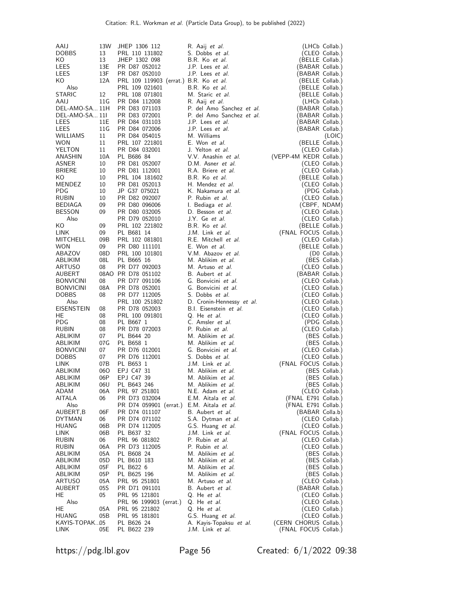| AAIJ              | 13W | JHEP 1306 112                          | R. Aaij <i>et al.</i>     | (LHCb Collab.)                  |
|-------------------|-----|----------------------------------------|---------------------------|---------------------------------|
|                   |     |                                        | S. Dobbs et al.           |                                 |
| DOBBS             | 13  | PRL 110 131802                         |                           | (CLEO Collab.)                  |
| KO                | 13  | JHEP 1302 098                          | B.R. Ko et al.            | (BELLE Collab.)                 |
| LEES              | 13E | PR D87 052012                          | J.P. Lees et al.          | (BABAR Collab.)                 |
| LEES              | 13F | PR D87 052010                          | J.P. Lees et al.          | (BABAR Collab.)                 |
| KO                | 12A | PRL 109 119903 (errat.) B.R. Ko et al. |                           | (BELLE Collab.)                 |
| Also              |     | PRL 109 021601                         | B.R. Ko et al.            | (BELLE Collab.)                 |
| STARIC            | 12  | PRL 108 071801                         | M. Staric et al.          | (BELLE Collab.)                 |
| AAIJ              | 11G | PR D84 112008                          | R. Aaij <i>et al.</i>     | (LHCb Collab.)                  |
| DEL-AMO-SA 11H    |     | PR D83 071103                          | P. del Amo Sanchez et al. | (BABAR Collab.)                 |
| DEL-AMO-SA 11I    |     | PR D83 072001                          | P. del Amo Sanchez et al. | (BABAR Collab.)                 |
| LEES              | 11E | PR D84 031103                          | J.P. Lees <i>et al.</i>   | (BABAR Collab.)                 |
| LEES              | 11G | PR D84 072006                          | J.P. Lees et al.          | (BABAR Collab.)                 |
| WILLIAMS          | 11  | PR D84 054015                          | M. Williams               | (LOIC)                          |
| <b>WON</b>        | 11  | PRL 107 221801                         | E. Won et al.             | (BELLE Collab.)                 |
| YELTON            | 11  | PR D84 032001                          | J. Yelton et al.          | (CLEO Collab.)                  |
| ANASHIN           | 10A | PL B686 84                             | V.V. Anashin et al.       | (VEPP-4M KEDR Collab.)          |
|                   |     |                                        | D.M. Asner et al.         |                                 |
| ASNER             | 10  | PR D81 052007                          |                           | (CLEO Collab.)                  |
| <b>BRIERE</b>     | 10  | PR D81 112001                          | R.A. Briere et al.        | (CLEO Collab.)                  |
| KO.               | 10  | PRL 104 181602                         | B.R. Ko et al.            | (BELLE Collab.)                 |
| MENDEZ            | 10  | PR D81 052013                          | H. Mendez et al.          | (CLEO Collab.)                  |
| <b>PDG</b>        | 10  | JP G37 075021                          | K. Nakamura et al.        | (PDG Collab.)                   |
| <b>RUBIN</b>      | 10  | PR D82 092007                          | P. Rubin et al.           | (CLEO Collab.)                  |
| <b>BEDIAGA</b>    | 09  | PR D80 096006                          | I. Bediaga <i>et al.</i>  | (CBPF, NDAM)                    |
| BESSON            | 09  | PR D80 032005                          | D. Besson et al.          | (CLEO Collab.)                  |
| Also              |     | PR D79 052010                          | J.Y. Ge et al.            | (CLEO Collab.)                  |
| KO                | 09  | PRL 102 221802                         | B.R. Ko et al.            | (BELLE Collab.)                 |
| LINK              | 09  | PL B681 14                             | J.M. Link et al.          | (FNAL FOCUS Collab.)            |
| MITCHELL          | 09B | PRL 102 081801                         | R.E. Mitchell et al.      | (CLEO Collab.)                  |
| <b>WON</b>        | 09  | PR D80 111101                          | E. Won et al.             | (BELLE Collab.)                 |
| ABAZOV            | 08D | PRL 100 101801                         | V.M. Abazov et al.        | $(D0$ Collab.)                  |
| ABLIKIM           | 08L | PL B665 16                             | M. Ablikim et al.         | (BES Collab.)                   |
| ARTUSO            | 08  | PR D77 092003                          | M. Artuso et al.          | (CLEO Collab.)                  |
| AUBERT            |     | 08AO PR D78 051102                     | B. Aubert et al.          | (BABAR Collab.)                 |
| <b>BONVICINI</b>  | 08  | PR D77 091106                          | G. Bonvicini et al.       | (CLEO Collab.)                  |
| <b>BONVICINI</b>  | 08A | PR D78 052001                          | G. Bonvicini et al.       | (CLEO Collab.)                  |
| <b>DOBBS</b>      | 08  | PR D77 112005                          | S. Dobbs et al.           | (CLEO Collab.)                  |
|                   |     |                                        |                           |                                 |
| Also              |     | PRL 100 251802                         | D. Cronin-Hennessy et al. | (CLEO Collab.)                  |
| <b>EISENSTEIN</b> | 08  | PR D78 052003                          | B.I. Eisenstein et al.    | (CLEO Collab.)                  |
| HE                | 08  | PRL 100 091801                         | Q. He et al.              | (CLEO Collab.)                  |
| PDG.              | 08  | PL B667 1                              | C. Amsler et al.          | (PDG Collab.)                   |
| RUBIN             | 08  | PR D78 072003                          | P. Rubin et al.           | (CLEO Collab.)                  |
| ABLIKIM           | 07  | PL B644 20                             | M. Ablikim et al.         | (BES Collab.)                   |
| ABLIKIM           | 07G | PL B658 1                              | M. Ablikim et al.         | (BES Collab.)                   |
| <b>BONVICINI</b>  | 07  | PR D76 012001                          | G. Bonvicini et al.       | (CLEO Collab.)                  |
| <b>DOBBS</b>      | 07  | PR D76 112001                          | S. Dobbs et al.           | (CLEO Collab.)                  |
| LINK              | 07B | PL B653 1                              | J.M. Link et al.          | (FNAL FOCUS Collab.)            |
| ABLIKIM           | 060 | EPJ C47 31                             | M. Ablikim et al.         | (BES Collab.)                   |
| ABLIKIM           | 06P | EPJ C47 39                             | M. Ablikim et al.         | (BES Collab.)                   |
| ABLIKIM           | 06U | PL B643 246                            | M. Ablikim et al.         | (BES Collab.)                   |
| ADAM              | 06A | PRL 97 251801                          | N.E. Adam et al.          | (CLEO Collab.)                  |
| AITALA            | 06  | PR D73 032004                          | E.M. Aitala et al.        | (FNAL E791 Collab.)             |
| Also              |     | PR D74 059901 (errat.)                 | E.M. Aitala et al.        | (FNAL E791 Collab.)             |
| AUBERT,B          | 06F | PR D74 011107                          | B. Aubert et al.          | (BABAR Colla.b)                 |
| DYTMAN            | 06  | PR D74 071102                          | S.A. Dytman et al.        | (CLEO Collab.)                  |
| <b>HUANG</b>      | 06B | PR D74 112005                          | G.S. Huang et al.         | (CLEO Collab.)                  |
| LINK              | 06B | PL B637 32                             | J.M. Link et al.          | (FNAL FOCUS Collab.)            |
| RUBIN             | 06  | PRL 96 081802                          | P. Rubin et al.           | (CLEO Collab.)                  |
| RUBIN             | 06A | PR D73 112005                          | P. Rubin et al.           | (CLEO Collab.)                  |
| ABLIKIM           | 05A | PL B608 24                             | M. Ablikim et al.         | (BES Collab.)                   |
| ABLIKIM           | 05D | PL B610 183                            | M. Ablikim et al.         | (BES Collab.)                   |
| ABLIKIM           | 05F | PL B622 6                              | M. Ablikim et al.         | (BES Collab.)                   |
| ABLIKIM           | 05P | PL B625 196                            | M. Ablikim et al.         |                                 |
| <b>ARTUSO</b>     |     |                                        |                           | (BES Collab.)<br>(CLEO Collab.) |
|                   | 05A | PRL 95 251801                          | M. Artuso et al.          |                                 |
| AUBERT            | 05S | PR D71 091101                          | B. Aubert <i>et al.</i>   | (BABAR Collab.)                 |
| HE                | 05  | PRL 95 121801                          | Q. He <i>et al.</i>       | (CLEO Collab.)                  |
| Also              |     | PRL 96 199903 (errat.)                 | Q. He <i>et al.</i>       | (CLEO Collab.)                  |
| HE                | 05A | PRL 95 221802                          | Q. He <i>et al.</i>       | (CLEO Collab.)                  |
| HUANG             | 05B | PRL 95 181801                          | G.S. Huang et al.         | (CLEO Collab.)                  |
| KAYIS-TOPAK05     |     | PL B626 24                             | A. Kayis-Topaksu et al.   | (CERN CHORUS Collab.)           |
| LINK              | 05E | PL B622 239                            | J.M. Link et al.          | (FNAL FOCUS Collab.)            |

https://pdg.lbl.gov Page 56 Created: 6/1/2022 09:38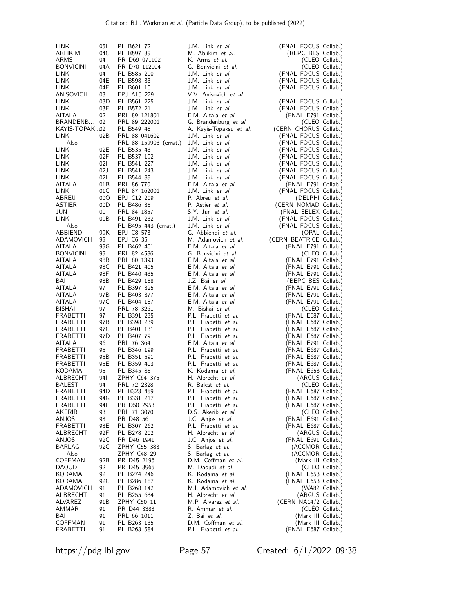| LINK               | 05I        | PL B621 72                  | J.M. Link et al.                         | (FNAL FOCUS Collab.)                       |
|--------------------|------------|-----------------------------|------------------------------------------|--------------------------------------------|
| ABLIKIM            | 04C        | PL B597 39                  | M. Ablikim et al.                        | (BEPC BES Collab.)                         |
| ARMS               | 04         | PR D69 071102               | K. Arms et al.                           | (CLEO Collab.)                             |
| <b>BONVICINI</b>   | 04A        | PR D70 112004               | G. Bonvicini et al.                      | (CLEO Collab.)                             |
| <b>LINK</b>        | 04         | PL B585 200                 | J.M. Link et al.                         | (FNAL FOCUS Collab.)                       |
| <b>LINK</b>        | 04E        | PL B598 33                  | J.M. Link et al.                         | (FNAL FOCUS Collab.)                       |
| <b>LINK</b>        | 04F        | PL B601 10                  | J.M. Link <i>et al.</i>                  | (FNAL FOCUS Collab.)                       |
| ANISOVICH          | 03         | EPJ A16 229                 | V.V. Anisovich et al.                    |                                            |
| <b>LINK</b>        | 03D        | PL B561 225                 | J.M. Link <i>et al.</i>                  | (FNAL FOCUS Collab.)                       |
| LINK<br>AITALA     | 03F<br>02  | PL B572 21<br>PRL 89 121801 | J.M. Link et al.<br>E.M. Aitala et al.   | (FNAL FOCUS Collab.)                       |
| BRANDENB           | 02         | PRL 89 222001               | G. Brandenburg et al.                    | (FNAL E791 Collab.)<br>(CLEO Collab.)      |
| KAYIS-TOPAK02      |            | PL B549 48                  | A. Kayis-Topaksu et al.                  | (CERN CHORUS Collab.)                      |
| LINK               | 02B        | PRL 88 041602               | J.M. Link <i>et al.</i>                  | (FNAL FOCUS Collab.)                       |
| Also               |            | PRL 88 159903 (errat.)      | J.M. Link et al.                         | (FNAL FOCUS Collab.)                       |
| LINK               | 02E        | PL B535 43                  | J.M. Link <i>et al.</i>                  | (FNAL FOCUS Collab.)                       |
| <b>LINK</b>        | 02F        | PL B537 192                 | J.M. Link et al.                         | (FNAL FOCUS Collab.)                       |
| LINK               | 021        | PL B541 227                 | J.M. Link et al.                         | (FNAL FOCUS Collab.)                       |
| LINK               | 02J        | PL B541 243                 | J.M. Link et al.                         | (FNAL FOCUS Collab.)                       |
| LINK               | 02L        | PL B544 89                  | J.M. Link et al.                         | (FNAL FOCUS Collab.)                       |
| AITALA             | 01B        | PRL 86 770                  | E.M. Aitala et al.                       | (FNAL E791 Collab.)                        |
| LINK               | 01C        | PRL 87 162001               | J.M. Link et al.                         | (FNAL FOCUS Collab.)                       |
| ABREU              | 00O        | EPJ C12 209                 | P. Abreu et al.                          | (DELPHI Collab.)                           |
| <b>ASTIER</b>      | 00D        | PL B486 35                  | P. Astier et al.                         | (CERN NOMAD Collab.)                       |
| JUN                | 00         | PRL 84 1857                 | S.Y. Jun et al.                          | (FNAL SELEX Collab.)                       |
| <b>LINK</b>        | 00B        | PL B491 232                 | J.M. Link et al.                         | (FNAL FOCUS Collab.)                       |
| Also               |            | PL B495 443 (errat.)        | J.M. Link et al.                         | (FNAL FOCUS Collab.)                       |
| ABBIENDI           | 99K        | EPJ C8 573                  | G. Abbiendi et al.                       | (OPAL Collab.)                             |
| ADAMOVICH          | 99         | EPJ C6 35                   | M. Adamovich et al.                      | (CERN BEATRICE Collab.)                    |
| AITALA             | 99G        | PL B462 401                 | E.M. Aitala et al.                       | (FNAL E791 Collab.)                        |
| <b>BONVICINI</b>   | 99         | PRL 82 4586                 | G. Bonvicini et al.                      | (CLEO Collab.)                             |
| AITALA<br>AITALA   | 98B        | PRL 80 1393<br>PL B421 405  | E.M. Aitala et al.<br>E.M. Aitala et al. | (FNAL E791 Collab.)                        |
| AITALA             | 98C<br>98F | PL B440 435                 | E.M. Aitala et al.                       | (FNAL E791 Collab.)<br>(FNAL E791 Collab.) |
| BAI                | 98B        | PL B429 188                 | J.Z. Bai et al.                          | (BEPC BES Collab.)                         |
| AITALA             | 97         | PL B397 325                 | E.M. Aitala et al.                       | (FNAL E791 Collab.)                        |
| AITALA             | 97B        | PL B403 377                 | E.M. Aitala et al.                       | (FNAL E791 Collab.)                        |
| AITALA             | 97 C       | PL B404 187                 | E.M. Aitala et al.                       | (FNAL E791 Collab.)                        |
| <b>BISHAI</b>      | 97         | PRL 78 3261                 | M. Bishai et al.                         | (CLEO Collab.)                             |
| FRABETTI           | 97         | PL B391 235                 | P.L. Frabetti et al.                     | (FNAL E687 Collab.)                        |
| FRABETTI           | 97B        | PL B398 239                 | P.L. Frabetti et al.                     | (FNAL E687 Collab.)                        |
| FRABETTI           | 97 C       | PL B401 131                 | P.L. Frabetti et al.                     | (FNAL E687 Collab.)                        |
| <b>FRABETTI</b>    | 97D        | PL B407 79                  | P.L. Frabetti et al.                     | (FNAL E687 Collab.)                        |
| AITALA             | 96         | PRL 76 364                  | E.M. Aitala et al.                       | (FNAL E791 Collab.)                        |
| FRABETTI           | 95         | PL B346 199                 | P.L. Frabetti et al.                     | (FNAL E687 Collab.)                        |
| FRABETTI           | 95B        | PL B351 591                 | P.L. Frabetti et al.                     | (FNAL E687 Collab.)                        |
| <b>FRABETTI</b>    | 95E        | PL B359 403                 | P.L. Frabetti et al.                     | (FNAL E687 Collab.)                        |
| KODAMA             | 95         | PL B345 85                  | K. Kodama <i>et al.</i>                  | (FNAL E653 Collab.)                        |
| ALBRECHT           | 94I        | ZPHY C64 375                | H. Albrecht et al.                       | (ARGUS Collab.)                            |
| BALEST             | 94         | PRL 72 2328                 | R. Balest et al.                         | (CLEO Collab.)                             |
| <b>FRABETTI</b>    | 94D        | PL B323 459                 | P.L. Frabetti et al.                     | (FNAL E687 Collab.)                        |
| FRABETTI           | 94G        | PL B331 217                 | P.L. Frabetti et al.                     | (FNAL E687 Collab.)                        |
| FRABETTI<br>AKERIB | 94I        | PR D50 2953                 | P.L. Frabetti et al.                     | (FNAL E687 Collab.)<br>(CLEO Collab.)      |
|                    | 93<br>93   | PRL 71 3070<br>PR D48 56    | D.S. Akerib et al.<br>J.C. Anjos et al.  |                                            |
| ANJOS<br>FRABETTI  | 93E        | PL B307 262                 | P.L. Frabetti et al.                     | (FNAL E691 Collab.)<br>(FNAL E687 Collab.) |
| ALBRECHT           | 92F        | PL B278 202                 | H. Albrecht et al.                       | (ARGUS Collab.)                            |
| ANJOS              | 92C        | PR D46 1941                 | J.C. Anjos <i>et al.</i>                 | (FNAL E691 Collab.)                        |
| BARLAG             | 92C        | ZPHY C55 383                | S. Barlag <i>et al.</i>                  | (ACCMOR Collab.)                           |
| Also               |            | ZPHY C48 29                 | S. Barlag <i>et al.</i>                  | (ACCMOR Collab.)                           |
| COFFMAN            | 92B        | PR D45 2196                 | D.M. Coffman et al.                      | (Mark III Collab.)                         |
| <b>DAOUDI</b>      | 92         | PR D45 3965                 | M. Daoudi et al.                         | (CLEO Collab.)                             |
| KODAMA             | 92         | PL B274 246                 | K. Kodama <i>et al.</i>                  | (FNAL E653 Collab.)                        |
| KODAMA             | 92C        | PL B286 187                 | K. Kodama <i>et al.</i>                  | (FNAL E653 Collab.)                        |
| ADAMOVICH          | 91         | PL B268 142                 | M.I. Adamovich et al.                    | (WA82 Collab.)                             |
| ALBRECHT           | 91         | PL B255 634                 | H. Albrecht et al.                       | (ARGUS Collab.)                            |
| ALVAREZ            | 91B        | ZPHY C50 11                 | M.P. Alvarez et al.                      | (CERN NA14/2 Collab.)                      |
| AMMAR              | 91         | PR D44 3383                 | R. Ammar <i>et al.</i>                   | (CLEO Collab.)                             |
| BAI                | 91         | PRL 66 1011                 | Z. Bai et al.                            | (Mark III Collab.)                         |
| COFFMAN            | 91         | PL B263 135                 | D.M. Coffman et al.                      | (Mark III Collab.)                         |
| FRABETTI           | 91         | PL B263 584                 | P.L. Frabetti et al.                     | (FNAL E687 Collab.)                        |

https://pdg.lbl.gov Page 57 Created: 6/1/2022 09:38